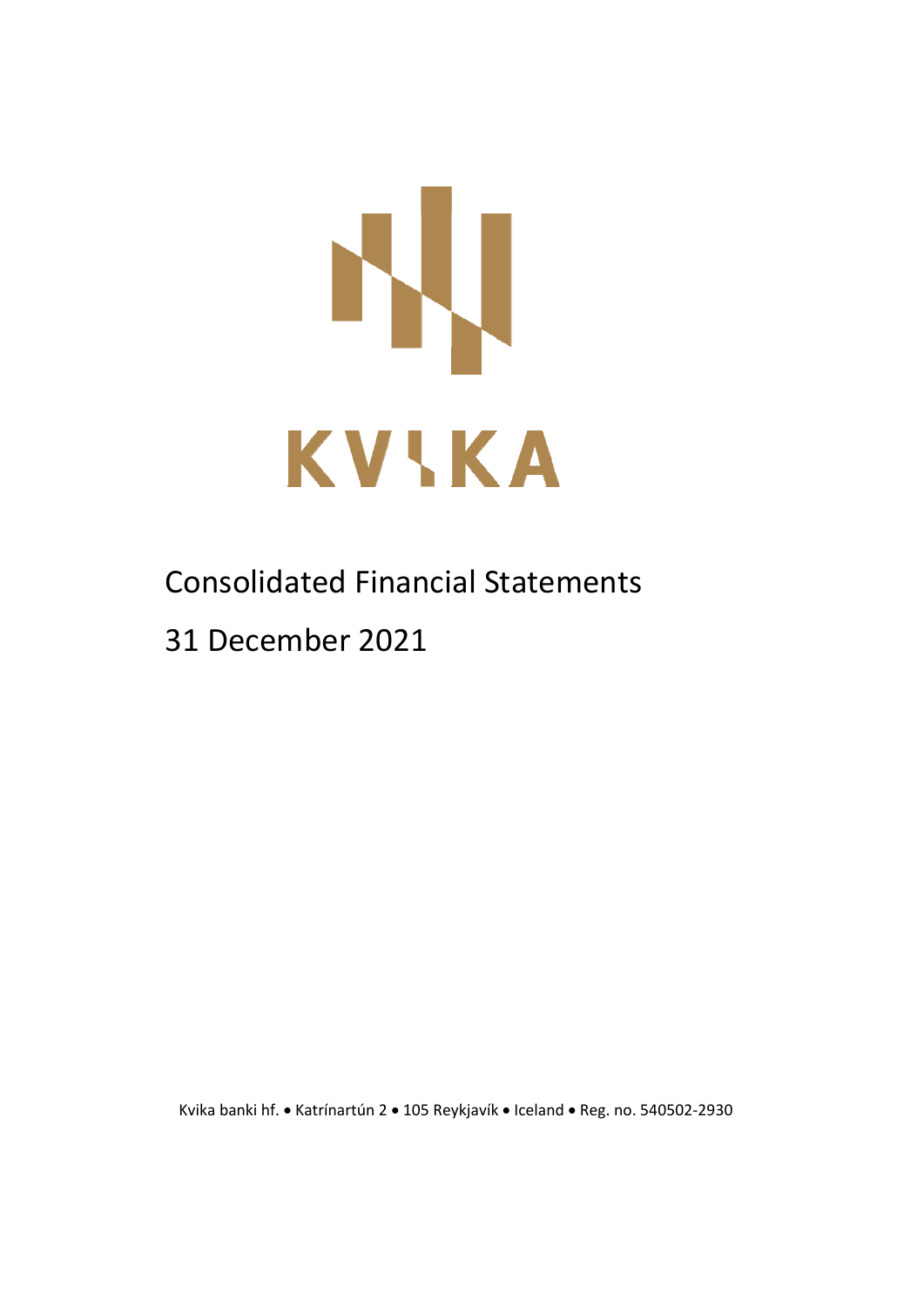

# Consolidated Financial Statements

31 December 2021

Kvika banki hf. • Katrínartún 2 • 105 Reykjavík • Iceland • Reg. no. 540502-2930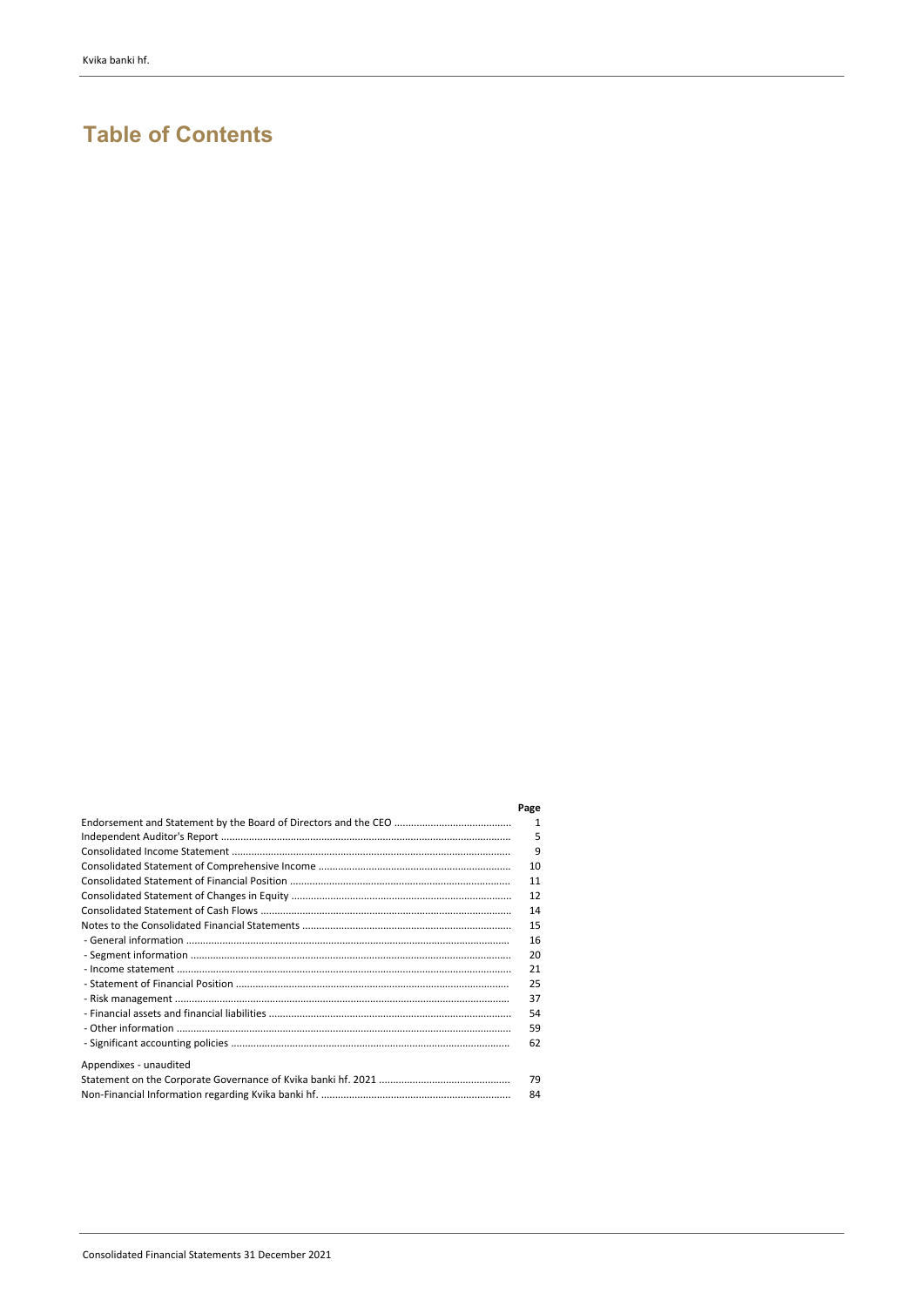# **Table of Contents**

|                        | Page         |
|------------------------|--------------|
|                        | $\mathbf{1}$ |
|                        | 5            |
|                        | 9            |
|                        | 10           |
|                        | 11           |
|                        | 12           |
|                        | 14           |
|                        | 15           |
|                        | 16           |
|                        | 20           |
|                        | 21           |
|                        | 25           |
|                        | 37           |
|                        | 54           |
|                        | 59           |
|                        | 62           |
| Appendixes - unaudited |              |
|                        | 79           |
|                        | 84           |
|                        |              |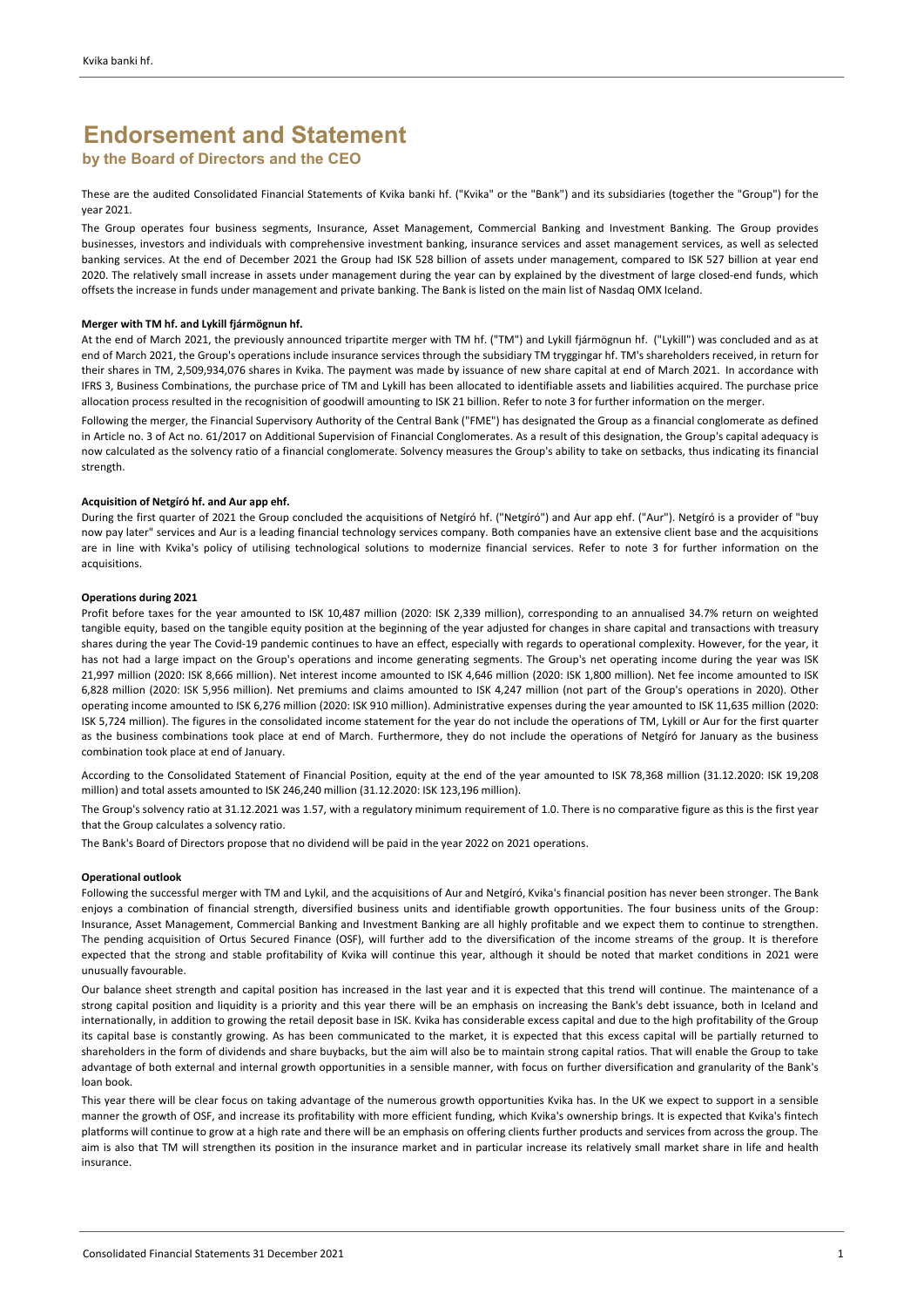#### **by the Board of Directors and the CEO**

These are the audited Consolidated Financial Statements of Kvika banki hf. ("Kvika" or the "Bank") and its subsidiaries (together the "Group") for the year 2021.

The Group operates four business segments, Insurance, Asset Management, Commercial Banking and Investment Banking. The Group provides businesses, investors and individuals with comprehensive investment banking, insurance services and asset management services, as well as selected banking services. At the end of December 2021 the Group had ISK 528 billion of assets under management, compared to ISK 527 billion at year end 2020. The relatively small increase in assets under management during the year can by explained by the divestment of large closed‐end funds, which offsets the increase in funds under management and private banking. The Bank is listed on the main list of Nasdaq OMX Iceland.

#### **Merger with TM hf. and Lykill fjármögnun hf.**

At the end of March 2021, the previously announced tripartite merger with TM hf. ("TM") and Lykill fjármögnun hf. ("Lykill") was concluded and as at end of March 2021, the Group's operations include insurance services through the subsidiary TM tryggingar hf. TM's shareholders received, in return for their shares in TM, 2,509,934,076 shares in Kvika. The payment was made by issuance of new share capital at end of March 2021. In accordance with IFRS 3, Business Combinations, the purchase price of TM and Lykill has been allocated to identifiable assets and liabilities acquired. The purchase price allocation process resulted in the recognisition of goodwill amounting to ISK 21 billion. Refer to note 3 for further information on the merger.

Following the merger, the Financial Supervisory Authority of the Central Bank ("FME") has designated the Group as a financial conglomerate as defined in Article no. 3 of Act no. 61/2017 on Additional Supervision of Financial Conglomerates. As a result of this designation, the Group's capital adequacy is now calculated as the solvency ratio of a financial conglomerate. Solvency measures the Group's ability to take on setbacks, thus indicating its financial strength.

#### **Acquisition of Netgíró hf. and Aur app ehf.**

During the first quarter of 2021 the Group concluded the acquisitions of Netgíró hf. ("Netgíró") and Aur app ehf. ("Aur"). Netgíró is a provider of "buy now pay later" services and Aur is a leading financial technology services company. Both companies have an extensive client base and the acquisitions are in line with Kvika's policy of utilising technological solutions to modernize financial services. Refer to note 3 for further information on the acquisitions.

#### **Operations during 2021**

Profit before taxes for the year amounted to ISK 10,487 million (2020: ISK 2,339 million), corresponding to an annualised 34.7% return on weighted tangible equity, based on the tangible equity position at the beginning of the year adjusted for changes in share capital and transactions with treasury shares during the year The Covid‐19 pandemic continues to have an effect, especially with regards to operational complexity. However, for the year, it has not had a large impact on the Group's operations and income generating segments. The Group's net operating income during the year was ISK 21,997 million (2020: ISK 8,666 million). Net interest income amounted to ISK 4,646 million (2020: ISK 1,800 million). Net fee income amounted to ISK 6,828 million (2020: ISK 5,956 million). Net premiums and claims amounted to ISK 4,247 million (not part of the Group's operations in 2020). Other operating income amounted to ISK 6,276 million (2020: ISK 910 million). Administrative expenses during the year amounted to ISK 11,635 million (2020: ISK 5,724 million). The figures in the consolidated income statement for the year do not include the operations of TM, Lykill or Aur for the first quarter as the business combinations took place at end of March. Furthermore, they do not include the operations of Netgíró for January as the business combination took place at end of January.

According to the Consolidated Statement of Financial Position, equity at the end of the year amounted to ISK 78,368 million (31.12.2020: ISK 19,208 million) and total assets amounted to ISK 246,240 million (31.12.2020: ISK 123,196 million).

The Group's solvency ratio at 31.12.2021 was 1.57, with a regulatory minimum requirement of 1.0. There is no comparative figure as this is the first year that the Group calculates a solvency ratio.

The Bank's Board of Directors propose that no dividend will be paid in the year 2022 on 2021 operations.

#### **Operational outlook**

Following the successful merger with TM and Lykil, and the acquisitions of Aur and Netgíró, Kvika's financial position has never been stronger. The Bank enjoys a combination of financial strength, diversified business units and identifiable growth opportunities. The four business units of the Group: Insurance, Asset Management, Commercial Banking and Investment Banking are all highly profitable and we expect them to continue to strengthen. The pending acquisition of Ortus Secured Finance (OSF), will further add to the diversification of the income streams of the group. It is therefore expected that the strong and stable profitability of Kvika will continue this year, although it should be noted that market conditions in 2021 were unusually favourable.

Our balance sheet strength and capital position has increased in the last year and it is expected that this trend will continue. The maintenance of a strong capital position and liquidity is a priority and this year there will be an emphasis on increasing the Bank's debt issuance, both in Iceland and internationally, in addition to growing the retail deposit base in ISK. Kvika has considerable excess capital and due to the high profitability of the Group its capital base is constantly growing. As has been communicated to the market, it is expected that this excess capital will be partially returned to shareholders in the form of dividends and share buybacks, but the aim will also be to maintain strong capital ratios. That will enable the Group to take advantage of both external and internal growth opportunities in a sensible manner, with focus on further diversification and granularity of the Bank's loan book.

This year there will be clear focus on taking advantage of the numerous growth opportunities Kvika has. In the UK we expect to support in a sensible manner the growth of OSF, and increase its profitability with more efficient funding, which Kvika's ownership brings. It is expected that Kvika's fintech platforms will continue to grow at a high rate and there will be an emphasis on offering clients further products and services from across the group. The aim is also that TM will strengthen its position in the insurance market and in particular increase its relatively small market share in life and health insurance.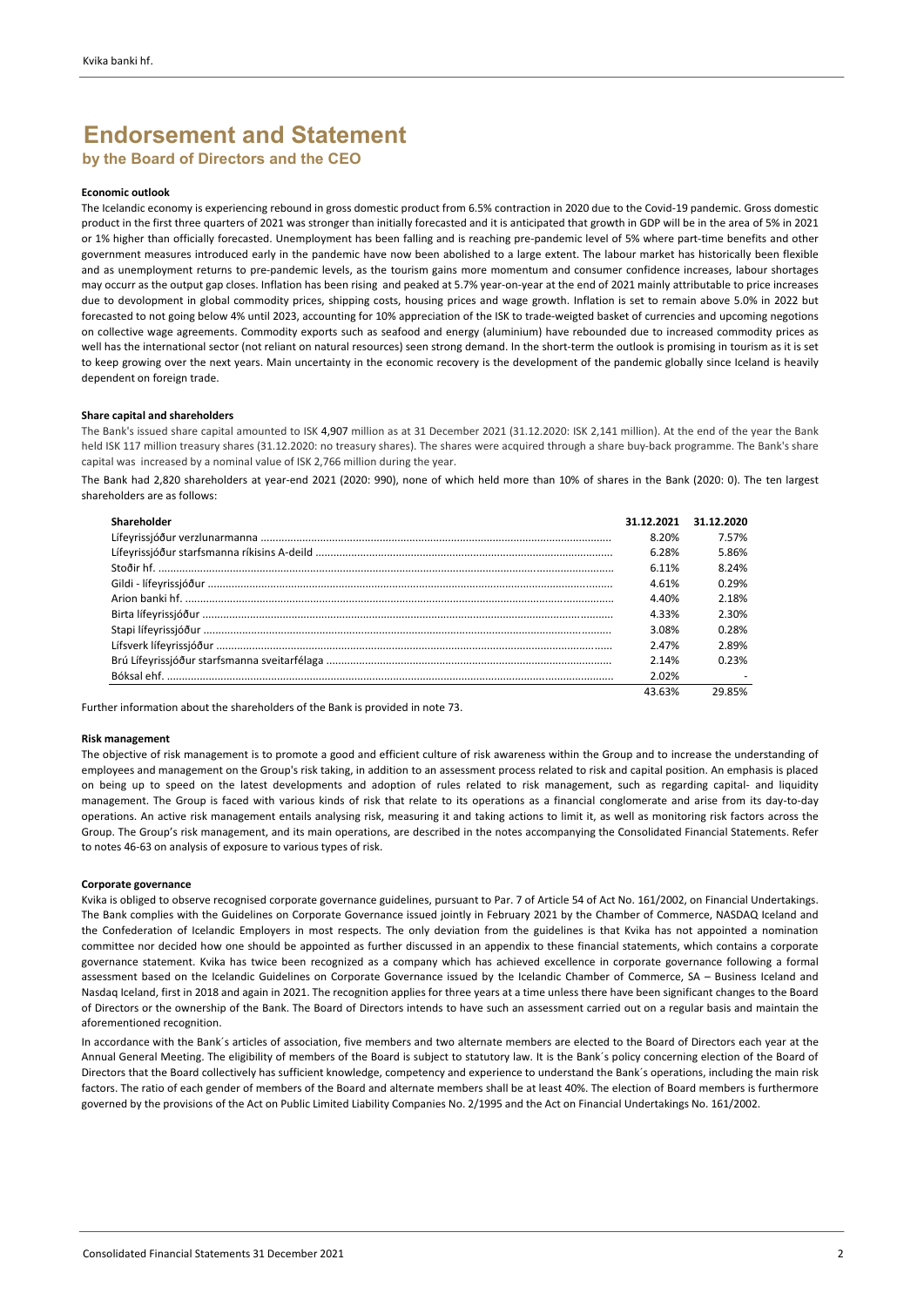**by the Board of Directors and the CEO**

#### **Economic outlook**

The Icelandic economy is experiencing rebound in gross domestic product from 6.5% contraction in 2020 due to the Covid‐19 pandemic. Gross domestic product in the first three quarters of 2021 was stronger than initially forecasted and it is anticipated that growth in GDP will be in the area of 5% in 2021 or 1% higher than officially forecasted. Unemployment has been falling and is reaching pre‐pandemic level of 5% where part‐time benefits and other government measures introduced early in the pandemic have now been abolished to a large extent. The labour market has historically been flexible and as unemployment returns to pre‐pandemic levels, as the tourism gains more momentum and consumer confidence increases, labour shortages may occurr as the output gap closes. Inflation has been rising and peaked at 5.7% year-on-year at the end of 2021 mainly attributable to price increases due to devolopment in global commodity prices, shipping costs, housing prices and wage growth. Inflation is set to remain above 5.0% in 2022 but forecasted to not going below 4% until 2023, accounting for 10% appreciation of the ISK to trade‐weigted basket of currencies and upcoming negotions on collective wage agreements. Commodity exports such as seafood and energy (aluminium) have rebounded due to increased commodity prices as well has the international sector (not reliant on natural resources) seen strong demand. In the short-term the outlook is promising in tourism as it is set to keep growing over the next years. Main uncertainty in the economic recovery is the development of the pandemic globally since Iceland is heavily dependent on foreign trade.

#### **Share capital and shareholders**

The Bank's issued share capital amounted to ISK 4,907 million as at 31 December 2021 (31.12.2020: ISK 2,141 million). At the end of the year the Bank held ISK 117 million treasury shares (31.12.2020: no treasury shares). The shares were acquired through a share buy‐back programme. The Bank's share capital was increased by a nominal value of ISK 2,766 million during the year.

The Bank had 2,820 shareholders at year-end 2021 (2020: 990), none of which held more than 10% of shares in the Bank (2020: 0). The ten largest shareholders are as follows:

| Shareholder | 31.12.2021 | 31.12.2020 |
|-------------|------------|------------|
|             | 8.20%      | 7.57%      |
|             | 6.28%      | 5.86%      |
|             | 6.11%      | 8.24%      |
|             | 4.61%      | 0.29%      |
|             | 4.40%      | 2.18%      |
|             | 4.33%      | 2.30%      |
|             | 3.08%      | 0.28%      |
|             | 2.47%      | 2.89%      |
|             | 2.14%      | 0.23%      |
|             | 2.02%      |            |
|             | 43.63%     | 29.85%     |

Further information about the shareholders of the Bank is provided in note 73.

#### **Risk management**

The objective of risk management is to promote a good and efficient culture of risk awareness within the Group and to increase the understanding of employees and management on the Group's risk taking, in addition to an assessment process related to risk and capital position. An emphasis is placed on being up to speed on the latest developments and adoption of rules related to risk management, such as regarding capital‐ and liquidity management. The Group is faced with various kinds of risk that relate to its operations as a financial conglomerate and arise from its day‐to‐day operations. An active risk management entails analysing risk, measuring it and taking actions to limit it, as well as monitoring risk factors across the Group. The Group's risk management, and its main operations, are described in the notes accompanying the Consolidated Financial Statements. Refer to notes 46‐63 on analysis of exposure to various types of risk.

#### **Corporate governance**

Kvika is obliged to observe recognised corporate governance guidelines, pursuant to Par. 7 of Article 54 of Act No. 161/2002, on Financial Undertakings. The Bank complies with the Guidelines on Corporate Governance issued jointly in February 2021 by the Chamber of Commerce, NASDAQ Iceland and the Confederation of Icelandic Employers in most respects. The only deviation from the guidelines is that Kvika has not appointed a nomination committee nor decided how one should be appointed as further discussed in an appendix to these financial statements, which contains a corporate governance statement. Kvika has twice been recognized as a company which has achieved excellence in corporate governance following a formal assessment based on the Icelandic Guidelines on Corporate Governance issued by the Icelandic Chamber of Commerce, SA – Business Iceland and Nasdaq Iceland, first in 2018 and again in 2021. The recognition applies for three years at a time unless there have been significant changes to the Board of Directors or the ownership of the Bank. The Board of Directors intends to have such an assessment carried out on a regular basis and maintain the aforementioned recognition.

In accordance with the Bank´s articles of association, five members and two alternate members are elected to the Board of Directors each year at the Annual General Meeting. The eligibility of members of the Board is subject to statutory law. It is the Bank´s policy concerning election of the Board of Directors that the Board collectively has sufficient knowledge, competency and experience to understand the Bank´s operations, including the main risk factors. The ratio of each gender of members of the Board and alternate members shall be at least 40%. The election of Board members is furthermore governed by the provisions of the Act on Public Limited Liability Companies No. 2/1995 and the Act on Financial Undertakings No. 161/2002.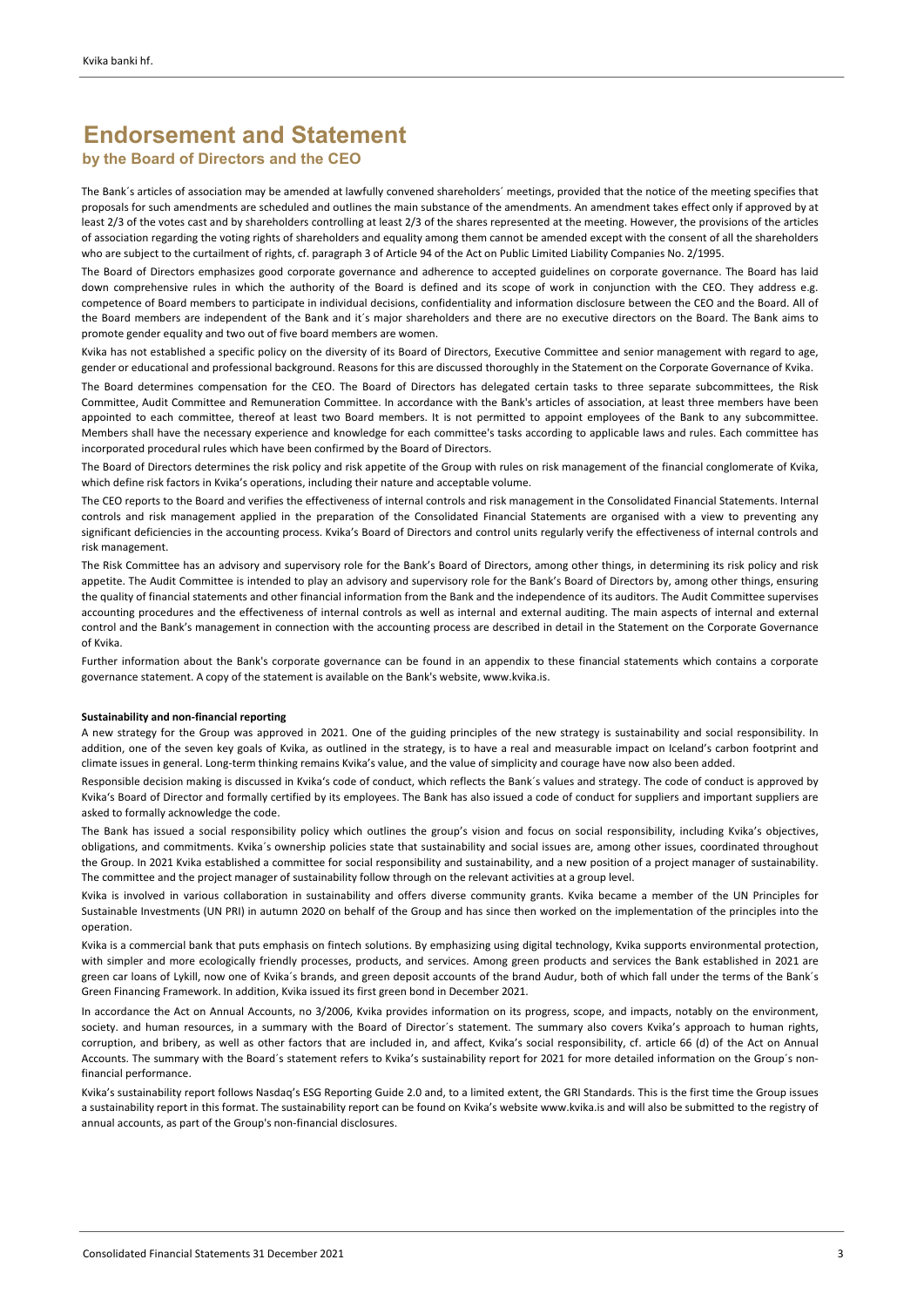#### **by the Board of Directors and the CEO**

The Bank´s articles of association may be amended at lawfully convened shareholders´ meetings, provided that the notice of the meeting specifies that proposals for such amendments are scheduled and outlines the main substance of the amendments. An amendment takes effect only if approved by at least 2/3 of the votes cast and by shareholders controlling at least 2/3 of the shares represented at the meeting. However, the provisions of the articles of association regarding the voting rights of shareholders and equality among them cannot be amended except with the consent of all the shareholders who are subject to the curtailment of rights, cf. paragraph 3 of Article 94 of the Act on Public Limited Liability Companies No. 2/1995.

The Board of Directors emphasizes good corporate governance and adherence to accepted guidelines on corporate governance. The Board has laid down comprehensive rules in which the authority of the Board is defined and its scope of work in conjunction with the CEO. They address e.g. competence of Board members to participate in individual decisions, confidentiality and information disclosure between the CEO and the Board. All of the Board members are independent of the Bank and it´s major shareholders and there are no executive directors on the Board. The Bank aims to promote gender equality and two out of five board members are women.

Kvika has not established a specific policy on the diversity of its Board of Directors, Executive Committee and senior management with regard to age, gender or educational and professional background. Reasons for this are discussed thoroughly in the Statement on the Corporate Governance of Kvika.

The Board determines compensation for the CEO. The Board of Directors has delegated certain tasks to three separate subcommittees, the Risk Committee, Audit Committee and Remuneration Committee. In accordance with the Bank's articles of association, at least three members have been appointed to each committee, thereof at least two Board members. It is not permitted to appoint employees of the Bank to any subcommittee. Members shall have the necessary experience and knowledge for each committee's tasks according to applicable laws and rules. Each committee has incorporated procedural rules which have been confirmed by the Board of Directors.

The Board of Directors determines the risk policy and risk appetite of the Group with rules on risk management of the financial conglomerate of Kvika, which define risk factors in Kvika's operations, including their nature and acceptable volume.

The CEO reports to the Board and verifies the effectiveness of internal controls and risk management in the Consolidated Financial Statements. Internal controls and risk management applied in the preparation of the Consolidated Financial Statements are organised with a view to preventing any significant deficiencies in the accounting process. Kvika's Board of Directors and control units regularly verify the effectiveness of internal controls and risk management.

The Risk Committee has an advisory and supervisory role for the Bank's Board of Directors, among other things, in determining its risk policy and risk appetite. The Audit Committee is intended to play an advisory and supervisory role for the Bank's Board of Directors by, among other things, ensuring the quality of financial statements and other financial information from the Bank and the independence of its auditors. The Audit Committee supervises accounting procedures and the effectiveness of internal controls as well as internal and external auditing. The main aspects of internal and external control and the Bank's management in connection with the accounting process are described in detail in the Statement on the Corporate Governance of Kvika.

Further information about the Bank's corporate governance can be found in an appendix to these financial statements which contains a corporate governance statement. A copy of the statement is available on the Bank's website, www.kvika.is.

#### **Sustainability and non‐financial reporting**

A new strategy for the Group was approved in 2021. One of the guiding principles of the new strategy is sustainability and social responsibility. In addition, one of the seven key goals of Kvika, as outlined in the strategy, is to have a real and measurable impact on Iceland's carbon footprint and climate issues in general. Long‐term thinking remains Kvika's value, and the value of simplicity and courage have now also been added.

Responsible decision making is discussed in Kvika's code of conduct, which reflects the Bank´s values and strategy. The code of conduct is approved by Kvika's Board of Director and formally certified by its employees. The Bank has also issued a code of conduct for suppliers and important suppliers are asked to formally acknowledge the code.

The Bank has issued a social responsibility policy which outlines the group's vision and focus on social responsibility, including Kvika's objectives, obligations, and commitments. Kvika´s ownership policies state that sustainability and social issues are, among other issues, coordinated throughout the Group. In 2021 Kvika established a committee for social responsibility and sustainability, and a new position of a project manager of sustainability. The committee and the project manager of sustainability follow through on the relevant activities at a group level.

Kvika is involved in various collaboration in sustainability and offers diverse community grants. Kvika became a member of the UN Principles for Sustainable Investments (UN PRI) in autumn 2020 on behalf of the Group and has since then worked on the implementation of the principles into the operation.

Kvika is a commercial bank that puts emphasis on fintech solutions. By emphasizing using digital technology, Kvika supports environmental protection, with simpler and more ecologically friendly processes, products, and services. Among green products and services the Bank established in 2021 are green car loans of Lykill, now one of Kvika´s brands, and green deposit accounts of the brand Audur, both of which fall under the terms of the Bank´s Green Financing Framework. In addition, Kvika issued its first green bond in December 2021.

In accordance the Act on Annual Accounts, no 3/2006, Kvika provides information on its progress, scope, and impacts, notably on the environment, society. and human resources, in a summary with the Board of Director´s statement. The summary also covers Kvika's approach to human rights, corruption, and bribery, as well as other factors that are included in, and affect, Kvika's social responsibility, cf. article 66 (d) of the Act on Annual Accounts. The summary with the Board´s statement refers to Kvika's sustainability report for 2021 for more detailed information on the Group´s non‐ financial performance.

Kvika's sustainability report follows Nasdaq's ESG Reporting Guide 2.0 and, to a limited extent, the GRI Standards. This is the first time the Group issues a sustainability report in this format. The sustainability report can be found on Kvika's website www.kvika.is and will also be submitted to the registry of annual accounts, as part of the Group's non-financial disclosures.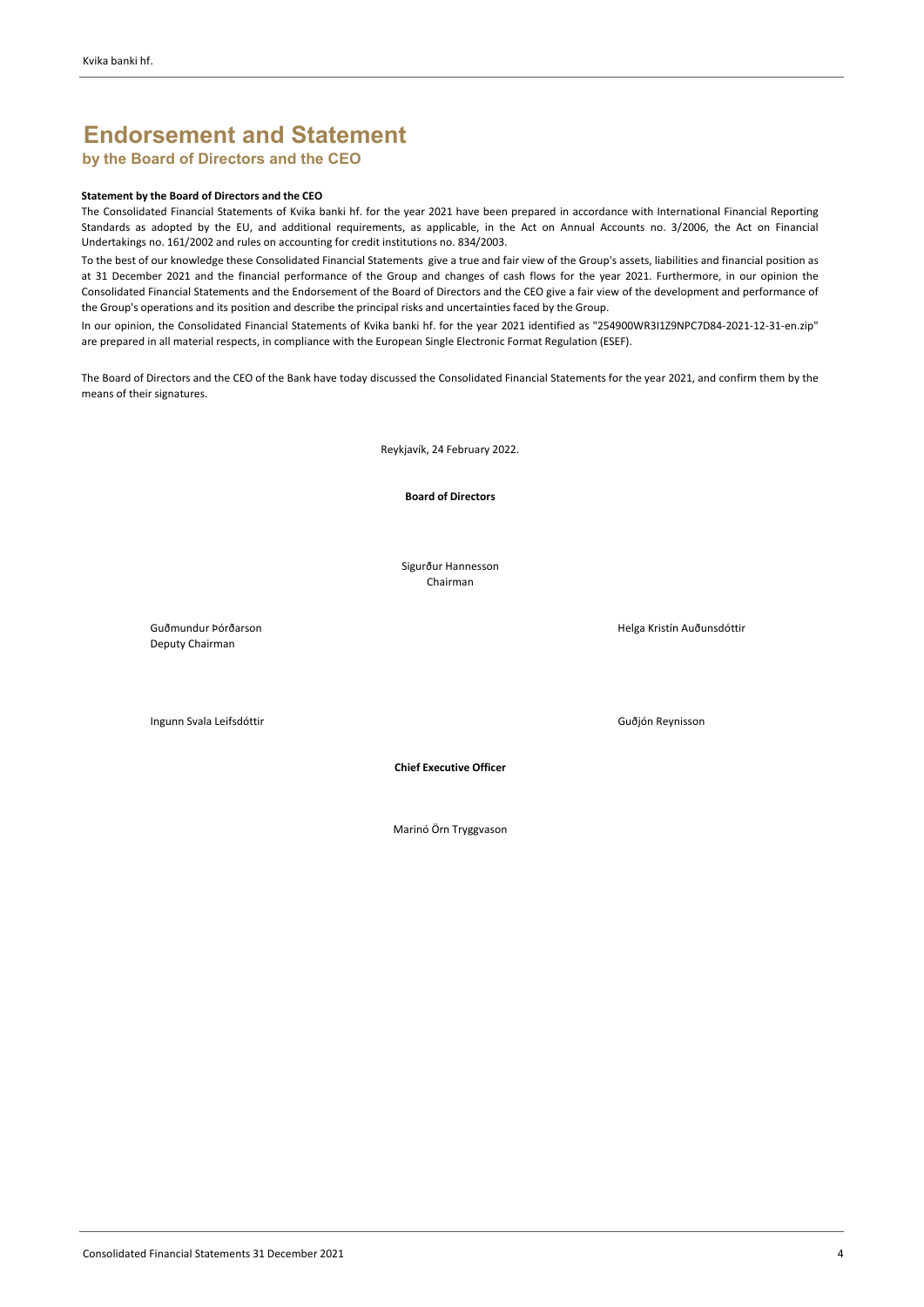### **by the Board of Directors and the CEO**

#### **Statement by the Board of Directors and the CEO**

The Consolidated Financial Statements of Kvika banki hf. for the year 2021 have been prepared in accordance with International Financial Reporting Standards as adopted by the EU, and additional requirements, as applicable, in the Act on Annual Accounts no. 3/2006, the Act on Financial Undertakings no. 161/2002 and rules on accounting for credit institutions no. 834/2003.

To the best of our knowledge these Consolidated Financial Statements give a true and fair view of the Group's assets, liabilities and financial position as at 31 December 2021 and the financial performance of the Group and changes of cash flows for the year 2021. Furthermore, in our opinion the Consolidated Financial Statements and the Endorsement of the Board of Directors and the CEO give a fair view of the development and performance of the Group's operations and its position and describe the principal risks and uncertainties faced by the Group.

In our opinion, the Consolidated Financial Statements of Kvika banki hf. for the year 2021 identified as "254900WR3I1Z9NPC7D84‐2021‐12‐31‐en.zip" are prepared in all material respects, in compliance with the European Single Electronic Format Regulation (ESEF).

The Board of Directors and the CEO of the Bank have today discussed the Consolidated Financial Statements for the year 2021, and confirm them by the means of their signatures.

Reykjavík, 24 February 2022.

**Board of Directors**

Chairman Sigurður Hannesson

Guðmundur Þórðarson Helga Kristín Auðunsdóttir Deputy Chairman

Ingunn Svala Leifsdóttir Guðjón Reynisson

**Chief Executive Officer**

Marinó Örn Tryggvason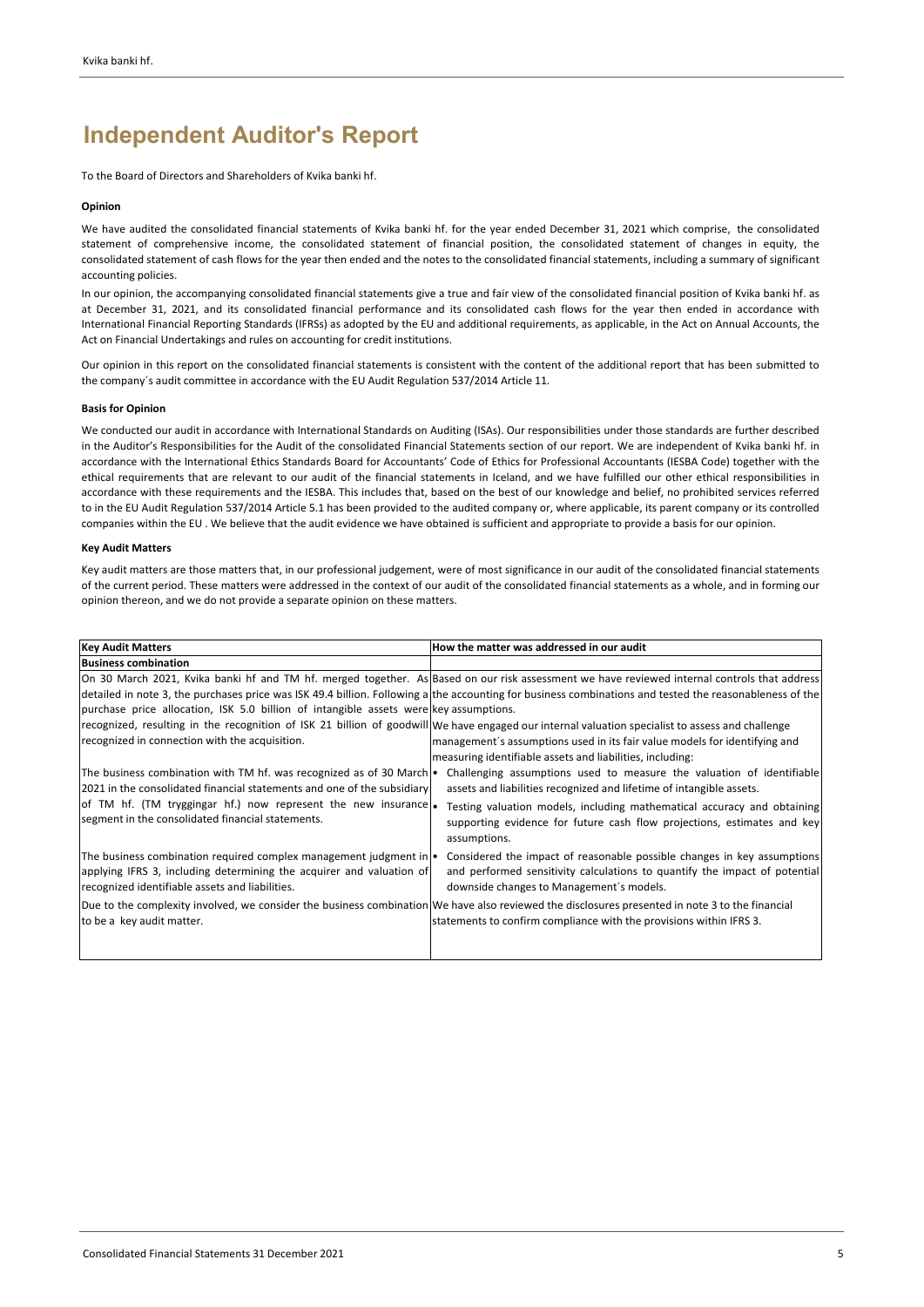To the Board of Directors and Shareholders of Kvika banki hf.

#### **Opinion**

We have audited the consolidated financial statements of Kvika banki hf. for the year ended December 31, 2021 which comprise, the consolidated statement of comprehensive income, the consolidated statement of financial position, the consolidated statement of changes in equity, the consolidated statement of cash flows for the year then ended and the notes to the consolidated financial statements, including a summary of significant accounting policies.

In our opinion, the accompanying consolidated financial statements give a true and fair view of the consolidated financial position of Kvika banki hf. as at December 31, 2021, and its consolidated financial performance and its consolidated cash flows for the year then ended in accordance with International Financial Reporting Standards (IFRSs) as adopted by the EU and additional requirements, as applicable, in the Act on Annual Accounts, the Act on Financial Undertakings and rules on accounting for credit institutions.

Our opinion in this report on the consolidated financial statements is consistent with the content of the additional report that has been submitted to the company´s audit committee in accordance with the EU Audit Regulation 537/2014 Article 11.

#### **Basis for Opinion**

We conducted our audit in accordance with International Standards on Auditing (ISAs). Our responsibilities under those standards are further described in the Auditor's Responsibilities for the Audit of the consolidated Financial Statements section of our report. We are independent of Kvika banki hf. in accordance with the International Ethics Standards Board for Accountants' Code of Ethics for Professional Accountants (IESBA Code) together with the ethical requirements that are relevant to our audit of the financial statements in Iceland, and we have fulfilled our other ethical responsibilities in accordance with these requirements and the IESBA. This includes that, based on the best of our knowledge and belief, no prohibited services referred to in the EU Audit Regulation 537/2014 Article 5.1 has been provided to the audited company or, where applicable, its parent company or its controlled companies within the EU . We believe that the audit evidence we have obtained is sufficient and appropriate to provide a basis for our opinion.

#### **Key Audit Matters**

Key audit matters are those matters that, in our professional judgement, were of most significance in our audit of the consolidated financial statements of the current period. These matters were addressed in the context of our audit of the consolidated financial statements as a whole, and in forming our opinion thereon, and we do not provide a separate opinion on these matters.

| <b>Key Audit Matters</b>                                                                                                                                                                       | How the matter was addressed in our audit                                                                                                                                                                              |
|------------------------------------------------------------------------------------------------------------------------------------------------------------------------------------------------|------------------------------------------------------------------------------------------------------------------------------------------------------------------------------------------------------------------------|
| <b>Business combination</b>                                                                                                                                                                    |                                                                                                                                                                                                                        |
|                                                                                                                                                                                                | On 30 March 2021, Kvika banki hf and TM hf. merged together. As Based on our risk assessment we have reviewed internal controls that address                                                                           |
|                                                                                                                                                                                                | detailed in note 3, the purchases price was ISK 49.4 billion. Following a the accounting for business combinations and tested the reasonableness of the                                                                |
| purchase price allocation, ISK 5.0 billion of intangible assets were key assumptions.                                                                                                          |                                                                                                                                                                                                                        |
|                                                                                                                                                                                                | recognized, resulting in the recognition of ISK 21 billion of goodwill We have engaged our internal valuation specialist to assess and challenge                                                                       |
| recognized in connection with the acquisition.                                                                                                                                                 | management's assumptions used in its fair value models for identifying and<br>measuring identifiable assets and liabilities, including:                                                                                |
| The business combination with TM hf. was recognized as of 30 March •                                                                                                                           | Challenging assumptions used to measure the valuation of identifiable                                                                                                                                                  |
| [2021 in the consolidated financial statements and one of the subsidiary]                                                                                                                      | assets and liabilities recognized and lifetime of intangible assets.                                                                                                                                                   |
| of TM hf. (TM tryggingar hf.) now represent the new insurance.<br>segment in the consolidated financial statements.                                                                            | Testing valuation models, including mathematical accuracy and obtaining<br>supporting evidence for future cash flow projections, estimates and key<br>assumptions.                                                     |
| The business combination required complex management judgment in  •<br>applying IFRS 3, including determining the acquirer and valuation of<br>recognized identifiable assets and liabilities. | Considered the impact of reasonable possible changes in key assumptions<br>and performed sensitivity calculations to quantify the impact of potential<br>downside changes to Management's models.                      |
| to be a key audit matter.                                                                                                                                                                      | Due to the complexity involved, we consider the business combination We have also reviewed the disclosures presented in note 3 to the financial<br>statements to confirm compliance with the provisions within IFRS 3. |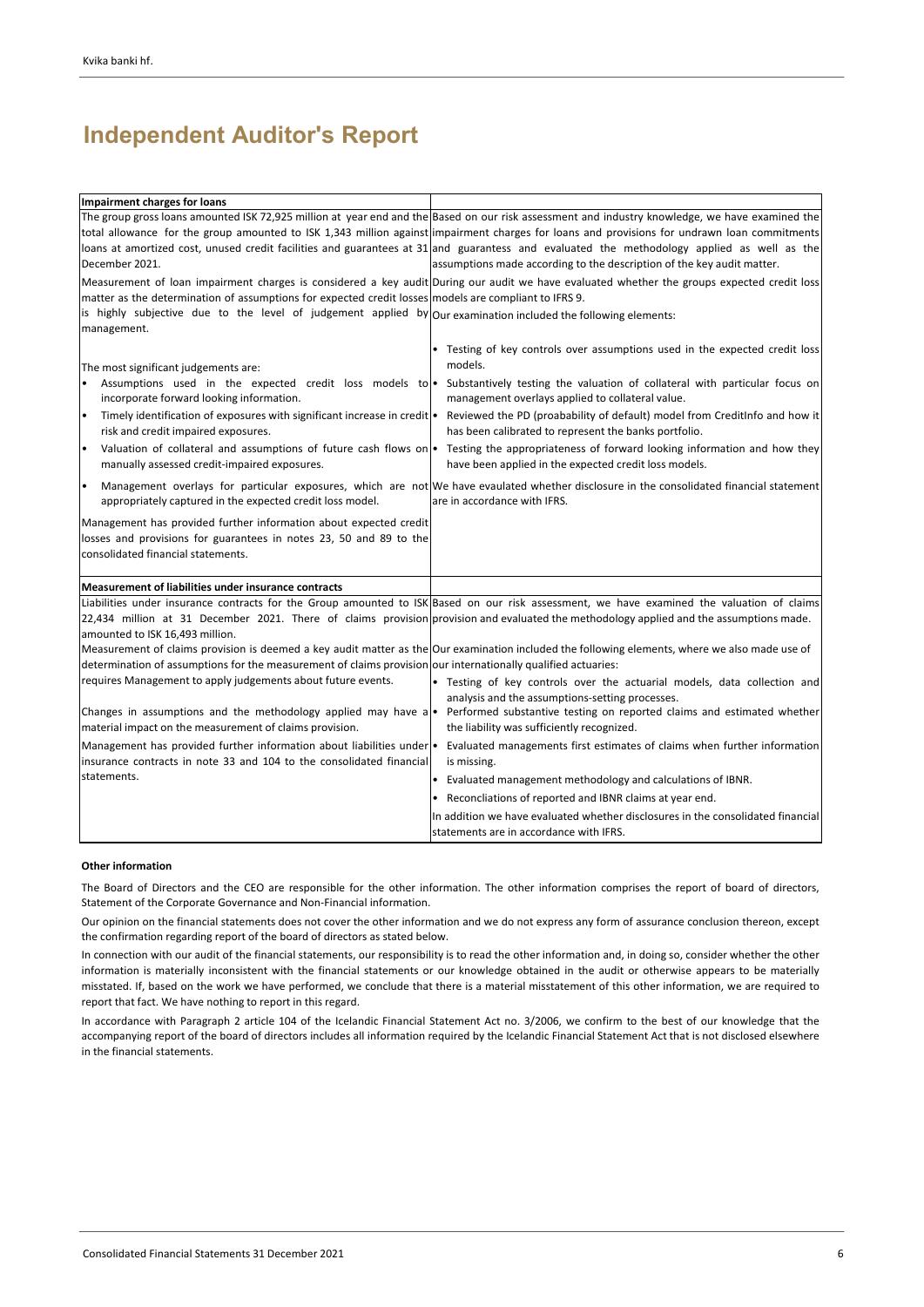| Impairment charges for loans                                                                                                            |                                                                                                                                                 |
|-----------------------------------------------------------------------------------------------------------------------------------------|-------------------------------------------------------------------------------------------------------------------------------------------------|
|                                                                                                                                         | The group gross loans amounted ISK 72,925 million at year end and the Based on our risk assessment and industry knowledge, we have examined the |
|                                                                                                                                         | total allowance for the group amounted to ISK 1,343 million against impairment charges for loans and provisions for undrawn loan commitments    |
|                                                                                                                                         | loans at amortized cost, unused credit facilities and guarantees at 31 and guarantess and evaluated the methodology applied as well as the      |
| December 2021.                                                                                                                          | assumptions made according to the description of the key audit matter.                                                                          |
|                                                                                                                                         | Measurement of loan impairment charges is considered a key audit During our audit we have evaluated whether the groups expected credit loss     |
| matter as the determination of assumptions for expected credit losses models are compliant to IFRS 9.                                   |                                                                                                                                                 |
| is highly subjective due to the level of judgement applied by Our examination included the following elements:                          |                                                                                                                                                 |
| management.                                                                                                                             |                                                                                                                                                 |
|                                                                                                                                         | Testing of key controls over assumptions used in the expected credit loss                                                                       |
| The most significant judgements are:                                                                                                    | models.                                                                                                                                         |
|                                                                                                                                         | Assumptions used in the expected credit loss models to <b>.</b> Substantively testing the valuation of collateral with particular focus on      |
| incorporate forward looking information.                                                                                                | management overlays applied to collateral value.                                                                                                |
| l.<br>Timely identification of exposures with significant increase in credit .                                                          | Reviewed the PD (proabability of default) model from CreditInfo and how it                                                                      |
| risk and credit impaired exposures.                                                                                                     | has been calibrated to represent the banks portfolio.                                                                                           |
| I۰<br>Valuation of collateral and assumptions of future cash flows on .                                                                 | Testing the appropriateness of forward looking information and how they                                                                         |
| manually assessed credit-impaired exposures.                                                                                            | have been applied in the expected credit loss models.                                                                                           |
| I۰                                                                                                                                      | Management overlays for particular exposures, which are not We have evaulated whether disclosure in the consolidated financial statement        |
| appropriately captured in the expected credit loss model.                                                                               | are in accordance with IFRS.                                                                                                                    |
|                                                                                                                                         |                                                                                                                                                 |
| Management has provided further information about expected credit<br>losses and provisions for guarantees in notes 23, 50 and 89 to the |                                                                                                                                                 |
| consolidated financial statements.                                                                                                      |                                                                                                                                                 |
|                                                                                                                                         |                                                                                                                                                 |
| Measurement of liabilities under insurance contracts                                                                                    |                                                                                                                                                 |
|                                                                                                                                         | Liabilities under insurance contracts for the Group amounted to ISK Based on our risk assessment, we have examined the valuation of claims      |
|                                                                                                                                         | 22,434 million at 31 December 2021. There of claims provision provision and evaluated the methodology applied and the assumptions made.         |
| amounted to ISK 16,493 million.                                                                                                         |                                                                                                                                                 |
|                                                                                                                                         | Measurement of claims provision is deemed a key audit matter as the Our examination included the following elements, where we also made use of  |
| determination of assumptions for the measurement of claims provision our internationally qualified actuaries:                           |                                                                                                                                                 |
| requires Management to apply judgements about future events.                                                                            | • Testing of key controls over the actuarial models, data collection and                                                                        |
|                                                                                                                                         | analysis and the assumptions-setting processes.                                                                                                 |
| Changes in assumptions and the methodology applied may have a                                                                           | Performed substantive testing on reported claims and estimated whether                                                                          |
| material impact on the measurement of claims provision.                                                                                 | the liability was sufficiently recognized.                                                                                                      |
| Management has provided further information about liabilities under                                                                     | Evaluated managements first estimates of claims when further information                                                                        |
| insurance contracts in note 33 and 104 to the consolidated financial                                                                    | is missing.                                                                                                                                     |
| statements.                                                                                                                             | Evaluated management methodology and calculations of IBNR.                                                                                      |
|                                                                                                                                         | • Reconcliations of reported and IBNR claims at year end.                                                                                       |
|                                                                                                                                         | In addition we have evaluated whether disclosures in the consolidated financial                                                                 |
|                                                                                                                                         | statements are in accordance with IFRS.                                                                                                         |

#### **Other information**

The Board of Directors and the CEO are responsible for the other information. The other information comprises the report of board of directors, Statement of the Corporate Governance and Non-Financial information.

Our opinion on the financial statements does not cover the other information and we do not express any form of assurance conclusion thereon, except the confirmation regarding report of the board of directors as stated below.

In connection with our audit of the financial statements, our responsibility is to read the other information and, in doing so, consider whether the other information is materially inconsistent with the financial statements or our knowledge obtained in the audit or otherwise appears to be materially misstated. If, based on the work we have performed, we conclude that there is a material misstatement of this other information, we are required to report that fact. We have nothing to report in this regard.

In accordance with Paragraph 2 article 104 of the Icelandic Financial Statement Act no. 3/2006, we confirm to the best of our knowledge that the accompanying report of the board of directors includes all information required by the Icelandic Financial Statement Act that is not disclosed elsewhere in the financial statements.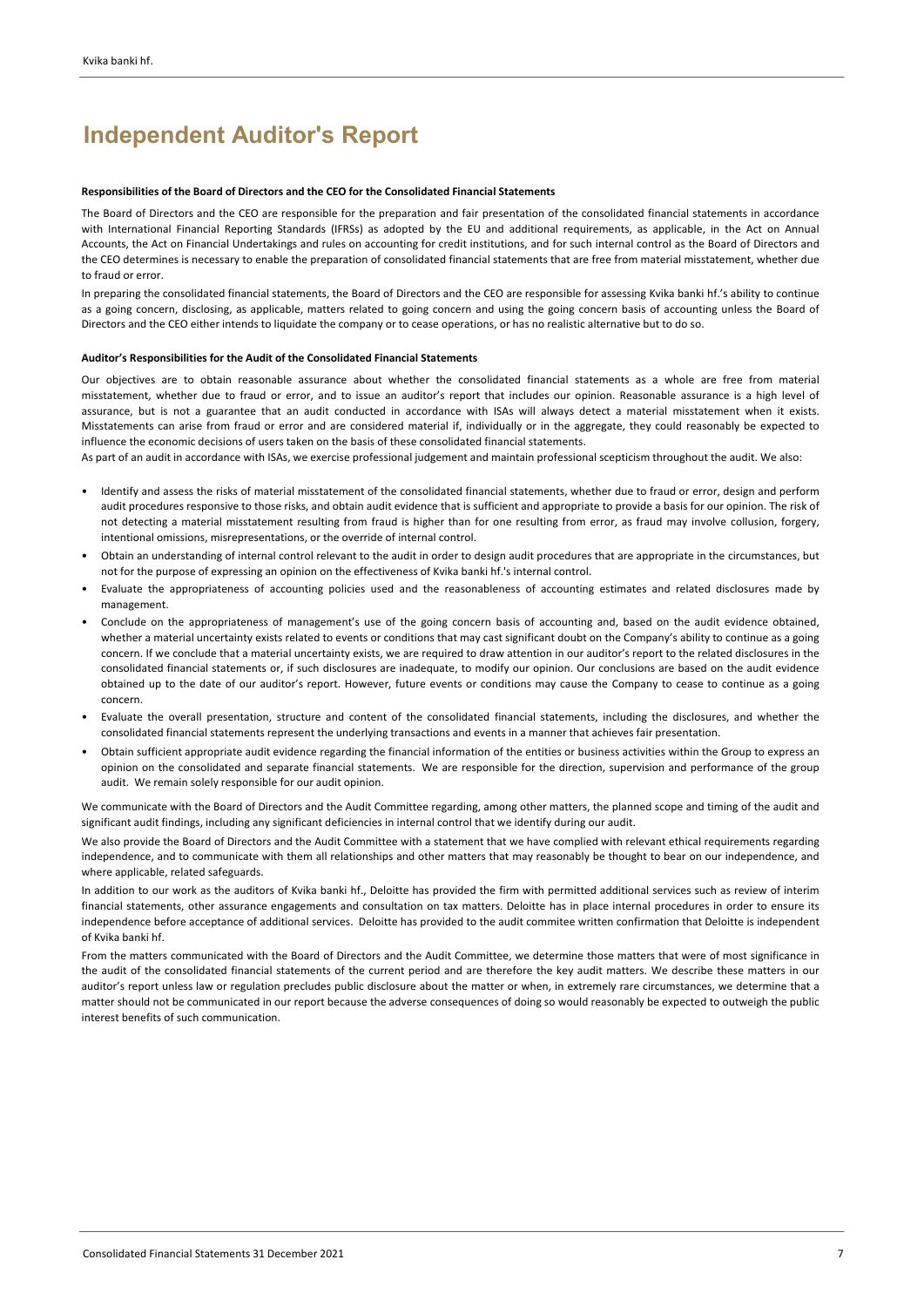#### **Responsibilities of the Board of Directors and the CEO for the Consolidated Financial Statements**

The Board of Directors and the CEO are responsible for the preparation and fair presentation of the consolidated financial statements in accordance with International Financial Reporting Standards (IFRSs) as adopted by the EU and additional requirements, as applicable, in the Act on Annual Accounts, the Act on Financial Undertakings and rules on accounting for credit institutions, and for such internal control as the Board of Directors and the CEO determines is necessary to enable the preparation of consolidated financial statements that are free from material misstatement, whether due to fraud or error.

In preparing the consolidated financial statements, the Board of Directors and the CEO are responsible for assessing Kvika banki hf.'s ability to continue as a going concern, disclosing, as applicable, matters related to going concern and using the going concern basis of accounting unless the Board of Directors and the CEO either intends to liquidate the company or to cease operations, or has no realistic alternative but to do so.

#### **Auditor's Responsibilities for the Audit of the Consolidated Financial Statements**

Our objectives are to obtain reasonable assurance about whether the consolidated financial statements as a whole are free from material misstatement, whether due to fraud or error, and to issue an auditor's report that includes our opinion. Reasonable assurance is a high level of assurance, but is not a guarantee that an audit conducted in accordance with ISAs will always detect a material misstatement when it exists. Misstatements can arise from fraud or error and are considered material if, individually or in the aggregate, they could reasonably be expected to influence the economic decisions of users taken on the basis of these consolidated financial statements.

As part of an audit in accordance with ISAs, we exercise professional judgement and maintain professional scepticism throughout the audit. We also:

- Identify and assess the risks of material misstatement of the consolidated financial statements, whether due to fraud or error, design and perform audit procedures responsive to those risks, and obtain audit evidence that is sufficient and appropriate to provide a basis for our opinion. The risk of not detecting a material misstatement resulting from fraud is higher than for one resulting from error, as fraud may involve collusion, forgery, intentional omissions, misrepresentations, or the override of internal control.
- Obtain an understanding of internal control relevant to the audit in order to design audit procedures that are appropriate in the circumstances, but not for the purpose of expressing an opinion on the effectiveness of Kvika banki hf.'s internal control.
- Evaluate the appropriateness of accounting policies used and the reasonableness of accounting estimates and related disclosures made by management.
- Conclude on the appropriateness of management's use of the going concern basis of accounting and, based on the audit evidence obtained, whether a material uncertainty exists related to events or conditions that may cast significant doubt on the Company's ability to continue as a going concern. If we conclude that a material uncertainty exists, we are required to draw attention in our auditor's report to the related disclosures in the consolidated financial statements or, if such disclosures are inadequate, to modify our opinion. Our conclusions are based on the audit evidence obtained up to the date of our auditor's report. However, future events or conditions may cause the Company to cease to continue as a going concern.
- Evaluate the overall presentation, structure and content of the consolidated financial statements, including the disclosures, and whether the consolidated financial statements represent the underlying transactions and events in a manner that achieves fair presentation.
- Obtain sufficient appropriate audit evidence regarding the financial information of the entities or business activities within the Group to express an opinion on the consolidated and separate financial statements. We are responsible for the direction, supervision and performance of the group audit. We remain solely responsible for our audit opinion.

We communicate with the Board of Directors and the Audit Committee regarding, among other matters, the planned scope and timing of the audit and significant audit findings, including any significant deficiencies in internal control that we identify during our audit.

We also provide the Board of Directors and the Audit Committee with a statement that we have complied with relevant ethical requirements regarding independence, and to communicate with them all relationships and other matters that may reasonably be thought to bear on our independence, and where applicable, related safeguards.

In addition to our work as the auditors of Kvika banki hf., Deloitte has provided the firm with permitted additional services such as review of interim financial statements, other assurance engagements and consultation on tax matters. Deloitte has in place internal procedures in order to ensure its independence before acceptance of additional services. Deloitte has provided to the audit commitee written confirmation that Deloitte is independent of Kvika banki hf.

From the matters communicated with the Board of Directors and the Audit Committee, we determine those matters that were of most significance in the audit of the consolidated financial statements of the current period and are therefore the key audit matters. We describe these matters in our auditor's report unless law or regulation precludes public disclosure about the matter or when, in extremely rare circumstances, we determine that a matter should not be communicated in our report because the adverse consequences of doing so would reasonably be expected to outweigh the public interest benefits of such communication.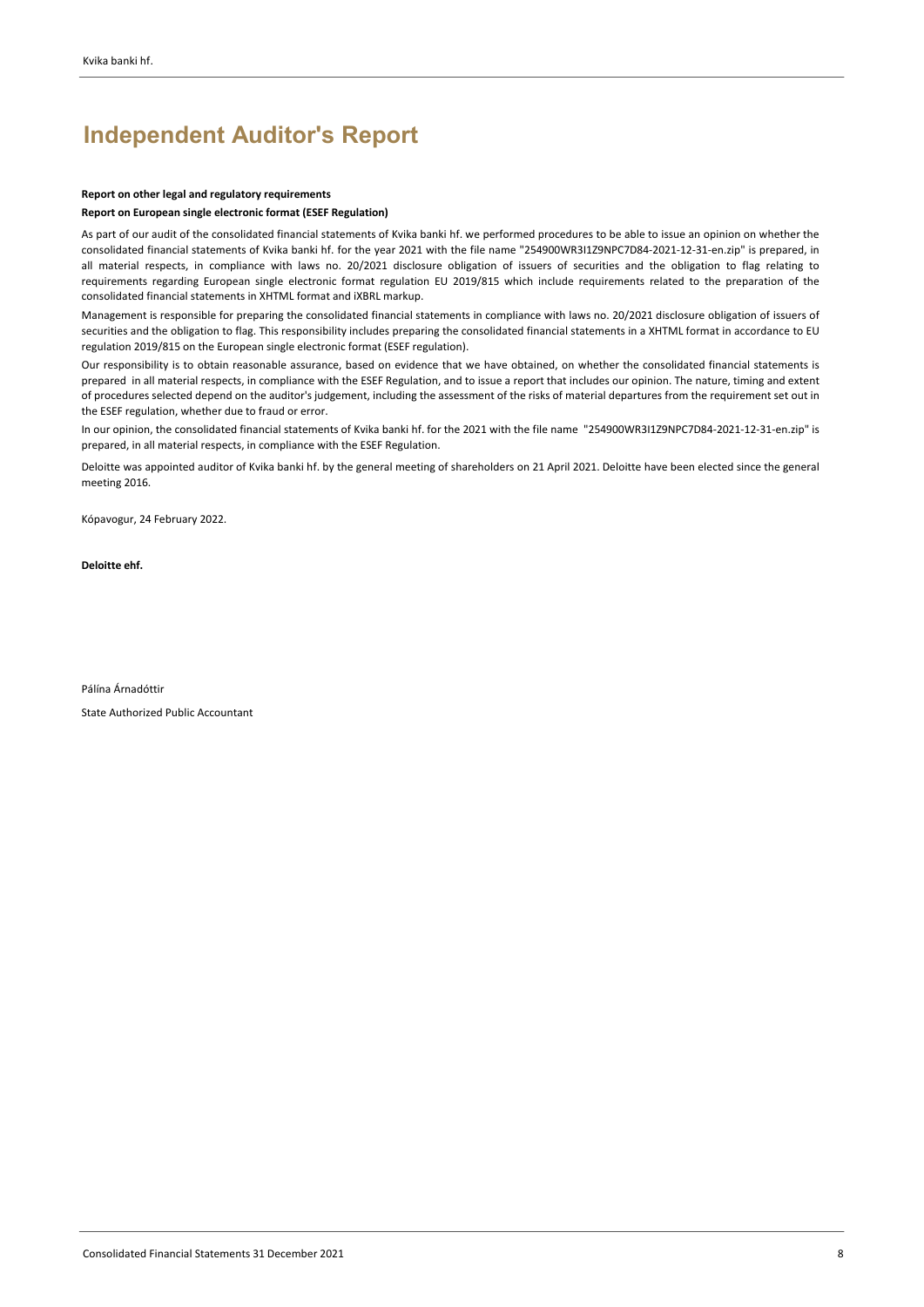#### **Report on other legal and regulatory requirements**

**Report on European single electronic format (ESEF Regulation)**

As part of our audit of the consolidated financial statements of Kvika banki hf. we performed procedures to be able to issue an opinion on whether the consolidated financial statements of Kvika banki hf. for the year 2021 with the file name "254900WR3I1Z9NPC7D84‐2021‐12‐31‐en.zip" is prepared, in all material respects, in compliance with laws no. 20/2021 disclosure obligation of issuers of securities and the obligation to flag relating to requirements regarding European single electronic format regulation EU 2019/815 which include requirements related to the preparation of the consolidated financial statements in XHTML format and iXBRL markup.

Management is responsible for preparing the consolidated financial statements in compliance with laws no. 20/2021 disclosure obligation of issuers of securities and the obligation to flag. This responsibility includes preparing the consolidated financial statements in a XHTML format in accordance to EU regulation 2019/815 on the European single electronic format (ESEF regulation).

Our responsibility is to obtain reasonable assurance, based on evidence that we have obtained, on whether the consolidated financial statements is prepared in all material respects, in compliance with the ESEF Regulation, and to issue a report that includes our opinion. The nature, timing and extent of procedures selected depend on the auditor's judgement, including the assessment of the risks of material departures from the requirement set out in the ESEF regulation, whether due to fraud or error.

In our opinion, the consolidated financial statements of Kvika banki hf. for the 2021 with the file name "254900WR3I1Z9NPC7D84‐2021‐12‐31‐en.zip" is prepared, in all material respects, in compliance with the ESEF Regulation.

Deloitte was appointed auditor of Kvika banki hf. by the general meeting of shareholders on 21 April 2021. Deloitte have been elected since the general meeting 2016.

Kópavogur, 24 February 2022.

**Deloitte ehf.**

Pálína Árnadóttir

State Authorized Public Accountant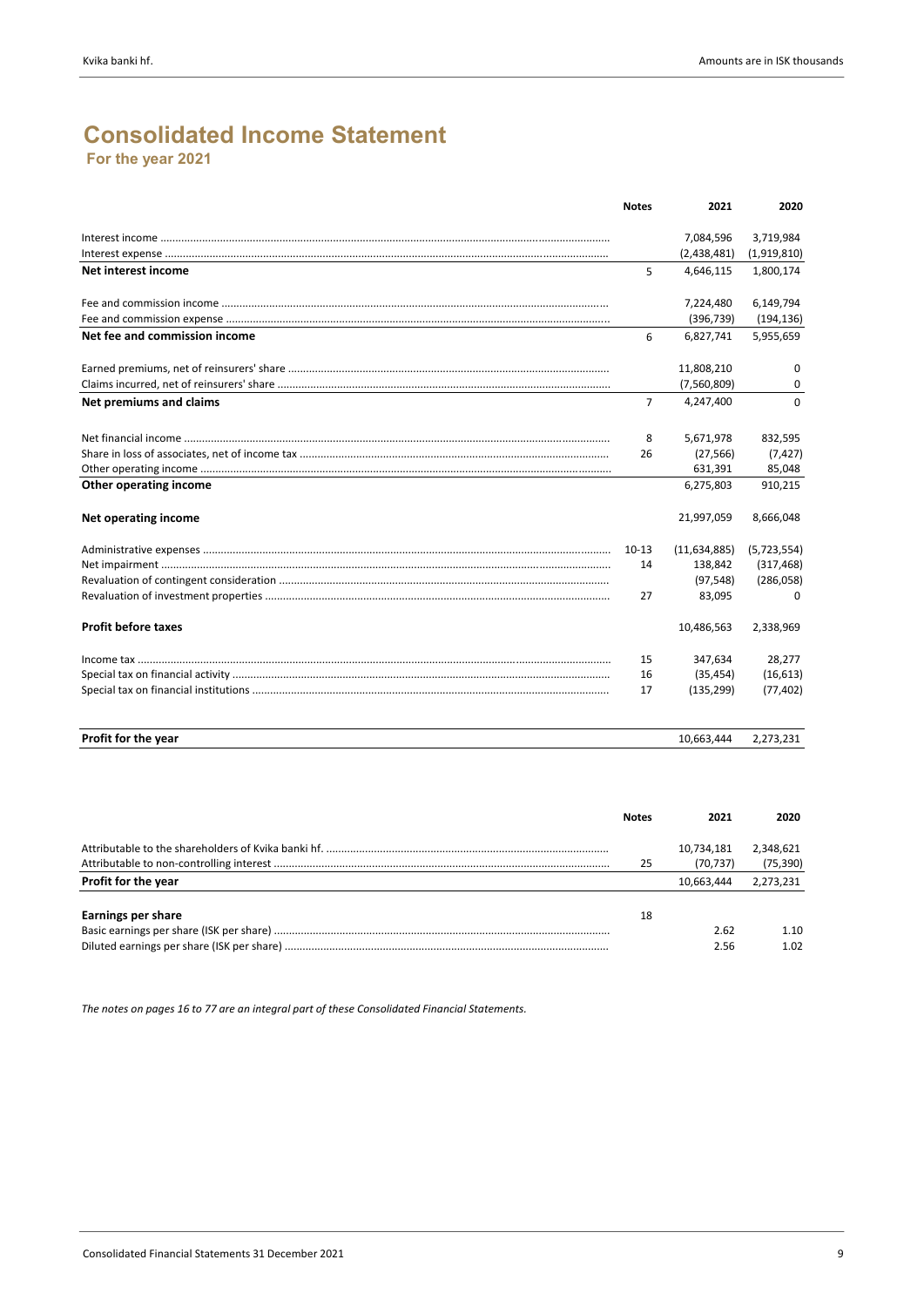# **Consolidated Income Statement**

 **For the year 2021**

|                               | <b>Notes</b>   | 2021           | 2020        |
|-------------------------------|----------------|----------------|-------------|
|                               |                | 7,084,596      | 3,719,984   |
|                               |                | (2,438,481)    | (1,919,810) |
| Net interest income           | 5              | 4,646,115      | 1,800,174   |
|                               |                | 7,224,480      | 6,149,794   |
|                               |                | (396, 739)     | (194, 136)  |
| Net fee and commission income | 6              | 6,827,741      | 5,955,659   |
|                               |                | 11,808,210     | 0           |
|                               |                | (7,560,809)    | 0           |
| Net premiums and claims       | $\overline{7}$ | 4,247,400      | $\Omega$    |
|                               | 8              | 5,671,978      | 832,595     |
|                               | 26             | (27, 566)      | (7, 427)    |
|                               |                | 631,391        | 85,048      |
| Other operating income        |                | 6,275,803      | 910,215     |
| Net operating income          |                | 21,997,059     | 8,666,048   |
|                               | $10-13$        | (11, 634, 885) | (5,723,554) |
|                               | 14             | 138,842        | (317, 468)  |
|                               |                | (97, 548)      | (286,058)   |
|                               | 27             | 83,095         | $\Omega$    |
| <b>Profit before taxes</b>    |                | 10,486,563     | 2,338,969   |
|                               | 15             | 347,634        | 28,277      |
|                               | 16             | (35, 454)      | (16, 613)   |
|                               | 17             | (135, 299)     | (77, 402)   |
| Profit for the year           |                | 10.663.444     | 2,273,231   |

|                     | <b>Notes</b> | 2021       | 2020      |
|---------------------|--------------|------------|-----------|
|                     |              | 10,734,181 | 2,348,621 |
|                     | 25           | (70.737)   | (75, 390) |
| Profit for the year |              | 10.663.444 | 2,273,231 |
| Earnings per share  | 18           |            |           |
|                     |              | 2.62       | 1.10      |
|                     |              | 2.56       | 1.02      |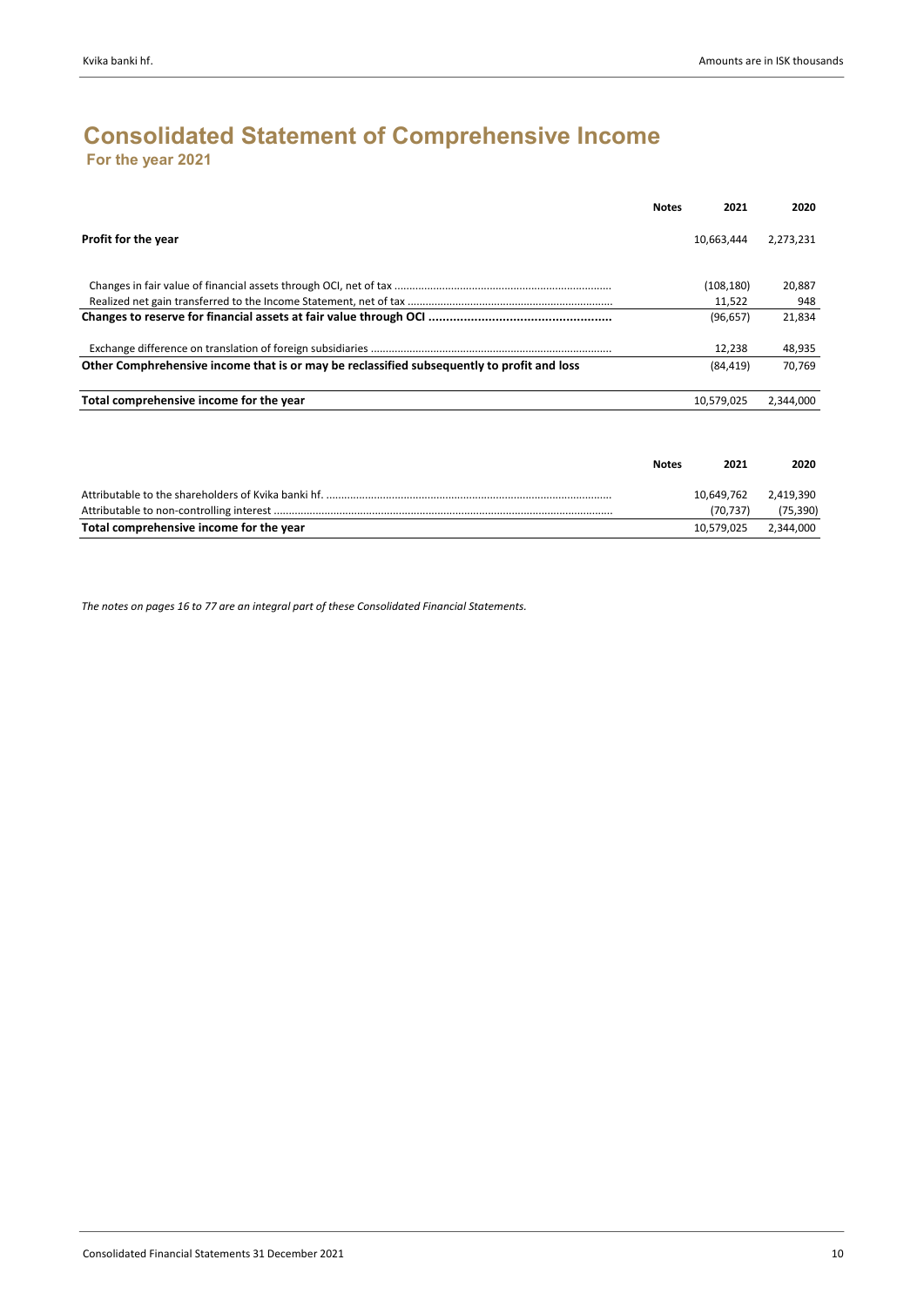### **For the year 2021 Consolidated Statement of Comprehensive Income**

|                                                                                            | <b>Notes</b> | 2021       | 2020      |
|--------------------------------------------------------------------------------------------|--------------|------------|-----------|
| <b>Profit for the year</b>                                                                 |              | 10,663,444 | 2,273,231 |
|                                                                                            |              | (108, 180) | 20.887    |
|                                                                                            |              | 11.522     | 948       |
|                                                                                            |              | (96, 657)  | 21,834    |
|                                                                                            |              | 12.238     | 48,935    |
| Other Comphrehensive income that is or may be reclassified subsequently to profit and loss |              | (84, 419)  | 70.769    |
| Total comprehensive income for the year                                                    |              | 10,579,025 | 2,344,000 |
|                                                                                            |              |            |           |

|                                         | <b>Notes</b> | 2021       | 2020      |
|-----------------------------------------|--------------|------------|-----------|
|                                         |              | 10,649,762 | 2,419,390 |
|                                         |              | (70.737)   | (75,390)  |
| Total comprehensive income for the year |              | 10,579,025 | 2,344,000 |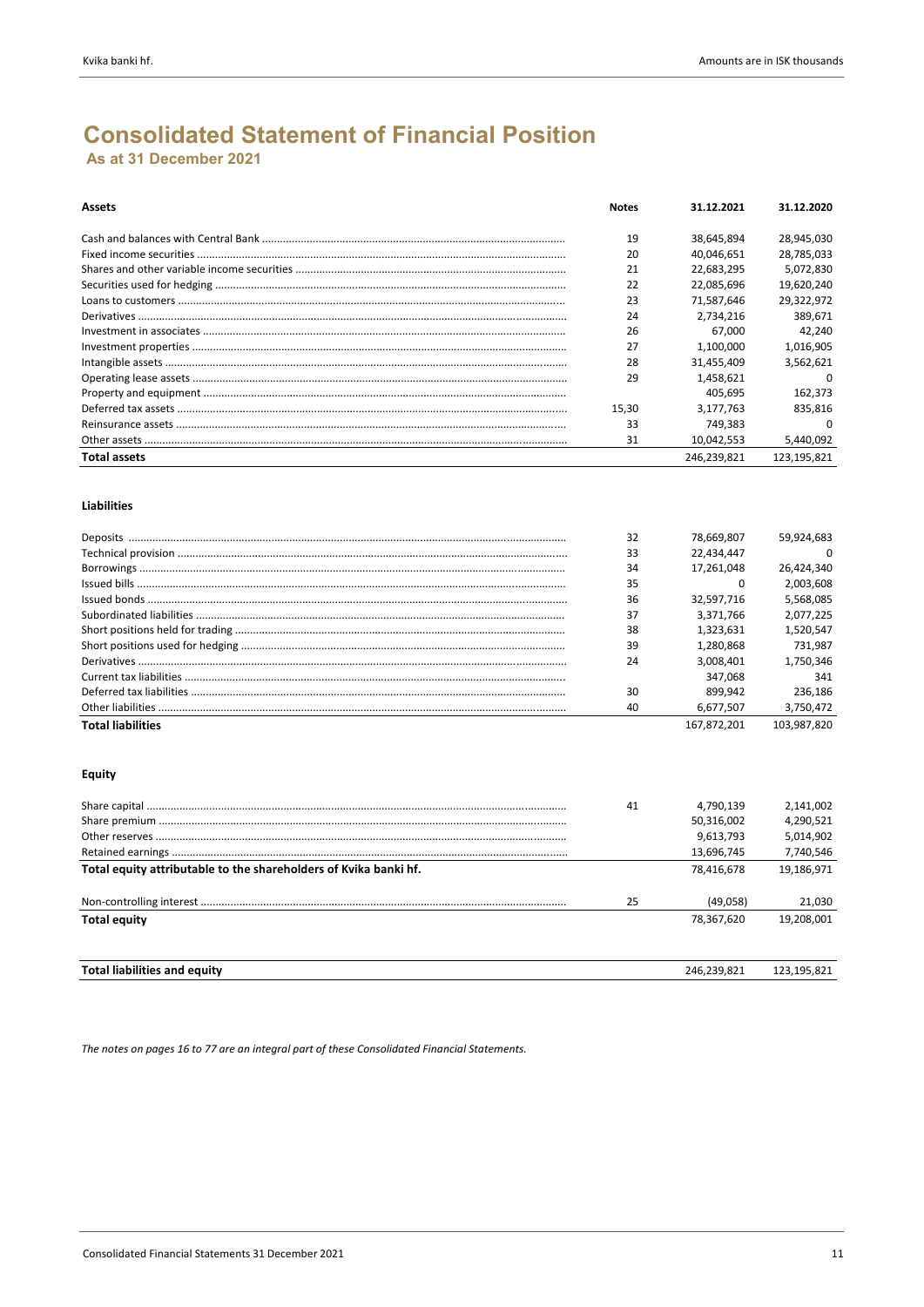# **Consolidated Statement of Financial Position**

As at 31 December 2021

| Assets              | <b>Notes</b> | 31.12.2021  | 31.12.2020  |
|---------------------|--------------|-------------|-------------|
|                     | 19           | 38,645,894  | 28,945,030  |
|                     | 20           | 40,046,651  | 28,785,033  |
|                     | 21           | 22,683,295  | 5,072,830   |
|                     | 22           | 22,085,696  | 19,620,240  |
|                     | 23           | 71.587.646  | 29,322,972  |
|                     | 24           | 2.734.216   | 389,671     |
|                     | 26           | 67.000      | 42.240      |
|                     | 27           | 1,100,000   | 1,016,905   |
|                     | 28           | 31,455,409  | 3,562,621   |
|                     | 29           | 1,458,621   | 0           |
|                     |              | 405.695     | 162,373     |
|                     | 15.30        | 3.177.763   | 835.816     |
|                     | 33           | 749.383     | 0           |
|                     | 31           | 10,042,553  | 5,440,092   |
| <b>Total assets</b> |              | 246,239,821 | 123.195.821 |

#### **Liabilities**

|                          | 32 | 78.669.807  | 59.924.683   |
|--------------------------|----|-------------|--------------|
|                          | 33 | 22.434.447  | <sup>0</sup> |
|                          | 34 | 17,261,048  | 26.424.340   |
|                          | 35 | 0           | 2.003.608    |
|                          | 36 | 32.597.716  | 5.568.085    |
|                          | 37 | 3.371.766   | 2.077.225    |
|                          | 38 | 1.323.631   | 1.520,547    |
|                          | 39 | 1.280.868   | 731.987      |
|                          | 24 | 3.008.401   | 1.750.346    |
|                          |    | 347.068     | 341          |
|                          | 30 | 899.942     | 236.186      |
|                          | 40 | 6.677.507   | 3.750.472    |
| <b>Total liabilities</b> |    | 167.872.201 | 103.987.820  |
|                          |    |             |              |

#### Equity

| <b>Total liabilities and equity</b>                              |    | 246.239.821 | 123.195.821 |
|------------------------------------------------------------------|----|-------------|-------------|
| <b>Total equity</b>                                              |    | 78.367.620  | 19,208,001  |
|                                                                  | 25 | (49,058)    | 21,030      |
| Total equity attributable to the shareholders of Kvika banki hf. |    | 78,416,678  | 19,186,971  |
|                                                                  |    | 13,696,745  | 7,740,546   |
|                                                                  |    | 9,613,793   | 5,014,902   |
|                                                                  |    | 50,316,002  | 4,290,521   |
|                                                                  | 41 | 4.790.139   | 2,141,002   |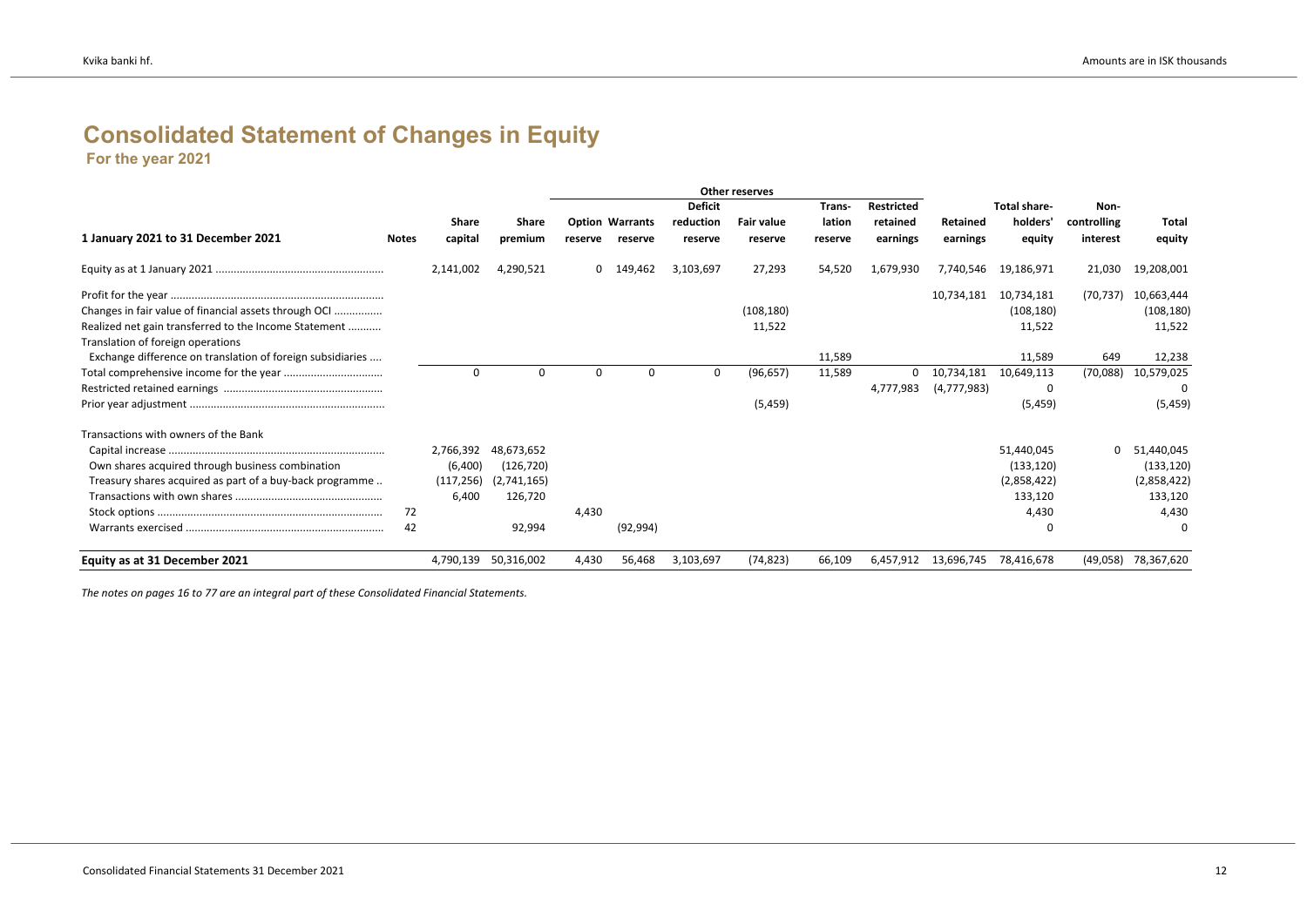## **Consolidated Statement of Changes in Equity**

 **For the year 2021**

|                                                            |              |              |              |          |                        |                | Other reserves    |         |            |             |              |             |             |
|------------------------------------------------------------|--------------|--------------|--------------|----------|------------------------|----------------|-------------------|---------|------------|-------------|--------------|-------------|-------------|
|                                                            |              |              |              |          |                        | <b>Deficit</b> |                   | Trans-  | Restricted |             | Total share- | Non-        |             |
|                                                            |              | <b>Share</b> | <b>Share</b> |          | <b>Option Warrants</b> | reduction      | <b>Fair value</b> | lation  | retained   | Retained    | holders'     | controlling | Total       |
| 1 January 2021 to 31 December 2021                         | <b>Notes</b> | capital      | premium      | reserve  | reserve                | reserve        | reserve           | reserve | earnings   | earnings    | equity       | interest    | equity      |
|                                                            |              | 2,141,002    | 4,290,521    | $\Omega$ | 149.462                | 3,103,697      | 27,293            | 54,520  | 1,679,930  | 7,740,546   | 19.186.971   | 21,030      | 19,208,001  |
|                                                            |              |              |              |          |                        |                |                   |         |            | 10,734,181  | 10,734,181   | (70, 737)   | 10,663,444  |
| Changes in fair value of financial assets through OCI      |              |              |              |          |                        |                | (108, 180)        |         |            |             | (108, 180)   |             | (108, 180)  |
| Realized net gain transferred to the Income Statement      |              |              |              |          |                        |                | 11,522            |         |            |             | 11,522       |             | 11,522      |
| Translation of foreign operations                          |              |              |              |          |                        |                |                   |         |            |             |              |             |             |
| Exchange difference on translation of foreign subsidiaries |              |              |              |          |                        |                |                   | 11,589  |            |             | 11,589       | 649         | 12,238      |
|                                                            |              | $\Omega$     |              | $\Omega$ | 0                      | 0              | (96, 657)         | 11,589  | 0          | 10,734,181  | 10,649,113   | (70,088)    | 10,579,025  |
|                                                            |              |              |              |          |                        |                |                   |         | 4,777,983  | (4,777,983) | 0            |             | $\Omega$    |
|                                                            |              |              |              |          |                        |                | (5, 459)          |         |            |             | (5, 459)     |             | (5, 459)    |
| Transactions with owners of the Bank                       |              |              |              |          |                        |                |                   |         |            |             |              |             |             |
|                                                            |              | 2,766,392    | 48.673.652   |          |                        |                |                   |         |            |             | 51,440,045   | 0           | 51.440.045  |
| Own shares acquired through business combination           |              | (6,400)      | (126, 720)   |          |                        |                |                   |         |            |             | (133, 120)   |             | (133, 120)  |
| Treasury shares acquired as part of a buy-back programme   |              | (117, 256)   | (2,741,165)  |          |                        |                |                   |         |            |             | (2,858,422)  |             | (2,858,422) |
|                                                            |              | 6.400        | 126,720      |          |                        |                |                   |         |            |             | 133,120      |             | 133,120     |
|                                                            | 72           |              |              | 4,430    |                        |                |                   |         |            |             | 4,430        |             | 4,430       |
|                                                            | 42           |              | 92,994       |          | (92, 994)              |                |                   |         |            |             |              |             | $\Omega$    |
| Equity as at 31 December 2021                              |              | 4,790,139    | 50,316,002   | 4,430    | 56,468                 | 3,103,697      | (74, 823)         | 66,109  | 6,457,912  | 13.696.745  | 78,416,678   | (49,058)    | 78,367,620  |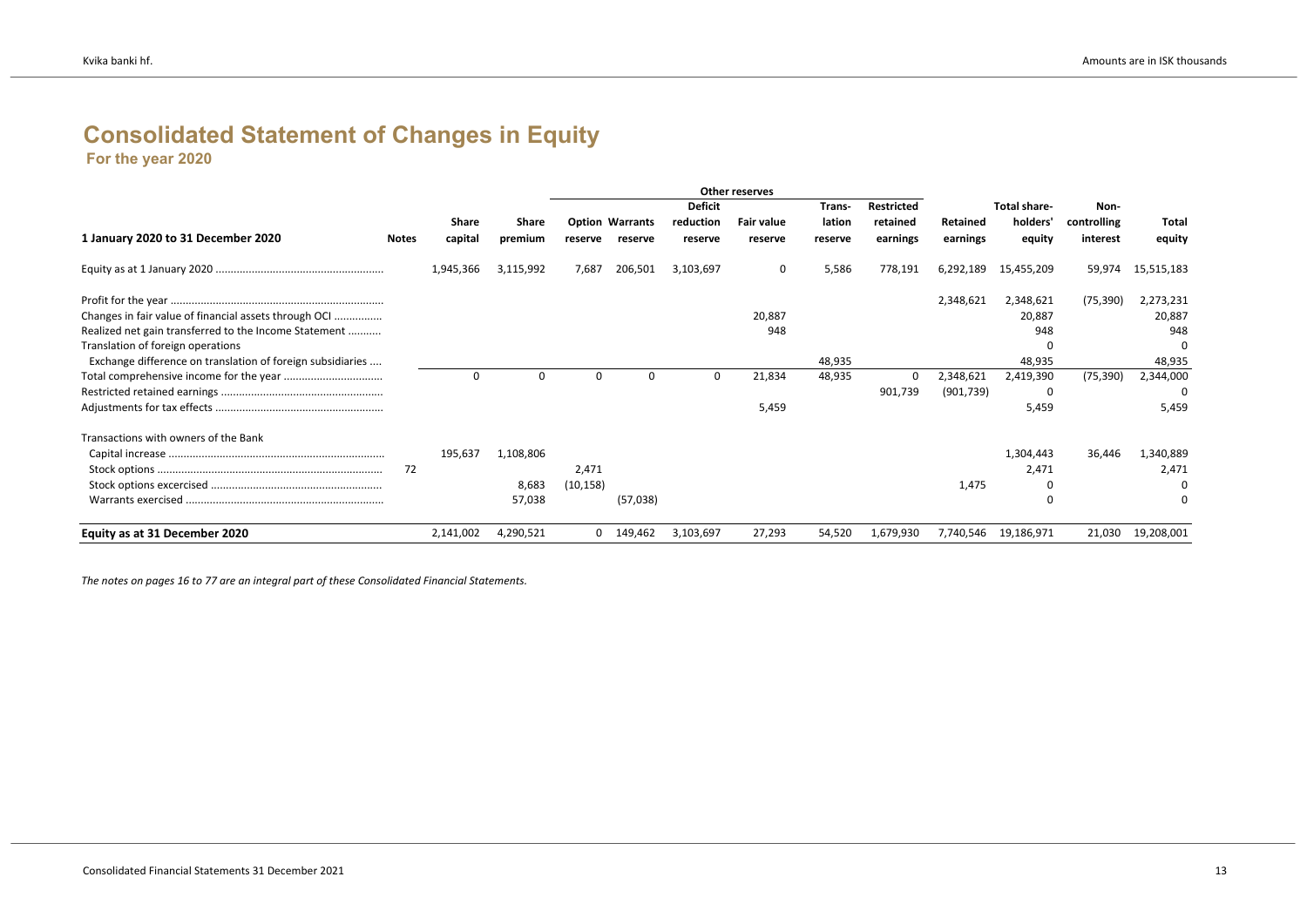## **Consolidated Statement of Changes in Equity**

 **For the year 2020**

|                                                            |              |              |           |           |                        |                | Other reserves    |         |            |            |                      |             |            |
|------------------------------------------------------------|--------------|--------------|-----------|-----------|------------------------|----------------|-------------------|---------|------------|------------|----------------------|-------------|------------|
|                                                            |              |              |           |           |                        | <b>Deficit</b> |                   | Trans-  | Restricted |            | Total share-         | Non-        |            |
|                                                            |              | <b>Share</b> | Share     |           | <b>Option Warrants</b> | reduction      | <b>Fair value</b> | lation  | retained   | Retained   | holders'             | controlling | Total      |
| 1 January 2020 to 31 December 2020                         | <b>Notes</b> | capital      | premium   | reserve   | reserve                | reserve        | reserve           | reserve | earnings   | earnings   | equity               | interest    | equity     |
|                                                            |              | 1,945,366    | 3,115,992 | 7,687     | 206,501                | 3,103,697      | 0                 | 5,586   | 778,191    | 6,292,189  | 15,455,209           | 59,974      | 15,515,183 |
|                                                            |              |              |           |           |                        |                |                   |         |            | 2,348,621  | 2,348,621            | (75, 390)   | 2,273,231  |
| Changes in fair value of financial assets through OCI      |              |              |           |           |                        |                | 20,887            |         |            |            | 20,887               |             | 20,887     |
| Realized net gain transferred to the Income Statement      |              |              |           |           |                        |                | 948               |         |            |            | 948                  |             | 948        |
| Translation of foreign operations                          |              |              |           |           |                        |                |                   |         |            |            | $\Omega$             |             | 0          |
| Exchange difference on translation of foreign subsidiaries |              |              |           |           |                        |                |                   | 48,935  |            |            | 48,935               |             | 48,935     |
|                                                            |              | $\mathbf 0$  | 0         |           | $\Omega$               | 0              | 21,834            | 48,935  | 0          | 2,348,621  | 2,419,390            | (75, 390)   | 2,344,000  |
|                                                            |              |              |           |           |                        |                |                   |         | 901,739    | (901, 739) | 0                    |             |            |
|                                                            |              |              |           |           |                        |                | 5,459             |         |            |            | 5,459                |             | 5,459      |
| Transactions with owners of the Bank                       |              |              |           |           |                        |                |                   |         |            |            |                      |             |            |
|                                                            |              | 195,637      | 1,108,806 |           |                        |                |                   |         |            |            | 1,304,443            | 36,446      | 1,340,889  |
|                                                            | 72           |              |           | 2,471     |                        |                |                   |         |            |            | 2,471                |             | 2,471      |
|                                                            |              |              | 8,683     | (10, 158) |                        |                |                   |         |            | 1,475      | 0                    |             | 0          |
|                                                            |              |              | 57,038    |           | (57,038)               |                |                   |         |            |            | $\Omega$             |             | 0          |
| Equity as at 31 December 2020                              |              | 2,141,002    | 4,290,521 |           | 0 149,462              | 3,103,697      | 27,293            | 54,520  | 1,679,930  |            | 7,740,546 19,186,971 | 21,030      | 19,208,001 |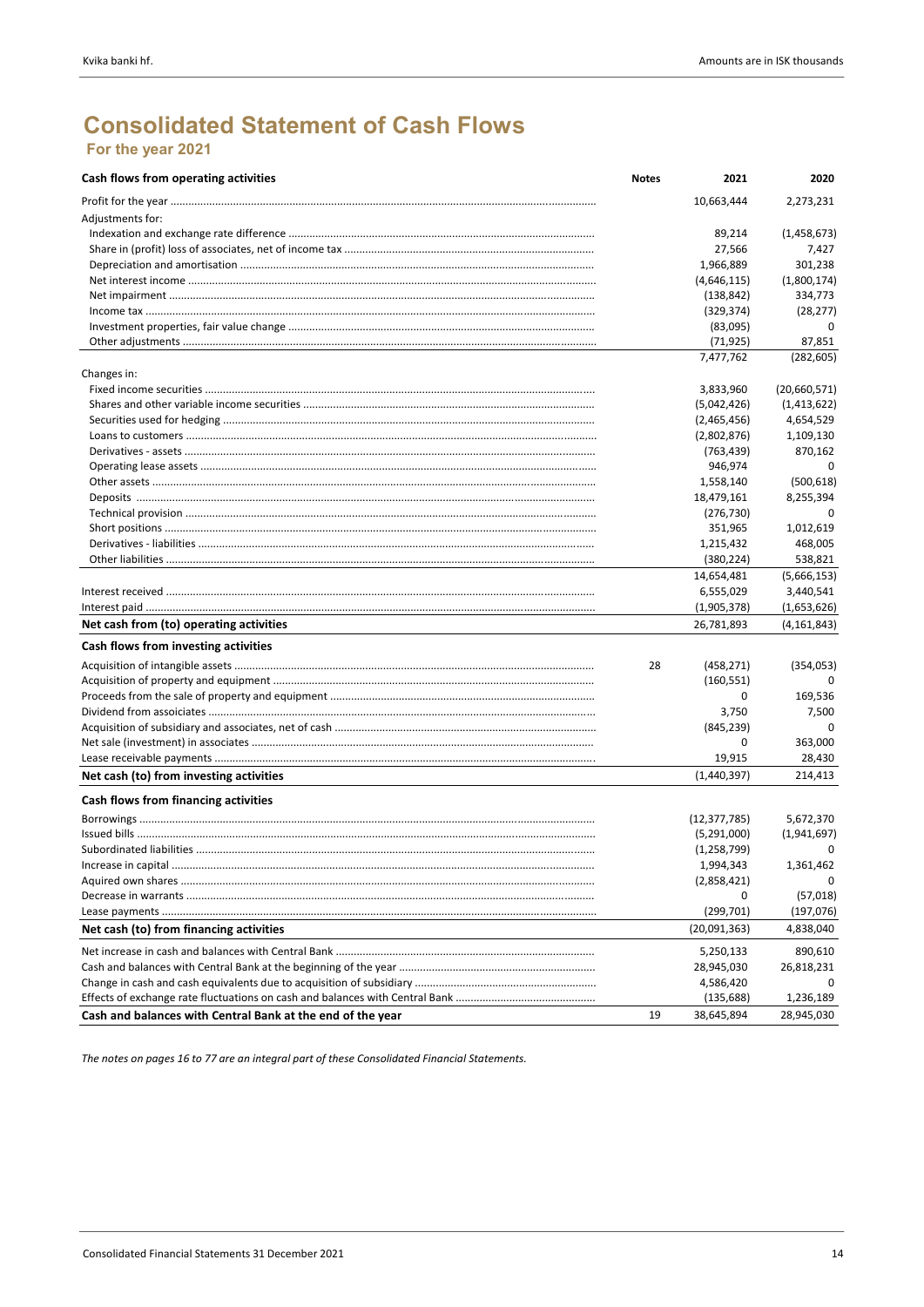### **Consolidated Statement of Cash Flows** For the year 2021

| Cash flows from operating activities                       | <b>Notes</b> | 2021           | 2020             |
|------------------------------------------------------------|--------------|----------------|------------------|
|                                                            |              | 10,663,444     | 2,273,231        |
| Adjustments for:                                           |              |                |                  |
|                                                            |              | 89,214         | (1,458,673)      |
|                                                            |              | 27,566         | 7,427            |
|                                                            |              | 1,966,889      | 301,238          |
|                                                            |              | (4,646,115)    | (1,800,174)      |
|                                                            |              | (138, 842)     | 334,773          |
|                                                            |              | (329, 374)     | (28, 277)        |
|                                                            |              | (83,095)       | 0                |
|                                                            |              | (71, 925)      | 87,851           |
|                                                            |              | 7,477,762      | (282, 605)       |
| Changes in:                                                |              | 3,833,960      | (20,660,571)     |
|                                                            |              |                |                  |
|                                                            |              | (5,042,426)    | (1,413,622)      |
|                                                            |              | (2,465,456)    | 4,654,529        |
|                                                            |              | (2,802,876)    | 1,109,130        |
|                                                            |              | (763, 439)     | 870,162          |
|                                                            |              | 946,974        | 0                |
|                                                            |              | 1,558,140      | (500, 618)       |
|                                                            |              | 18,479,161     | 8,255,394        |
|                                                            |              | (276, 730)     | 0                |
|                                                            |              | 351,965        | 1,012,619        |
|                                                            |              | 1,215,432      | 468,005          |
|                                                            |              | (380, 224)     | 538,821          |
|                                                            |              | 14,654,481     | (5,666,153)      |
|                                                            |              | 6,555,029      | 3,440,541        |
|                                                            |              | (1,905,378)    | (1,653,626)      |
| Net cash from (to) operating activities                    |              | 26,781,893     | (4, 161, 843)    |
| Cash flows from investing activities                       |              |                |                  |
|                                                            | 28           | (458, 271)     | (354, 053)       |
|                                                            |              | (160, 551)     | 0                |
|                                                            |              | 0              | 169,536          |
|                                                            |              | 3,750          | 7,500            |
|                                                            |              | (845, 239)     | 0                |
|                                                            |              | 0              | 363,000          |
|                                                            |              | 19,915         | 28,430           |
| Net cash (to) from investing activities                    |              | (1,440,397)    | 214.413          |
| Cash flows from financing activities                       |              |                |                  |
|                                                            |              | (12, 377, 785) | 5,672,370        |
|                                                            |              | (5,291,000)    |                  |
|                                                            |              | (1, 258, 799)  | (1,941,697)<br>0 |
|                                                            |              |                |                  |
|                                                            |              | 1,994,343      | 1,361,462<br>n   |
|                                                            |              | (2,858,421)    |                  |
|                                                            |              | 0              | (57, 018)        |
|                                                            |              | (299, 701)     | (197, 076)       |
| Net cash (to) from financing activities                    |              | (20,091,363)   | 4,838,040        |
|                                                            |              | 5,250,133      | 890,610          |
|                                                            |              | 28,945,030     | 26,818,231       |
|                                                            |              | 4,586,420      |                  |
|                                                            |              | (135, 688)     | 1,236,189        |
| Cash and balances with Central Bank at the end of the year | 19           | 38,645,894     | 28,945,030       |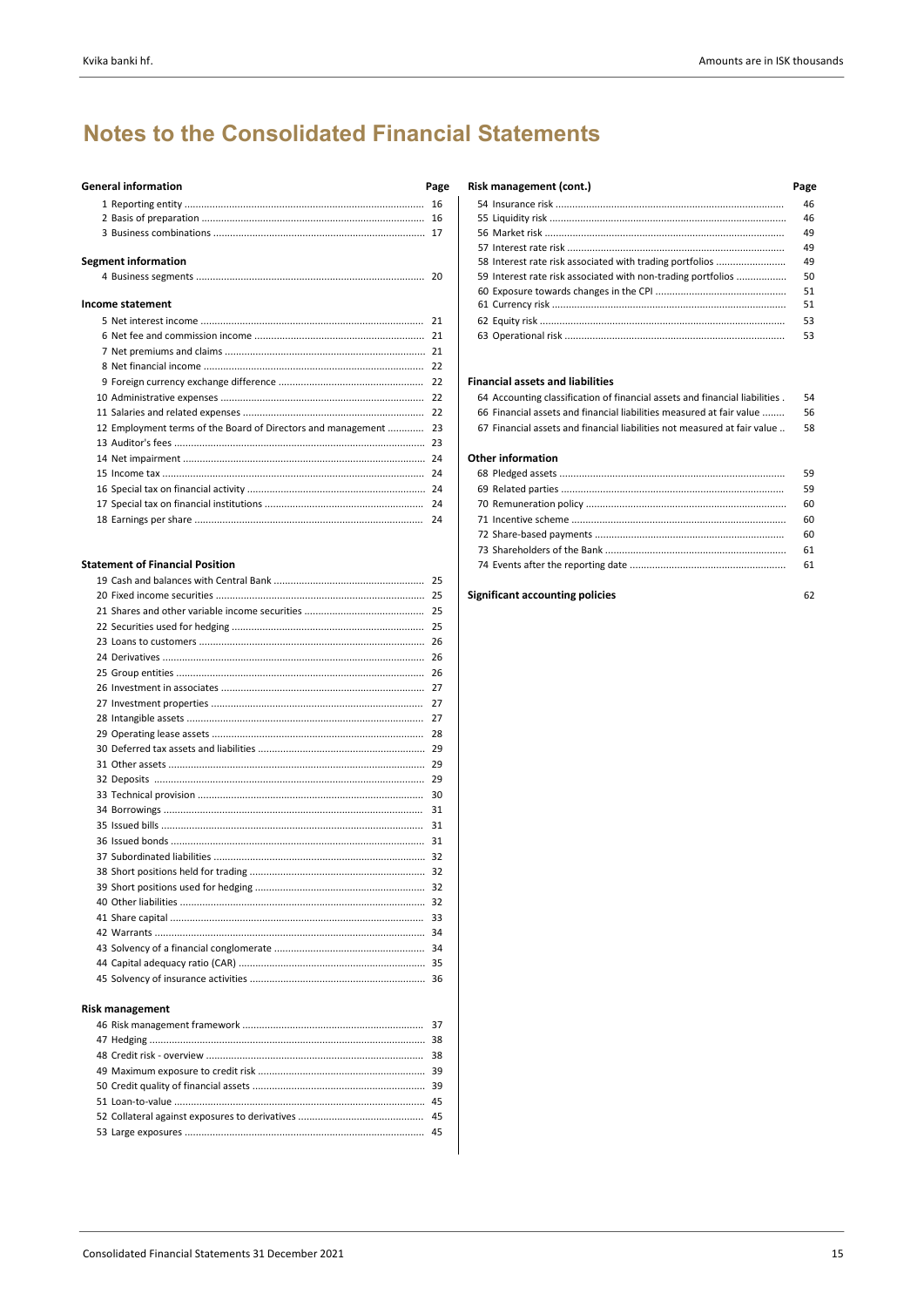| General information                                              | Page | <b>Risk management (cont.)</b>                                              | Pag            |
|------------------------------------------------------------------|------|-----------------------------------------------------------------------------|----------------|
|                                                                  |      |                                                                             | 46             |
|                                                                  |      |                                                                             | 46             |
|                                                                  |      |                                                                             | 4 <sup>c</sup> |
|                                                                  |      |                                                                             | 4 <sup>c</sup> |
| <b>Segment information</b>                                       |      | 58 Interest rate risk associated with trading portfolios                    | 49             |
|                                                                  |      | 59 Interest rate risk associated with non-trading portfolios                | 50             |
|                                                                  |      |                                                                             | 51             |
| Income statement                                                 |      |                                                                             | 51             |
|                                                                  |      |                                                                             | 53             |
|                                                                  |      |                                                                             | 53             |
|                                                                  |      |                                                                             |                |
|                                                                  |      |                                                                             |                |
|                                                                  |      | <b>Financial assets and liabilities</b>                                     |                |
|                                                                  |      | 64 Accounting classification of financial assets and financial liabilities. | 54             |
|                                                                  |      | 66 Financial assets and financial liabilities measured at fair value        | 56             |
| 12 Employment terms of the Board of Directors and management  23 |      | 67 Financial assets and financial liabilities not measured at fair value    | 58             |
|                                                                  |      |                                                                             |                |
|                                                                  |      | <b>Other information</b>                                                    |                |
|                                                                  |      |                                                                             | 59             |

| 24 |    |
|----|----|
|    |    |
|    | 60 |
|    | 60 |
|    |    |

#### **Statement of Financial Position**

|  |                 | -25 |
|--|-----------------|-----|
|  |                 |     |
|  |                 |     |
|  |                 |     |
|  |                 |     |
|  |                 |     |
|  |                 |     |
|  |                 |     |
|  |                 | 27  |
|  |                 | 27  |
|  |                 | 28  |
|  |                 |     |
|  |                 |     |
|  |                 |     |
|  |                 | -30 |
|  |                 | 31  |
|  |                 | 31  |
|  |                 |     |
|  |                 |     |
|  |                 |     |
|  |                 |     |
|  |                 |     |
|  |                 |     |
|  |                 |     |
|  |                 |     |
|  |                 |     |
|  |                 |     |
|  |                 |     |
|  | Risk management |     |
|  |                 | 37  |
|  | $17$ Hodging    | 29  |

### **General information Page Risk management (cont.) Page** Reporting entity ...................................................................................... 16 54 Insurance risk .................................................................................. 46 Basis of preparation ................................................................................ 16 55 Liquidity risk ..................................................................................... 46 Business combinations ............................................................................ 17 56 Market risk ...................................................................................... 49 Interest rate risk .............................................................................. 49 Business segments .................................................................................. 20 59 Interest rate risk associated with non‐trading portfolios .................. 50 Exposure towards changes in the CPI ............................................... 51 Net interest income ................................................................................ 21 62 Equity risk ........................................................................................ 53 Net fee and commission income ............................................................. 21 63 Operational risk ............................................................................... 53

#### Foreign currency exchange difference .................................................... 22 **Financial assets and liabilities**

| 64 Accounting classification of financial assets and financial liabilities. | 54 |
|-----------------------------------------------------------------------------|----|
| 66 Financial assets and financial liabilities measured at fair value        | 56 |
| 67 Financial assets and financial liabilities not measured at fair value    | 58 |
| <b>Other information</b>                                                    |    |

|  | 59 |
|--|----|
|  | 60 |
|  | 60 |
|  | 60 |
|  | 61 |
|  | 61 |
|  |    |
|  |    |

#### Fixed income securities ........................................................................... 25 **Significant accounting policies** 62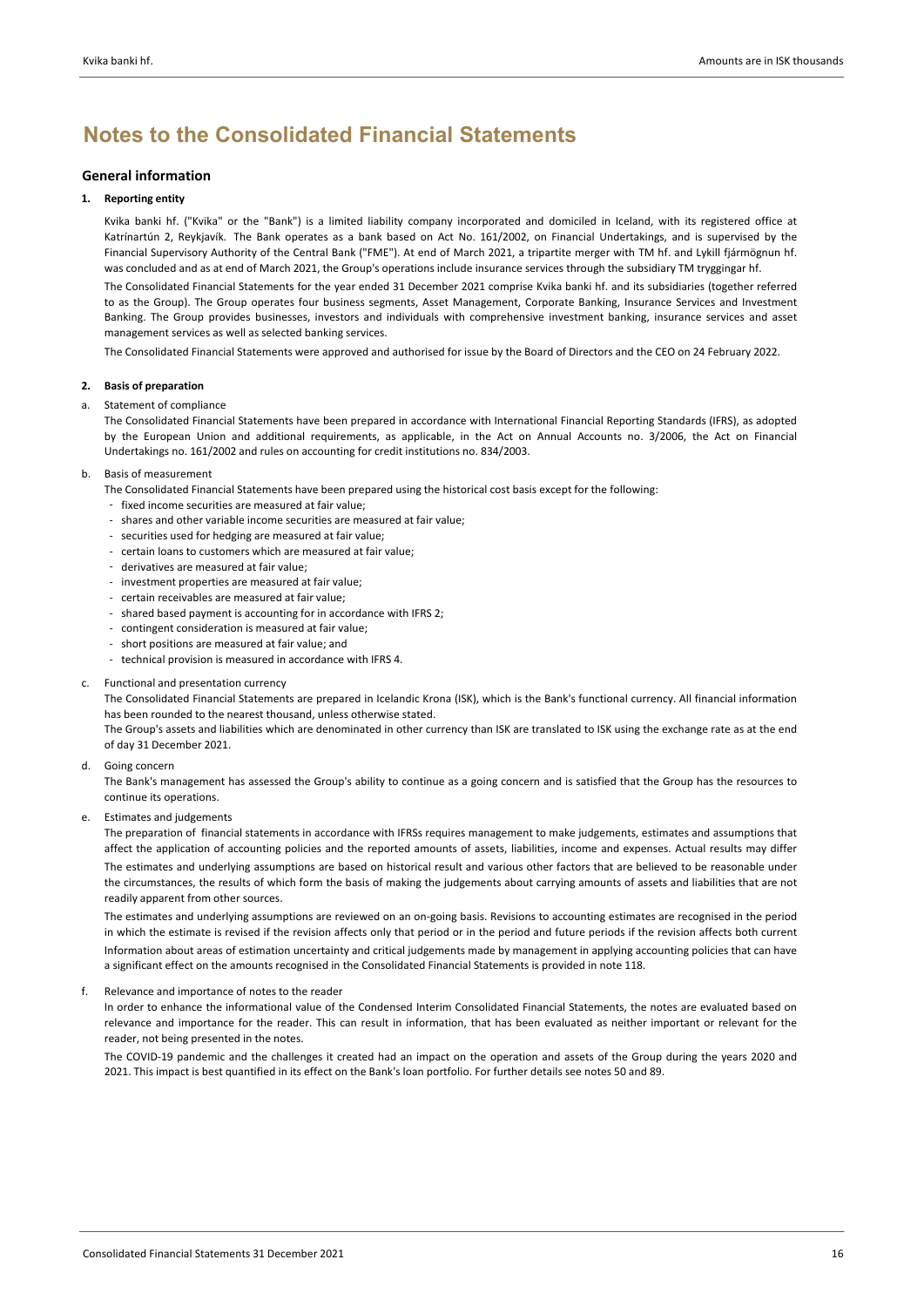#### **General information**

#### **1. Reporting entity**

Kvika banki hf. ("Kvika" or the "Bank") is a limited liability company incorporated and domiciled in Iceland, with its registered office at Katrínartún 2, Reykjavík. The Bank operates as a bank based on Act No. 161/2002, on Financial Undertakings, and is supervised by the Financial Supervisory Authority of the Central Bank ("FME"). At end of March 2021, a tripartite merger with TM hf. and Lykill fjármögnun hf. was concluded and as at end of March 2021, the Group's operations include insurance services through the subsidiary TM tryggingar hf.

The Consolidated Financial Statements for the year ended 31 December 2021 comprise Kvika banki hf. and its subsidiaries (together referred to as the Group). The Group operates four business segments, Asset Management, Corporate Banking, Insurance Services and Investment Banking. The Group provides businesses, investors and individuals with comprehensive investment banking, insurance services and asset management services as well as selected banking services.

The Consolidated Financial Statements were approved and authorised for issue by the Board of Directors and the CEO on 24 February 2022.

#### **2. Basis of preparation**

#### Statement of compliance

The Consolidated Financial Statements have been prepared in accordance with International Financial Reporting Standards (IFRS), as adopted by the European Union and additional requirements, as applicable, in the Act on Annual Accounts no. 3/2006, the Act on Financial Undertakings no. 161/2002 and rules on accounting for credit institutions no. 834/2003.

#### b. Basis of measurement

The Consolidated Financial Statements have been prepared using the historical cost basis except for the following:

- ‐ fixed income securities are measured at fair value;
- ‐ shares and other variable income securities are measured at fair value;
- ‐ securities used for hedging are measured at fair value;
- ‐ certain loans to customers which are measured at fair value;
- ‐ derivatives are measured at fair value;
- ‐ investment properties are measured at fair value;
- ‐ certain receivables are measured at fair value;
- ‐ shared based payment is accounting for in accordance with IFRS 2;
- ‐ contingent consideration is measured at fair value;
- ‐ short positions are measured at fair value; and
- ‐ technical provision is measured in accordance with IFRS 4.
- c. Functional and presentation currency

The Consolidated Financial Statements are prepared in Icelandic Krona (ISK), which is the Bank's functional currency. All financial information has been rounded to the nearest thousand, unless otherwise stated.

The Group's assets and liabilities which are denominated in other currency than ISK are translated to ISK using the exchange rate as at the end of day 31 December 2021.

d. Going concern

The Bank's management has assessed the Group's ability to continue as a going concern and is satisfied that the Group has the resources to continue its operations.

**Estimates and judgements** 

The preparation of financial statements in accordance with IFRSs requires management to make judgements, estimates and assumptions that affect the application of accounting policies and the reported amounts of assets, liabilities, income and expenses. Actual results may differ The estimates and underlying assumptions are based on historical result and various other factors that are believed to be reasonable under the circumstances, the results of which form the basis of making the judgements about carrying amounts of assets and liabilities that are not readily apparent from other sources.

The estimates and underlying assumptions are reviewed on an on-going basis. Revisions to accounting estimates are recognised in the period in which the estimate is revised if the revision affects only that period or in the period and future periods if the revision affects both current Information about areas of estimation uncertainty and critical judgements made by management in applying accounting policies that can have a significant effect on the amounts recognised in the Consolidated Financial Statements is provided in note 118.

f. Relevance and importance of notes to the reader

In order to enhance the informational value of the Condensed Interim Consolidated Financial Statements, the notes are evaluated based on relevance and importance for the reader. This can result in information, that has been evaluated as neither important or relevant for the reader, not being presented in the notes.

The COVID‐19 pandemic and the challenges it created had an impact on the operation and assets of the Group during the years 2020 and 2021. This impact is best quantified in its effect on the Bank's loan portfolio. For further details see notes 50 and 89.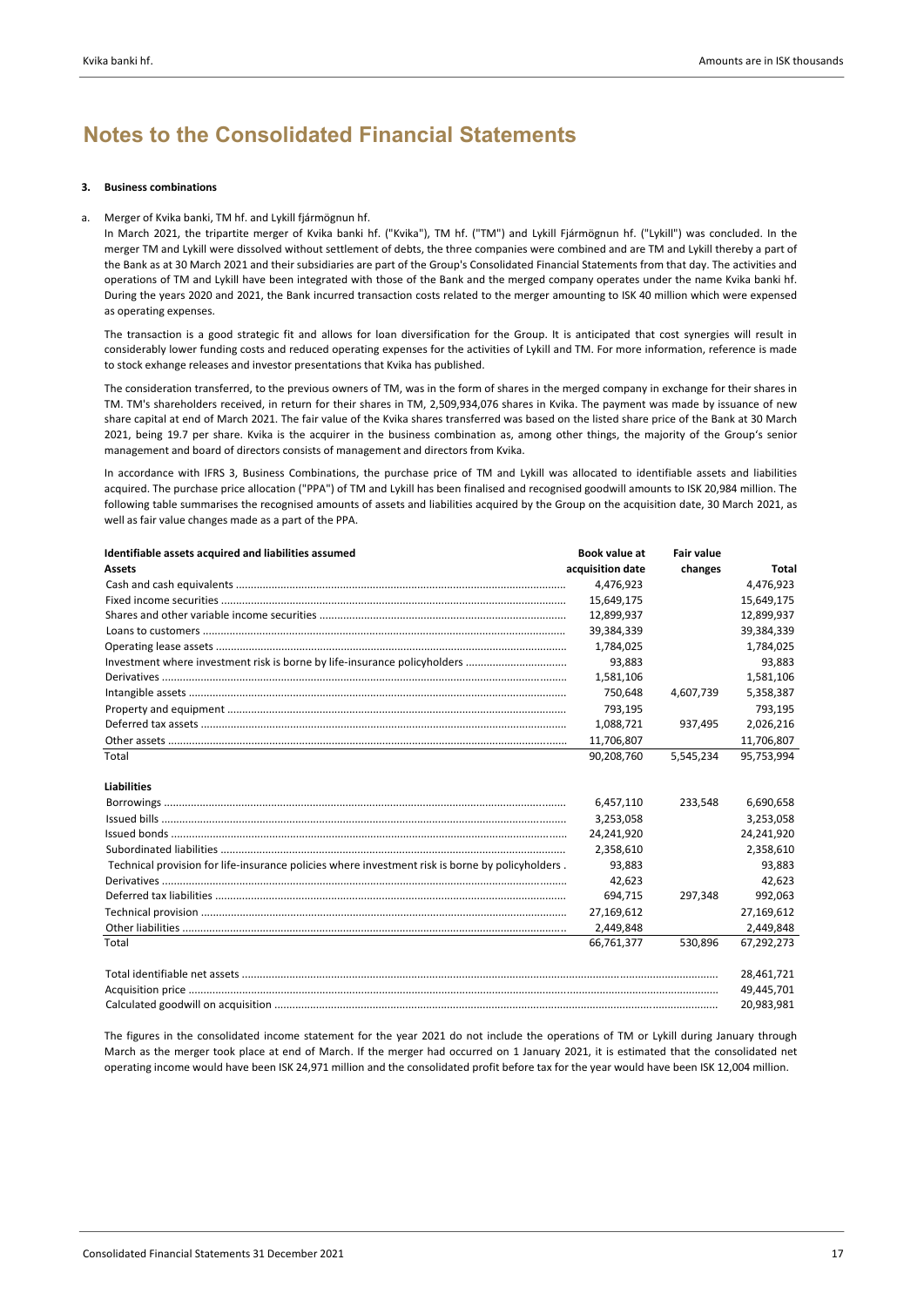#### **3. Business combinations**

#### a. Merger of Kvika banki, TM hf. and Lykill fjármögnun hf.

In March 2021, the tripartite merger of Kvika banki hf. ("Kvika"), TM hf. ("TM") and Lykill Fjármögnun hf. ("Lykill") was concluded. In the merger TM and Lykill were dissolved without settlement of debts, the three companies were combined and are TM and Lykill thereby a part of the Bank as at 30 March 2021 and their subsidiaries are part of the Group's Consolidated Financial Statements from that day. The activities and operations of TM and Lykill have been integrated with those of the Bank and the merged company operates under the name Kvika banki hf. During the years 2020 and 2021, the Bank incurred transaction costs related to the merger amounting to ISK 40 million which were expensed as operating expenses.

The transaction is a good strategic fit and allows for loan diversification for the Group. It is anticipated that cost synergies will result in considerably lower funding costs and reduced operating expenses for the activities of Lykill and TM. For more information, reference is made to stock exhange releases and investor presentations that Kvika has published.

The consideration transferred, to the previous owners of TM, was in the form of shares in the merged company in exchange for their shares in TM. TM's shareholders received, in return for their shares in TM, 2,509,934,076 shares in Kvika. The payment was made by issuance of new share capital at end of March 2021. The fair value of the Kvika shares transferred was based on the listed share price of the Bank at 30 March 2021, being 19.7 per share. Kvika is the acquirer in the business combination as, among other things, the majority of the Group's senior management and board of directors consists of management and directors from Kvika.

In accordance with IFRS 3, Business Combinations, the purchase price of TM and Lykill was allocated to identifiable assets and liabilities acquired. The purchase price allocation ("PPA") of TM and Lykill has been finalised and recognised goodwill amounts to ISK 20,984 million. The following table summarises the recognised amounts of assets and liabilities acquired by the Group on the acquisition date, 30 March 2021, as well as fair value changes made as a part of the PPA.

| Identifiable assets acquired and liabilities assumed                                             | <b>Book value at</b> | <b>Fair value</b> |            |
|--------------------------------------------------------------------------------------------------|----------------------|-------------------|------------|
| Assets                                                                                           | acquisition date     | changes           | Total      |
|                                                                                                  | 4,476,923            |                   | 4,476,923  |
|                                                                                                  | 15,649,175           |                   | 15,649,175 |
|                                                                                                  | 12,899,937           |                   | 12,899,937 |
|                                                                                                  | 39,384,339           |                   | 39,384,339 |
|                                                                                                  | 1,784,025            |                   | 1,784,025  |
| Investment where investment risk is borne by life-insurance policyholders                        | 93,883               |                   | 93,883     |
|                                                                                                  | 1,581,106            |                   | 1,581,106  |
|                                                                                                  | 750,648              | 4,607,739         | 5,358,387  |
|                                                                                                  | 793,195              |                   | 793,195    |
|                                                                                                  | 1,088,721            | 937,495           | 2,026,216  |
|                                                                                                  | 11,706,807           |                   | 11,706,807 |
| Total                                                                                            | 90,208,760           | 5,545,234         | 95,753,994 |
|                                                                                                  |                      |                   |            |
| <b>Liabilities</b>                                                                               |                      |                   |            |
|                                                                                                  | 6,457,110            | 233,548           | 6,690,658  |
|                                                                                                  | 3,253,058            |                   | 3,253,058  |
|                                                                                                  | 24,241,920           |                   | 24,241,920 |
|                                                                                                  | 2,358,610            |                   | 2,358,610  |
| Technical provision for life-insurance policies where investment risk is borne by policyholders. | 93,883               |                   | 93,883     |
|                                                                                                  | 42,623               |                   | 42,623     |
|                                                                                                  | 694,715              | 297,348           | 992,063    |
|                                                                                                  | 27,169,612           |                   | 27,169,612 |
|                                                                                                  | 2,449,848            |                   | 2,449,848  |
| Total                                                                                            | 66.761.377           | 530.896           | 67,292,273 |
|                                                                                                  |                      |                   |            |
|                                                                                                  |                      |                   | 28,461,721 |
|                                                                                                  |                      |                   | 49,445,701 |
|                                                                                                  |                      |                   | 20,983,981 |

The figures in the consolidated income statement for the year 2021 do not include the operations of TM or Lykill during January through March as the merger took place at end of March. If the merger had occurred on 1 January 2021, it is estimated that the consolidated net operating income would have been ISK 24,971 million and the consolidated profit before tax for the year would have been ISK 12,004 million.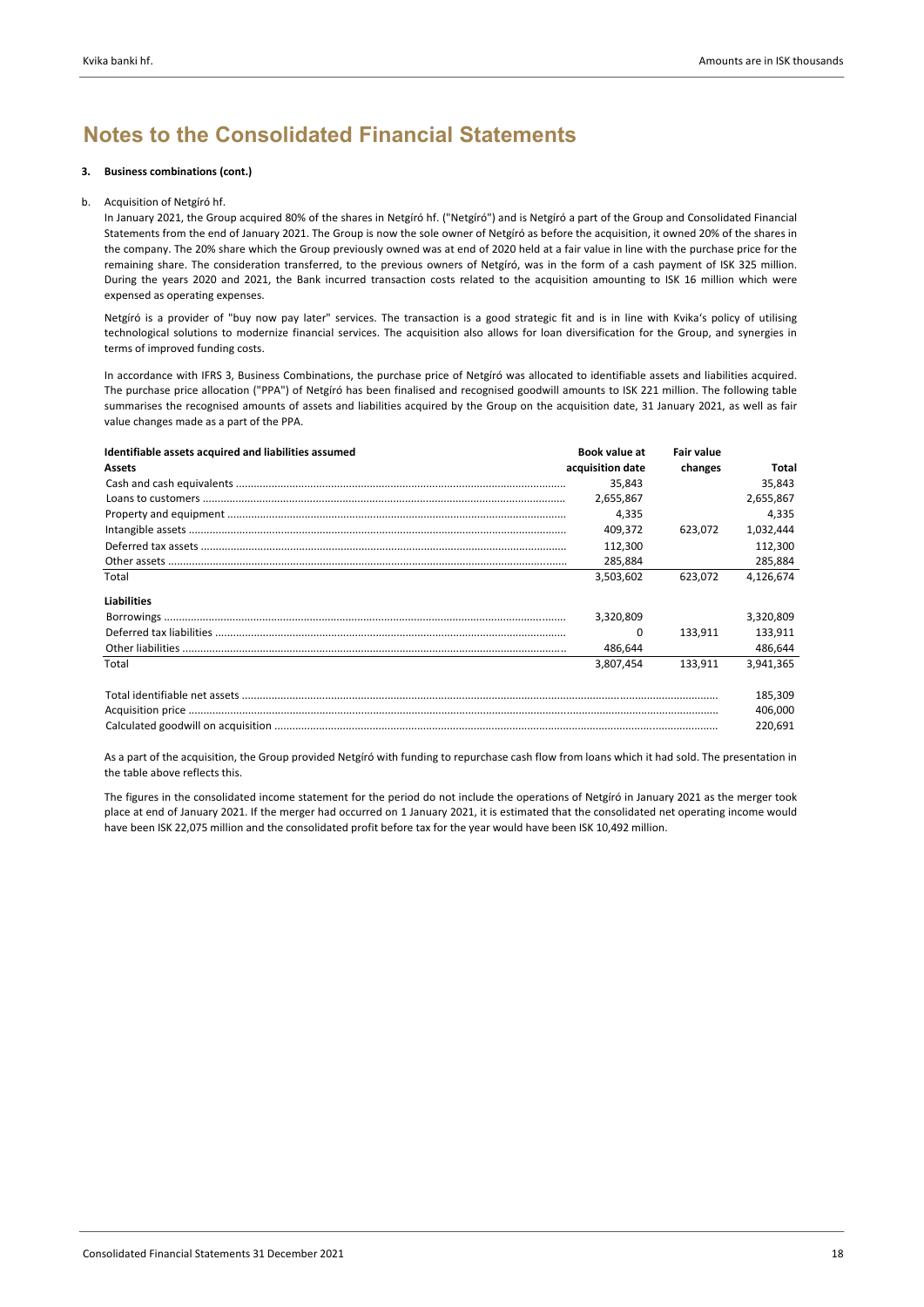#### **3. Business combinations (cont.)**

#### b. Acquisition of Netgíró hf.

In January 2021, the Group acquired 80% of the shares in Netgíró hf. ("Netgíró") and is Netgíró a part of the Group and Consolidated Financial Statements from the end of January 2021. The Group is now the sole owner of Netgíró as before the acquisition, it owned 20% of the shares in the company. The 20% share which the Group previously owned was at end of 2020 held at a fair value in line with the purchase price for the remaining share. The consideration transferred, to the previous owners of Netgíró, was in the form of a cash payment of ISK 325 million. During the years 2020 and 2021, the Bank incurred transaction costs related to the acquisition amounting to ISK 16 million which were expensed as operating expenses.

Netgíró is a provider of "buy now pay later" services. The transaction is a good strategic fit and is in line with Kvika's policy of utilising technological solutions to modernize financial services. The acquisition also allows for loan diversification for the Group, and synergies in terms of improved funding costs.

In accordance with IFRS 3, Business Combinations, the purchase price of Netgíró was allocated to identifiable assets and liabilities acquired. The purchase price allocation ("PPA") of Netgíró has been finalised and recognised goodwill amounts to ISK 221 million. The following table summarises the recognised amounts of assets and liabilities acquired by the Group on the acquisition date, 31 January 2021, as well as fair value changes made as a part of the PPA.

| Identifiable assets acquired and liabilities assumed | Book value at    | <b>Fair value</b> |           |
|------------------------------------------------------|------------------|-------------------|-----------|
| Assets                                               | acquisition date | changes           | Total     |
|                                                      | 35,843           |                   | 35,843    |
|                                                      | 2,655,867        |                   | 2,655,867 |
|                                                      | 4,335            |                   | 4.335     |
|                                                      | 409,372          | 623,072           | 1,032,444 |
|                                                      | 112,300          |                   | 112,300   |
|                                                      | 285,884          |                   | 285,884   |
| Total                                                | 3.503.602        | 623.072           | 4,126,674 |
| <b>Liabilities</b>                                   |                  |                   |           |
|                                                      | 3,320,809        |                   | 3,320,809 |
|                                                      | 0                | 133,911           | 133,911   |
|                                                      | 486,644          |                   | 486,644   |
| Total                                                | 3,807,454        | 133.911           | 3,941,365 |
|                                                      |                  |                   | 185,309   |
|                                                      |                  |                   | 406,000   |
|                                                      |                  |                   | 220,691   |

As a part of the acquisition, the Group provided Netgíró with funding to repurchase cash flow from loans which it had sold. The presentation in the table above reflects this.

The figures in the consolidated income statement for the period do not include the operations of Netgíró in January 2021 as the merger took place at end of January 2021. If the merger had occurred on 1 January 2021, it is estimated that the consolidated net operating income would have been ISK 22,075 million and the consolidated profit before tax for the year would have been ISK 10,492 million.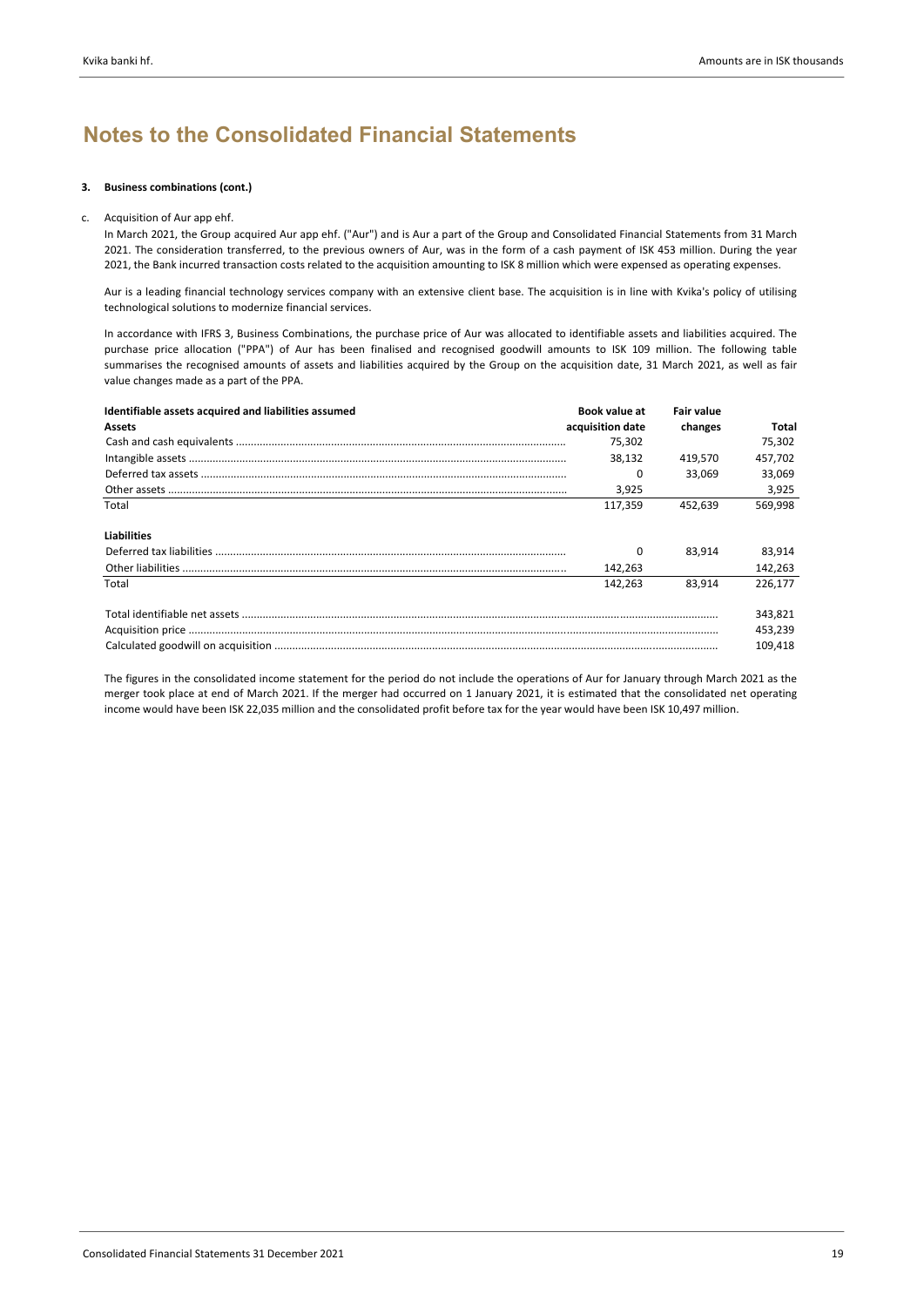#### **3. Business combinations (cont.)**

c. Acquisition of Aur app ehf.

In March 2021, the Group acquired Aur app ehf. ("Aur") and is Aur a part of the Group and Consolidated Financial Statements from 31 March 2021. The consideration transferred, to the previous owners of Aur, was in the form of a cash payment of ISK 453 million. During the year 2021, the Bank incurred transaction costs related to the acquisition amounting to ISK 8 million which were expensed as operating expenses.

Aur is a leading financial technology services company with an extensive client base. The acquisition is in line with Kvika's policy of utilising technological solutions to modernize financial services.

In accordance with IFRS 3, Business Combinations, the purchase price of Aur was allocated to identifiable assets and liabilities acquired. The purchase price allocation ("PPA") of Aur has been finalised and recognised goodwill amounts to ISK 109 million. The following table summarises the recognised amounts of assets and liabilities acquired by the Group on the acquisition date, 31 March 2021, as well as fair value changes made as a part of the PPA.

| Identifiable assets acquired and liabilities assumed | Book value at    | <b>Fair value</b> |         |
|------------------------------------------------------|------------------|-------------------|---------|
| Assets                                               | acquisition date | changes           | Total   |
|                                                      | 75,302           |                   | 75,302  |
|                                                      | 38,132           | 419.570           | 457,702 |
|                                                      | 0                | 33.069            | 33,069  |
|                                                      | 3,925            |                   | 3,925   |
| Total                                                | 117.359          | 452.639           | 569,998 |
| <b>Liabilities</b>                                   |                  |                   |         |
|                                                      | 0                | 83.914            | 83.914  |
|                                                      | 142,263          |                   | 142,263 |
| Total                                                | 142.263          | 83.914            | 226.177 |
|                                                      |                  |                   | 343,821 |
|                                                      |                  |                   | 453.239 |
|                                                      |                  |                   | 109.418 |

The figures in the consolidated income statement for the period do not include the operations of Aur for January through March 2021 as the merger took place at end of March 2021. If the merger had occurred on 1 January 2021, it is estimated that the consolidated net operating income would have been ISK 22,035 million and the consolidated profit before tax for the year would have been ISK 10,497 million.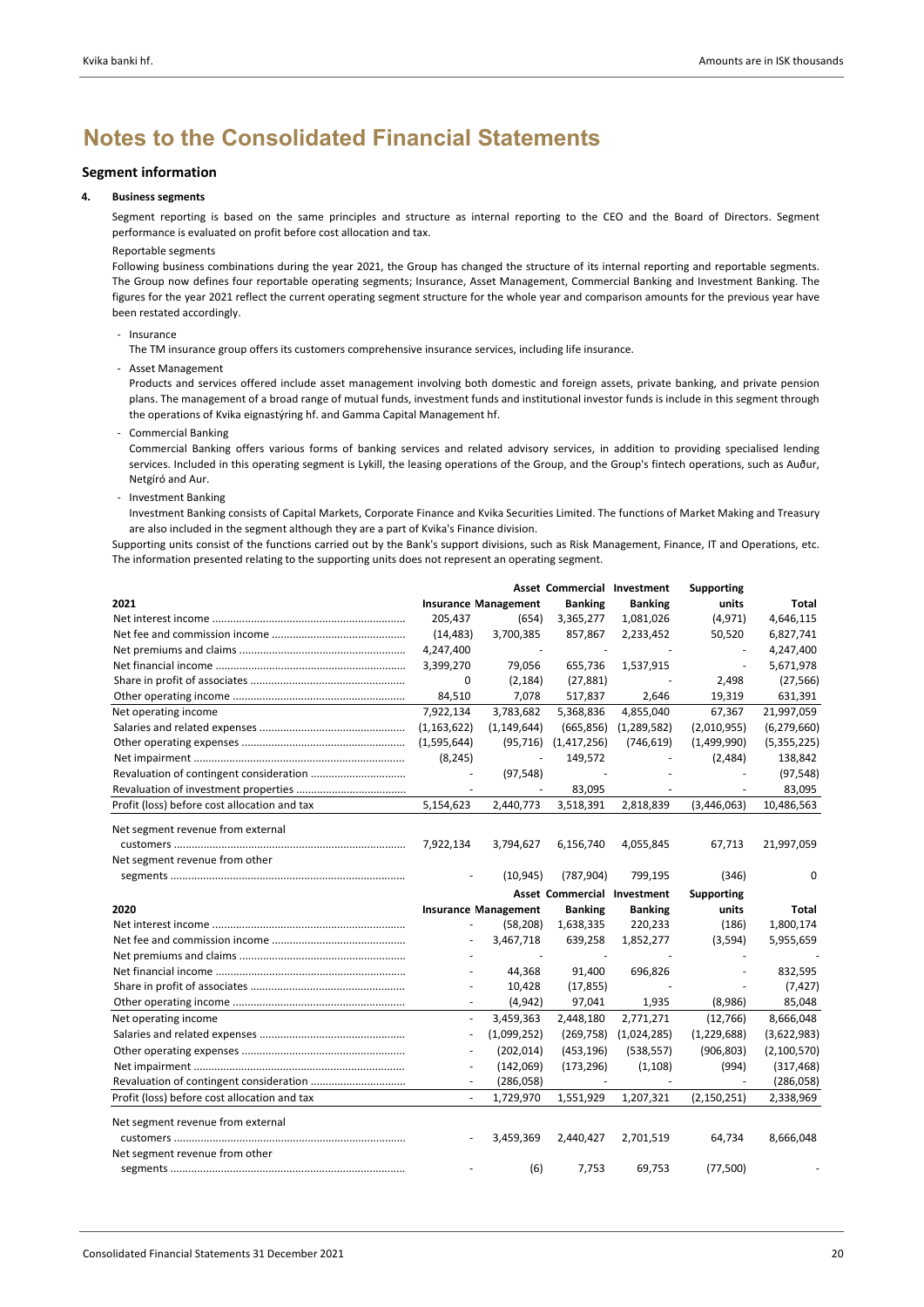#### **Segment information**

#### **4. Business segments**

Segment reporting is based on the same principles and structure as internal reporting to the CEO and the Board of Directors. Segment performance is evaluated on profit before cost allocation and tax.

#### Reportable segments

Following business combinations during the year 2021, the Group has changed the structure of its internal reporting and reportable segments. The Group now defines four reportable operating segments; Insurance, Asset Management, Commercial Banking and Investment Banking. The figures for the year 2021 reflect the current operating segment structure for the whole year and comparison amounts for the previous year have been restated accordingly.

‐ Insurance

The TM insurance group offers its customers comprehensive insurance services, including life insurance.

‐ Asset Management

Products and services offered include asset management involving both domestic and foreign assets, private banking, and private pension plans. The management of a broad range of mutual funds, investment funds and institutional investor funds is include in this segment through the operations of Kvika eignastýring hf. and Gamma Capital Management hf.

‐ Commercial Banking

Commercial Banking offers various forms of banking services and related advisory services, in addition to providing specialised lending services. Included in this operating segment is Lykill, the leasing operations of the Group, and the Group's fintech operations, such as Auður, Netgíró and Aur.

‐ Investment Banking

Investment Banking consists of Capital Markets, Corporate Finance and Kvika Securities Limited. The functions of Market Making and Treasury are also included in the segment although they are a part of Kvika's Finance division.

Supporting units consist of the functions carried out by the Bank's support divisions, such as Risk Management, Finance, IT and Operations, etc. The information presented relating to the supporting units does not represent an operating segment.

|                                              |                          |                             | Asset Commercial Investment        |                | <b>Supporting</b> |               |
|----------------------------------------------|--------------------------|-----------------------------|------------------------------------|----------------|-------------------|---------------|
| 2021                                         |                          | <b>Insurance Management</b> | <b>Banking</b>                     | <b>Banking</b> | units             | Total         |
|                                              | 205,437                  | (654)                       | 3,365,277                          | 1,081,026      | (4, 971)          | 4,646,115     |
|                                              | (14, 483)                | 3,700,385                   | 857,867                            | 2,233,452      | 50,520            | 6,827,741     |
|                                              | 4,247,400                | $\sim$                      | $\sim$                             |                | ä,                | 4,247,400     |
|                                              | 3,399,270                | 79,056                      | 655,736                            | 1,537,915      | ÷,                | 5,671,978     |
|                                              | $\Omega$                 | (2, 184)                    | (27, 881)                          |                | 2,498             | (27, 566)     |
|                                              | 84,510                   | 7,078                       | 517,837                            | 2,646          | 19,319            | 631,391       |
| Net operating income                         | 7,922,134                | 3,783,682                   | 5,368,836                          | 4,855,040      | 67,367            | 21,997,059    |
|                                              | (1, 163, 622)            | (1, 149, 644)               | (665, 856)                         | (1, 289, 582)  | (2,010,955)       | (6, 279, 660) |
|                                              | (1,595,644)              | (95, 716)                   | (1, 417, 256)                      | (746, 619)     | (1,499,990)       | (5,355,225)   |
|                                              | (8, 245)                 | ÷,                          | 149,572                            |                | (2,484)           | 138,842       |
| Revaluation of contingent consideration      |                          | (97, 548)                   |                                    |                |                   | (97, 548)     |
|                                              | $\overline{\phantom{a}}$ |                             | 83,095                             |                | ÷,                | 83,095        |
| Profit (loss) before cost allocation and tax | 5,154,623                | 2,440,773                   | 3,518,391                          | 2,818,839      | (3,446,063)       | 10,486,563    |
|                                              |                          |                             |                                    |                |                   |               |
| Net segment revenue from external            |                          |                             |                                    |                |                   |               |
|                                              | 7,922,134                | 3,794,627                   | 6,156,740                          | 4,055,845      | 67,713            | 21,997,059    |
| Net segment revenue from other               |                          |                             |                                    |                |                   | $\Omega$      |
|                                              |                          | (10, 945)                   | (787, 904)                         | 799,195        | (346)             |               |
|                                              |                          |                             |                                    |                |                   |               |
|                                              |                          |                             | <b>Asset Commercial Investment</b> |                | <b>Supporting</b> |               |
| 2020                                         |                          | <b>Insurance Management</b> | <b>Banking</b>                     | <b>Banking</b> | units             | Total         |
|                                              |                          | (58, 208)                   | 1,638,335                          | 220,233        | (186)             | 1,800,174     |
|                                              |                          | 3,467,718                   | 639,258                            | 1,852,277      | (3,594)           | 5,955,659     |
|                                              |                          |                             |                                    |                |                   |               |
|                                              |                          | 44,368                      | 91,400                             | 696,826        |                   | 832,595       |
|                                              | ä,                       | 10,428                      | (17, 855)                          |                |                   | (7, 427)      |
|                                              | $\bar{\phantom{a}}$      | (4, 942)                    | 97,041                             | 1,935          | (8,986)           | 85,048        |
| Net operating income                         | $\omega$                 | 3,459,363                   | 2,448,180                          | 2,771,271      | (12,766)          | 8,666,048     |
|                                              |                          | (1,099,252)                 | (269, 758)                         | (1,024,285)    | (1,229,688)       | (3,622,983)   |
|                                              |                          | (202, 014)                  | (453, 196)                         | (538, 557)     | (906, 803)        | (2, 100, 570) |
|                                              | $\overline{\phantom{a}}$ | (142,069)                   | (173, 296)                         | (1, 108)       | (994)             | (317, 468)    |
| Revaluation of contingent consideration      | $\sim$                   | (286,058)                   |                                    |                | ÷,                | (286, 058)    |
| Profit (loss) before cost allocation and tax | $\omega$                 | 1,729,970                   | 1,551,929                          | 1,207,321      | (2, 150, 251)     | 2,338,969     |
|                                              |                          |                             |                                    |                |                   |               |
| Net segment revenue from external            |                          |                             |                                    |                |                   |               |
|                                              |                          | 3,459,369                   | 2,440,427                          | 2,701,519      | 64,734            | 8,666,048     |
| Net segment revenue from other               |                          | (6)                         | 7,753                              | 69,753         | (77, 500)         |               |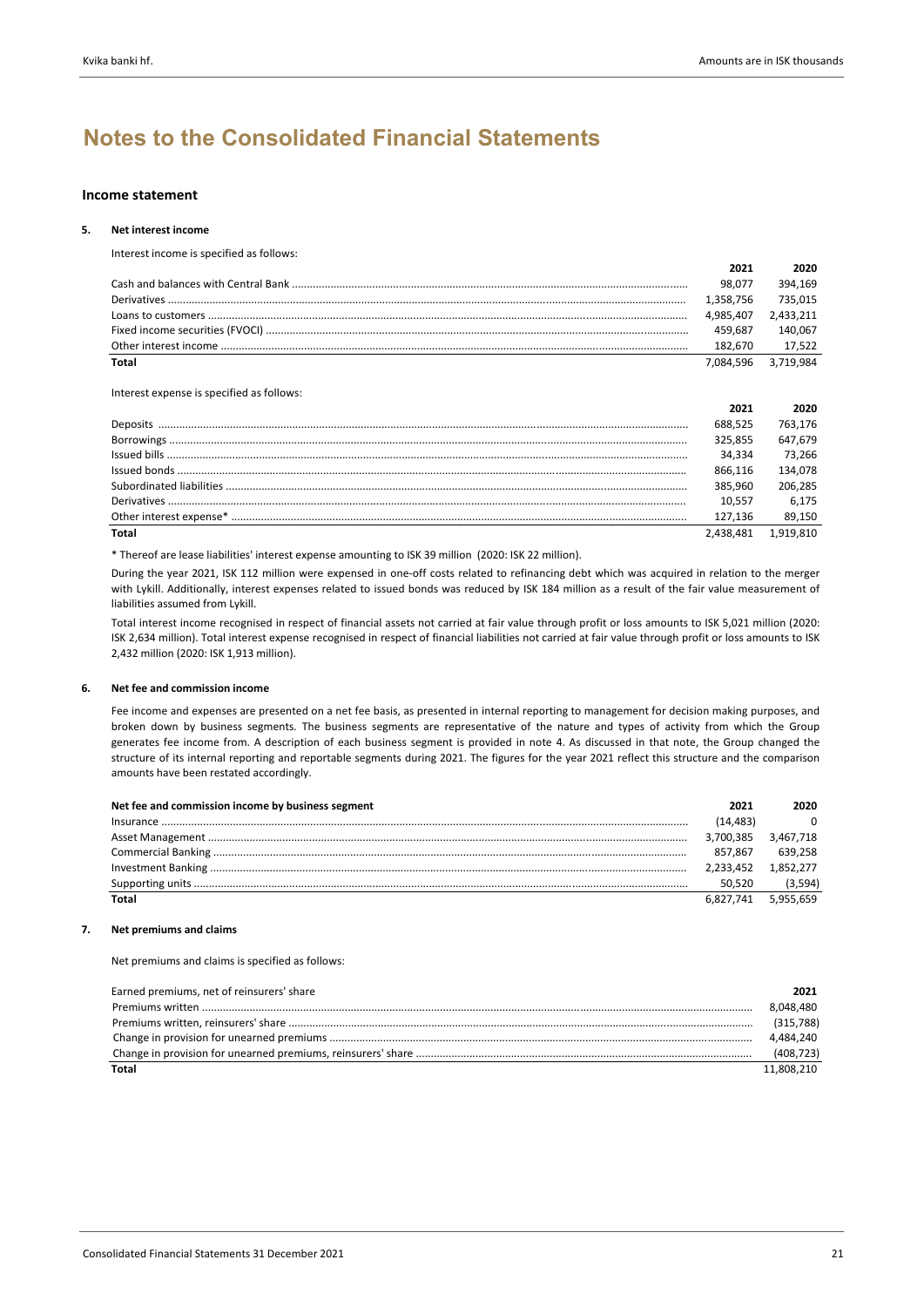#### **Income statement**

#### **5. Net interest income**

Interest income is specified as follows:

|       | 2021      | 2020      |
|-------|-----------|-----------|
|       | 98.077    | 394.169   |
|       | 1.358.756 | 735.015   |
|       | 4.985.407 | 2.433.211 |
|       | 459.687   | 140.067   |
|       | 182.670   | 17.522    |
| Total | 7.084.596 | 3.719.984 |

Interest expense is specified as follows:

|          |           | 2020      |
|----------|-----------|-----------|
| Deposits | 688.525   | 763.176   |
|          | 325.855   | 647.679   |
|          | 34.334    | 73.266    |
|          | 866.116   | 134.078   |
|          | 385.960   | 206.285   |
|          | 10.557    | 6.175     |
|          | 127.136   | 89.150    |
| Total    | 2.438.481 | 1.919.810 |

\* Thereof are lease liabilities' interest expense amounting to ISK 39 million (2020: ISK 22 million).

During the year 2021, ISK 112 million were expensed in one-off costs related to refinancing debt which was acquired in relation to the merger with Lykill. Additionally, interest expenses related to issued bonds was reduced by ISK 184 million as a result of the fair value measurement of liabilities assumed from Lykill.

Total interest income recognised in respect of financial assets not carried at fair value through profit or loss amounts to ISK 5,021 million (2020: ISK 2,634 million). Total interest expense recognised in respect of financial liabilities not carried at fair value through profit or loss amounts to ISK 2,432 million (2020: ISK 1,913 million).

#### **6. Net fee and commission income**

Fee income and expenses are presented on a net fee basis, as presented in internal reporting to management for decision making purposes, and broken down by business segments. The business segments are representative of the nature and types of activity from which the Group generates fee income from. A description of each business segment is provided in note 4. As discussed in that note, the Group changed the structure of its internal reporting and reportable segments during 2021. The figures for the year 2021 reflect this structure and the comparison amounts have been restated accordingly.

| Net fee and commission income by business segment | 2021      | 2020                    |
|---------------------------------------------------|-----------|-------------------------|
|                                                   | (14.483)  | $\overline{\mathbf{0}}$ |
|                                                   | 3,700,385 | 3,467,718               |
|                                                   | 857.867   | 639.258                 |
|                                                   | 2,233,452 | 1.852.277               |
|                                                   | 50.520    | (3,594)                 |
| Total                                             | 6.827.741 | 5,955,659               |

#### **7. Net premiums and claims**

Net premiums and claims is specified as follows:

| Earned premiums, net of reinsurers' share | 2021       |
|-------------------------------------------|------------|
|                                           | 8,048,480  |
|                                           | (315, 788) |
|                                           | 4.484.240  |
|                                           | (408, 723) |
| Total                                     | 11,808,210 |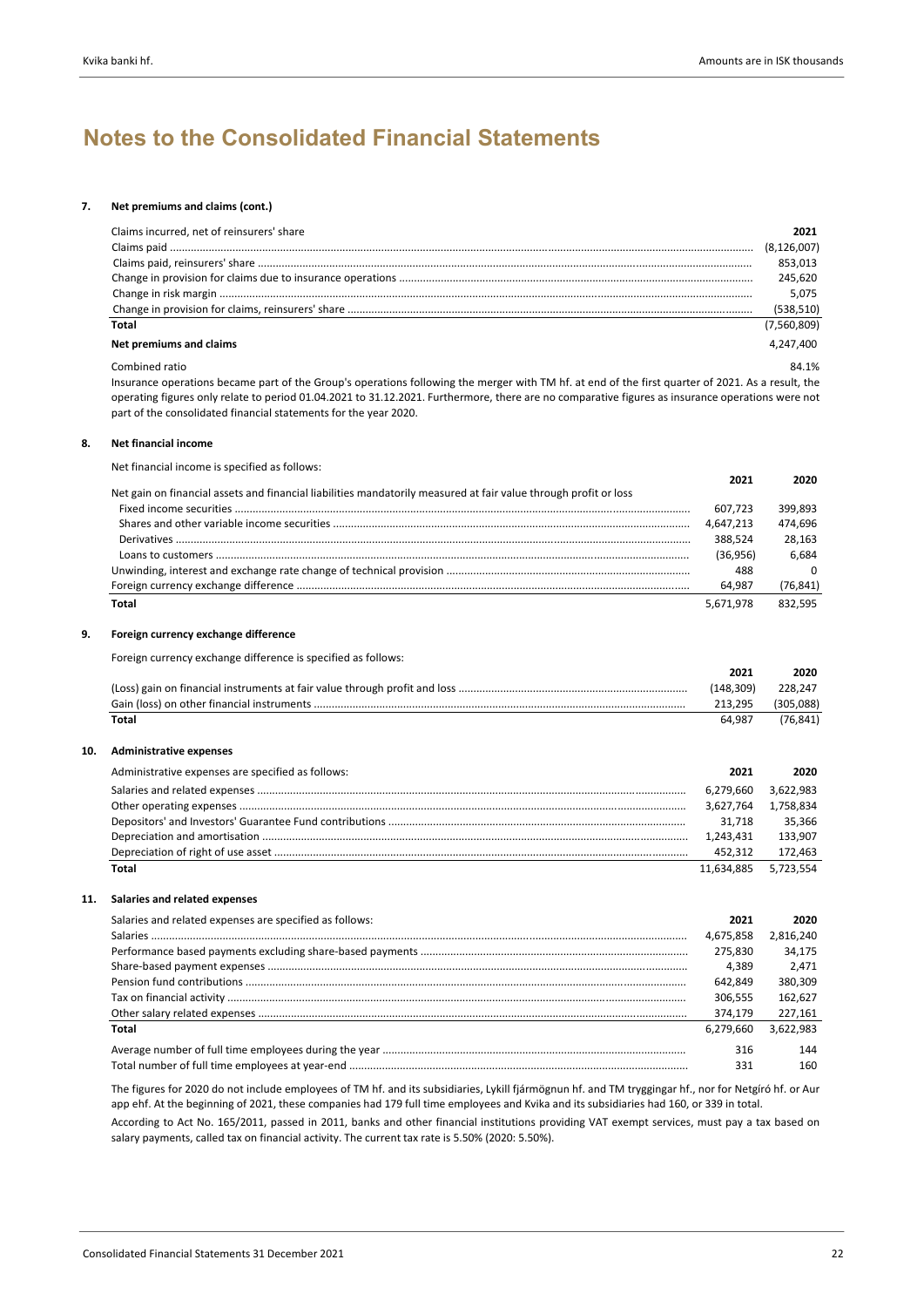#### **7. Net premiums and claims (cont.)**

| Claims incurred, net of reinsurers' share | 2021          |
|-------------------------------------------|---------------|
|                                           | (8, 126, 007) |
|                                           | 853.013       |
|                                           | 245,620       |
|                                           | 5.075         |
|                                           | (538, 510)    |
| Total                                     | (7,560,809)   |
| Net premiums and claims                   | 4,247,400     |
| Combined ratio                            | 84.1%         |

Insurance operations became part of the Group's operations following the merger with TM hf. at end of the first quarter of 2021. As a result, the operating figures only relate to period 01.04.2021 to 31.12.2021. Furthermore, there are no comparative figures as insurance operations were not part of the consolidated financial statements for the year 2020.

#### **8. Net financial income**

**10.** 

Net financial income is specified as follows:

|     |                                                                                                                  | 2021       | 2020      |
|-----|------------------------------------------------------------------------------------------------------------------|------------|-----------|
|     | Net gain on financial assets and financial liabilities mandatorily measured at fair value through profit or loss |            |           |
|     |                                                                                                                  | 607,723    | 399,893   |
|     |                                                                                                                  | 4,647,213  | 474,696   |
|     |                                                                                                                  | 388,524    | 28,163    |
|     |                                                                                                                  | (36, 956)  | 6,684     |
|     |                                                                                                                  | 488        | $\Omega$  |
|     |                                                                                                                  | 64,987     | (76, 841) |
|     | <b>Total</b>                                                                                                     | 5,671,978  | 832,595   |
| 9.  | Foreign currency exchange difference                                                                             |            |           |
|     | Foreign currency exchange difference is specified as follows:                                                    |            |           |
|     |                                                                                                                  | 2021       | 2020      |
|     |                                                                                                                  | (148, 309) | 228,247   |
|     |                                                                                                                  | 213,295    | (305,088) |
|     | Total                                                                                                            | 64,987     | (76, 841) |
| 10. | <b>Administrative expenses</b>                                                                                   |            |           |
|     | Administrative expenses are specified as follows:                                                                | 2021       | 2020      |
|     |                                                                                                                  | 6,279,660  | 3,622,983 |
|     |                                                                                                                  | 3,627,764  | 1,758,834 |
|     |                                                                                                                  | 31,718     | 35,366    |
|     |                                                                                                                  | 1,243,431  | 133,907   |
|     |                                                                                                                  | 452,312    | 172,463   |
|     | <b>Total</b>                                                                                                     | 11,634,885 | 5,723,554 |
| 11. | Salaries and related expenses                                                                                    |            |           |
|     | Salaries and related expenses are specified as follows:                                                          | 2021       | 2020      |
|     |                                                                                                                  | 4,675,858  | 2,816,240 |
|     |                                                                                                                  | 275,830    | 34,175    |
|     |                                                                                                                  | 4,389      | 2,471     |
|     |                                                                                                                  | 642,849    | 380,309   |
|     |                                                                                                                  | 306,555    | 162,627   |
|     |                                                                                                                  | 374,179    | 227,161   |
|     | Total                                                                                                            | 6,279,660  | 3,622,983 |
|     |                                                                                                                  | 316        | 144       |
|     |                                                                                                                  | 331        | 160       |

The figures for 2020 do not include employees of TM hf. and its subsidiaries, Lykill fjármögnun hf. and TM tryggingar hf., nor for Netgíró hf. or Aur app ehf. At the beginning of 2021, these companies had 179 full time employees and Kvika and its subsidiaries had 160, or 339 in total.

According to Act No. 165/2011, passed in 2011, banks and other financial institutions providing VAT exempt services, must pay a tax based on salary payments, called tax on financial activity. The current tax rate is 5.50% (2020: 5.50%).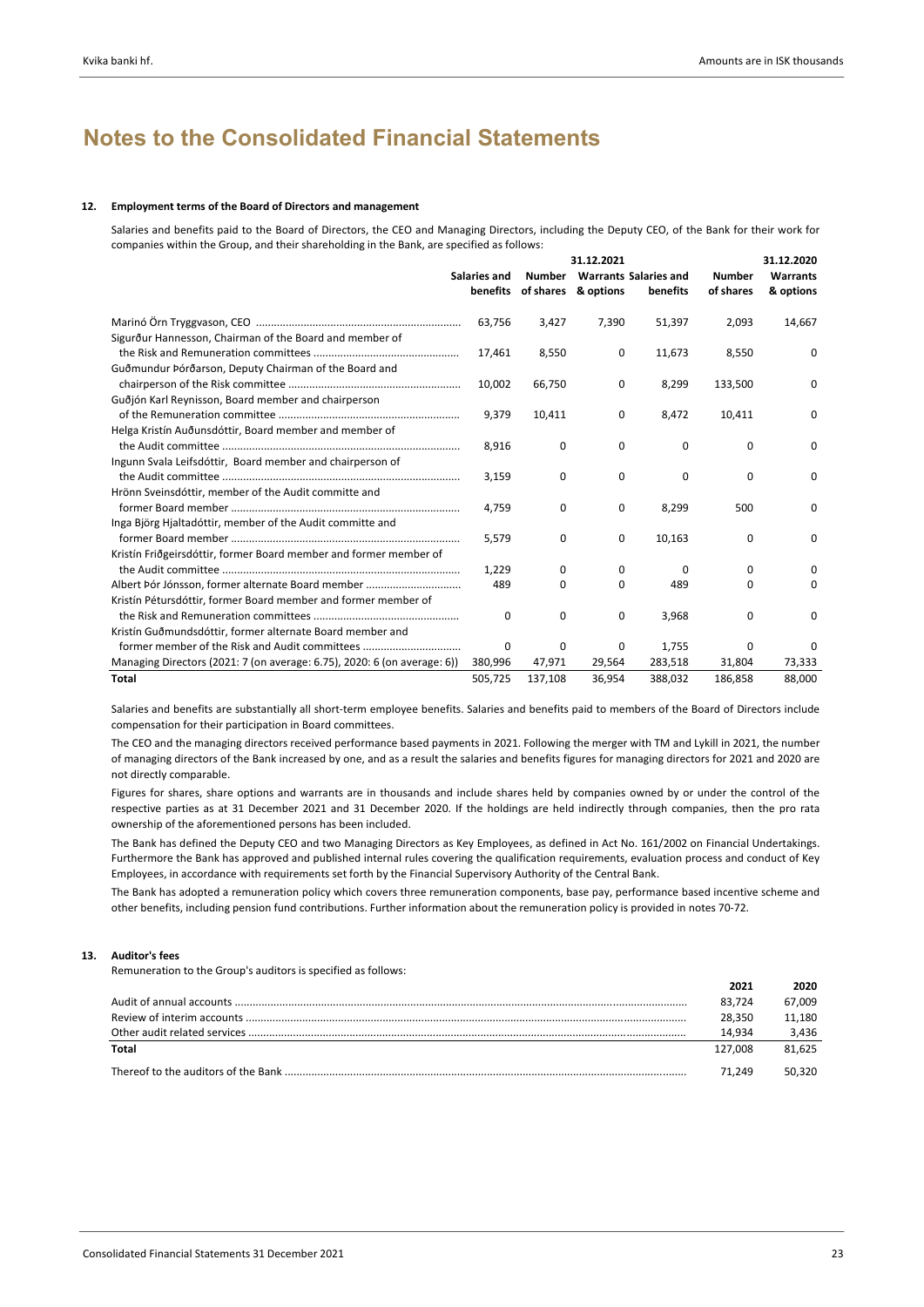#### **12. Employment terms of the Board of Directors and management**

Salaries and benefits paid to the Board of Directors, the CEO and Managing Directors, including the Deputy CEO, of the Bank for their work for companies within the Group, and their shareholding in the Bank, are specified as follows:

|                                                                          | 31.12.2021   |           |           |                              |               |                 |  |  |  |
|--------------------------------------------------------------------------|--------------|-----------|-----------|------------------------------|---------------|-----------------|--|--|--|
|                                                                          | Salaries and | Number    |           | <b>Warrants Salaries and</b> | <b>Number</b> | <b>Warrants</b> |  |  |  |
|                                                                          | benefits     | of shares | & options | benefits                     | of shares     | & options       |  |  |  |
|                                                                          | 63,756       | 3,427     | 7,390     | 51,397                       | 2,093         | 14,667          |  |  |  |
| Sigurður Hannesson, Chairman of the Board and member of                  |              |           |           |                              |               |                 |  |  |  |
|                                                                          | 17,461       | 8,550     | 0         | 11,673                       | 8,550         | $\Omega$        |  |  |  |
| Guðmundur Þórðarson, Deputy Chairman of the Board and                    |              |           |           |                              |               |                 |  |  |  |
|                                                                          | 10,002       | 66,750    | 0         | 8,299                        | 133,500       | 0               |  |  |  |
| Guðjón Karl Reynisson, Board member and chairperson                      |              |           |           |                              |               |                 |  |  |  |
|                                                                          | 9,379        | 10,411    | 0         | 8,472                        | 10,411        | 0               |  |  |  |
| Helga Kristín Auðunsdóttir, Board member and member of                   |              |           |           |                              |               |                 |  |  |  |
|                                                                          | 8,916        | 0         | $\Omega$  | $\Omega$                     | 0             | $\Omega$        |  |  |  |
| Ingunn Svala Leifsdóttir, Board member and chairperson of                |              |           |           |                              |               |                 |  |  |  |
|                                                                          | 3,159        | 0         | 0         | 0                            | 0             | 0               |  |  |  |
| Hrönn Sveinsdóttir, member of the Audit committe and                     |              |           |           |                              |               |                 |  |  |  |
|                                                                          | 4.759        | 0         | 0         | 8,299                        | 500           | $\Omega$        |  |  |  |
| Inga Björg Hjaltadóttir, member of the Audit committe and                |              |           |           |                              |               |                 |  |  |  |
|                                                                          | 5,579        | 0         | 0         | 10,163                       | 0             | 0               |  |  |  |
| Kristín Friðgeirsdóttir, former Board member and former member of        |              |           |           |                              |               |                 |  |  |  |
|                                                                          | 1,229        | 0         | 0         | $\Omega$                     | 0             | 0               |  |  |  |
| Albert Þór Jónsson, former alternate Board member                        | 489          | 0         | 0         | 489                          | 0             | 0               |  |  |  |
| Kristín Pétursdóttir, former Board member and former member of           |              |           |           |                              |               |                 |  |  |  |
|                                                                          | 0            | 0         | 0         | 3,968                        | 0             | 0               |  |  |  |
| Kristín Guðmundsdóttir, former alternate Board member and                |              |           |           |                              |               |                 |  |  |  |
|                                                                          | 0            | 0         | 0         | 1,755                        | 0             | $\Omega$        |  |  |  |
| Managing Directors (2021: 7 (on average: 6.75), 2020: 6 (on average: 6)) | 380.996      | 47,971    | 29,564    | 283,518                      | 31,804        | 73,333          |  |  |  |
| <b>Total</b>                                                             | 505,725      | 137,108   | 36,954    | 388,032                      | 186,858       | 88,000          |  |  |  |

Salaries and benefits are substantially all short-term employee benefits. Salaries and benefits paid to members of the Board of Directors include compensation for their participation in Board committees.

The CEO and the managing directors received performance based payments in 2021. Following the merger with TM and Lykill in 2021, the number of managing directors of the Bank increased by one, and as a result the salaries and benefits figures for managing directors for 2021 and 2020 are not directly comparable.

Figures for shares, share options and warrants are in thousands and include shares held by companies owned by or under the control of the respective parties as at 31 December 2021 and 31 December 2020. If the holdings are held indirectly through companies, then the pro rata ownership of the aforementioned persons has been included.

The Bank has defined the Deputy CEO and two Managing Directors as Key Employees, as defined in Act No. 161/2002 on Financial Undertakings. Furthermore the Bank has approved and published internal rules covering the qualification requirements, evaluation process and conduct of Key Employees, in accordance with requirements set forth by the Financial Supervisory Authority of the Central Bank.

The Bank has adopted a remuneration policy which covers three remuneration components, base pay, performance based incentive scheme and other benefits, including pension fund contributions. Further information about the remuneration policy is provided in notes 70‐72.

#### **13. Auditor's fees**

Remuneration to the Group's auditors is specified as follows:

|       | 2021    | 2020   |
|-------|---------|--------|
|       | 83.724  | 67.009 |
|       | 28.350  | 11.180 |
|       | 14.934  | 3.436  |
| Total | 127.008 | 81.625 |
|       | 71.249  | 50.320 |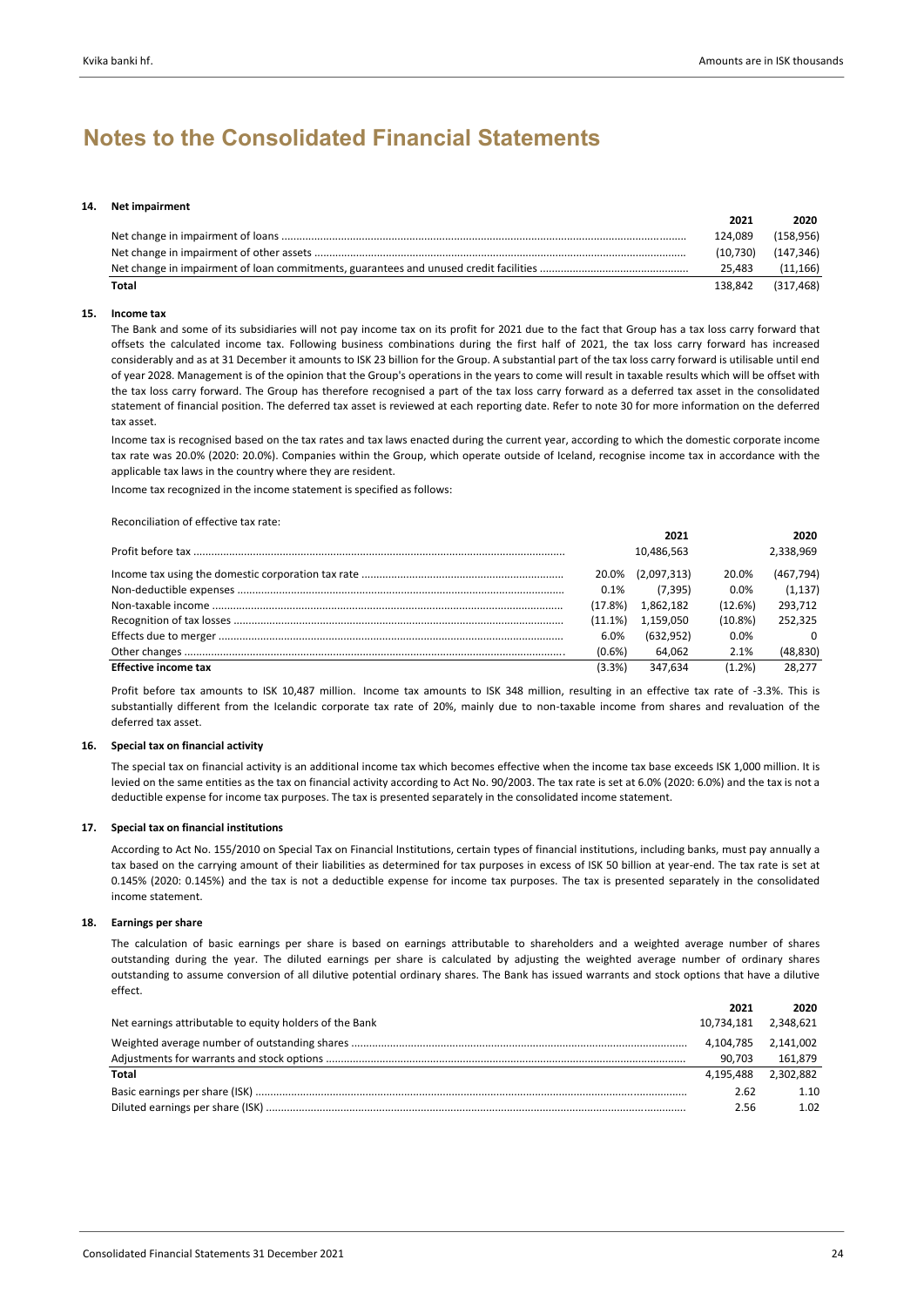#### **14. Net impairment**

|       | 2021     | 2020      |
|-------|----------|-----------|
|       | 124.089  | (158.956) |
|       | (10.730) | (147.346) |
|       | 25.483   | (11, 166) |
| Total | 138.842  | (317.468) |

#### **15. Income tax**

The Bank and some of its subsidiaries will not pay income tax on its profit for 2021 due to the fact that Group has a tax loss carry forward that offsets the calculated income tax. Following business combinations during the first half of 2021, the tax loss carry forward has increased considerably and as at 31 December it amounts to ISK 23 billion for the Group. A substantial part of the tax loss carry forward is utilisable until end of year 2028. Management is of the opinion that the Group's operations in the years to come will result in taxable results which will be offset with the tax loss carry forward. The Group has therefore recognised a part of the tax loss carry forward as a deferred tax asset in the consolidated statement of financial position. The deferred tax asset is reviewed at each reporting date. Refer to note 30 for more information on the deferred tax asset.

Income tax is recognised based on the tax rates and tax laws enacted during the current year, according to which the domestic corporate income tax rate was 20.0% (2020: 20.0%). Companies within the Group, which operate outside of Iceland, recognise income tax in accordance with the applicable tax laws in the country where they are resident.

Income tax recognized in the income statement is specified as follows:

Reconciliation of effective tax rate:

|                             |           | 2021              |            | 2020       |
|-----------------------------|-----------|-------------------|------------|------------|
|                             |           | 10,486,563        |            | 2.338.969  |
|                             |           | 20.0% (2,097,313) | 20.0%      | (467, 794) |
|                             | 0.1%      | (7.395)           | 0.0%       | (1, 137)   |
|                             | (17.8%)   | 1.862.182         | (12.6%)    | 293.712    |
|                             | (11.1%)   | 1.159.050         | $(10.8\%)$ | 252.325    |
|                             | 6.0%      | (632.952)         | 0.0%       | $\Omega$   |
|                             | $(0.6\%)$ | 64.062            | 2.1%       | (48, 830)  |
| <b>Effective income tax</b> | $(3.3\%)$ | 347.634           | (1.2%)     | 28.277     |

Profit before tax amounts to ISK 10,487 million. Income tax amounts to ISK 348 million, resulting in an effective tax rate of ‐3.3%. This is substantially different from the Icelandic corporate tax rate of 20%, mainly due to non-taxable income from shares and revaluation of the deferred tax asset.

#### **16. Special tax on financial activity**

The special tax on financial activity is an additional income tax which becomes effective when the income tax base exceeds ISK 1,000 million. It is levied on the same entities as the tax on financial activity according to Act No. 90/2003. The tax rate is set at 6.0% (2020: 6.0%) and the tax is not a deductible expense for income tax purposes. The tax is presented separately in the consolidated income statement.

#### **17. Special tax on financial institutions**

According to Act No. 155/2010 on Special Tax on Financial Institutions, certain types of financial institutions, including banks, must pay annually a tax based on the carrying amount of their liabilities as determined for tax purposes in excess of ISK 50 billion at year‐end. The tax rate is set at 0.145% (2020: 0.145%) and the tax is not a deductible expense for income tax purposes. The tax is presented separately in the consolidated income statement.

#### **18. Earnings per share**

The calculation of basic earnings per share is based on earnings attributable to shareholders and a weighted average number of shares outstanding during the year. The diluted earnings per share is calculated by adjusting the weighted average number of ordinary shares outstanding to assume conversion of all dilutive potential ordinary shares. The Bank has issued warrants and stock options that have a dilutive effect.

|                                                         | 2021       | 2020                |
|---------------------------------------------------------|------------|---------------------|
| Net earnings attributable to equity holders of the Bank | 10.734.181 | 2,348,621           |
|                                                         |            | 4,104,785 2,141,002 |
|                                                         | 90.703     | 161.879             |
| Total                                                   | 4.195.488  | 2.302.882           |
|                                                         | 2.62       | 1.10                |
|                                                         | 2.56       | 1.02                |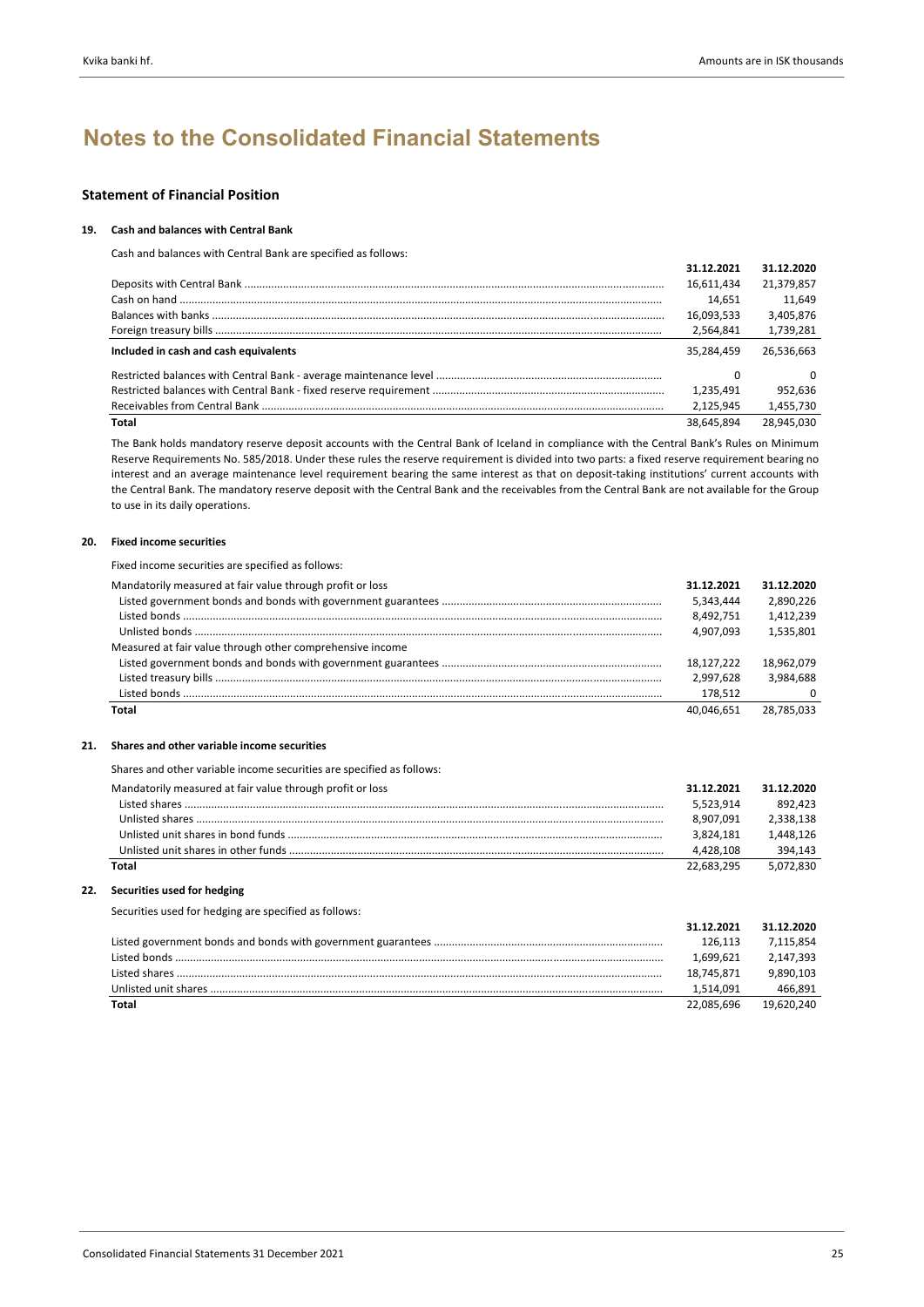#### **Statement of Financial Position**

#### **19. Cash and balances with Central Bank**

Cash and balances with Central Bank are specified as follows:

|                                       | 31.12.2021 | 31.12.2020   |
|---------------------------------------|------------|--------------|
|                                       | 16,611,434 | 21,379,857   |
|                                       | 14.651     | 11.649       |
|                                       | 16,093,533 | 3,405,876    |
|                                       | 2,564,841  | 1,739,281    |
| Included in cash and cash equivalents | 35.284.459 | 26.536.663   |
|                                       | 0          | <sup>0</sup> |
|                                       | 1.235.491  | 952.636      |
|                                       | 2.125.945  | 1,455,730    |
| Total                                 | 38.645.894 | 28,945,030   |

The Bank holds mandatory reserve deposit accounts with the Central Bank of Iceland in compliance with the Central Bank's Rules on Minimum Reserve Requirements No. 585/2018. Under these rules the reserve requirement is divided into two parts: a fixed reserve requirement bearing no interest and an average maintenance level requirement bearing the same interest as that on deposit‐taking institutions' current accounts with the Central Bank. The mandatory reserve deposit with the Central Bank and the receivables from the Central Bank are not available for the Group to use in its daily operations.

#### **20. Fixed income securities**

Fixed income securities are specified as follows:

| Mandatorily measured at fair value through profit or loss | 31.12.2021 | 31.12.2020 |
|-----------------------------------------------------------|------------|------------|
|                                                           | 5,343,444  | 2.890.226  |
|                                                           | 8.492.751  | 1.412.239  |
|                                                           | 4.907.093  | 1.535.801  |
| Measured at fair value through other comprehensive income |            |            |
|                                                           | 18.127.222 | 18.962.079 |
|                                                           | 2.997.628  | 3.984.688  |
|                                                           | 178.512    | - 0        |
| Total                                                     | 40.046.651 | 28.785.033 |

#### **21. Shares and other variable income securities**

Shares and other variable income securities are specified as follows:

| Mandatorily measured at fair value through profit or loss | 31.12.2021 | 31.12.2020 |
|-----------------------------------------------------------|------------|------------|
|                                                           | 5.523.914  | 892.423    |
|                                                           | 8.907.091  | 2.338.138  |
|                                                           | 3.824.181  | 1.448.126  |
|                                                           | 4.428.108  | 394.143    |
| Total                                                     | 22.683.295 | 5.072.830  |

#### **22. Securities used for hedging**

Securities used for hedging are specified as follows:

|       | 31.12.2021 | 31.12.2020 |
|-------|------------|------------|
|       | 126.113    | 7.115.854  |
|       | 1.699.621  | 2,147,393  |
|       | 18.745.871 | 9.890.103  |
|       | 1.514.091  | 466.891    |
| Total | 22.085.696 | 19,620,240 |
|       |            |            |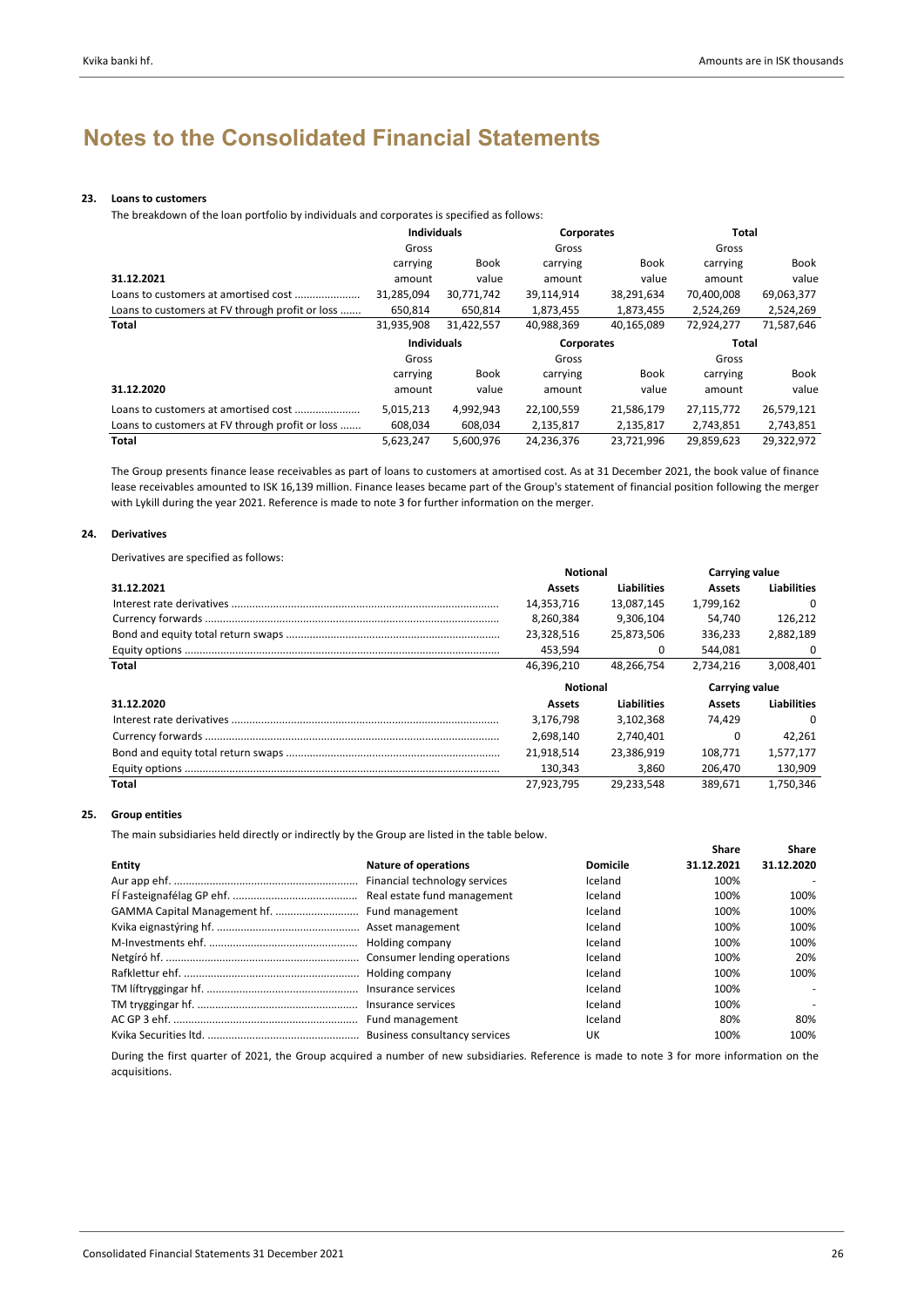#### **23. Loans to customers**

The breakdown of the loan portfolio by individuals and corporates is specified as follows:

|                                                 | <b>Individuals</b> |             | Corporates |            | Total      |            |
|-------------------------------------------------|--------------------|-------------|------------|------------|------------|------------|
|                                                 | Gross              |             | Gross      |            | Gross      |            |
|                                                 | carrying           | Book        | carrying   | Book       | carrying   | Book       |
| 31.12.2021                                      | amount             | value       | amount     | value      | amount     | value      |
| Loans to customers at amortised cost            | 31,285,094         | 30,771,742  | 39,114,914 | 38,291,634 | 70,400,008 | 69,063,377 |
| Loans to customers at FV through profit or loss | 650.814            | 650.814     | 1,873,455  | 1,873,455  | 2,524,269  | 2,524,269  |
| Total                                           | 31.935.908         | 31,422,557  | 40,988,369 | 40,165,089 | 72,924,277 | 71,587,646 |
|                                                 |                    |             |            |            |            |            |
|                                                 | <b>Individuals</b> |             | Corporates |            | Total      |            |
|                                                 | Gross              |             | Gross      |            | Gross      |            |
|                                                 | carrying           | <b>Book</b> | carrying   | Book       | carrying   | Book       |
| 31.12.2020                                      | amount             | value       | amount     | value      | amount     | value      |
| Loans to customers at amortised cost            | 5,015,213          | 4,992,943   | 22,100,559 | 21,586,179 | 27,115,772 | 26,579,121 |
| Loans to customers at FV through profit or loss | 608,034            | 608,034     | 2,135,817  | 2,135,817  | 2,743,851  | 2,743,851  |

The Group presents finance lease receivables as part of loans to customers at amortised cost. As at 31 December 2021, the book value of finance lease receivables amounted to ISK 16,139 million. Finance leases became part of the Group's statement of financial position following the merger with Lykill during the year 2021. Reference is made to note 3 for further information on the merger.

#### **24. Derivatives**

Derivatives are specified as follows:

|            | <b>Notional</b> |                    | Carrying value |                    |
|------------|-----------------|--------------------|----------------|--------------------|
| 31.12.2021 | Assets          | <b>Liabilities</b> | Assets         | <b>Liabilities</b> |
|            | 14,353,716      | 13.087.145         | 1,799,162      | 0                  |
|            | 8.260.384       | 9.306.104          | 54,740         | 126.212            |
|            | 23,328,516      | 25.873.506         | 336.233        | 2,882,189          |
|            | 453.594         | 0                  | 544.081        | 0                  |
| Total      | 46.396.210      | 48.266.754         | 2.734.216      | 3,008,401          |
|            |                 |                    |                |                    |
|            | Notional        |                    | Carrying value |                    |
| 31.12.2020 | Assets          | <b>Liabilities</b> | Assets         | <b>Liabilities</b> |
|            | 3.176.798       | 3.102.368          | 74.429         | 0                  |
|            | 2.698.140       | 2.740.401          | 0              | 42.261             |
|            | 21.918.514      | 23.386.919         | 108.771        | 1.577.177          |
|            | 130.343         | 3.860              | 206.470        | 130,909            |

#### **25. Group entities**

The main subsidiaries held directly or indirectly by the Group are listed in the table below.

|        |                             |                 | Share      | Share                    |
|--------|-----------------------------|-----------------|------------|--------------------------|
| Entity | <b>Nature of operations</b> | <b>Domicile</b> | 31.12.2021 | 31.12.2020               |
|        |                             | Iceland         | 100%       |                          |
|        |                             | Iceland         | 100%       | 100%                     |
|        |                             | Iceland         | 100%       | 100%                     |
|        |                             | Iceland         | 100%       | 100%                     |
|        |                             | Iceland         | 100%       | 100%                     |
|        |                             | Iceland         | 100%       | 20%                      |
|        |                             | Iceland         | 100%       | 100%                     |
|        |                             | Iceland         | 100%       | $\sim$                   |
|        |                             | Iceland         | 100%       | $\overline{\phantom{a}}$ |
|        |                             | Iceland         | 80%        | 80%                      |
|        |                             | UK              | 100%       | 100%                     |

During the first quarter of 2021, the Group acquired a number of new subsidiaries. Reference is made to note 3 for more information on the acquisitions.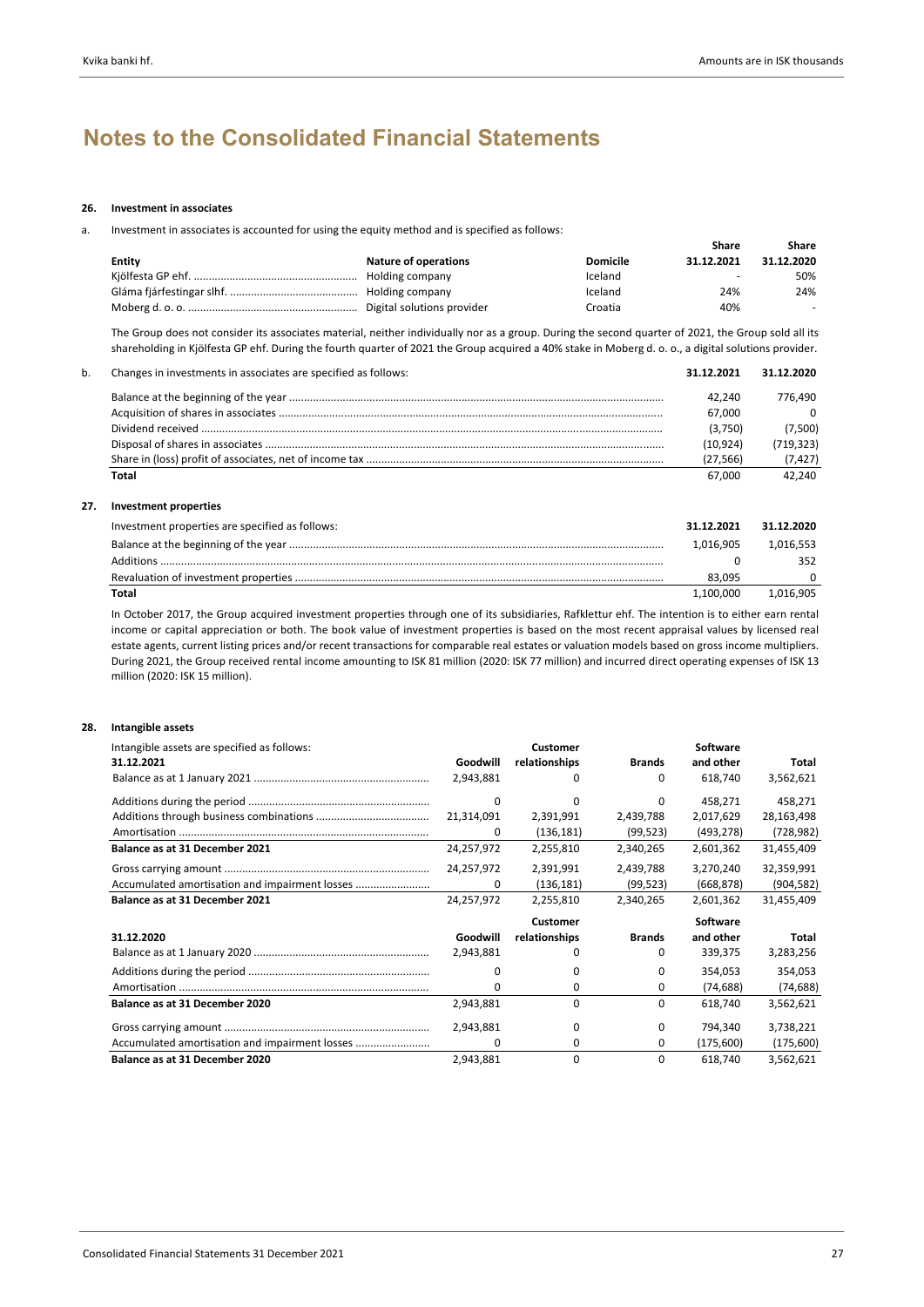#### **26. Investment in associates**

a. Investment in associates is accounted for using the equity method and is specified as follows:

|        |                             |                 | Share                    | Share      |
|--------|-----------------------------|-----------------|--------------------------|------------|
| Entity | <b>Nature of operations</b> | <b>Domicile</b> | 31.12.2021               | 31.12.2020 |
|        | Holding company             | Iceland         | $\overline{\phantom{a}}$ | 50%        |
|        | Holding company             | Iceland         | 24%                      | 24%        |
|        |                             | Croatia         | 40%                      | $\sim$     |

The Group does not consider its associates material, neither individually nor as a group. During the second quarter of 2021, the Group sold all its shareholding in Kjölfesta GP ehf. During the fourth quarter of 2021 the Group acquired a 40% stake in Moberg d. o. o., a digital solutions provider.

| 42.240   | 776.490   |
|----------|-----------|
| 67.000   | $\Omega$  |
| (3,750)  | (7,500)   |
| (10.924) | (719,323) |
| (27.566) | (7, 427)  |
| 67.000   | 42.240    |
|          |           |

#### **27. Investment properties**

| Investment properties are specified as follows: | 31.12.2021 | 31.12.2020 |
|-------------------------------------------------|------------|------------|
|                                                 | 1.016.905  | 1.016.553  |
|                                                 |            | 352        |
|                                                 | 83.095     |            |
| Total                                           | 1.100.000  | 1.016.905  |

In October 2017, the Group acquired investment properties through one of its subsidiaries, Rafklettur ehf. The intention is to either earn rental income or capital appreciation or both. The book value of investment properties is based on the most recent appraisal values by licensed real estate agents, current listing prices and/or recent transactions for comparable real estates or valuation models based on gross income multipliers. During 2021, the Group received rental income amounting to ISK 81 million (2020: ISK 77 million) and incurred direct operating expenses of ISK 13 million (2020: ISK 15 million).

#### **28. Intangible assets**

| Intangible assets are specified as follows: |            | Customer      |               | <b>Software</b> |            |
|---------------------------------------------|------------|---------------|---------------|-----------------|------------|
| 31.12.2021                                  | Goodwill   | relationships | <b>Brands</b> | and other       | Total      |
|                                             | 2,943,881  | o             | 0             | 618,740         | 3,562,621  |
|                                             | 0          | <sup>0</sup>  | 0             | 458,271         | 458,271    |
|                                             | 21,314,091 | 2,391,991     | 2,439,788     | 2,017,629       | 28,163,498 |
|                                             | 0          | (136, 181)    | (99, 523)     | (493, 278)      | (728, 982) |
| Balance as at 31 December 2021              | 24,257,972 | 2,255,810     | 2,340,265     | 2,601,362       | 31,455,409 |
|                                             | 24,257,972 | 2,391,991     | 2,439,788     | 3,270,240       | 32,359,991 |
|                                             | 0          | (136, 181)    | (99, 523)     | (668, 878)      | (904, 582) |
| Balance as at 31 December 2021              | 24,257,972 | 2,255,810     | 2,340,265     | 2,601,362       | 31,455,409 |
|                                             |            | Customer      |               | <b>Software</b> |            |
| 31.12.2020                                  | Goodwill   | relationships | <b>Brands</b> | and other       | Total      |
|                                             | 2,943,881  | o             | 0             | 339,375         | 3,283,256  |
|                                             | 0          | 0             | 0             | 354,053         | 354,053    |
|                                             | 0          | 0             | 0             | (74, 688)       | (74, 688)  |
| Balance as at 31 December 2020              | 2,943,881  | 0             | 0             | 618,740         | 3,562,621  |
|                                             | 2,943,881  | 0             | 0             | 794,340         | 3,738,221  |
|                                             | 0          | 0             | 0             | (175,600)       | (175,600)  |
| Balance as at 31 December 2020              | 2,943,881  | 0             | 0             | 618,740         | 3,562,621  |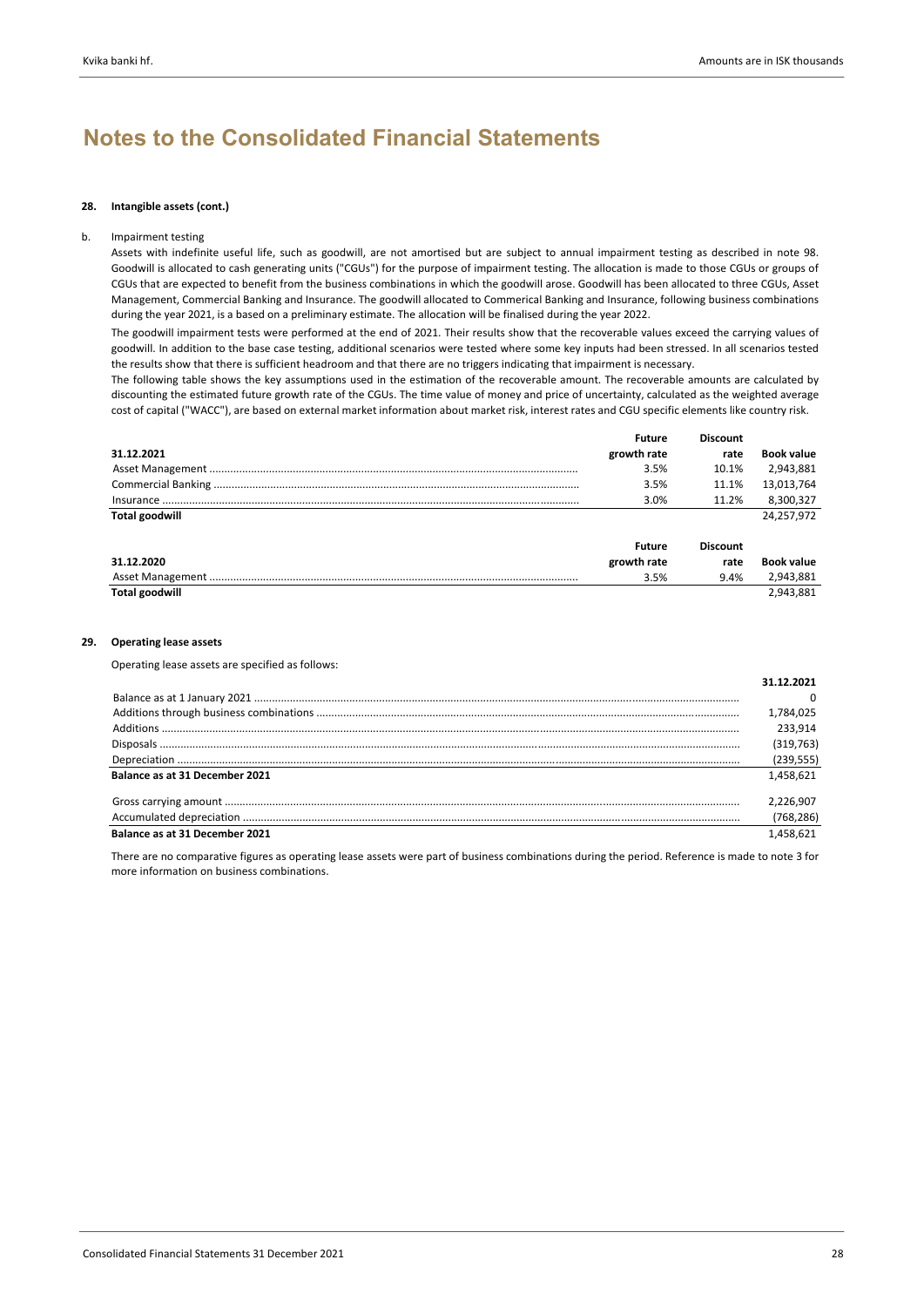#### **28. Intangible assets (cont.)**

#### b. Impairment testing

Assets with indefinite useful life, such as goodwill, are not amortised but are subject to annual impairment testing as described in note 98. Goodwill is allocated to cash generating units ("CGUs") for the purpose of impairment testing. The allocation is made to those CGUs or groups of CGUs that are expected to benefit from the business combinations in which the goodwill arose. Goodwill has been allocated to three CGUs, Asset Management, Commercial Banking and Insurance. The goodwill allocated to Commerical Banking and Insurance, following business combinations during the year 2021, is a based on a preliminary estimate. The allocation will be finalised during the year 2022.

The goodwill impairment tests were performed at the end of 2021. Their results show that the recoverable values exceed the carrying values of goodwill. In addition to the base case testing, additional scenarios were tested where some key inputs had been stressed. In all scenarios tested the results show that there is sufficient headroom and that there are no triggers indicating that impairment is necessary.

The following table shows the key assumptions used in the estimation of the recoverable amount. The recoverable amounts are calculated by discounting the estimated future growth rate of the CGUs. The time value of money and price of uncertainty, calculated as the weighted average cost of capital ("WACC"), are based on external market information about market risk, interest rates and CGU specific elements like country risk.

|                       | <b>Future</b> | <b>Discount</b> |                   |
|-----------------------|---------------|-----------------|-------------------|
| 31.12.2021            | growth rate   | rate            | <b>Book value</b> |
|                       | 3.5%          | 10.1%           | 2,943,881         |
|                       | 3.5%          | 11.1%           | 13,013,764        |
|                       | 3.0%          | 11.2%           | 8,300,327         |
| <b>Total goodwill</b> |               |                 | 24,257,972        |
|                       | <b>Future</b> | <b>Discount</b> |                   |
| 31.12.2020            | growth rate   | rate            | <b>Book value</b> |
|                       | 3.5%          | 9.4%            | 2,943,881         |
| <b>Total goodwill</b> |               |                 | 2.943.881         |

#### **29. Operating lease assets**

Operating lease assets are specified as follows:

|                                                                                                                                                                                                                                                                                                                                                                                             | 31.12.2021 |
|---------------------------------------------------------------------------------------------------------------------------------------------------------------------------------------------------------------------------------------------------------------------------------------------------------------------------------------------------------------------------------------------|------------|
|                                                                                                                                                                                                                                                                                                                                                                                             |            |
|                                                                                                                                                                                                                                                                                                                                                                                             | 1,784,025  |
|                                                                                                                                                                                                                                                                                                                                                                                             | 233.914    |
|                                                                                                                                                                                                                                                                                                                                                                                             | (319, 763) |
| $\textbf{Depreciation} \textit{} \textit{} \textit{} \textit{} \textit{} \textit{} \textit{} \textit{} \textit{} \textit{} \textit{} \textit{} \textit{} \textit{} \textit{} \textit{} \textit{} \textit{} \textit{} \textit{} \textit{} \textit{} \textit{} \textit{} \textit{} \textit{} \textit{} \textit{} \textit{} \textit{} \textit{} \textit{} \textit{} \textit{} \textit{} \text$ | (239, 555) |
| Balance as at 31 December 2021                                                                                                                                                                                                                                                                                                                                                              | 1.458.621  |
|                                                                                                                                                                                                                                                                                                                                                                                             | 2.226.907  |
|                                                                                                                                                                                                                                                                                                                                                                                             | (768, 286) |
| Balance as at 31 December 2021                                                                                                                                                                                                                                                                                                                                                              | 1.458.621  |

There are no comparative figures as operating lease assets were part of business combinations during the period. Reference is made to note 3 for more information on business combinations.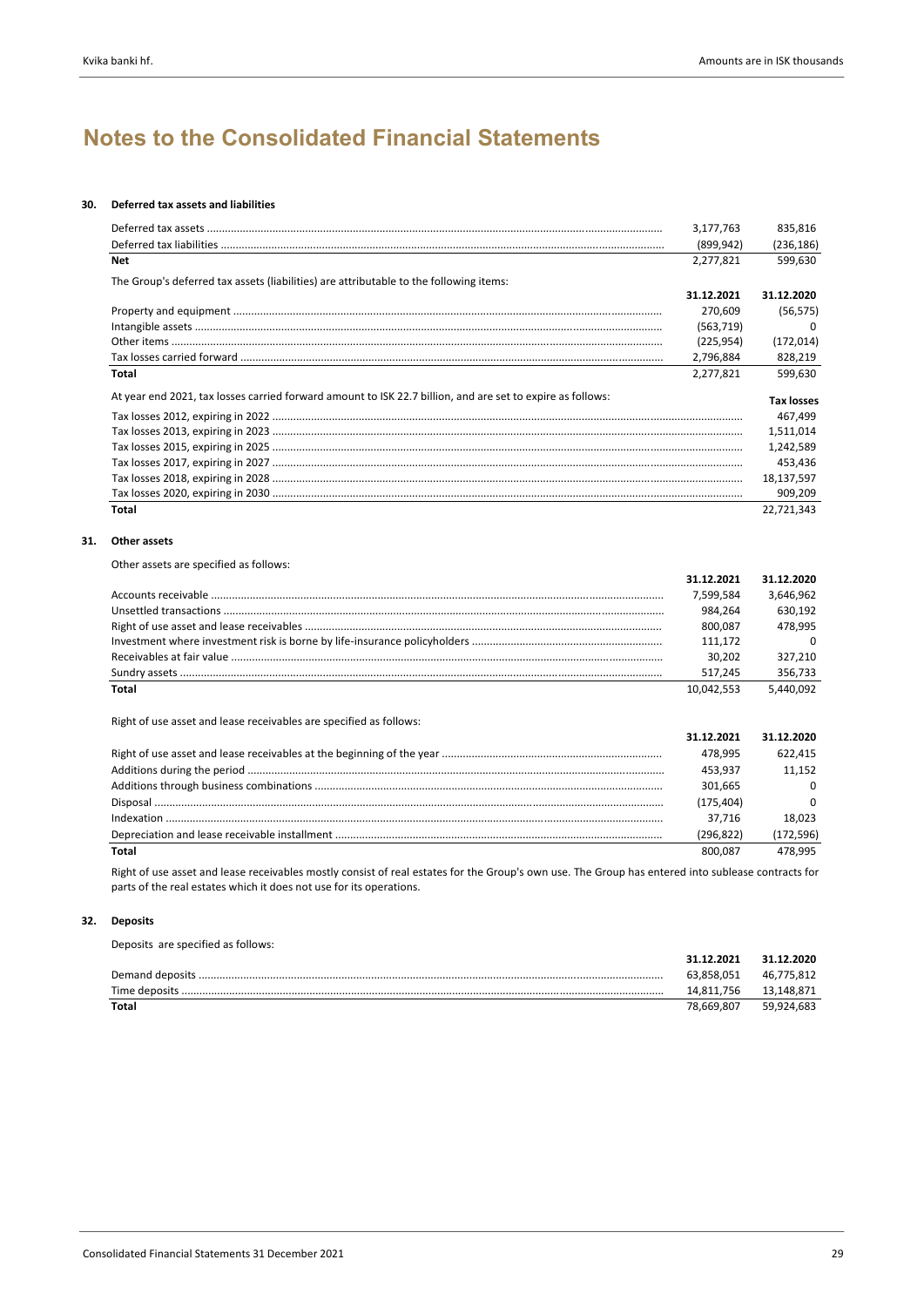#### **30. Deferred tax assets and liabilities**

|                                                                                                                                                                    | 3,177,763  | 835,816           |
|--------------------------------------------------------------------------------------------------------------------------------------------------------------------|------------|-------------------|
|                                                                                                                                                                    | (899, 942) | (236, 186)        |
| <b>Net</b>                                                                                                                                                         | 2,277,821  | 599,630           |
| The Group's deferred tax assets (liabilities) are attributable to the following items:                                                                             |            |                   |
|                                                                                                                                                                    | 31.12.2021 | 31.12.2020        |
|                                                                                                                                                                    | 270,609    | (56, 575)         |
|                                                                                                                                                                    | (563, 719) | 0                 |
|                                                                                                                                                                    | (225, 954) | (172, 014)        |
|                                                                                                                                                                    | 2,796,884  | 828,219           |
| <b>Total</b>                                                                                                                                                       | 2,277,821  | 599,630           |
| At year end 2021, tax losses carried forward amount to ISK 22.7 billion, and are set to expire as follows:                                                         |            | <b>Tax losses</b> |
|                                                                                                                                                                    |            | 467,499           |
|                                                                                                                                                                    |            | 1,511,014         |
|                                                                                                                                                                    |            | 1,242,589         |
|                                                                                                                                                                    |            | 453,436           |
|                                                                                                                                                                    |            | 18,137,597        |
|                                                                                                                                                                    |            | 909,209           |
| <b>Total</b>                                                                                                                                                       |            | 22,721,343        |
|                                                                                                                                                                    |            |                   |
| <b>Other assets</b>                                                                                                                                                |            |                   |
|                                                                                                                                                                    |            |                   |
| Other assets are specified as follows:                                                                                                                             |            |                   |
|                                                                                                                                                                    | 31.12.2021 | 31.12.2020        |
|                                                                                                                                                                    | 7,599,584  | 3,646,962         |
|                                                                                                                                                                    | 984,264    | 630,192           |
|                                                                                                                                                                    | 800,087    | 478,995           |
|                                                                                                                                                                    | 111,172    | 0                 |
|                                                                                                                                                                    | 30,202     | 327,210           |
|                                                                                                                                                                    | 517,245    | 356,733           |
| <b>Total</b>                                                                                                                                                       | 10,042,553 | 5,440,092         |
|                                                                                                                                                                    |            |                   |
| Right of use asset and lease receivables are specified as follows:                                                                                                 |            |                   |
|                                                                                                                                                                    | 31.12.2021 | 31.12.2020        |
|                                                                                                                                                                    | 478,995    | 622,415           |
|                                                                                                                                                                    | 453,937    | 11,152            |
|                                                                                                                                                                    | 301,665    | 0                 |
|                                                                                                                                                                    | (175, 404) | 0                 |
|                                                                                                                                                                    | 37,716     | 18,023            |
|                                                                                                                                                                    | (296, 822) | (172, 596)        |
| <b>Total</b><br>Right of use asset and lease receivables mostly consist of real estates for the Group's own use. The Group has entered into sublease contracts for | 800,087    | 478,995           |

parts of the real estates which it does not use for its operations.

#### **32. Deposits**

**31. Other assets**

Deposits are specified as follows:

|              | 31.12.2021 | 31.12.2020 |
|--------------|------------|------------|
|              | 63.858.051 | 46.775.812 |
|              | 14.811.756 | 13,148,871 |
| <b>Total</b> | 78.669.807 | 59.924.683 |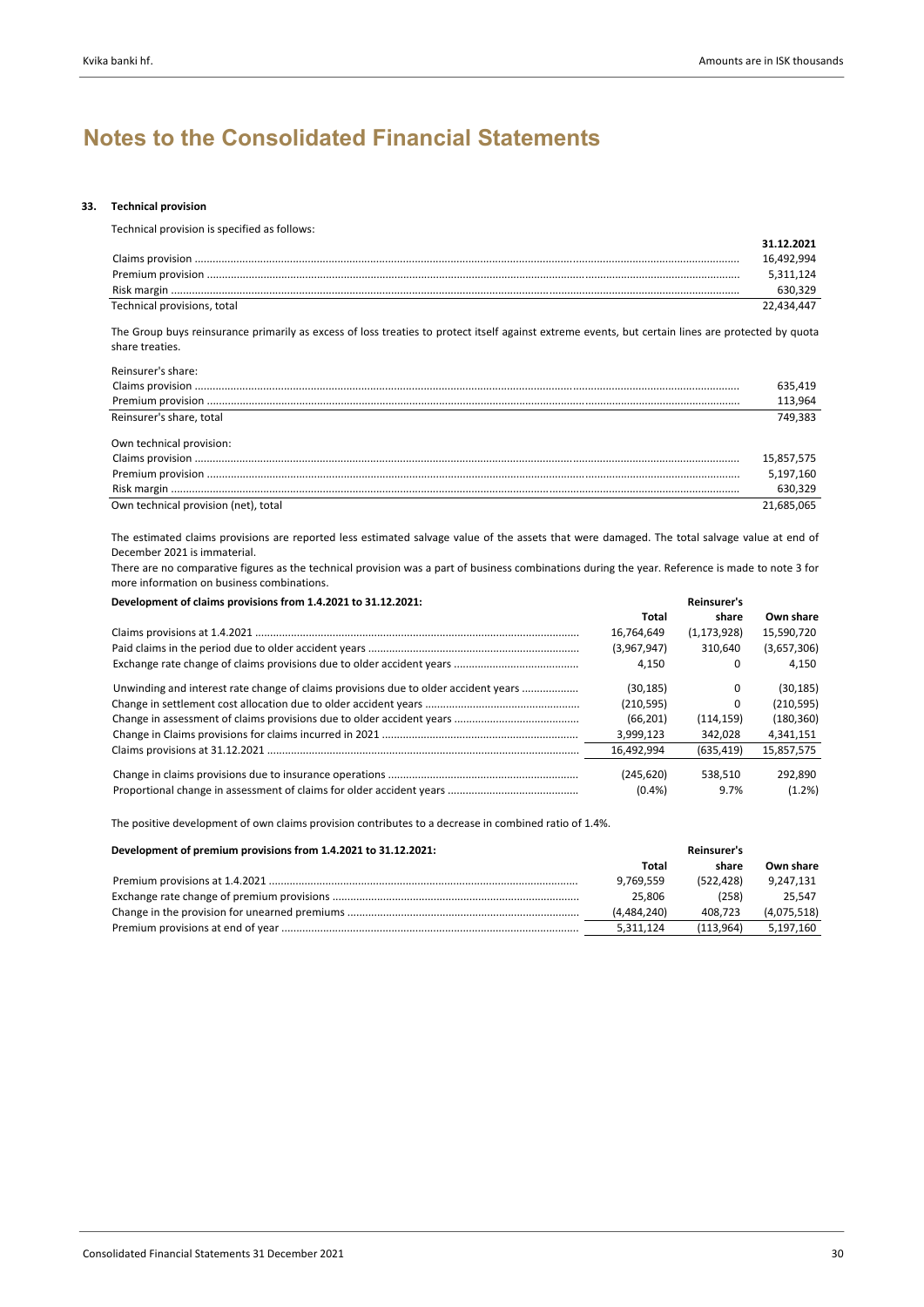#### **33. Technical provision**

Technical provision is specified as follows:

|                             | 31.12.2021 |
|-----------------------------|------------|
|                             | 16,492,994 |
|                             | 5.311.124  |
|                             | 630.329    |
| Technical provisions, total | 22.434.447 |

The Group buys reinsurance primarily as excess of loss treaties to protect itself against extreme events, but certain lines are protected by quota share treaties.

| Reinsurer's share:                   |            |
|--------------------------------------|------------|
|                                      | 635,419    |
|                                      | 113,964    |
| Reinsurer's share, total             | 749.383    |
| Own technical provision:             |            |
|                                      | 15,857,575 |
|                                      | 5,197,160  |
|                                      | 630,329    |
| Own technical provision (net), total | 21.685.065 |

The estimated claims provisions are reported less estimated salvage value of the assets that were damaged. The total salvage value at end of December 2021 is immaterial.

There are no comparative figures as the technical provision was a part of business combinations during the year. Reference is made to note 3 for more information on business combinations.

| Development of claims provisions from 1.4.2021 to 31.12.2021:                       | <b>Reinsurer's</b> |               |             |  |
|-------------------------------------------------------------------------------------|--------------------|---------------|-------------|--|
|                                                                                     | Total              | share         | Own share   |  |
|                                                                                     | 16.764.649         | (1, 173, 928) | 15,590,720  |  |
|                                                                                     | (3,967,947)        | 310.640       | (3,657,306) |  |
|                                                                                     | 4.150              | 0             | 4.150       |  |
| Unwinding and interest rate change of claims provisions due to older accident years | (30, 185)          | 0             | (30, 185)   |  |
|                                                                                     | (210, 595)         | 0             | (210, 595)  |  |
|                                                                                     | (66.201)           | (114.159)     | (180, 360)  |  |
|                                                                                     | 3,999,123          | 342.028       | 4,341,151   |  |
|                                                                                     | 16,492,994         | (635, 419)    | 15,857,575  |  |
|                                                                                     | (245, 620)         | 538.510       | 292.890     |  |
|                                                                                     | $(0.4\%)$          | 9.7%          | $(1.2\%)$   |  |

The positive development of own claims provision contributes to a decrease in combined ratio of 1.4%.

| Development of premium provisions from 1.4.2021 to 31.12.2021: | <b>Reinsurer's</b> |           |             |
|----------------------------------------------------------------|--------------------|-----------|-------------|
|                                                                | Total              | share     | Own share   |
|                                                                | 9.769.559          | (522.428) | 9,247,131   |
|                                                                | 25.806             | (258)     | 25.547      |
|                                                                | (4.484.240)        | 408.723   | (4,075,518) |
|                                                                | 5.311.124          | (113.964) | 5,197,160   |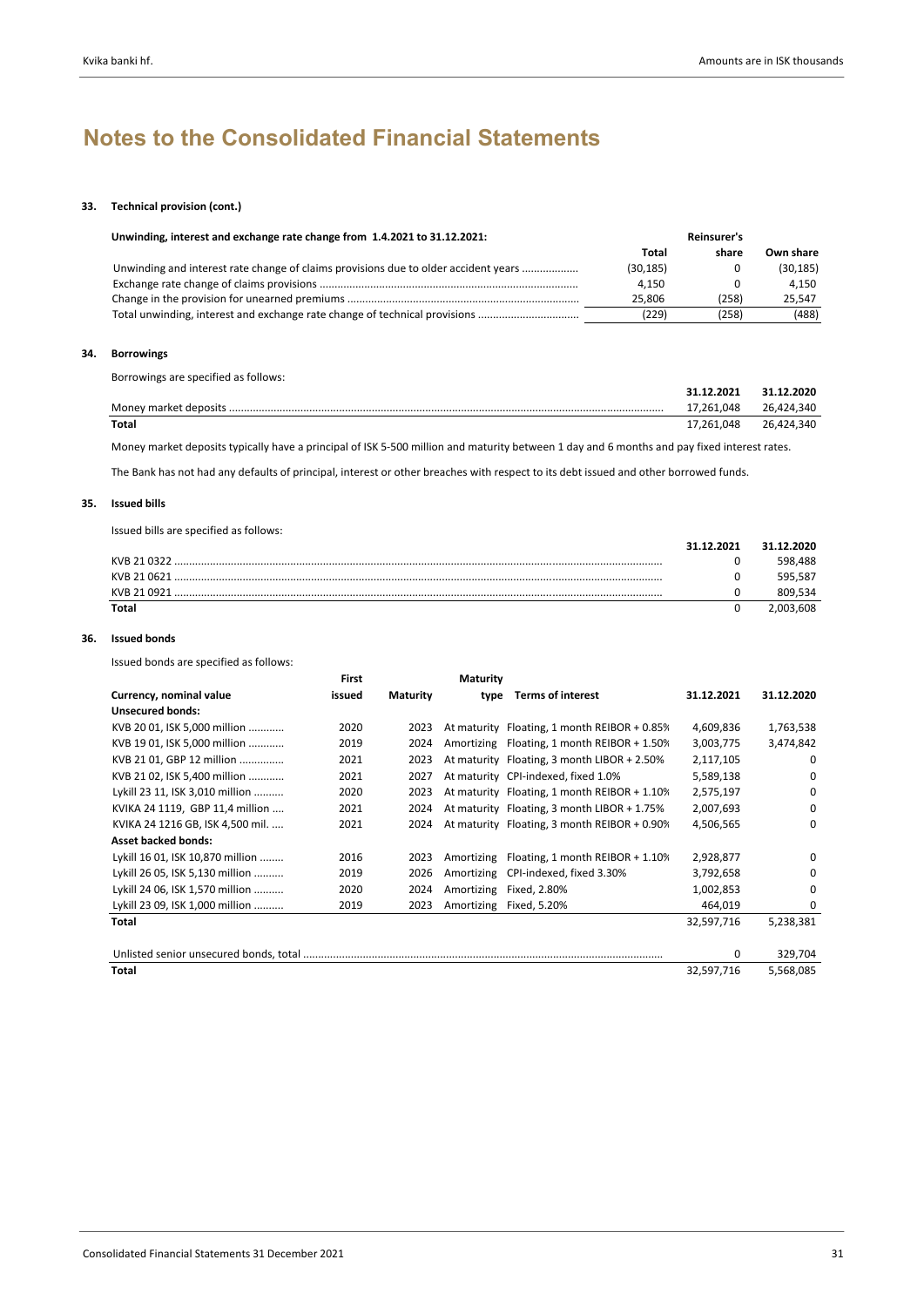#### **33. Technical provision (cont.)**

| Unwinding, interest and exchange rate change from 1.4.2021 to 31.12.2021:           | <b>Reinsurer's</b> |       |           |  |
|-------------------------------------------------------------------------------------|--------------------|-------|-----------|--|
|                                                                                     | Total              | share | Own share |  |
| Unwinding and interest rate change of claims provisions due to older accident years | (30,185)           |       | (30, 185) |  |
|                                                                                     | 4.150              |       | 4.150     |  |
|                                                                                     | 25.806             | (258) | 25.547    |  |
| Total unwinding, interest and exchange rate change of technical provisions          | (229)              | (258) | (488)     |  |

#### **34. Borrowings**

Borrowings are specified as follows:

|       | 31.12.2021 | 31.12.2020 |
|-------|------------|------------|
|       | 17.261.048 | 26.424.340 |
| Total | 17,261,048 | 26.424.340 |

Money market deposits typically have a principal of ISK 5‐500 million and maturity between 1 day and 6 months and pay fixed interest rates.

The Bank has not had any defaults of principal, interest or other breaches with respect to its debt issued and other borrowed funds.

### **35. Issued bills**

Issued bills are specified as follows:

| <b>BUCH ONLY THE SPECIFIC OF IDIO WS.</b> |            |            |
|-------------------------------------------|------------|------------|
|                                           | 31.12.2021 | 31.12.2020 |
| KVB 21 0322                               |            | 598.488    |
|                                           |            | 595.587    |
|                                           |            | 809.534    |
| Total                                     |            | 2,003,608  |

#### **36. Issued bonds**

Issued bonds are specified as follows:

|                                  | First  |          | <b>Maturity</b> |                                                |            |            |
|----------------------------------|--------|----------|-----------------|------------------------------------------------|------------|------------|
| Currency, nominal value          | issued | Maturity | type            | <b>Terms of interest</b>                       | 31.12.2021 | 31.12.2020 |
| <b>Unsecured bonds:</b>          |        |          |                 |                                                |            |            |
| KVB 20 01, ISK 5,000 million     | 2020   | 2023     |                 | At maturity Floating, 1 month REIBOR + $0.85%$ | 4,609,836  | 1,763,538  |
| KVB 19 01, ISK 5,000 million     | 2019   | 2024     |                 | Amortizing Floating, 1 month REIBOR + 1.50%    | 3,003,775  | 3,474,842  |
| KVB 21 01, GBP 12 million        | 2021   | 2023     |                 | At maturity Floating, 3 month LIBOR + 2.50%    | 2,117,105  | 0          |
| KVB 21 02, ISK 5,400 million     | 2021   | 2027     |                 | At maturity CPI-indexed, fixed 1.0%            | 5,589,138  | 0          |
| Lykill 23 11, ISK 3,010 million  | 2020   | 2023     |                 | At maturity Floating, 1 month REIBOR + 1.10%   | 2,575,197  | 0          |
| KVIKA 24 1119, GBP 11,4 million  | 2021   | 2024     |                 | At maturity Floating, 3 month LIBOR + 1.75%    | 2,007,693  | 0          |
| KVIKA 24 1216 GB, ISK 4,500 mil. | 2021   | 2024     |                 | At maturity Floating, 3 month REIBOR + 0.90%   | 4,506,565  | 0          |
| <b>Asset backed bonds:</b>       |        |          |                 |                                                |            |            |
| Lykill 16 01, ISK 10,870 million | 2016   | 2023     |                 | Amortizing Floating, 1 month REIBOR + 1.10%    | 2,928,877  | 0          |
| Lykill 26 05, ISK 5,130 million  | 2019   | 2026     | Amortizing      | CPI-indexed, fixed 3.30%                       | 3,792,658  | 0          |
| Lykill 24 06, ISK 1,570 million  | 2020   | 2024     | Amortizing      | Fixed, 2.80%                                   | 1,002,853  | 0          |
| Lykill 23 09, ISK 1,000 million  | 2019   | 2023     |                 | Amortizing Fixed, 5.20%                        | 464,019    | 0          |
| Total                            |        |          |                 |                                                | 32,597,716 | 5,238,381  |
|                                  |        |          |                 |                                                |            |            |
|                                  |        |          |                 |                                                | 0          | 329,704    |

**Total** 32,597,716 5,568,085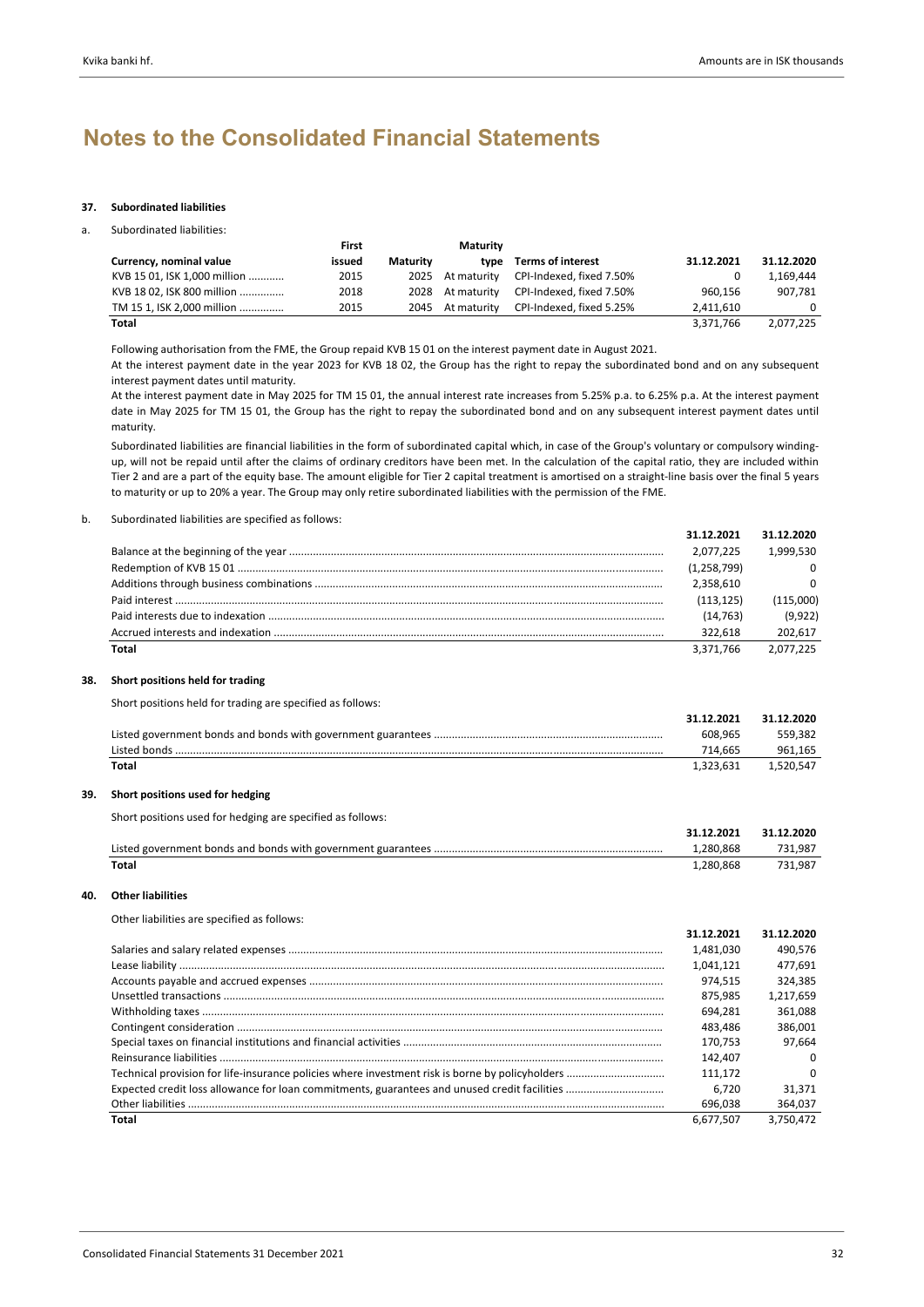#### **37. Subordinated liabilities**

#### a. Subordinated liabilities:

|                              | First  |                 | Maturity    |                          |            |            |
|------------------------------|--------|-----------------|-------------|--------------------------|------------|------------|
| Currency, nominal value      | issued | <b>Maturity</b> | tvpe        | <b>Terms of interest</b> | 31.12.2021 | 31.12.2020 |
| KVB 15 01, ISK 1,000 million | 2015   | 2025            | At maturity | CPI-Indexed, fixed 7.50% |            | 1.169.444  |
| KVB 18 02, ISK 800 million   | 2018   | 2028            | At maturity | CPI-Indexed, fixed 7.50% | 960.156    | 907.781    |
| TM 15 1, ISK 2,000 million   | 2015   | 2045            | At maturity | CPI-Indexed, fixed 5.25% | 2,411,610  | $\Omega$   |
| Total                        |        |                 |             |                          | 3,371,766  | 2,077,225  |

Following authorisation from the FME, the Group repaid KVB 15 01 on the interest payment date in August 2021.

At the interest payment date in the year 2023 for KVB 18 02, the Group has the right to repay the subordinated bond and on any subsequent interest payment dates until maturity.

At the interest payment date in May 2025 for TM 15 01, the annual interest rate increases from 5.25% p.a. to 6.25% p.a. At the interest payment date in May 2025 for TM 15 01, the Group has the right to repay the subordinated bond and on any subsequent interest payment dates until maturity.

Subordinated liabilities are financial liabilities in the form of subordinated capital which, in case of the Group's voluntary or compulsory winding‐ up, will not be repaid until after the claims of ordinary creditors have been met. In the calculation of the capital ratio, they are included within Tier 2 and are a part of the equity base. The amount eligible for Tier 2 capital treatment is amortised on a straight-line basis over the final 5 years to maturity or up to 20% a year. The Group may only retire subordinated liabilities with the permission of the FME.

#### b. Subordinated liabilities are specified as follows:

|     |                                                            | 31.12.2021    | 31.12.2020 |
|-----|------------------------------------------------------------|---------------|------------|
|     |                                                            | 2,077,225     | 1,999,530  |
|     |                                                            | (1, 258, 799) | 0          |
|     |                                                            | 2,358,610     | $\Omega$   |
|     |                                                            | (113, 125)    | (115,000)  |
|     |                                                            | (14, 763)     | (9, 922)   |
|     |                                                            | 322,618       | 202,617    |
|     | <b>Total</b>                                               | 3,371,766     | 2,077,225  |
| 38. | Short positions held for trading                           |               |            |
|     | Short positions held for trading are specified as follows: |               |            |
|     |                                                            | 31.12.2021    | 31.12.2020 |
|     |                                                            | 608,965       | 559,382    |
|     |                                                            | 714,665       | 961,165    |
|     | Total                                                      | 1,323,631     | 1,520,547  |
| 39. | Short positions used for hedging                           |               |            |
|     | Short positions used for hedging are specified as follows: |               |            |
|     |                                                            | 31.12.2021    | 31.12.2020 |
|     |                                                            | 1,280,868     | 731,987    |
|     | <b>Total</b>                                               | 1,280,868     | 731,987    |
| 40. | <b>Other liabilities</b>                                   |               |            |
|     | Other liabilities are specified as follows:                |               |            |
|     |                                                            | 31.12.2021    | 31.12.2020 |
|     |                                                            | 1,481,030     | 490,576    |
|     |                                                            | 1,041,121     | 477,691    |
|     |                                                            | 974,515       | 324,385    |
|     |                                                            | 875,985       | 1,217,659  |
|     |                                                            | 694,281       | 361,088    |
|     |                                                            | 483,486       | 386,001    |
|     |                                                            | 170,753       | 97,664     |
|     |                                                            | 142,407       | $\Omega$   |
|     |                                                            | 111,172       | $\Omega$   |
|     |                                                            | 6,720         | 31,371     |
|     |                                                            | 696,038       | 364,037    |
|     | Total                                                      | 6,677,507     | 3,750,472  |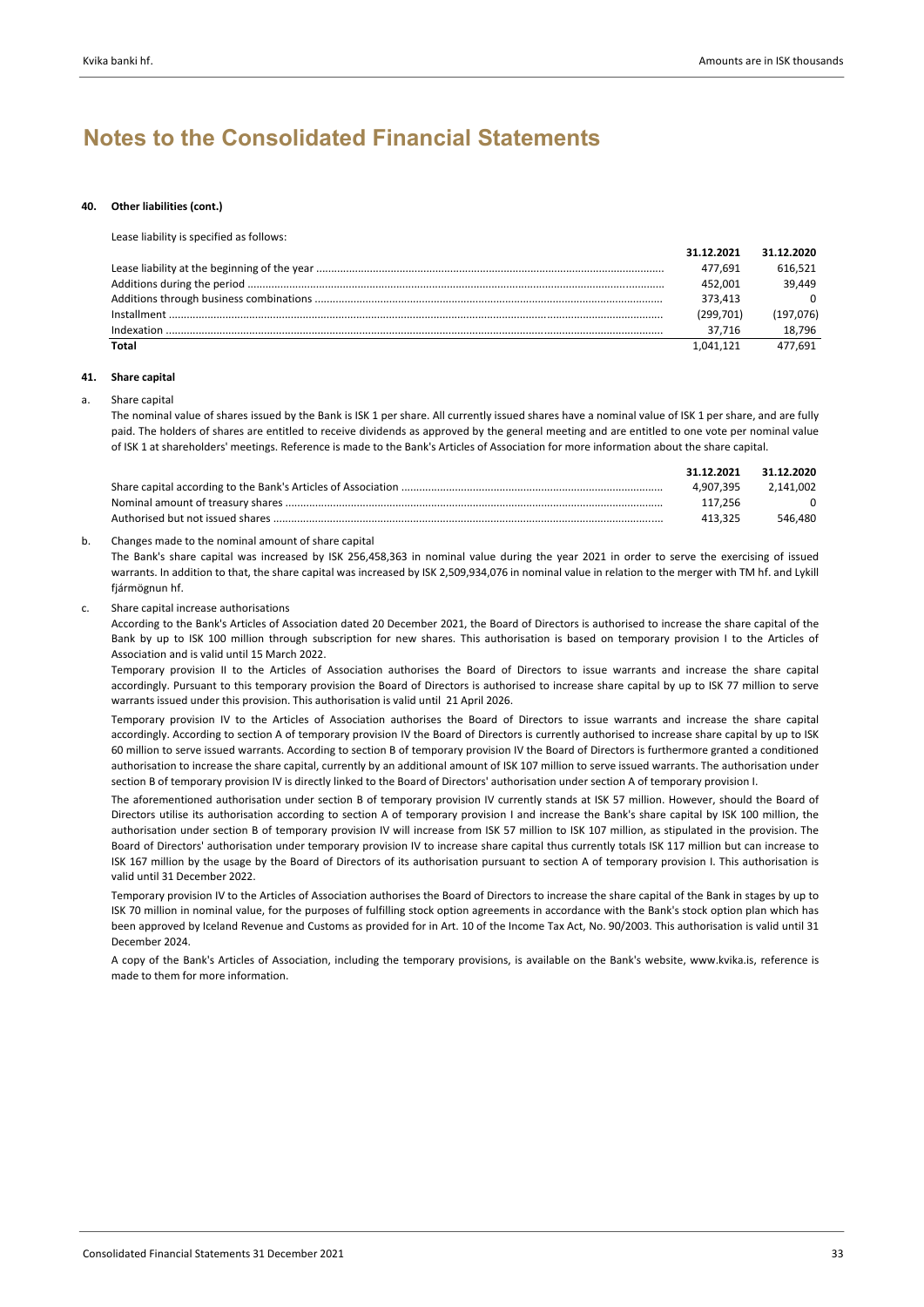#### **40. Other liabilities (cont.)**

Lease liability is specified as follows:

|       | 31.12.2021 | 31.12.2020 |
|-------|------------|------------|
|       | 477.691    | 616.521    |
|       | 452.001    | 39.449     |
|       | 373.413    | $\Omega$   |
|       | (299.701)  | (197, 076) |
|       | 37.716     | 18.796     |
| Total | 1.041.121  | 477.691    |

#### **41. Share capital**

#### Share capital

The nominal value of shares issued by the Bank is ISK 1 per share. All currently issued shares have a nominal value of ISK 1 per share, and are fully paid. The holders of shares are entitled to receive dividends as approved by the general meeting and are entitled to one vote per nominal value of ISK 1 at shareholders' meetings. Reference is made to the Bank's Articles of Association for more information about the share capital.

| 31.12.2021 | 31.12.2020 |
|------------|------------|
| 4.907.395  | 2.141.002  |
| 117.256    | $\Omega$   |
| 413.325    | 546.480    |

#### b. Changes made to the nominal amount of share capital

The Bank's share capital was increased by ISK 256,458,363 in nominal value during the year 2021 in order to serve the exercising of issued warrants. In addition to that, the share capital was increased by ISK 2,509,934,076 in nominal value in relation to the merger with TM hf. and Lykill fjármögnun hf.

#### Share capital increase authorisations

According to the Bank's Articles of Association dated 20 December 2021, the Board of Directors is authorised to increase the share capital of the Bank by up to ISK 100 million through subscription for new shares. This authorisation is based on temporary provision I to the Articles of Association and is valid until 15 March 2022.

Temporary provision II to the Articles of Association authorises the Board of Directors to issue warrants and increase the share capital accordingly. Pursuant to this temporary provision the Board of Directors is authorised to increase share capital by up to ISK 77 million to serve warrants issued under this provision. This authorisation is valid until 21 April 2026.

Temporary provision IV to the Articles of Association authorises the Board of Directors to issue warrants and increase the share capital accordingly. According to section A of temporary provision IV the Board of Directors is currently authorised to increase share capital by up to ISK 60 million to serve issued warrants. According to section B of temporary provision IV the Board of Directors is furthermore granted a conditioned authorisation to increase the share capital, currently by an additional amount of ISK 107 million to serve issued warrants. The authorisation under section B of temporary provision IV is directly linked to the Board of Directors' authorisation under section A of temporary provision I.

The aforementioned authorisation under section B of temporary provision IV currently stands at ISK 57 million. However, should the Board of Directors utilise its authorisation according to section A of temporary provision I and increase the Bank's share capital by ISK 100 million, the authorisation under section B of temporary provision IV will increase from ISK 57 million to ISK 107 million, as stipulated in the provision. The Board of Directors' authorisation under temporary provision IV to increase share capital thus currently totals ISK 117 million but can increase to ISK 167 million by the usage by the Board of Directors of its authorisation pursuant to section A of temporary provision I. This authorisation is valid until 31 December 2022.

Temporary provision IV to the Articles of Association authorises the Board of Directors to increase the share capital of the Bank in stages by up to ISK 70 million in nominal value, for the purposes of fulfilling stock option agreements in accordance with the Bank's stock option plan which has been approved by Iceland Revenue and Customs as provided for in Art. 10 of the Income Tax Act, No. 90/2003. This authorisation is valid until 31 December 2024.

A copy of the Bank's Articles of Association, including the temporary provisions, is available on the Bank's website, www.kvika.is, reference is made to them for more information.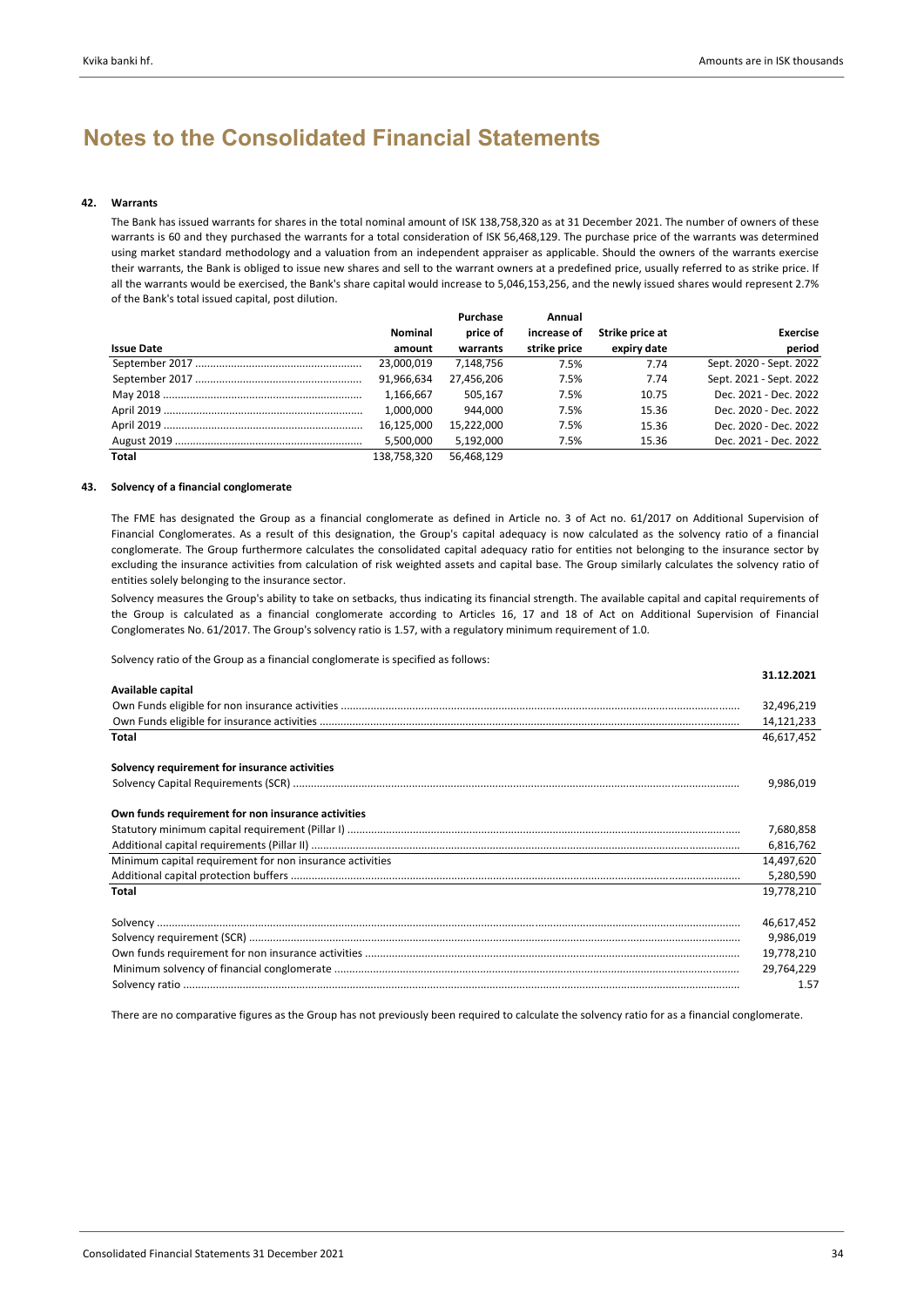**31.12.2021**

### **Notes to the Consolidated Financial Statements**

#### **42. Warrants**

The Bank has issued warrants for shares in the total nominal amount of ISK 138,758,320 as at 31 December 2021. The number of owners of these warrants is 60 and they purchased the warrants for a total consideration of ISK 56,468,129. The purchase price of the warrants was determined using market standard methodology and a valuation from an independent appraiser as applicable. Should the owners of the warrants exercise their warrants, the Bank is obliged to issue new shares and sell to the warrant owners at a predefined price, usually referred to as strike price. If all the warrants would be exercised, the Bank's share capital would increase to 5,046,153,256, and the newly issued shares would represent 2.7% of the Bank's total issued capital, post dilution.

|                   |             | Purchase   | Annual       |                 |                         |
|-------------------|-------------|------------|--------------|-----------------|-------------------------|
|                   | Nominal     | price of   | increase of  | Strike price at | Exercise                |
| <b>Issue Date</b> | amount      | warrants   | strike price | expiry date     | period                  |
|                   | 23.000.019  | 7.148.756  | 7.5%         | 7.74            | Sept. 2020 - Sept. 2022 |
|                   | 91,966,634  | 27,456,206 | 7.5%         | 7.74            | Sept. 2021 - Sept. 2022 |
|                   | 1,166,667   | 505.167    | 7.5%         | 10.75           | Dec. 2021 - Dec. 2022   |
|                   | 1,000,000   | 944.000    | 7.5%         | 15.36           | Dec. 2020 - Dec. 2022   |
|                   | 16,125,000  | 15.222.000 | 7.5%         | 15.36           | Dec. 2020 - Dec. 2022   |
|                   | 5,500,000   | 5,192,000  | 7.5%         | 15.36           | Dec. 2021 - Dec. 2022   |
| Total             | 138,758,320 | 56.468.129 |              |                 |                         |

#### **43. Solvency of a financial conglomerate**

The FME has designated the Group as a financial conglomerate as defined in Article no. 3 of Act no. 61/2017 on Additional Supervision of Financial Conglomerates. As a result of this designation, the Group's capital adequacy is now calculated as the solvency ratio of a financial conglomerate. The Group furthermore calculates the consolidated capital adequacy ratio for entities not belonging to the insurance sector by excluding the insurance activities from calculation of risk weighted assets and capital base. The Group similarly calculates the solvency ratio of entities solely belonging to the insurance sector.

Solvency measures the Group's ability to take on setbacks, thus indicating its financial strength. The available capital and capital requirements of the Group is calculated as a financial conglomerate according to Articles 16, 17 and 18 of Act on Additional Supervision of Financial Conglomerates No. 61/2017. The Group's solvency ratio is 1.57, with a regulatory minimum requirement of 1.0.

Solvency ratio of the Group as a financial conglomerate is specified as follows:

|                                                          | 31.12.2021 |
|----------------------------------------------------------|------------|
| Available capital                                        |            |
|                                                          | 32,496,219 |
|                                                          | 14,121,233 |
| Total                                                    | 46,617,452 |
|                                                          |            |
| Solvency requirement for insurance activities            |            |
|                                                          | 9,986,019  |
| Own funds requirement for non insurance activities       |            |
|                                                          | 7,680,858  |
|                                                          | 6,816,762  |
| Minimum capital requirement for non insurance activities | 14,497,620 |
|                                                          | 5,280,590  |
| Total                                                    | 19,778,210 |
|                                                          | 46,617,452 |
|                                                          | 9,986,019  |
|                                                          | 19,778,210 |
|                                                          | 29,764,229 |
|                                                          | 1.57       |

There are no comparative figures as the Group has not previously been required to calculate the solvency ratio for as a financial conglomerate.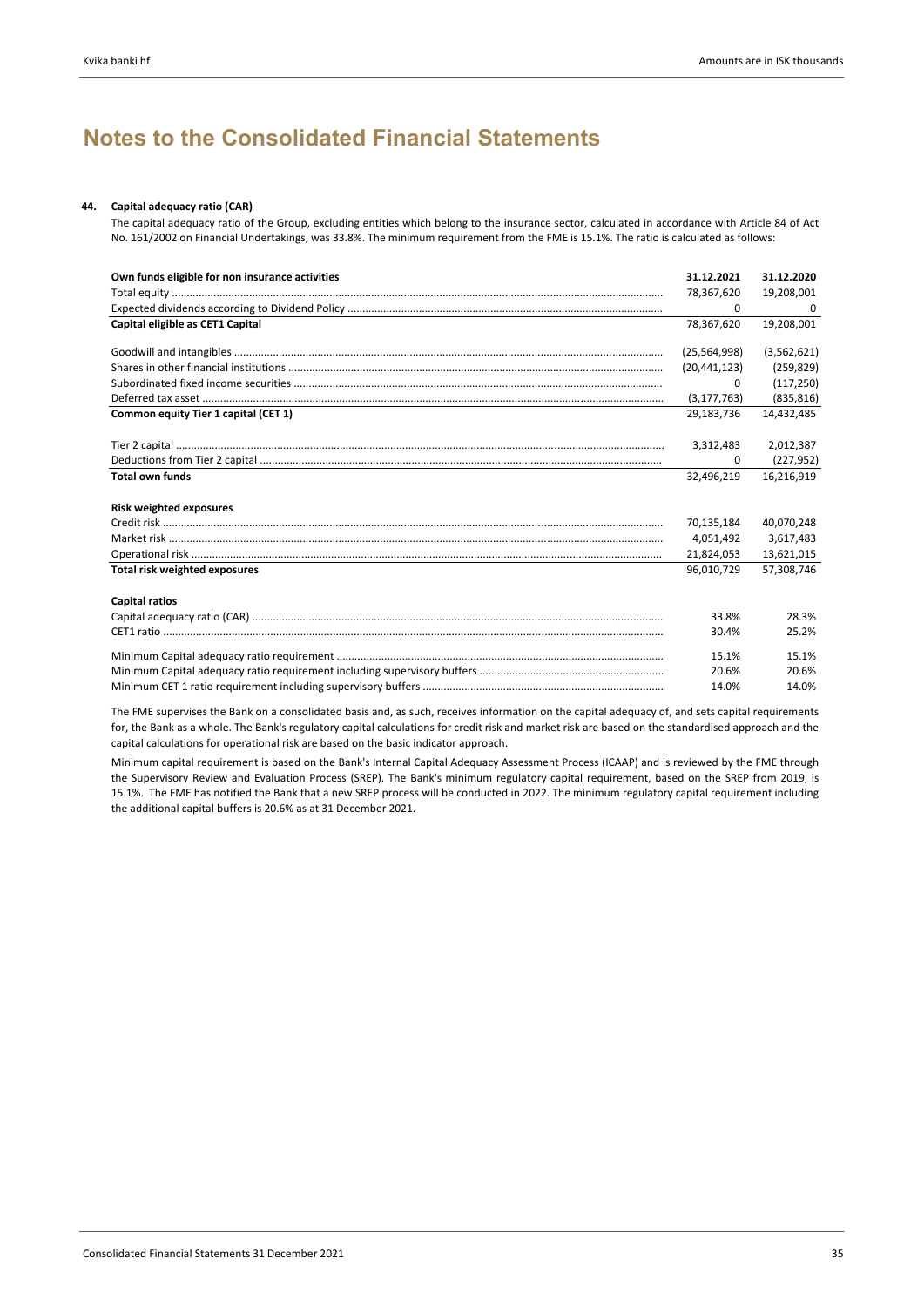# **44. Capital adequacy ratio (CAR)**

The capital adequacy ratio of the Group, excluding entities which belong to the insurance sector, calculated in accordance with Article 84 of Act No. 161/2002 on Financial Undertakings, was 33.8%. The minimum requirement from the FME is 15.1%. The ratio is calculated as follows:

| Own funds eligible for non insurance activities | 31.12.2021     | 31.12.2020    |
|-------------------------------------------------|----------------|---------------|
|                                                 | 78,367,620     | 19,208,001    |
|                                                 | 0              | $\Omega$      |
| Capital eligible as CET1 Capital                | 78.367.620     | 19,208,001    |
|                                                 | (25, 564, 998) | (3, 562, 621) |
|                                                 | (20, 441, 123) | (259, 829)    |
|                                                 | 0              | (117, 250)    |
|                                                 | (3, 177, 763)  | (835, 816)    |
| Common equity Tier 1 capital (CET 1)            | 29,183,736     | 14,432,485    |
|                                                 | 3,312,483      | 2,012,387     |
|                                                 | 0              | (227, 952)    |
| <b>Total own funds</b>                          | 32,496,219     | 16,216,919    |
| <b>Risk weighted exposures</b>                  |                |               |
|                                                 | 70,135,184     | 40,070,248    |
|                                                 | 4,051,492      | 3,617,483     |
|                                                 | 21,824,053     | 13,621,015    |
| <b>Total risk weighted exposures</b>            | 96,010,729     | 57,308,746    |
| <b>Capital ratios</b>                           |                |               |
|                                                 | 33.8%          | 28.3%         |
|                                                 | 30.4%          | 25.2%         |
|                                                 | 15.1%          | 15.1%         |
|                                                 | 20.6%          | 20.6%         |
|                                                 | 14.0%          | 14.0%         |

The FME supervises the Bank on a consolidated basis and, as such, receives information on the capital adequacy of, and sets capital requirements for, the Bank as a whole. The Bank's regulatory capital calculations for credit risk and market risk are based on the standardised approach and the capital calculations for operational risk are based on the basic indicator approach.

Minimum capital requirement is based on the Bank's Internal Capital Adequacy Assessment Process (ICAAP) and is reviewed by the FME through the Supervisory Review and Evaluation Process (SREP). The Bank's minimum regulatory capital requirement, based on the SREP from 2019, is 15.1%. The FME has notified the Bank that a new SREP process will be conducted in 2022. The minimum regulatory capital requirement including the additional capital buffers is 20.6% as at 31 December 2021.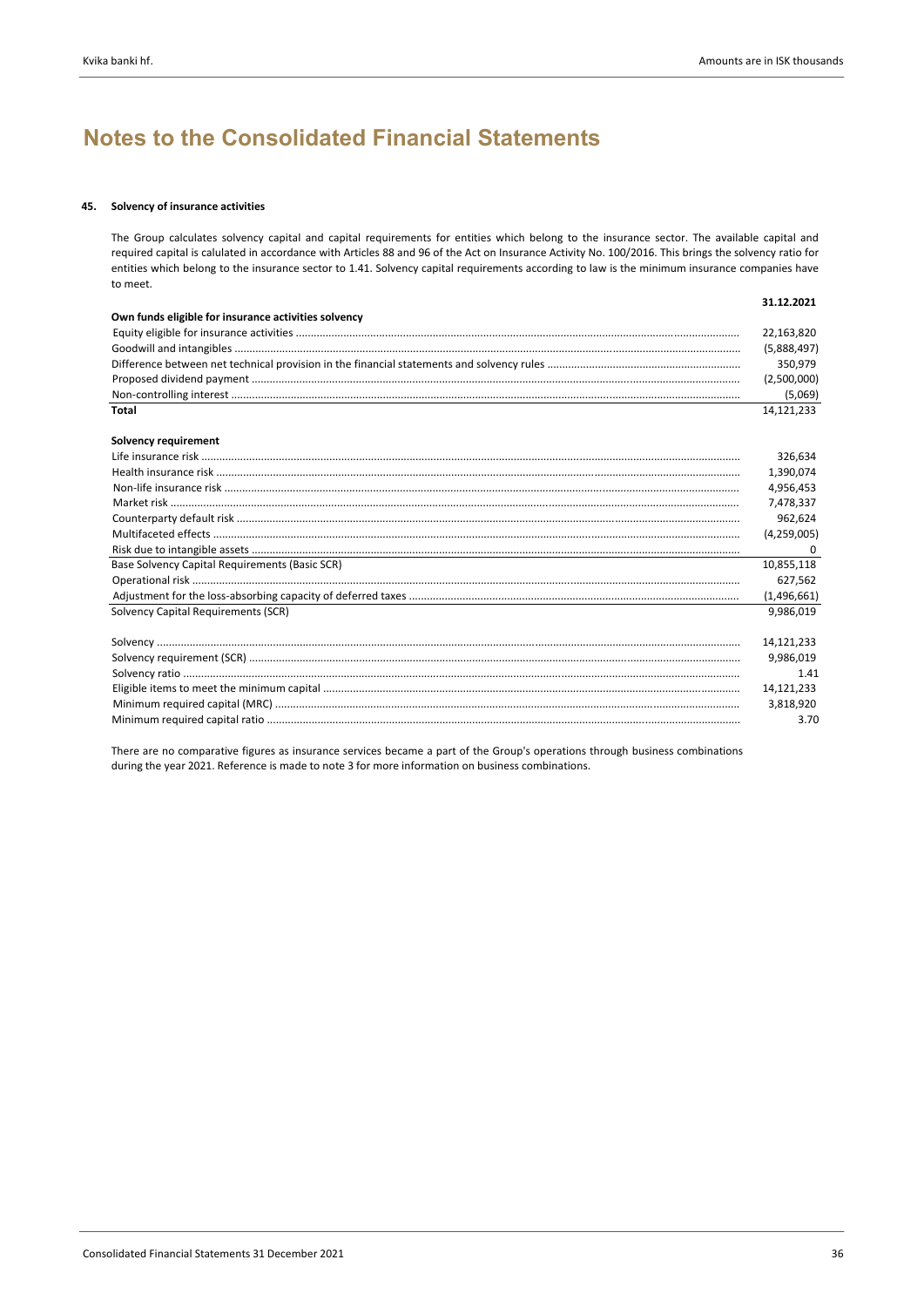# **45. Solvency of insurance activities**

The Group calculates solvency capital and capital requirements for entities which belong to the insurance sector. The available capital and required capital is calulated in accordance with Articles 88 and 96 of the Act on Insurance Activity No. 100/2016. This brings the solvency ratio for entities which belong to the insurance sector to 1.41. Solvency capital requirements according to law is the minimum insurance companies have to meet.

|                                                      | 31.12.2021    |
|------------------------------------------------------|---------------|
| Own funds eligible for insurance activities solvency |               |
|                                                      | 22,163,820    |
|                                                      | (5,888,497)   |
|                                                      | 350,979       |
|                                                      | (2,500,000)   |
|                                                      | (5,069)       |
| Total                                                | 14,121,233    |
| Solvency requirement                                 |               |
|                                                      | 326,634       |
|                                                      | 1,390,074     |
|                                                      | 4,956,453     |
|                                                      | 7,478,337     |
|                                                      | 962,624       |
|                                                      | (4, 259, 005) |
|                                                      | 0             |
| Base Solvency Capital Requirements (Basic SCR)       | 10,855,118    |
|                                                      | 627,562       |
|                                                      | (1,496,661)   |
| Solvency Capital Requirements (SCR)                  | 9,986,019     |
|                                                      | 14,121,233    |
|                                                      | 9,986,019     |
|                                                      | 1.41          |
|                                                      | 14,121,233    |
|                                                      | 3,818,920     |
|                                                      | 3.70          |

There are no comparative figures as insurance services became a part of the Group's operations through business combinations during the year 2021. Reference is made to note 3 for more information on business combinations.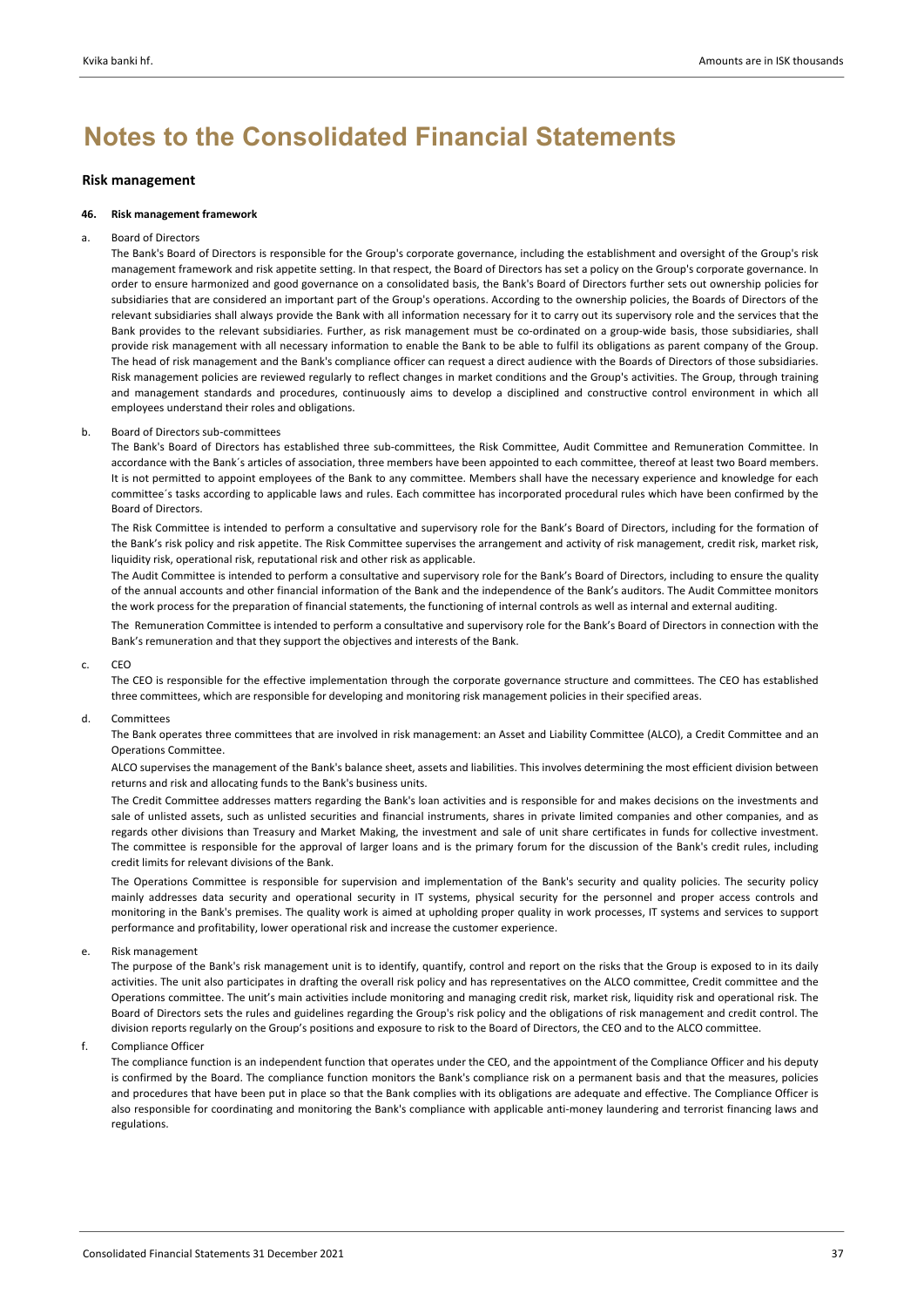# **Risk management**

### **46. Risk management framework**

### a. Board of Directors

The Bank's Board of Directors is responsible for the Group's corporate governance, including the establishment and oversight of the Group's risk management framework and risk appetite setting. In that respect, the Board of Directors has set a policy on the Group's corporate governance. In order to ensure harmonized and good governance on a consolidated basis, the Bank's Board of Directors further sets out ownership policies for subsidiaries that are considered an important part of the Group's operations. According to the ownership policies, the Boards of Directors of the relevant subsidiaries shall always provide the Bank with all information necessary for it to carry out its supervisory role and the services that the Bank provides to the relevant subsidiaries. Further, as risk management must be co-ordinated on a group-wide basis, those subsidiaries, shall provide risk management with all necessary information to enable the Bank to be able to fulfil its obligations as parent company of the Group. The head of risk management and the Bank's compliance officer can request a direct audience with the Boards of Directors of those subsidiaries. Risk management policies are reviewed regularly to reflect changes in market conditions and the Group's activities. The Group, through training and management standards and procedures, continuously aims to develop a disciplined and constructive control environment in which all employees understand their roles and obligations.

### b. Board of Directors sub‐committees

The Bank's Board of Directors has established three sub‐committees, the Risk Committee, Audit Committee and Remuneration Committee. In accordance with the Bank´s articles of association, three members have been appointed to each committee, thereof at least two Board members. It is not permitted to appoint employees of the Bank to any committee. Members shall have the necessary experience and knowledge for each committee´s tasks according to applicable laws and rules. Each committee has incorporated procedural rules which have been confirmed by the Board of Directors.

The Risk Committee is intended to perform a consultative and supervisory role for the Bank's Board of Directors, including for the formation of the Bank's risk policy and risk appetite. The Risk Committee supervises the arrangement and activity of risk management, credit risk, market risk, liquidity risk, operational risk, reputational risk and other risk as applicable.

The Audit Committee is intended to perform a consultative and supervisory role for the Bank's Board of Directors, including to ensure the quality of the annual accounts and other financial information of the Bank and the independence of the Bank's auditors. The Audit Committee monitors the work process for the preparation of financial statements, the functioning of internal controls as well as internal and external auditing.

The Remuneration Committee is intended to perform a consultative and supervisory role for the Bank's Board of Directors in connection with the Bank's remuneration and that they support the objectives and interests of the Bank.

### c. CEO

The CEO is responsible for the effective implementation through the corporate governance structure and committees. The CEO has established three committees, which are responsible for developing and monitoring risk management policies in their specified areas.

# d. Committees

The Bank operates three committees that are involved in risk management: an Asset and Liability Committee (ALCO), a Credit Committee and an Operations Committee.

ALCO supervises the management of the Bank's balance sheet, assets and liabilities. This involves determining the most efficient division between returns and risk and allocating funds to the Bank's business units.

The Credit Committee addresses matters regarding the Bank's loan activities and is responsible for and makes decisions on the investments and sale of unlisted assets, such as unlisted securities and financial instruments, shares in private limited companies and other companies, and as regards other divisions than Treasury and Market Making, the investment and sale of unit share certificates in funds for collective investment. The committee is responsible for the approval of larger loans and is the primary forum for the discussion of the Bank's credit rules, including credit limits for relevant divisions of the Bank.

The Operations Committee is responsible for supervision and implementation of the Bank's security and quality policies. The security policy mainly addresses data security and operational security in IT systems, physical security for the personnel and proper access controls and monitoring in the Bank's premises. The quality work is aimed at upholding proper quality in work processes, IT systems and services to support performance and profitability, lower operational risk and increase the customer experience.

### e. Risk management

The purpose of the Bank's risk management unit is to identify, quantify, control and report on the risks that the Group is exposed to in its daily activities. The unit also participates in drafting the overall risk policy and has representatives on the ALCO committee, Credit committee and the Operations committee. The unit's main activities include monitoring and managing credit risk, market risk, liquidity risk and operational risk. The Board of Directors sets the rules and guidelines regarding the Group's risk policy and the obligations of risk management and credit control. The division reports regularly on the Group's positions and exposure to risk to the Board of Directors, the CEO and to the ALCO committee.

f. Compliance Officer

The compliance function is an independent function that operates under the CEO, and the appointment of the Compliance Officer and his deputy is confirmed by the Board. The compliance function monitors the Bank's compliance risk on a permanent basis and that the measures, policies and procedures that have been put in place so that the Bank complies with its obligations are adequate and effective. The Compliance Officer is also responsible for coordinating and monitoring the Bank's compliance with applicable anti-money laundering and terrorist financing laws and regulations.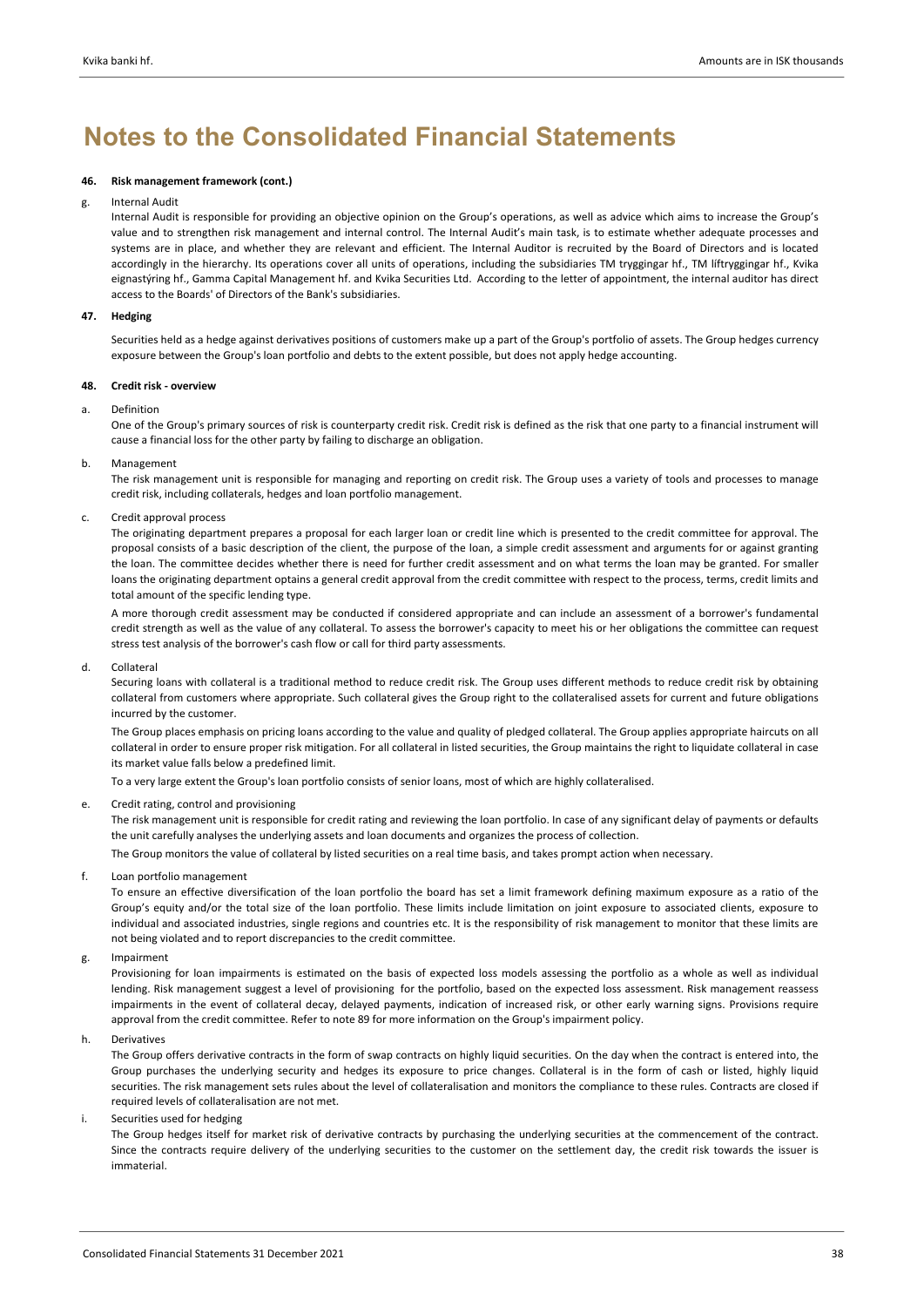# **46. Risk management framework (cont.)**

#### g. Internal Audit

Internal Audit is responsible for providing an objective opinion on the Group's operations, as well as advice which aims to increase the Group's value and to strengthen risk management and internal control. The Internal Audit's main task, is to estimate whether adequate processes and systems are in place, and whether they are relevant and efficient. The Internal Auditor is recruited by the Board of Directors and is located accordingly in the hierarchy. Its operations cover all units of operations, including the subsidiaries TM tryggingar hf., TM líftryggingar hf., Kvika eignastýring hf., Gamma Capital Management hf. and Kvika Securities Ltd. According to the letter of appointment, the internal auditor has direct access to the Boards' of Directors of the Bank's subsidiaries.

# **47. Hedging**

Securities held as a hedge against derivatives positions of customers make up a part of the Group's portfolio of assets. The Group hedges currency exposure between the Group's loan portfolio and debts to the extent possible, but does not apply hedge accounting.

### **48. Credit risk ‐ overview**

# a. Definition

One of the Group's primary sources of risk is counterparty credit risk. Credit risk is defined as the risk that one party to a financial instrument will cause a financial loss for the other party by failing to discharge an obligation.

b. Management

The risk management unit is responsible for managing and reporting on credit risk. The Group uses a variety of tools and processes to manage credit risk, including collaterals, hedges and loan portfolio management.

c. Credit approval process

The originating department prepares a proposal for each larger loan or credit line which is presented to the credit committee for approval. The proposal consists of a basic description of the client, the purpose of the loan, a simple credit assessment and arguments for or against granting the loan. The committee decides whether there is need for further credit assessment and on what terms the loan may be granted. For smaller loans the originating department optains a general credit approval from the credit committee with respect to the process, terms, credit limits and total amount of the specific lending type.

A more thorough credit assessment may be conducted if considered appropriate and can include an assessment of a borrower's fundamental credit strength as well as the value of any collateral. To assess the borrower's capacity to meet his or her obligations the committee can request stress test analysis of the borrower's cash flow or call for third party assessments.

d. Collateral

Securing loans with collateral is a traditional method to reduce credit risk. The Group uses different methods to reduce credit risk by obtaining collateral from customers where appropriate. Such collateral gives the Group right to the collateralised assets for current and future obligations incurred by the customer.

The Group places emphasis on pricing loans according to the value and quality of pledged collateral. The Group applies appropriate haircuts on all collateral in order to ensure proper risk mitigation. For all collateral in listed securities, the Group maintains the right to liquidate collateral in case its market value falls below a predefined limit.

To a very large extent the Group's loan portfolio consists of senior loans, most of which are highly collateralised.

e. Credit rating, control and provisioning

The risk management unit is responsible for credit rating and reviewing the loan portfolio. In case of any significant delay of payments or defaults the unit carefully analyses the underlying assets and loan documents and organizes the process of collection.

The Group monitors the value of collateral by listed securities on a real time basis, and takes prompt action when necessary.

f. Loan portfolio management

To ensure an effective diversification of the loan portfolio the board has set a limit framework defining maximum exposure as a ratio of the Group's equity and/or the total size of the loan portfolio. These limits include limitation on joint exposure to associated clients, exposure to individual and associated industries, single regions and countries etc. It is the responsibility of risk management to monitor that these limits are not being violated and to report discrepancies to the credit committee.

g. Impairment

Provisioning for loan impairments is estimated on the basis of expected loss models assessing the portfolio as a whole as well as individual lending. Risk management suggest a level of provisioning for the portfolio, based on the expected loss assessment. Risk management reassess impairments in the event of collateral decay, delayed payments, indication of increased risk, or other early warning signs. Provisions require approval from the credit committee. Refer to note 89 for more information on the Group's impairment policy.

h. Derivatives

The Group offers derivative contracts in the form of swap contracts on highly liquid securities. On the day when the contract is entered into, the Group purchases the underlying security and hedges its exposure to price changes. Collateral is in the form of cash or listed, highly liquid securities. The risk management sets rules about the level of collateralisation and monitors the compliance to these rules. Contracts are closed if required levels of collateralisation are not met.

i. Securities used for hedging

The Group hedges itself for market risk of derivative contracts by purchasing the underlying securities at the commencement of the contract. Since the contracts require delivery of the underlying securities to the customer on the settlement day, the credit risk towards the issuer is immaterial.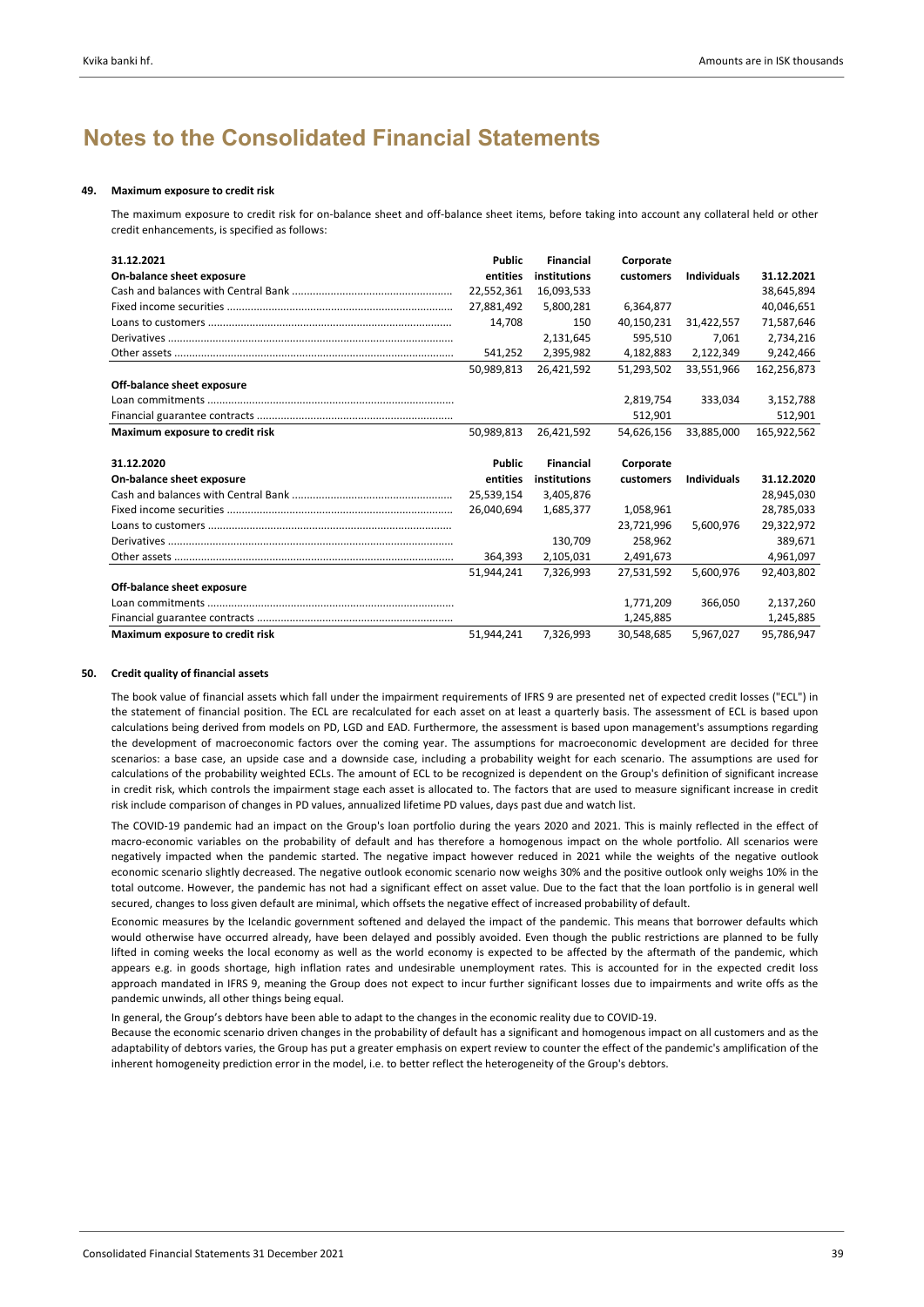#### **49. Maximum exposure to credit risk**

The maximum exposure to credit risk for on‐balance sheet and off‐balance sheet items, before taking into account any collateral held or other credit enhancements, is specified as follows:

| 31.12.2021                      | Public     | <b>Financial</b> | Corporate  |                    |             |
|---------------------------------|------------|------------------|------------|--------------------|-------------|
| On-balance sheet exposure       | entities   | institutions     | customers  | <b>Individuals</b> | 31.12.2021  |
|                                 | 22,552,361 | 16,093,533       |            |                    | 38,645,894  |
|                                 | 27,881,492 | 5,800,281        | 6.364.877  |                    | 40,046,651  |
|                                 | 14,708     | 150              | 40,150,231 | 31,422,557         | 71,587,646  |
|                                 |            | 2,131,645        | 595,510    | 7,061              | 2,734,216   |
|                                 | 541,252    | 2,395,982        | 4,182,883  | 2,122,349          | 9,242,466   |
|                                 | 50.989.813 | 26,421,592       | 51,293,502 | 33,551,966         | 162,256,873 |
| Off-balance sheet exposure      |            |                  |            |                    |             |
|                                 |            |                  | 2,819,754  | 333,034            | 3,152,788   |
|                                 |            |                  | 512,901    |                    | 512,901     |
| Maximum exposure to credit risk | 50,989,813 | 26,421,592       | 54,626,156 | 33,885,000         | 165,922,562 |
|                                 |            |                  |            |                    |             |
| 31.12.2020                      | Public     | Financial        | Corporate  |                    |             |
| On-balance sheet exposure       | entities   | institutions     | customers  | <b>Individuals</b> | 31.12.2020  |
|                                 | 25,539,154 | 3,405,876        |            |                    | 28,945,030  |
|                                 | 26,040,694 | 1,685,377        | 1,058,961  |                    | 28,785,033  |
|                                 |            |                  | 23,721,996 | 5,600,976          | 29,322,972  |
|                                 |            | 130.709          | 258.962    |                    | 389,671     |
|                                 | 364,393    | 2,105,031        | 2,491,673  |                    | 4,961,097   |
|                                 | 51.944.241 | 7.326.993        | 27,531,592 | 5.600.976          | 92,403,802  |
| Off-balance sheet exposure      |            |                  |            |                    |             |
|                                 |            |                  | 1,771,209  | 366,050            | 2,137,260   |
|                                 |            |                  | 1,245,885  |                    | 1,245,885   |
| Maximum exposure to credit risk | 51,944,241 | 7,326,993        | 30,548,685 | 5,967,027          | 95,786,947  |

#### **50. Credit quality of financial assets**

The book value of financial assets which fall under the impairment requirements of IFRS 9 are presented net of expected credit losses ("ECL") in the statement of financial position. The ECL are recalculated for each asset on at least a quarterly basis. The assessment of ECL is based upon calculations being derived from models on PD, LGD and EAD. Furthermore, the assessment is based upon management's assumptions regarding the development of macroeconomic factors over the coming year. The assumptions for macroeconomic development are decided for three scenarios: a base case, an upside case and a downside case, including a probability weight for each scenario. The assumptions are used for calculations of the probability weighted ECLs. The amount of ECL to be recognized is dependent on the Group's definition of significant increase in credit risk, which controls the impairment stage each asset is allocated to. The factors that are used to measure significant increase in credit risk include comparison of changes in PD values, annualized lifetime PD values, days past due and watch list.

The COVID-19 pandemic had an impact on the Group's loan portfolio during the years 2020 and 2021. This is mainly reflected in the effect of macro‐economic variables on the probability of default and has therefore a homogenous impact on the whole portfolio. All scenarios were negatively impacted when the pandemic started. The negative impact however reduced in 2021 while the weights of the negative outlook economic scenario slightly decreased. The negative outlook economic scenario now weighs 30% and the positive outlook only weighs 10% in the total outcome. However, the pandemic has not had a significant effect on asset value. Due to the fact that the loan portfolio is in general well secured, changes to loss given default are minimal, which offsets the negative effect of increased probability of default.

Economic measures by the Icelandic government softened and delayed the impact of the pandemic. This means that borrower defaults which would otherwise have occurred already, have been delayed and possibly avoided. Even though the public restrictions are planned to be fully lifted in coming weeks the local economy as well as the world economy is expected to be affected by the aftermath of the pandemic, which appears e.g. in goods shortage, high inflation rates and undesirable unemployment rates. This is accounted for in the expected credit loss approach mandated in IFRS 9, meaning the Group does not expect to incur further significant losses due to impairments and write offs as the pandemic unwinds, all other things being equal.

In general, the Group's debtors have been able to adapt to the changes in the economic reality due to COVID‐19.

Because the economic scenario driven changes in the probability of default has a significant and homogenous impact on all customers and as the adaptability of debtors varies, the Group has put a greater emphasis on expert review to counter the effect of the pandemic's amplification of the inherent homogeneity prediction error in the model, i.e. to better reflect the heterogeneity of the Group's debtors.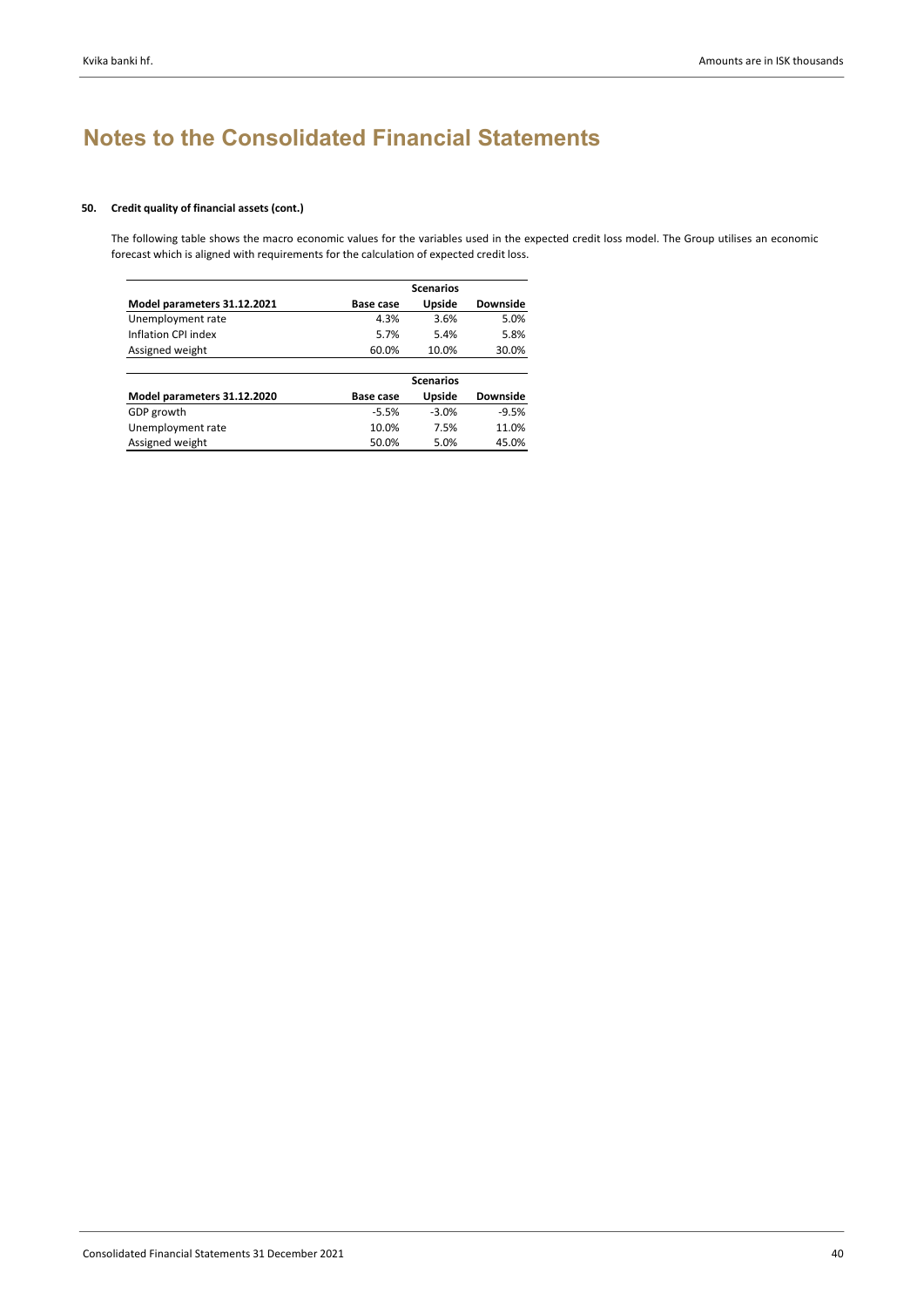# **50. Credit quality of financial assets (cont.)**

The following table shows the macro economic values for the variables used in the expected credit loss model. The Group utilises an economic forecast which is aligned with requirements for the calculation of expected credit loss.

|                             |           | <b>Scenarios</b> |                 |
|-----------------------------|-----------|------------------|-----------------|
| Model parameters 31.12.2021 | Base case | Upside           | Downside        |
| Unemployment rate           | 4.3%      | 3.6%             | 5.0%            |
| Inflation CPI index         | 5.7%      | 5.4%             | 5.8%            |
| Assigned weight             | 60.0%     | 10.0%            | 30.0%           |
|                             |           | <b>Scenarios</b> |                 |
| Model parameters 31.12.2020 | Base case | Upside           | <b>Downside</b> |
| GDP growth                  | $-5.5%$   | $-3.0%$          | $-9.5%$         |
| Unemployment rate           | 10.0%     | 7.5%             | 11.0%           |
| Assigned weight             | 50.0%     | 5.0%             | 45.0%           |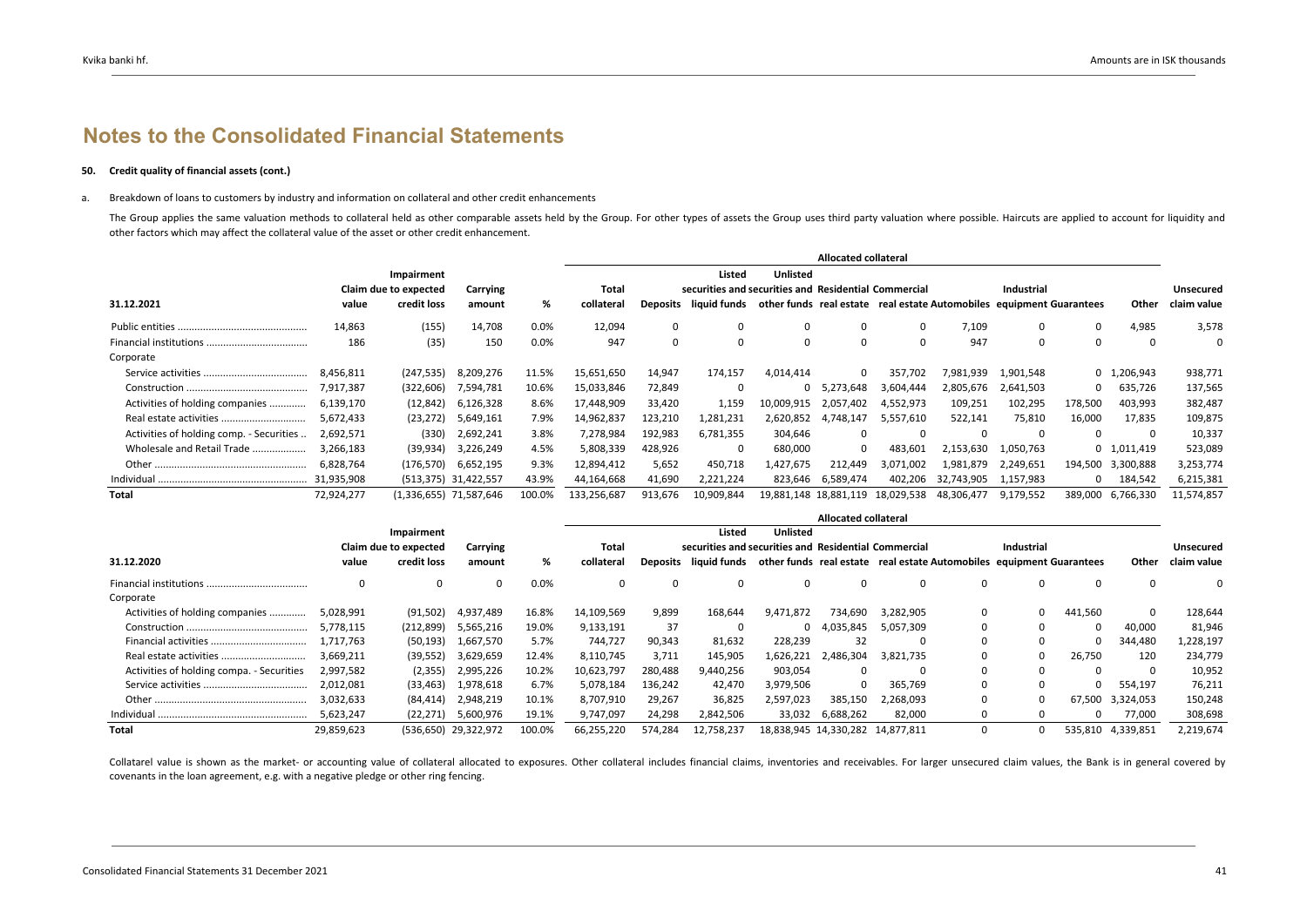#### **50. Credit quality of financial assets (cont.)**

#### a. Breakdown of loans to customers by industry and information on collateral and other credit enhancements

The Group applies the same valuation methods to collateral held as other comparable assets held by the Group. For other types of assets the Group uses third party valuation where possible. Haircuts are applied to account f other factors which may affect the collateral value of the asset or other credit enhancement.

|                                          |            |                        |                      |        | <b>Allocated collateral</b> |          |                                                      |                                                                      |                       |            |            |             |              |             |             |
|------------------------------------------|------------|------------------------|----------------------|--------|-----------------------------|----------|------------------------------------------------------|----------------------------------------------------------------------|-----------------------|------------|------------|-------------|--------------|-------------|-------------|
|                                          |            | Impairment             |                      |        |                             |          | Listed                                               | <b>Unlisted</b>                                                      |                       |            |            |             |              |             |             |
|                                          |            | Claim due to expected  | Carrying             |        | Total                       |          | securities and securities and Residential Commercial |                                                                      |                       |            |            | Industrial  |              |             | Unsecured   |
| 31.12.2021                               | value      | credit loss            | amount               | %      | collateral                  | Deposits | liauid funds                                         | other funds real estate real estate Automobiles equipment Guarantees |                       |            |            |             |              | Other       | claim value |
|                                          | 14,863     | (155)                  | 14,708               | 0.0%   | 12,094                      | 0        |                                                      | 0                                                                    | 0                     | 0          | 7,109      | 0           | 0            | 4,985       | 3,578       |
|                                          | 186        | (35)                   | 150                  | 0.0%   | 947                         | 0        |                                                      | $\Omega$                                                             | 0                     | 0          | 947        | $\mathbf 0$ | $\mathbf 0$  | 0           | 0           |
| Corporate                                |            |                        |                      |        |                             |          |                                                      |                                                                      |                       |            |            |             |              |             |             |
|                                          | 8.456.811  | (247, 535)             | 8,209,276            | 11.5%  | 15,651,650                  | 14,947   | 174,157                                              | 4,014,414                                                            | 0                     | 357.702    | 7,981,939  | 1,901,548   |              | 0 1,206,943 | 938,771     |
|                                          | 7.917.387  | (322, 606)             | 7,594,781            | 10.6%  | 15,033,846                  | 72.849   |                                                      |                                                                      | 0, 5.2<br>.648        | 3.604.444  | 2.805.676  | 2,641,503   | $\mathbf{0}$ | 635,726     | 137,565     |
| Activities of holding companies          | 6,139,170  | (12, 842)              | 6,126,328            | 8.6%   | 17,448,909                  | 33,420   | 1,159                                                | 10,009,915                                                           | 2,057,402             | 4,552,973  | 109,251    | 102,295     | 178,500      | 403,993     | 382,487     |
|                                          | 5.672.433  | (23, 272)              | 5,649,161            | 7.9%   | 14,962,837                  | 123,210  | 1,281,231                                            | 2,620,852                                                            | 4.748.147             | 5,557,610  | 522,141    | 75,810      | 16,000       | 17,835      | 109,875     |
| Activities of holding comp. - Securities | 2,692,571  | (330)                  | 2,692,241            | 3.8%   | 7,278,984                   | 192,983  | 6,781,355                                            | 304,646                                                              | 0                     |            | 0          | $\Omega$    | $\Omega$     | $\Omega$    | 10,337      |
| Wholesale and Retail Trade               | 3,266,183  | (39, 934)              | 3,226,249            | 4.5%   | 5,808,339                   | 428,926  | $\Omega$                                             | 680,000                                                              | 0                     | 483,601    | 2,153,630  | 1,050,763   |              | 0 1,011,419 | 523,089     |
|                                          | 6.828.764  | (176, 570)             | 6,652,195            | 9.3%   | 12,894,412                  | 5,652    | 450,718                                              | 1,427,675                                                            | 212.449               | 3,071,002  | 1.981.879  | 2.249.651   | 194,500      | 3,300,888   | 3,253,774   |
|                                          | 31.935.908 |                        | (513,375) 31,422,557 | 43.9%  | 44,164,668                  | 41,690   | 2,221,224                                            | 823.646                                                              | 6,589,474             | 402.206    | 32.743.905 | 1,157,983   | 0            | 184,542     | 6,215,381   |
| Total                                    | 72.924.277 | (1,336,655) 71,587,646 |                      | 100.0% | 133,256,687                 | 913,676  | 10,909,844                                           |                                                                      | 19,881,148 18,881,119 | 18,029,538 | 48.306.477 | 9,179,552   | 389.000      | 6.766.330   | 11,574,857  |

|                                           |            |                       |                      |        | <b>Allocated collateral</b> |          |                                                      |                                  |             |                                                                                   |   |                   |         |           |             |
|-------------------------------------------|------------|-----------------------|----------------------|--------|-----------------------------|----------|------------------------------------------------------|----------------------------------|-------------|-----------------------------------------------------------------------------------|---|-------------------|---------|-----------|-------------|
|                                           |            | Impairment            |                      |        |                             |          | Listed                                               | <b>Unlisted</b>                  |             |                                                                                   |   |                   |         |           |             |
|                                           |            | Claim due to expected | Carrying             |        | Total                       |          | securities and securities and Residential Commercial |                                  |             |                                                                                   |   | <b>Industrial</b> |         |           | Unsecured   |
| 31.12.2020                                | value      | credit loss           | amount               | ℅      | collateral                  | Deposits |                                                      |                                  |             | liquid funds other funds real estate real estate Automobiles equipment Guarantees |   |                   |         | Other     | claim value |
|                                           |            | $\Omega$              | $\Omega$             | 0.0%   |                             |          | 0                                                    | 0                                |             |                                                                                   | 0 |                   |         |           |             |
| Corporate                                 |            |                       |                      |        |                             |          |                                                      |                                  |             |                                                                                   |   |                   |         |           |             |
| Activities of holding companies           | 5.028.991  | (91, 502)             | 4,937,489            | 16.8%  | 14,109,569                  | 9,899    | 168.644                                              | 9.471.872                        | 734.690     | 3.282.905                                                                         | 0 |                   | 441.560 |           | 128,644     |
|                                           | 5.778.115  | (212,899)             | 5,565,216            | 19.0%  | 9,133,191                   | 37       | 0                                                    |                                  | 0 4.035.845 | 5,057,309                                                                         | 0 |                   |         | 40,000    | 81,946      |
|                                           | 1.717.763  | (50.193)              | 1.667.570            | 5.7%   | 744.727                     | 90.343   | 81,632                                               | 228,239                          | 32          |                                                                                   | 0 |                   |         | 344.480   | 1,228,197   |
|                                           | 3.669.211  | (39, 552)             | 3,629,659            | 12.4%  | 8,110,745                   | 3,711    | 145,905                                              | 1,626,221                        | 2,486,304   | 3,821,735                                                                         | 0 |                   | 26,750  | 120       | 234,779     |
| Activities of holding compa. - Securities | 2.997.582  | (2,355)               | 2,995,226            | 10.2%  | 10,623,797                  | 280,488  | 9,440,256                                            | 903,054                          |             |                                                                                   | 0 |                   |         |           | 10,952      |
|                                           | 2.012.081  | (33, 463)             | 1,978,618            | 6.7%   | 5,078,184                   | 136.242  | 42,470                                               | 3,979,506                        |             | 365.769                                                                           | 0 |                   |         | 554,197   | 76,211      |
|                                           | 3.032.633  | (84, 414)             | 2,948,219            | 10.1%  | 8,707,910                   | 29,267   | 36,825                                               | 2,597,023                        | 385,150     | 2,268,093                                                                         | 0 |                   | 67.500  | 3,324,053 | 150,248     |
|                                           | 5,623,247  | (22, 271)             | 5,600,976            | 19.1%  | 9,747,097                   | 24,298   | 2,842,506                                            | 33,032                           | 6,688,262   | 82,000                                                                            | 0 |                   |         | 77,000    | 308,698     |
| Total                                     | 29,859,623 |                       | (536.650) 29.322.972 | 100.0% | 66.255.220                  | 574.284  | 12.758.237                                           | 18.838.945 14.330.282 14.877.811 |             |                                                                                   | 0 |                   | 535.810 | 4,339,851 | 2.219.674   |

Collatarel value is shown as the market- or accounting value of collateral allocated to exposures. Other collateral includes financial claims, inventories and receivables. For larger unsecured claim values, the Bank is in covenants in the loan agreement, e.g. with <sup>a</sup> negative pledge or other ring fencing.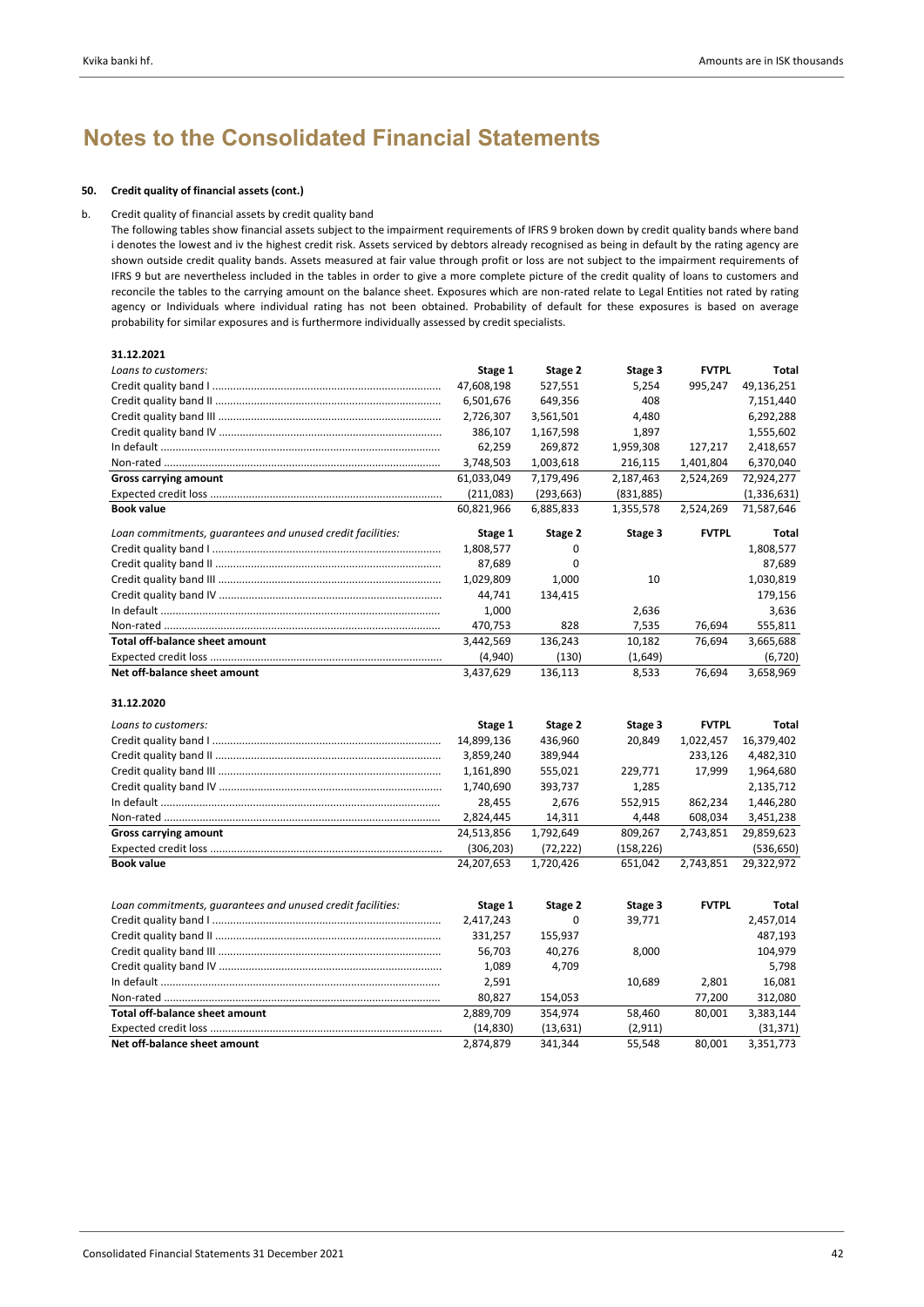# **50. Credit quality of financial assets (cont.)**

#### b. Credit quality of financial assets by credit quality band

The following tables show financial assets subject to the impairment requirements of IFRS 9 broken down by credit quality bands where band i denotes the lowest and iv the highest credit risk. Assets serviced by debtors already recognised as being in default by the rating agency are shown outside credit quality bands. Assets measured at fair value through profit or loss are not subject to the impairment requirements of IFRS 9 but are nevertheless included in the tables in order to give a more complete picture of the credit quality of loans to customers and reconcile the tables to the carrying amount on the balance sheet. Exposures which are non-rated relate to Legal Entities not rated by rating agency or Individuals where individual rating has not been obtained. Probability of default for these exposures is based on average probability for similar exposures and is furthermore individually assessed by credit specialists.

| 31.12.2021                                                 |                      |                   |                   |              |                    |
|------------------------------------------------------------|----------------------|-------------------|-------------------|--------------|--------------------|
| Loans to customers:                                        | Stage 1              | Stage 2           | Stage 3           | <b>FVTPL</b> | Total              |
|                                                            | 47,608,198           | 527,551           | 5,254             | 995,247      | 49,136,251         |
|                                                            | 6,501,676            | 649,356           | 408               |              | 7,151,440          |
|                                                            | 2,726,307            | 3,561,501         | 4,480             |              | 6,292,288          |
|                                                            | 386,107              | 1,167,598         | 1,897             |              | 1,555,602          |
|                                                            | 62,259               | 269,872           | 1,959,308         | 127,217      | 2,418,657          |
|                                                            | 3,748,503            | 1,003,618         | 216,115           | 1,401,804    | 6,370,040          |
| <b>Gross carrying amount</b>                               | 61,033,049           | 7,179,496         | 2,187,463         | 2,524,269    | 72,924,277         |
|                                                            | (211,083)            | (293, 663)        | (831, 885)        |              | (1,336,631)        |
| <b>Book value</b>                                          | 60,821,966           | 6,885,833         | 1,355,578         | 2,524,269    | 71,587,646         |
| Loan commitments, guarantees and unused credit facilities: | Stage 1              | Stage 2           | Stage 3           | <b>FVTPL</b> | <b>Total</b>       |
|                                                            | 1,808,577            | 0                 |                   |              | 1,808,577          |
|                                                            | 87,689               | $\mathbf 0$       |                   |              | 87,689             |
|                                                            | 1,029,809            | 1,000             | 10                |              | 1,030,819          |
|                                                            | 44,741               | 134,415           |                   |              | 179,156            |
|                                                            | 1,000                |                   | 2,636             |              | 3,636              |
|                                                            | 470,753              | 828               | 7,535             | 76,694       | 555,811            |
| Total off-balance sheet amount                             | 3,442,569            | 136,243           | 10,182            | 76,694       | 3,665,688          |
|                                                            | (4,940)              | (130)             | (1,649)           |              | (6, 720)           |
| Net off-balance sheet amount                               | 3,437,629            | 136,113           | 8,533             | 76,694       | 3,658,969          |
|                                                            |                      |                   |                   |              |                    |
| 31.12.2020                                                 |                      |                   |                   |              |                    |
| Loans to customers:                                        | Stage 1              | Stage 2           | Stage 3           | <b>FVTPL</b> | Total              |
|                                                            | 14,899,136           | 436,960           | 20,849            | 1,022,457    | 16,379,402         |
|                                                            | 3,859,240            | 389,944           |                   | 233,126      | 4,482,310          |
|                                                            | 1,161,890            | 555,021           | 229,771           | 17,999       | 1,964,680          |
|                                                            | 1,740,690            | 393,737           | 1,285             |              | 2,135,712          |
|                                                            | 28,455               | 2,676             | 552,915           | 862,234      | 1,446,280          |
|                                                            | 2,824,445            | 14,311            | 4,448             | 608,034      | 3,451,238          |
| <b>Gross carrying amount</b>                               | 24,513,856           | 1,792,649         | 809,267           | 2,743,851    | 29,859,623         |
|                                                            | (306, 203)           | (72, 222)         | (158, 226)        |              | (536, 650)         |
| <b>Book value</b>                                          | 24,207,653           | 1,720,426         | 651,042           | 2,743,851    | 29,322,972         |
|                                                            |                      |                   |                   |              |                    |
|                                                            |                      |                   |                   | <b>FVTPL</b> | Total              |
| Loan commitments, quarantees and unused credit facilities: | Stage 1<br>2,417,243 | Stage 2<br>0      | Stage 3<br>39,771 |              | 2,457,014          |
|                                                            |                      |                   |                   |              |                    |
|                                                            | 331,257<br>56,703    | 155,937<br>40,276 | 8,000             |              | 487,193<br>104,979 |
|                                                            | 1,089                | 4,709             |                   |              | 5,798              |
|                                                            | 2,591                |                   | 10,689            | 2,801        | 16,081             |
|                                                            | 80,827               | 154,053           |                   | 77,200       | 312,080            |

(14,830) (13,631) (2,911) (31,371) **Net off‐balance sheet amount** 2,874,879 341,344 55,548 80,001 3,351,773 Expected credit loss ....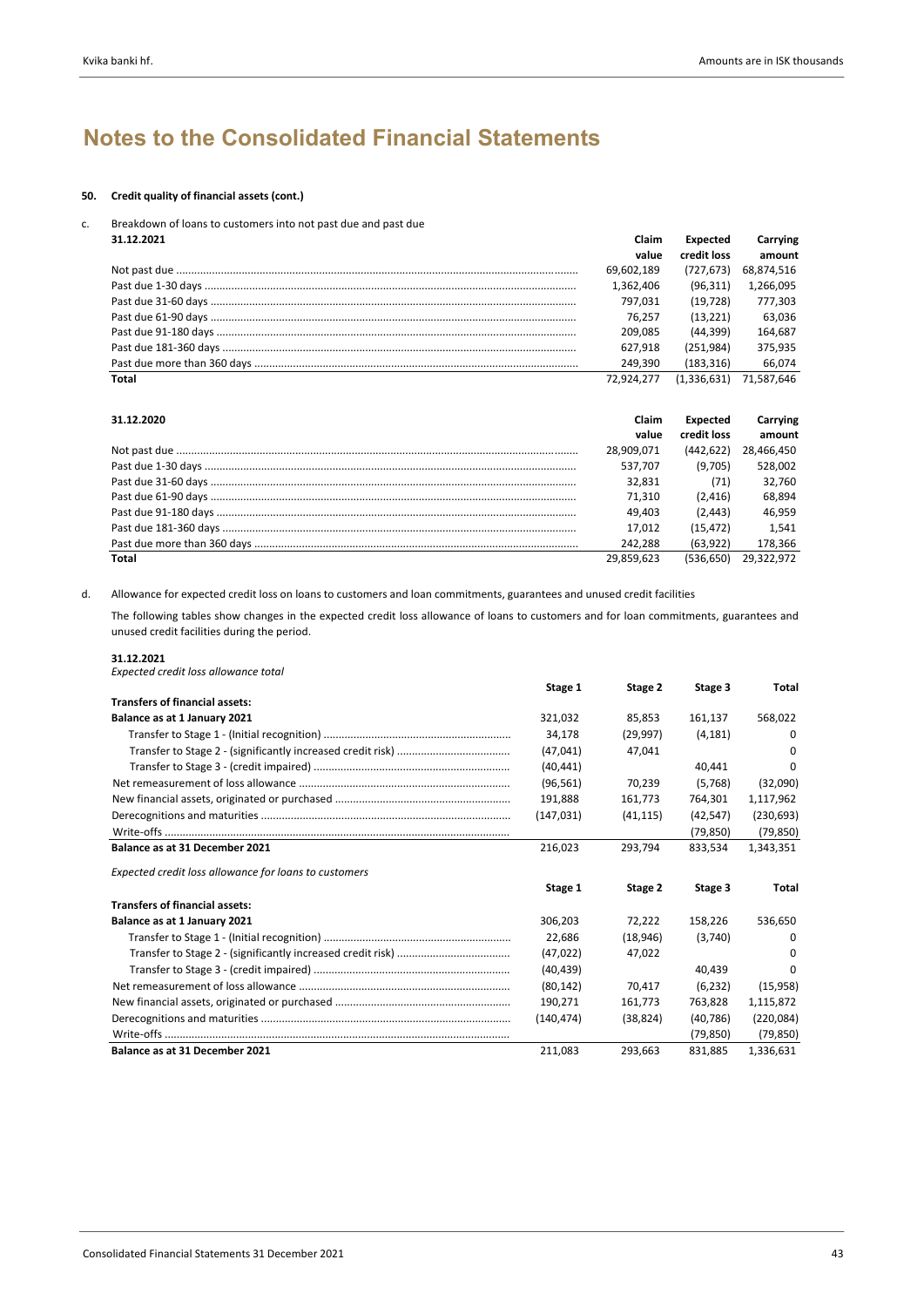# **50. Credit quality of financial assets (cont.)**

c. Breakdown of loans to customers into not past due and past due

| 31.12.2021 | Claim      | Expected    | Carrying   |
|------------|------------|-------------|------------|
|            | value      | credit loss | amount     |
|            | 69,602,189 | (727.673)   | 68,874,516 |
|            | 1,362,406  | (96, 311)   | 1,266,095  |
|            | 797.031    | (19.728)    | 777.303    |
|            | 76.257     | (13.221)    | 63.036     |
|            | 209.085    | (44.399)    | 164.687    |
|            | 627.918    | (251.984)   | 375.935    |
|            | 249.390    | (183, 316)  | 66.074     |
| Total      | 72.924.277 | (1,336,631) | 71.587.646 |

| 31.12.2020 | Claim      | Expected    | Carrying   |
|------------|------------|-------------|------------|
|            | value      | credit loss | amount     |
|            | 28,909,071 | (442.622)   | 28,466,450 |
|            | 537.707    | (9,705)     | 528,002    |
|            | 32.831     | (71)        | 32.760     |
|            | 71.310     | (2.416)     | 68.894     |
|            | 49.403     | (2.443)     | 46.959     |
|            | 17.012     | (15.472)    | 1.541      |
|            | 242.288    | (63.922)    | 178.366    |
| Total      | 29.859.623 | (536.650)   | 29.322.972 |

d. Allowance for expected credit loss on loans to customers and loan commitments, guarantees and unused credit facilities

The following tables show changes in the expected credit loss allowance of loans to customers and for loan commitments, guarantees and unused credit facilities during the period.

**31.12.2021**

|                                                       | Stage 1    | Stage 2   | Stage 3   | Total        |
|-------------------------------------------------------|------------|-----------|-----------|--------------|
| <b>Transfers of financial assets:</b>                 |            |           |           |              |
| Balance as at 1 January 2021                          | 321,032    | 85,853    | 161,137   | 568,022      |
|                                                       | 34,178     | (29, 997) | (4, 181)  | 0            |
|                                                       | (47, 041)  | 47,041    |           | <sup>0</sup> |
|                                                       | (40, 441)  |           | 40,441    | <sup>0</sup> |
|                                                       | (96, 561)  | 70.239    | (5,768)   | (32,090)     |
|                                                       | 191.888    | 161,773   | 764,301   | 1,117,962    |
|                                                       | (147.031)  | (41, 115) | (42, 547) | (230, 693)   |
|                                                       |            |           | (79, 850) | (79, 850)    |
| Balance as at 31 December 2021                        | 216.023    | 293.794   | 833.534   | 1,343,351    |
| Expected credit loss allowance for loans to customers |            |           |           |              |
|                                                       | Stage 1    | Stage 2   | Stage 3   | Total        |
| <b>Transfers of financial assets:</b>                 |            |           |           |              |
| Balance as at 1 January 2021                          | 306.203    | 72.222    | 158.226   | 536,650      |
|                                                       | 22,686     | (18, 946) | (3,740)   | 0            |
|                                                       | (47, 022)  | 47,022    |           | <sup>0</sup> |
|                                                       | (40, 439)  |           | 40,439    | 0            |
|                                                       | (80, 142)  | 70.417    | (6, 232)  | (15,958)     |
|                                                       | 190.271    | 161,773   | 763,828   | 1,115,872    |
|                                                       | (140, 474) | (38, 824) | (40, 786) | (220,084)    |
|                                                       |            |           | (79, 850) | (79, 850)    |
| Balance as at 31 December 2021                        | 211,083    | 293,663   | 831,885   | 1,336,631    |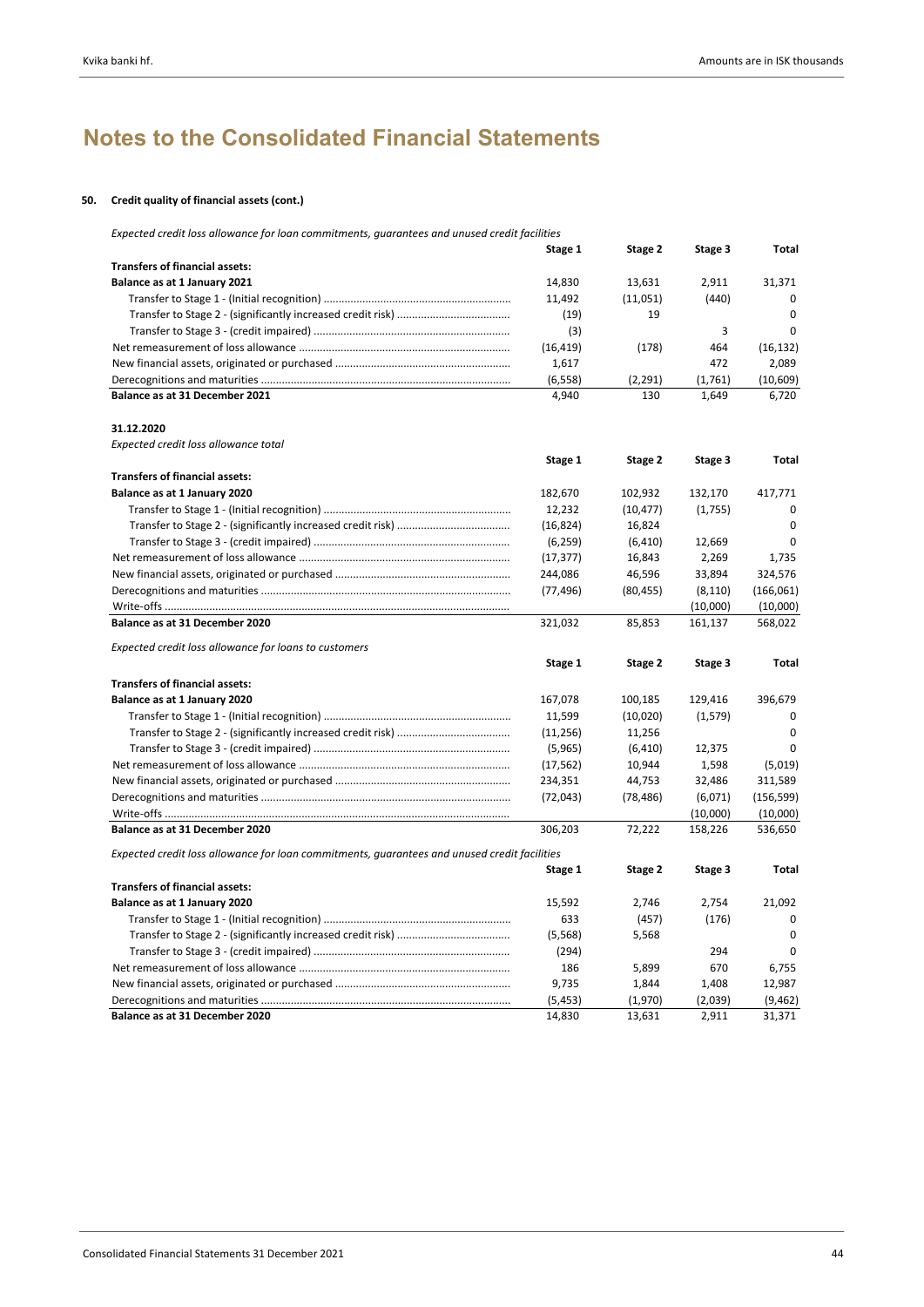# **50. Credit quality of financial assets (cont.)**

*Expected credit loss allowance for loan commitments, guarantees and unused credit facilities*

|                                                                                              | Stage 1   | Stage 2   | Stage 3  | <b>Total</b> |
|----------------------------------------------------------------------------------------------|-----------|-----------|----------|--------------|
| <b>Transfers of financial assets:</b>                                                        |           |           |          |              |
| Balance as at 1 January 2021                                                                 | 14,830    | 13,631    | 2,911    | 31,371       |
|                                                                                              | 11,492    | (11,051)  | (440)    | 0            |
|                                                                                              | (19)      | 19        |          | 0            |
|                                                                                              | (3)       |           | 3        | $\Omega$     |
|                                                                                              | (16, 419) | (178)     | 464      | (16, 132)    |
|                                                                                              | 1,617     |           | 472      | 2,089        |
|                                                                                              | (6, 558)  | (2, 291)  | (1,761)  | (10,609)     |
| Balance as at 31 December 2021                                                               | 4,940     | 130       | 1,649    | 6,720        |
|                                                                                              |           |           |          |              |
| 31.12.2020                                                                                   |           |           |          |              |
| Expected credit loss allowance total                                                         |           |           |          |              |
|                                                                                              | Stage 1   | Stage 2   | Stage 3  | <b>Total</b> |
| <b>Transfers of financial assets:</b>                                                        |           |           |          |              |
| Balance as at 1 January 2020                                                                 | 182,670   | 102,932   | 132,170  | 417,771      |
|                                                                                              | 12,232    | (10, 477) | (1,755)  | $\Omega$     |
|                                                                                              | (16, 824) | 16,824    |          | $\mathbf 0$  |
|                                                                                              | (6, 259)  | (6, 410)  | 12,669   | 0            |
|                                                                                              | (17, 377) | 16,843    | 2,269    | 1,735        |
|                                                                                              | 244,086   | 46,596    | 33,894   | 324,576      |
|                                                                                              | (77, 496) | (80, 455) | (8, 110) | (166, 061)   |
|                                                                                              |           |           | (10,000) | (10,000)     |
| Balance as at 31 December 2020                                                               | 321,032   | 85,853    | 161,137  | 568,022      |
| Expected credit loss allowance for loans to customers                                        |           |           |          |              |
|                                                                                              | Stage 1   | Stage 2   | Stage 3  | <b>Total</b> |
| <b>Transfers of financial assets:</b>                                                        |           |           |          |              |
| Balance as at 1 January 2020                                                                 | 167,078   | 100,185   | 129,416  | 396,679      |
|                                                                                              | 11,599    | (10,020)  | (1,579)  | 0            |
|                                                                                              | (11, 256) | 11,256    |          | 0            |
|                                                                                              | (5,965)   | (6, 410)  | 12,375   | 0            |
|                                                                                              | (17, 562) | 10,944    | 1,598    | (5,019)      |
|                                                                                              | 234,351   | 44,753    | 32,486   | 311,589      |
|                                                                                              | (72, 043) | (78, 486) | (6,071)  | (156, 599)   |
|                                                                                              |           |           | (10,000) | (10,000)     |
| Balance as at 31 December 2020                                                               | 306,203   | 72,222    | 158,226  | 536,650      |
| Expected credit loss allowance for loan commitments, quarantees and unused credit facilities |           |           |          |              |
|                                                                                              | Stage 1   | Stage 2   | Stage 3  | <b>Total</b> |
| <b>Transfers of financial assets:</b>                                                        |           |           |          |              |
| Balance as at 1 January 2020                                                                 | 15,592    | 2,746     | 2,754    | 21,092       |
|                                                                                              | 633       | (457)     | (176)    | 0            |
|                                                                                              | (5, 568)  | 5,568     |          | $\mathbf 0$  |
|                                                                                              | (294)     |           | 294      | 0            |
|                                                                                              | 186       | 5,899     | 670      | 6,755        |
|                                                                                              | 9,735     | 1,844     | 1,408    | 12,987       |
|                                                                                              | (5, 453)  | (1,970)   | (2,039)  | (9, 462)     |
| Balance as at 31 December 2020                                                               | 14,830    | 13,631    | 2,911    | 31,371       |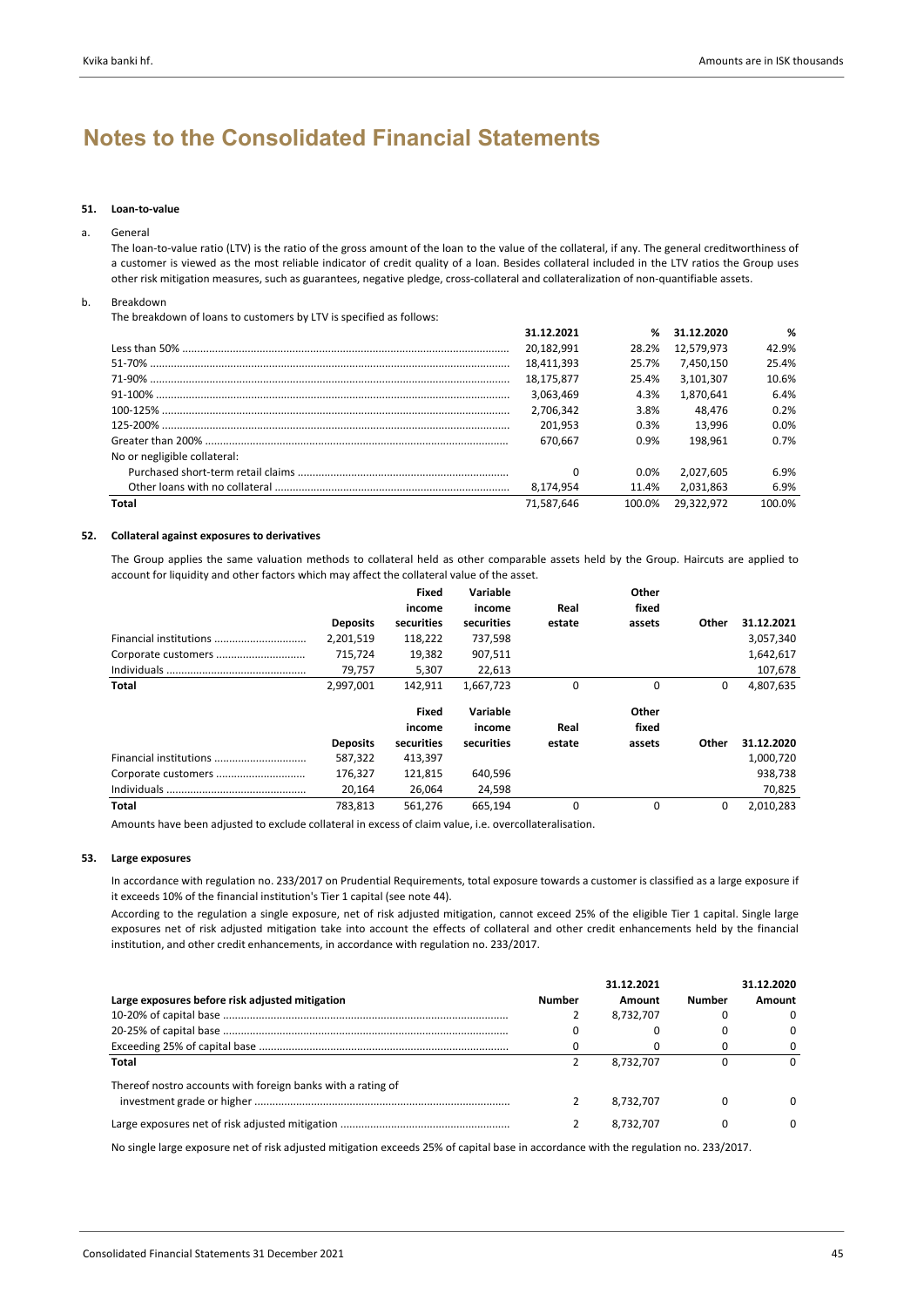### **51. Loan‐to‐value**

# a. General

The loan-to-value ratio (LTV) is the ratio of the gross amount of the loan to the value of the collateral, if any. The general creditworthiness of a customer is viewed as the most reliable indicator of credit quality of a loan. Besides collateral included in the LTV ratios the Group uses other risk mitigation measures, such as guarantees, negative pledge, cross‐collateral and collateralization of non‐quantifiable assets.

b. Breakdown

The breakdown of loans to customers by LTV is specified as follows:

|                              | 31.12.2021 | %       | 31.12.2020 | %       |
|------------------------------|------------|---------|------------|---------|
|                              | 20.182.991 | 28.2%   | 12.579.973 | 42.9%   |
|                              | 18.411.393 | 25.7%   | 7.450.150  | 25.4%   |
|                              | 18.175.877 | 25.4%   | 3.101.307  | 10.6%   |
|                              | 3.063.469  | 4.3%    | 1.870.641  | 6.4%    |
|                              | 2.706.342  | 3.8%    | 48.476     | 0.2%    |
|                              | 201.953    | 0.3%    | 13.996     | $0.0\%$ |
|                              | 670.667    | 0.9%    | 198.961    | 0.7%    |
| No or negligible collateral: |            |         |            |         |
|                              | 0          | $0.0\%$ | 2.027.605  | 6.9%    |
|                              | 8.174.954  | 11.4%   | 2.031.863  | 6.9%    |
| Total                        | 71.587.646 | 100.0%  | 29.322.972 | 100.0%  |

# **52. Collateral against exposures to derivatives**

The Group applies the same valuation methods to collateral held as other comparable assets held by the Group. Haircuts are applied to account for liquidity and other factors which may affect the collateral value of the asset.

|       |                 | <b>Fixed</b> | Variable   |        | Other  |       |            |
|-------|-----------------|--------------|------------|--------|--------|-------|------------|
|       |                 | income       | income     | Real   | fixed  |       |            |
|       | <b>Deposits</b> | securities   | securities | estate | assets | Other | 31.12.2021 |
|       | 2,201,519       | 118,222      | 737,598    |        |        |       | 3,057,340  |
|       | 715.724         | 19,382       | 907,511    |        |        |       | 1,642,617  |
|       | 79.757          | 5,307        | 22,613     |        |        |       | 107,678    |
| Total | 2,997,001       | 142.911      | 1,667,723  | 0      | 0      | 0     | 4,807,635  |
|       |                 | Fixed        | Variable   |        | Other  |       |            |
|       |                 | income       | income     | Real   | fixed  |       |            |
|       | <b>Deposits</b> | securities   | securities | estate | assets | Other | 31.12.2020 |
|       | 587,322         | 413,397      |            |        |        |       | 1,000,720  |
|       | 176,327         | 121.815      | 640.596    |        |        |       | 938.738    |
|       | 20,164          | 26,064       | 24,598     |        |        |       | 70,825     |
| Total |                 |              |            |        |        |       | 2,010,283  |

Amounts have been adjusted to exclude collateral in excess of claim value, i.e. overcollateralisation.

# **53. Large exposures**

In accordance with regulation no. 233/2017 on Prudential Requirements, total exposure towards a customer is classified as a large exposure if it exceeds 10% of the financial institution's Tier 1 capital (see note 44).

According to the regulation a single exposure, net of risk adjusted mitigation, cannot exceed 25% of the eligible Tier 1 capital. Single large exposures net of risk adjusted mitigation take into account the effects of collateral and other credit enhancements held by the financial institution, and other credit enhancements, in accordance with regulation no. 233/2017.

|                                                             |        | 31.12.2021 |        | 31.12.2020   |
|-------------------------------------------------------------|--------|------------|--------|--------------|
| Large exposures before risk adjusted mitigation             | Number | Amount     | Number | Amount       |
|                                                             |        | 8,732,707  | 0      |              |
|                                                             |        |            |        | <sup>0</sup> |
|                                                             | 0      |            |        | <sup>0</sup> |
| Total                                                       |        | 8.732.707  |        | <sup>0</sup> |
| Thereof nostro accounts with foreign banks with a rating of |        |            |        |              |
|                                                             |        | 8.732.707  |        | O.           |
|                                                             |        | 8,732,707  | 0      |              |

No single large exposure net of risk adjusted mitigation exceeds 25% of capital base in accordance with the regulation no. 233/2017.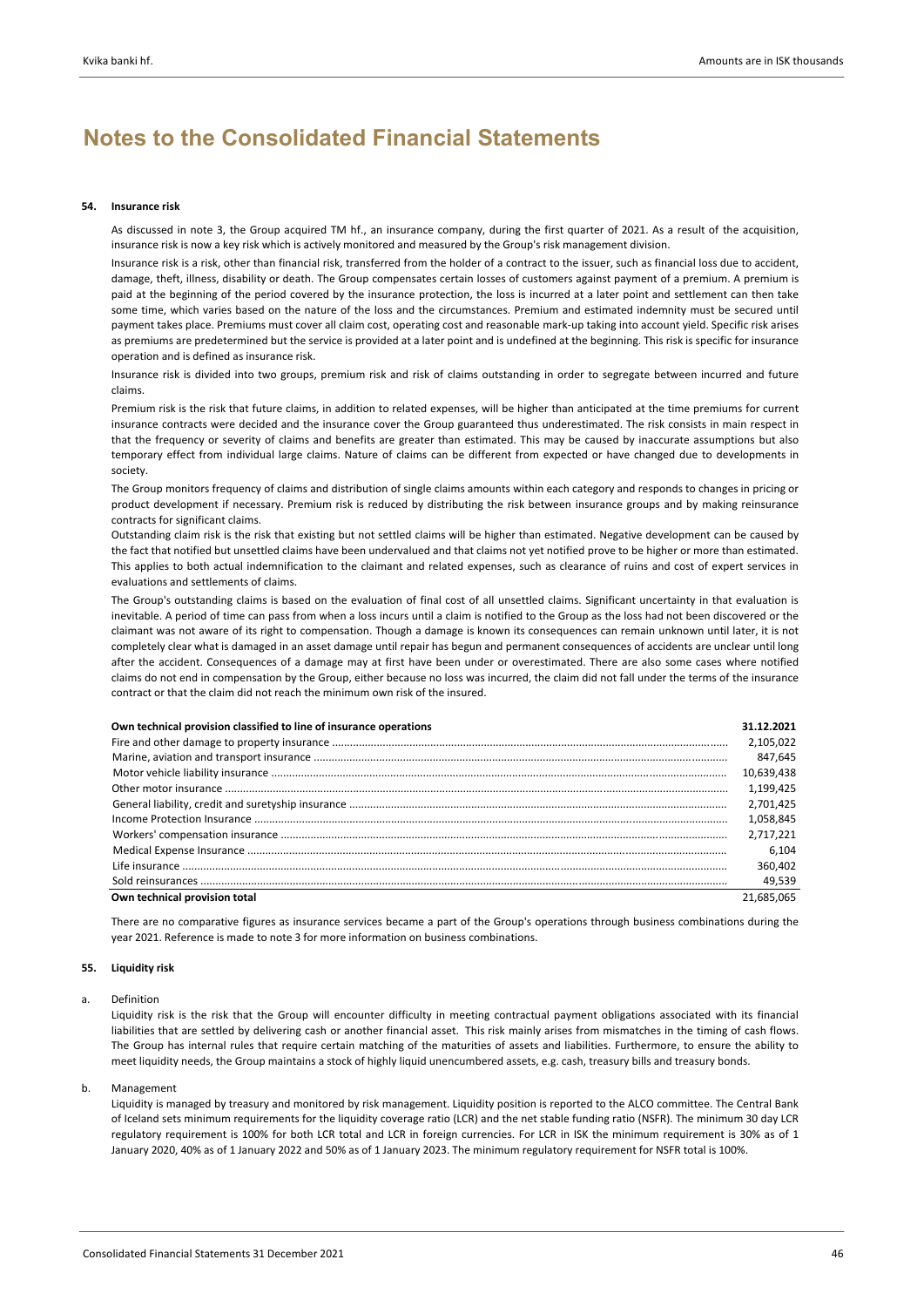#### **54. Insurance risk**

As discussed in note 3, the Group acquired TM hf., an insurance company, during the first quarter of 2021. As a result of the acquisition, insurance risk is now a key risk which is actively monitored and measured by the Group's risk management division.

Insurance risk is a risk, other than financial risk, transferred from the holder of a contract to the issuer, such as financial loss due to accident, damage, theft, illness, disability or death. The Group compensates certain losses of customers against payment of a premium. A premium is paid at the beginning of the period covered by the insurance protection, the loss is incurred at a later point and settlement can then take some time, which varies based on the nature of the loss and the circumstances. Premium and estimated indemnity must be secured until payment takes place. Premiums must cover all claim cost, operating cost and reasonable mark-up taking into account yield. Specific risk arises as premiums are predetermined but the service is provided at a later point and is undefined at the beginning. This risk is specific for insurance operation and is defined as insurance risk.

Insurance risk is divided into two groups, premium risk and risk of claims outstanding in order to segregate between incurred and future claims.

Premium risk is the risk that future claims, in addition to related expenses, will be higher than anticipated at the time premiums for current insurance contracts were decided and the insurance cover the Group guaranteed thus underestimated. The risk consists in main respect in that the frequency or severity of claims and benefits are greater than estimated. This may be caused by inaccurate assumptions but also temporary effect from individual large claims. Nature of claims can be different from expected or have changed due to developments in society.

The Group monitors frequency of claims and distribution of single claims amounts within each category and responds to changes in pricing or product development if necessary. Premium risk is reduced by distributing the risk between insurance groups and by making reinsurance contracts for significant claims.

Outstanding claim risk is the risk that existing but not settled claims will be higher than estimated. Negative development can be caused by the fact that notified but unsettled claims have been undervalued and that claims not yet notified prove to be higher or more than estimated. This applies to both actual indemnification to the claimant and related expenses, such as clearance of ruins and cost of expert services in evaluations and settlements of claims.

The Group's outstanding claims is based on the evaluation of final cost of all unsettled claims. Significant uncertainty in that evaluation is inevitable. A period of time can pass from when a loss incurs until a claim is notified to the Group as the loss had not been discovered or the claimant was not aware of its right to compensation. Though a damage is known its consequences can remain unknown until later, it is not completely clear what is damaged in an asset damage until repair has begun and permanent consequences of accidents are unclear until long after the accident. Consequences of a damage may at first have been under or overestimated. There are also some cases where notified claims do not end in compensation by the Group, either because no loss was incurred, the claim did not fall under the terms of the insurance contract or that the claim did not reach the minimum own risk of the insured.

| Own technical provision classified to line of insurance operations | 31.12.2021 |
|--------------------------------------------------------------------|------------|
|                                                                    | 2,105,022  |
|                                                                    | 847.645    |
|                                                                    | 10,639,438 |
|                                                                    | 1,199,425  |
|                                                                    | 2,701,425  |
|                                                                    | 1,058,845  |
|                                                                    | 2.717.221  |
|                                                                    | 6.104      |
|                                                                    | 360.402    |
|                                                                    | 49.539     |
| Own technical provision total                                      | 21.685.065 |

There are no comparative figures as insurance services became a part of the Group's operations through business combinations during the year 2021. Reference is made to note 3 for more information on business combinations.

### **55. Liquidity risk**

a. Definition

Liquidity risk is the risk that the Group will encounter difficulty in meeting contractual payment obligations associated with its financial liabilities that are settled by delivering cash or another financial asset. This risk mainly arises from mismatches in the timing of cash flows. The Group has internal rules that require certain matching of the maturities of assets and liabilities. Furthermore, to ensure the ability to meet liquidity needs, the Group maintains a stock of highly liquid unencumbered assets, e.g. cash, treasury bills and treasury bonds.

b. Management

Liquidity is managed by treasury and monitored by risk management. Liquidity position is reported to the ALCO committee. The Central Bank of Iceland sets minimum requirements for the liquidity coverage ratio (LCR) and the net stable funding ratio (NSFR). The minimum 30 day LCR regulatory requirement is 100% for both LCR total and LCR in foreign currencies. For LCR in ISK the minimum requirement is 30% as of 1 January 2020, 40% as of 1 January 2022 and 50% as of 1 January 2023. The minimum regulatory requirement for NSFR total is 100%.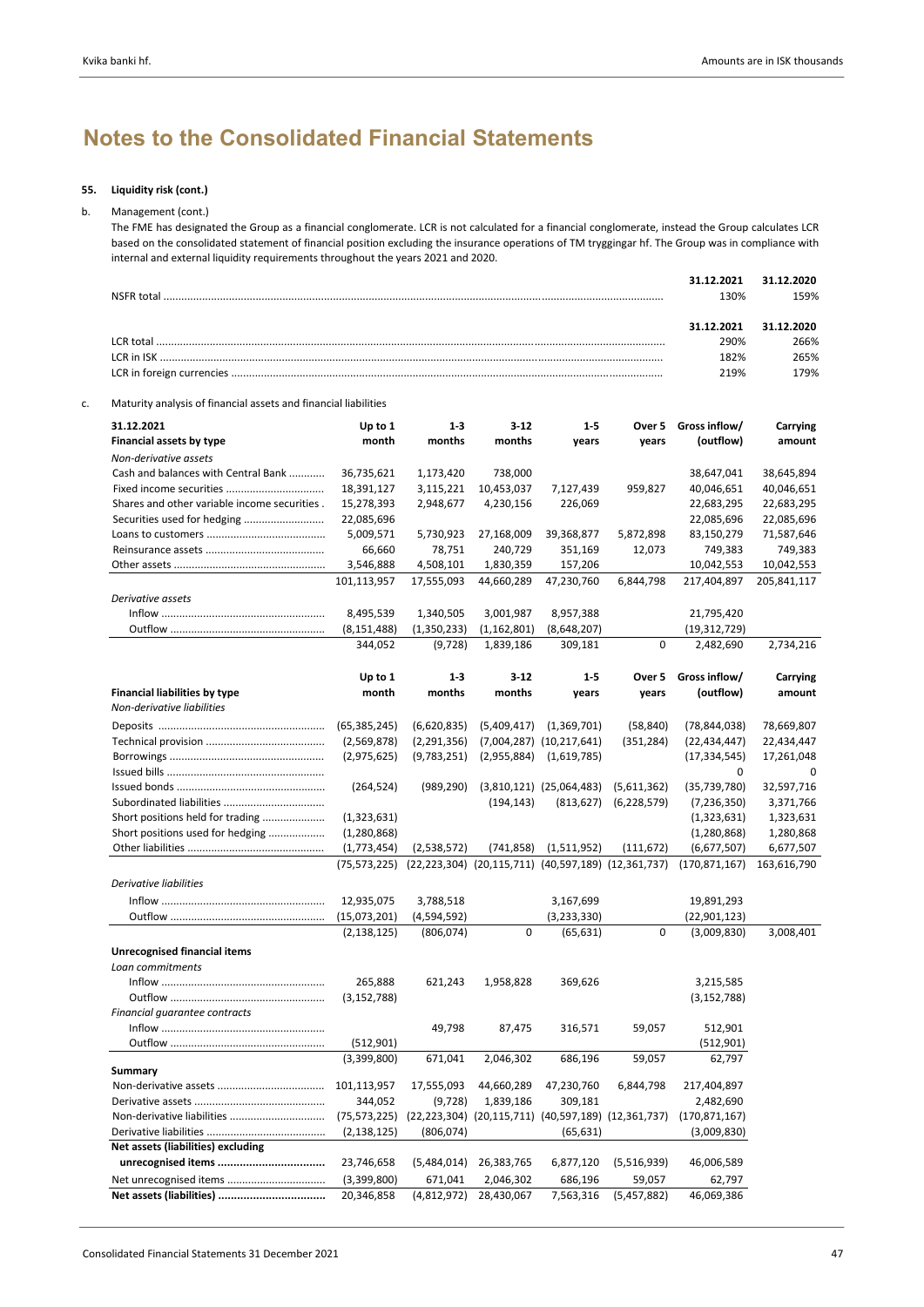# **55. Liquidity risk (cont.)**

# b. Management (cont.)

The FME has designated the Group as a financial conglomerate. LCR is not calculated for a financial conglomerate, instead the Group calculates LCR based on the consolidated statement of financial position excluding the insurance operations of TM tryggingar hf. The Group was in compliance with internal and external liquidity requirements throughout the years 2021 and 2020.

|                  | 31.12.2021 | 31.12.2020 |
|------------------|------------|------------|
| NSER total       | 130%       | 159%       |
|                  | 31.12.2021 | 31.12.2020 |
| <b>ICR total</b> | 290%       | 266%       |
| LCR in ISK       | 182%       | 265%       |
|                  | 219%       | 179%       |

# c. Maturity analysis of financial assets and financial liabilities

| 31.12.2021                                              | Up to 1        | $1 - 3$       | $3-12$                                                      | $1 - 5$                      | Over 5        | Gross inflow/   | Carrying    |
|---------------------------------------------------------|----------------|---------------|-------------------------------------------------------------|------------------------------|---------------|-----------------|-------------|
| <b>Financial assets by type</b>                         | month          | months        | months                                                      | years                        | years         | (outflow)       | amount      |
| Non-derivative assets                                   |                |               |                                                             |                              |               |                 |             |
| Cash and balances with Central Bank                     | 36,735,621     | 1,173,420     | 738,000                                                     |                              |               | 38,647,041      | 38,645,894  |
|                                                         | 18,391,127     | 3,115,221     | 10,453,037                                                  | 7,127,439                    | 959,827       | 40,046,651      | 40,046,651  |
| Shares and other variable income securities.            | 15,278,393     | 2,948,677     | 4,230,156                                                   | 226,069                      |               | 22,683,295      | 22,683,295  |
|                                                         | 22,085,696     |               |                                                             |                              |               | 22,085,696      | 22,085,696  |
|                                                         | 5,009,571      | 5,730,923     | 27,168,009                                                  | 39,368,877                   | 5,872,898     | 83,150,279      | 71,587,646  |
|                                                         | 66,660         | 78,751        | 240,729                                                     | 351,169                      | 12,073        | 749,383         | 749,383     |
|                                                         | 3,546,888      | 4,508,101     | 1,830,359                                                   | 157,206                      |               | 10,042,553      | 10,042,553  |
|                                                         | 101,113,957    | 17,555,093    | 44,660,289                                                  | 47,230,760                   | 6,844,798     | 217,404,897     | 205,841,117 |
| Derivative assets                                       |                |               |                                                             |                              |               |                 |             |
|                                                         | 8,495,539      | 1,340,505     | 3,001,987                                                   | 8,957,388                    |               | 21,795,420      |             |
|                                                         | (8, 151, 488)  | (1,350,233)   | (1, 162, 801)                                               | (8,648,207)                  |               | (19, 312, 729)  |             |
|                                                         | 344,052        | (9, 728)      | 1,839,186                                                   | 309,181                      | 0             | 2,482,690       | 2,734,216   |
|                                                         | Up to 1        | $1 - 3$       | $3 - 12$                                                    | $1 - 5$                      | Over 5        | Gross inflow/   | Carrying    |
| <b>Financial liabilities by type</b>                    | month          | months        | months                                                      | years                        | years         | (outflow)       | amount      |
| Non-derivative liabilities                              |                |               |                                                             |                              |               |                 |             |
|                                                         | (65, 385, 245) | (6,620,835)   | (5,409,417)                                                 | (1,369,701)                  | (58, 840)     | (78, 844, 038)  | 78,669,807  |
|                                                         | (2,569,878)    | (2, 291, 356) |                                                             | $(7,004,287)$ $(10,217,641)$ | (351, 284)    | (22, 434, 447)  | 22,434,447  |
|                                                         | (2,975,625)    | (9,783,251)   | (2,955,884)                                                 | (1,619,785)                  |               | (17, 334, 545)  | 17,261,048  |
|                                                         |                |               |                                                             |                              |               | $\Omega$        | 0           |
|                                                         | (264, 524)     | (989, 290)    |                                                             | $(3,810,121)$ $(25,064,483)$ | (5,611,362)   | (35,739,780)    | 32,597,716  |
|                                                         |                |               | (194, 143)                                                  | (813, 627)                   | (6, 228, 579) | (7, 236, 350)   | 3,371,766   |
| Short positions held for trading                        | (1,323,631)    |               |                                                             |                              |               | (1,323,631)     | 1,323,631   |
| Short positions used for hedging                        | (1, 280, 868)  |               |                                                             |                              |               | (1,280,868)     | 1,280,868   |
|                                                         | (1,773,454)    | (2,538,572)   | (741, 858)                                                  | (1,511,952)                  | (111, 672)    | (6,677,507)     | 6,677,507   |
|                                                         | (75, 573, 225) |               | (22,223,304) (20,115,711) (40,597,189) (12,361,737)         |                              |               | (170, 871, 167) | 163,616,790 |
| Derivative liabilities                                  |                |               |                                                             |                              |               |                 |             |
|                                                         | 12,935,075     | 3,788,518     |                                                             | 3,167,699                    |               | 19,891,293      |             |
|                                                         | (15,073,201)   | (4,594,592)   |                                                             | (3, 233, 330)                |               | (22, 901, 123)  |             |
|                                                         | (2, 138, 125)  | (806, 074)    | $\Omega$                                                    | (65, 631)                    | 0             | (3,009,830)     | 3,008,401   |
| <b>Unrecognised financial items</b><br>Loan commitments |                |               |                                                             |                              |               |                 |             |
|                                                         | 265,888        | 621,243       | 1,958,828                                                   | 369,626                      |               | 3,215,585       |             |
|                                                         | (3, 152, 788)  |               |                                                             |                              |               | (3, 152, 788)   |             |
| Financial quarantee contracts                           |                |               |                                                             |                              |               |                 |             |
|                                                         |                | 49,798        | 87,475                                                      | 316,571                      | 59,057        | 512,901         |             |
|                                                         | (512, 901)     |               |                                                             |                              |               | (512, 901)      |             |
|                                                         | (3,399,800)    | 671,041       | 2,046,302                                                   | 686,196                      | 59,057        | 62.797          |             |
| Summary                                                 |                |               |                                                             |                              |               |                 |             |
|                                                         | 101,113,957    | 17,555,093    | 44,660,289                                                  | 47,230,760                   | 6,844,798     | 217,404,897     |             |
|                                                         | 344,052        | (9, 728)      | 1,839,186                                                   | 309,181                      |               | 2,482,690       |             |
| Non-derivative liabilities                              | (75, 573, 225) |               | (22, 223, 304) (20, 115, 711) (40, 597, 189) (12, 361, 737) |                              |               | (170, 871, 167) |             |
|                                                         | (2, 138, 125)  | (806, 074)    |                                                             | (65, 631)                    |               | (3,009,830)     |             |
| Net assets (liabilities) excluding                      |                |               |                                                             |                              |               |                 |             |
|                                                         | 23,746,658     | (5,484,014)   | 26,383,765                                                  | 6,877,120                    | (5,516,939)   | 46,006,589      |             |
|                                                         | (3,399,800)    | 671,041       | 2,046,302                                                   | 686,196                      | 59,057        | 62,797          |             |
|                                                         | 20,346,858     | (4,812,972)   | 28,430,067                                                  | 7,563,316                    | (5,457,882)   | 46,069,386      |             |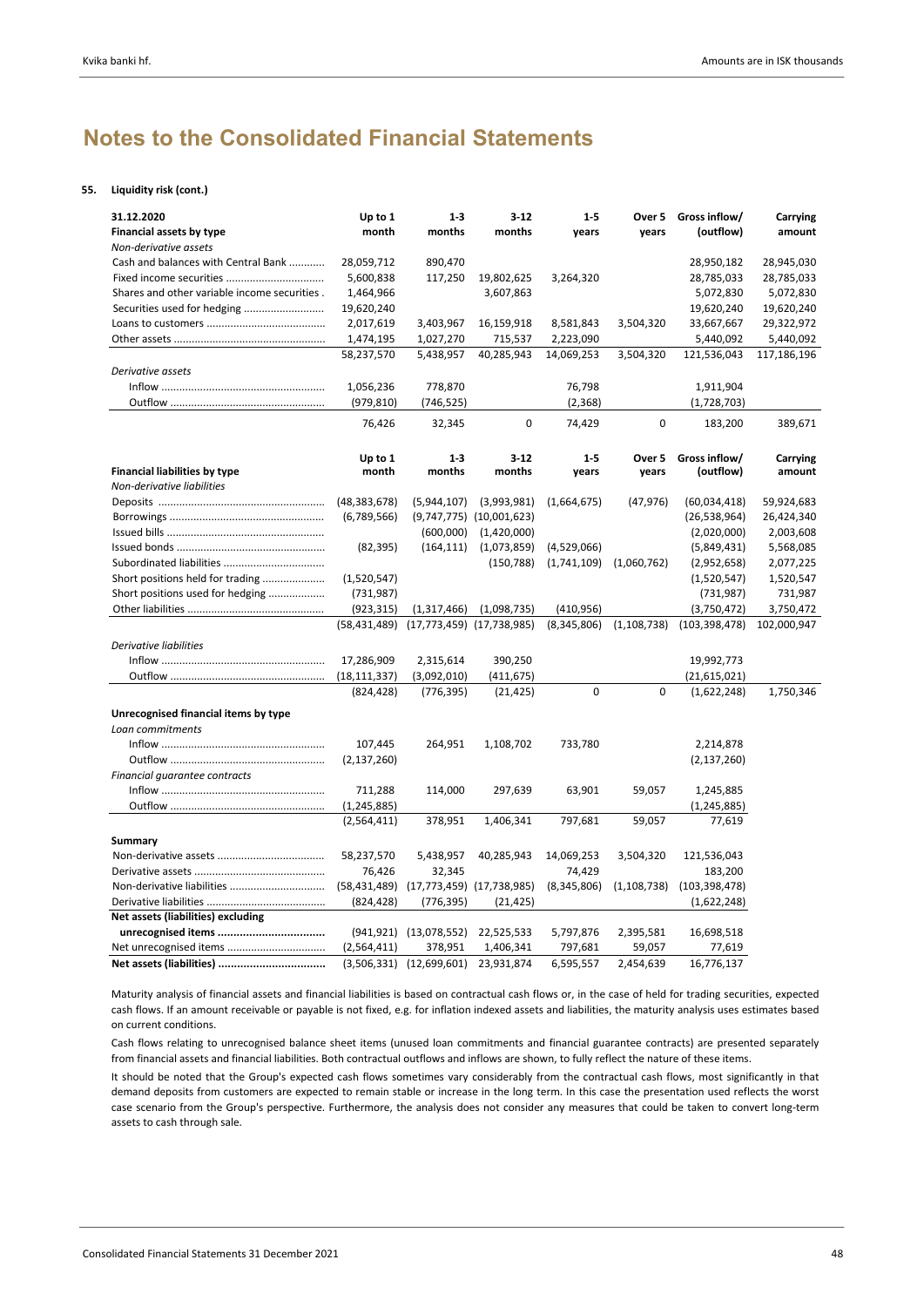# **55. Liquidity risk (cont.)**

| 31.12.2020                                               | Up to 1        | $1 - 3$                       | $3-12$                            | $1 - 5$     | Over 5        | Gross inflow/   | Carrying    |
|----------------------------------------------------------|----------------|-------------------------------|-----------------------------------|-------------|---------------|-----------------|-------------|
| <b>Financial assets by type</b>                          | month          | months                        | months                            | years       | vears         | (outflow)       | amount      |
| Non-derivative assets                                    |                |                               |                                   |             |               |                 |             |
| Cash and balances with Central Bank                      | 28,059,712     | 890,470                       |                                   |             |               | 28,950,182      | 28,945,030  |
|                                                          | 5,600,838      | 117,250                       | 19,802,625                        | 3,264,320   |               | 28,785,033      | 28,785,033  |
| Shares and other variable income securities.             | 1,464,966      |                               | 3,607,863                         |             |               | 5,072,830       | 5,072,830   |
|                                                          | 19,620,240     |                               |                                   |             |               | 19,620,240      | 19,620,240  |
|                                                          | 2,017,619      | 3,403,967                     | 16,159,918                        | 8,581,843   | 3,504,320     | 33,667,667      | 29,322,972  |
|                                                          | 1,474,195      | 1,027,270                     | 715,537                           | 2,223,090   |               | 5,440,092       | 5,440,092   |
|                                                          | 58,237,570     | 5,438,957                     | 40,285,943                        | 14,069,253  | 3,504,320     | 121,536,043     | 117,186,196 |
| Derivative assets                                        |                |                               |                                   |             |               |                 |             |
|                                                          | 1,056,236      | 778,870                       |                                   | 76,798      |               | 1,911,904       |             |
|                                                          | (979, 810)     | (746, 525)                    |                                   | (2, 368)    |               | (1,728,703)     |             |
|                                                          | 76,426         | 32,345                        | 0                                 | 74,429      | 0             | 183,200         | 389,671     |
|                                                          |                |                               |                                   |             |               |                 |             |
|                                                          | Up to 1        | $1 - 3$                       | $3 - 12$                          | $1 - 5$     | Over 5        | Gross inflow/   | Carrying    |
| <b>Financial liabilities by type</b>                     | month          | months                        | months                            | years       | years         | (outflow)       | amount      |
| Non-derivative liabilities                               |                |                               |                                   |             |               |                 |             |
|                                                          | (48, 383, 678) | (5,944,107)                   | (3,993,981)                       | (1,664,675) | (47, 976)     | (60,034,418)    | 59,924,683  |
|                                                          | (6,789,566)    |                               | $(9,747,775)$ $(10,001,623)$      |             |               | (26, 538, 964)  | 26,424,340  |
|                                                          |                | (600,000)                     | (1,420,000)                       |             |               | (2,020,000)     | 2,003,608   |
|                                                          | (82, 395)      | (164, 111)                    | (1,073,859)                       | (4,529,066) |               | (5,849,431)     | 5,568,085   |
|                                                          |                |                               | (150, 788)                        | (1,741,109) | (1,060,762)   | (2,952,658)     | 2,077,225   |
| Short positions held for trading                         | (1,520,547)    |                               |                                   |             |               | (1,520,547)     | 1,520,547   |
| Short positions used for hedging                         | (731, 987)     |                               |                                   |             |               | (731, 987)      | 731,987     |
|                                                          | (923, 315)     | (1,317,466)                   | (1,098,735)                       | (410, 956)  |               | (3,750,472)     | 3,750,472   |
|                                                          | (58, 431, 489) |                               | (17,773,459) (17,738,985)         | (8,345,806) | (1, 108, 738) | (103, 398, 478) | 102,000,947 |
| Derivative liabilities                                   |                |                               |                                   |             |               |                 |             |
|                                                          | 17,286,909     | 2,315,614                     | 390,250                           |             |               | 19,992,773      |             |
|                                                          | (18, 111, 337) | (3,092,010)                   | (411, 675)                        |             |               | (21, 615, 021)  |             |
|                                                          | (824, 428)     | (776, 395)                    | (21, 425)                         | $\mathbf 0$ | $\mathbf 0$   | (1,622,248)     | 1,750,346   |
|                                                          |                |                               |                                   |             |               |                 |             |
| Unrecognised financial items by type<br>Loan commitments |                |                               |                                   |             |               |                 |             |
|                                                          | 107,445        | 264,951                       | 1,108,702                         | 733,780     |               | 2,214,878       |             |
|                                                          | (2, 137, 260)  |                               |                                   |             |               | (2, 137, 260)   |             |
| Financial guarantee contracts                            |                |                               |                                   |             |               |                 |             |
|                                                          | 711,288        | 114,000                       | 297,639                           | 63,901      | 59,057        | 1,245,885       |             |
|                                                          | (1, 245, 885)  |                               |                                   |             |               | (1, 245, 885)   |             |
|                                                          | (2,564,411)    | 378,951                       | 1,406,341                         | 797,681     | 59,057        | 77,619          |             |
|                                                          |                |                               |                                   |             |               |                 |             |
| Summary                                                  |                |                               |                                   |             |               |                 |             |
|                                                          | 58,237,570     | 5,438,957                     | 40,285,943                        | 14,069,253  | 3,504,320     | 121,536,043     |             |
|                                                          | 76,426         | 32,345                        |                                   | 74,429      |               | 183,200         |             |
| Non-derivative liabilities                               | (58, 431, 489) |                               | $(17, 773, 459)$ $(17, 738, 985)$ | (8,345,806) | (1, 108, 738) | (103, 398, 478) |             |
|                                                          | (824, 428)     | (776, 395)                    | (21, 425)                         |             |               | (1,622,248)     |             |
| Net assets (liabilities) excluding                       |                |                               |                                   |             |               |                 |             |
|                                                          |                | $(941, 921)$ $(13, 078, 552)$ | 22,525,533                        | 5,797,876   | 2,395,581     | 16,698,518      |             |
| Net unrecognised items                                   | (2,564,411)    | 378,951                       | 1,406,341                         | 797,681     | 59,057        | 77,619          |             |
|                                                          |                | $(3,506,331)$ $(12,699,601)$  | 23,931,874                        | 6,595,557   | 2,454,639     | 16,776,137      |             |

Maturity analysis of financial assets and financial liabilities is based on contractual cash flows or, in the case of held for trading securities, expected cash flows. If an amount receivable or payable is not fixed, e.g. for inflation indexed assets and liabilities, the maturity analysis uses estimates based on current conditions.

Cash flows relating to unrecognised balance sheet items (unused loan commitments and financial guarantee contracts) are presented separately from financial assets and financial liabilities. Both contractual outflows and inflows are shown, to fully reflect the nature of these items.

It should be noted that the Group's expected cash flows sometimes vary considerably from the contractual cash flows, most significantly in that demand deposits from customers are expected to remain stable or increase in the long term. In this case the presentation used reflects the worst case scenario from the Group's perspective. Furthermore, the analysis does not consider any measures that could be taken to convert long-term assets to cash through sale.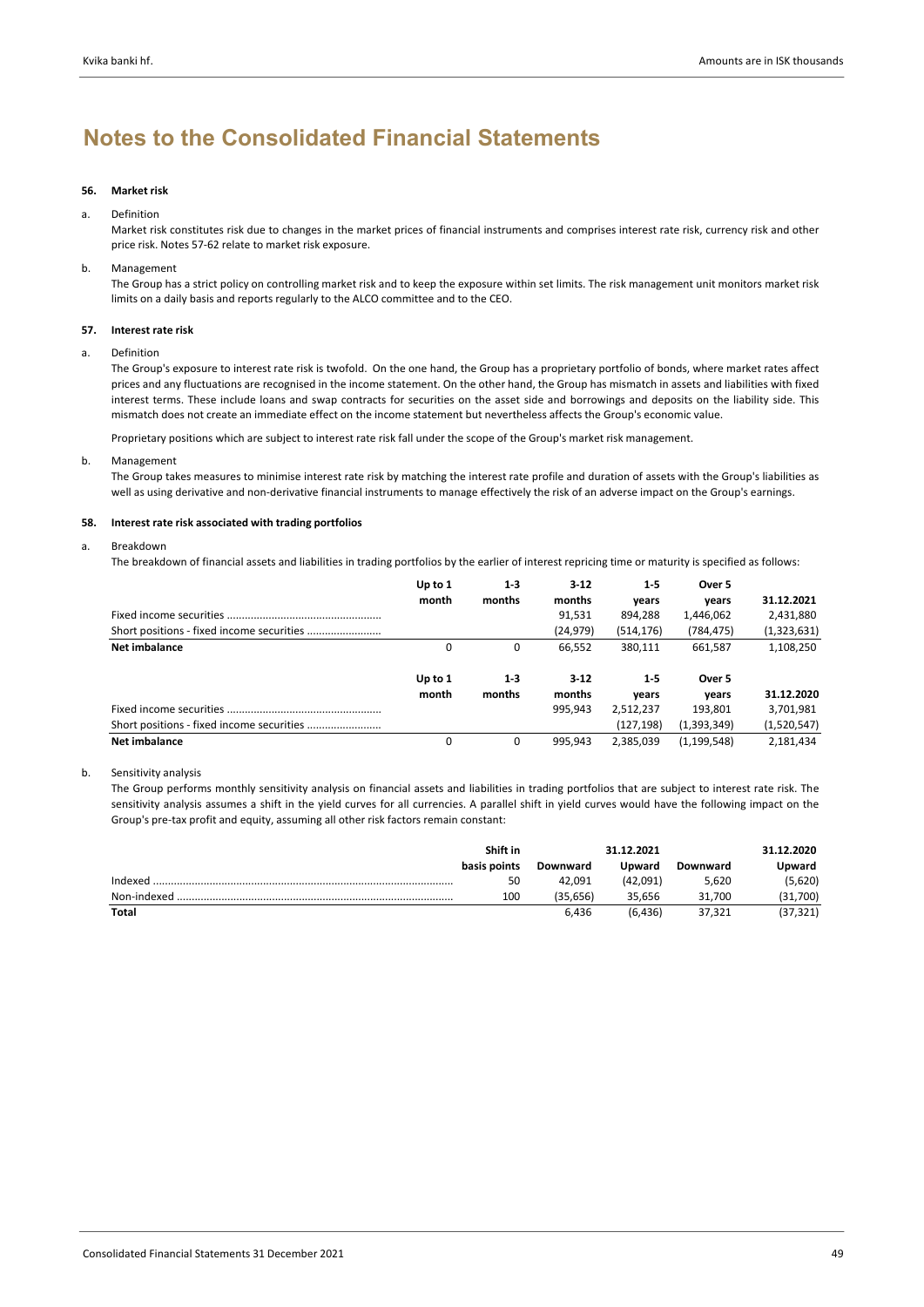# **56. Market risk**

# a. Definition

Market risk constitutes risk due to changes in the market prices of financial instruments and comprises interest rate risk, currency risk and other price risk. Notes 57‐62 relate to market risk exposure.

### b. Management

The Group has a strict policy on controlling market risk and to keep the exposure within set limits. The risk management unit monitors market risk limits on a daily basis and reports regularly to the ALCO committee and to the CEO.

# **57. Interest rate risk**

### a. Definition

The Group's exposure to interest rate risk is twofold. On the one hand, the Group has a proprietary portfolio of bonds, where market rates affect prices and any fluctuations are recognised in the income statement. On the other hand, the Group has mismatch in assets and liabilities with fixed interest terms. These include loans and swap contracts for securities on the asset side and borrowings and deposits on the liability side. This mismatch does not create an immediate effect on the income statement but nevertheless affects the Group's economic value.

Proprietary positions which are subject to interest rate risk fall under the scope of the Group's market risk management.

### b. Management

The Group takes measures to minimise interest rate risk by matching the interest rate profile and duration of assets with the Group's liabilities as well as using derivative and non-derivative financial instruments to manage effectively the risk of an adverse impact on the Group's earnings.

# **58. Interest rate risk associated with trading portfolios**

### a. Breakdown

The breakdown of financial assets and liabilities in trading portfolios by the earlier of interest repricing time or maturity is specified as follows:

|                      | Up to $1$ | $1-3$  | $3 - 12$  | $1-5$      | Over 5        |             |
|----------------------|-----------|--------|-----------|------------|---------------|-------------|
|                      | month     | months | months    | years      | vears         | 31.12.2021  |
|                      |           |        | 91,531    | 894,288    | 1,446,062     | 2,431,880   |
|                      |           |        | (24, 979) | (514, 176) | (784, 475)    | (1,323,631) |
| Net imbalance        | 0         | 0      | 66,552    | 380,111    | 661,587       | 1,108,250   |
|                      | Up to $1$ | $1-3$  | $3-12$    | $1 - 5$    | Over 5        |             |
|                      | month     | months | months    | vears      | vears         | 31.12.2020  |
|                      |           |        | 995,943   | 2,512,237  | 193,801       | 3,701,981   |
|                      |           |        |           | (127,198)  | (1,393,349)   | (1,520,547) |
| <b>Net imbalance</b> | $\Omega$  | 0      | 995.943   | 2.385.039  | (1, 199, 548) | 2,181,434   |

# b. Sensitivity analysis

The Group performs monthly sensitivity analysis on financial assets and liabilities in trading portfolios that are subject to interest rate risk. The sensitivity analysis assumes a shift in the yield curves for all currencies. A parallel shift in yield curves would have the following impact on the Group's pre‐tax profit and equity, assuming all other risk factors remain constant:

|              | Shift in     |          | 31.12.2021    |          | 31.12.2020 |
|--------------|--------------|----------|---------------|----------|------------|
|              | basis points | Downward | <b>Upward</b> | Downward | Upward     |
| Indexed      | 50           | 42.091   | (42.091)      | 5,620    | (5,620)    |
| Non-indexed  | 100          | (35.656) | 35.656        | 31.700   | (31,700)   |
| <b>Total</b> |              | 6.436    | (6.436)       | 37.321   | (37,321)   |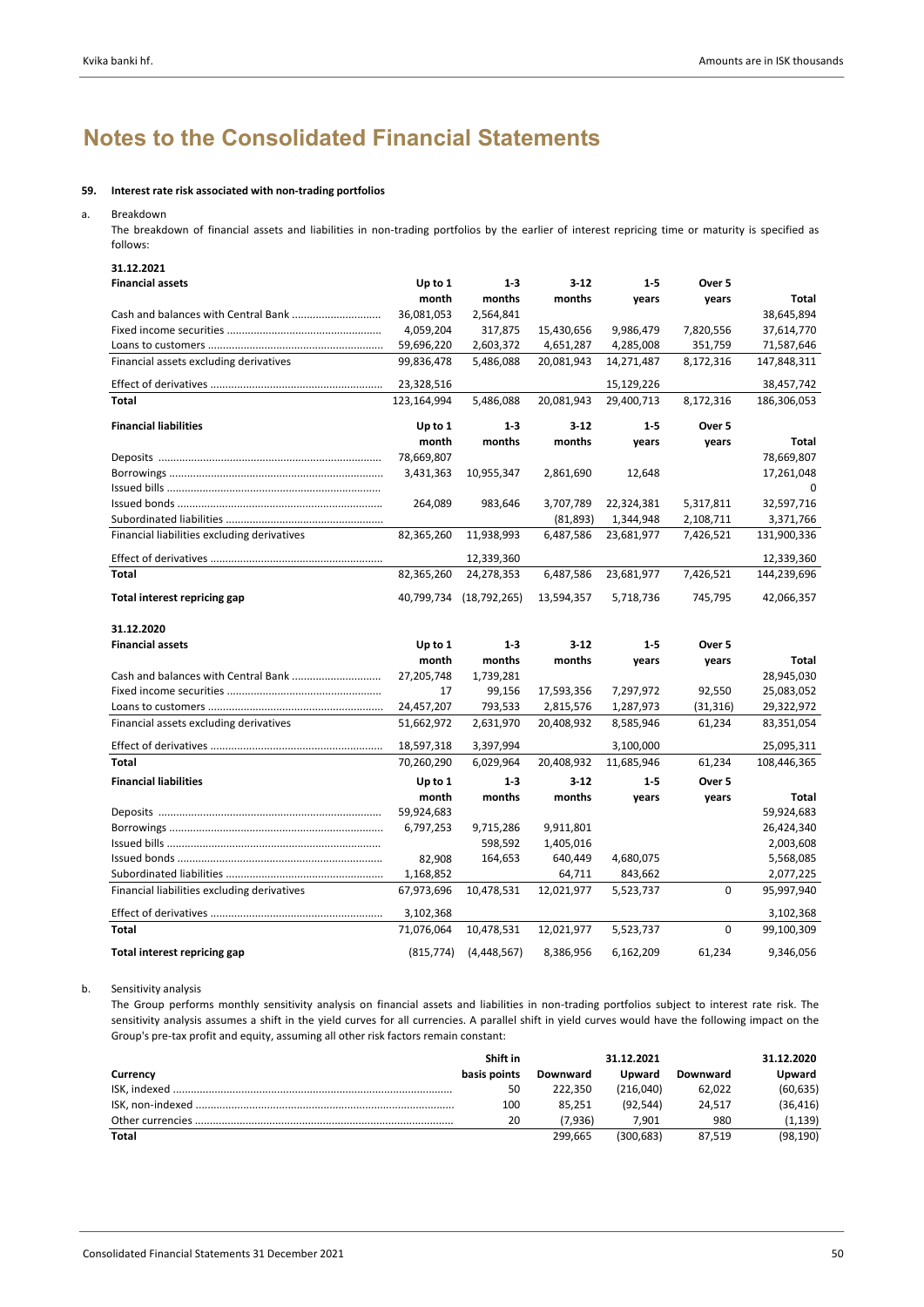# **59. Interest rate risk associated with non‐trading portfolios**

# a. Breakdown

The breakdown of financial assets and liabilities in non-trading portfolios by the earlier of interest repricing time or maturity is specified as follows:

| 31.12.2021                                  |             |                |            |            |           |             |
|---------------------------------------------|-------------|----------------|------------|------------|-----------|-------------|
| <b>Financial assets</b>                     | Up to 1     | $1 - 3$        | $3 - 12$   | $1 - 5$    | Over 5    |             |
|                                             | month       | months         | months     | years      | years     | Total       |
|                                             | 36,081,053  | 2,564,841      |            |            |           | 38,645,894  |
|                                             | 4,059,204   | 317,875        | 15,430,656 | 9,986,479  | 7,820,556 | 37,614,770  |
|                                             | 59,696,220  | 2,603,372      | 4,651,287  | 4,285,008  | 351,759   | 71,587,646  |
| Financial assets excluding derivatives      | 99,836,478  | 5,486,088      | 20,081,943 | 14,271,487 | 8,172,316 | 147,848,311 |
|                                             | 23,328,516  |                |            | 15,129,226 |           | 38,457,742  |
| <b>Total</b>                                | 123,164,994 | 5,486,088      | 20,081,943 | 29,400,713 | 8,172,316 | 186,306,053 |
| <b>Financial liabilities</b>                | Up to 1     | $1 - 3$        | $3 - 12$   | $1-5$      | Over 5    |             |
|                                             | month       | months         | months     | years      | years     | Total       |
|                                             | 78,669,807  |                |            |            |           | 78,669,807  |
|                                             | 3,431,363   | 10,955,347     | 2,861,690  | 12,648     |           | 17,261,048  |
|                                             |             |                |            |            |           | 0           |
|                                             | 264,089     | 983,646        | 3,707,789  | 22,324,381 | 5,317,811 | 32,597,716  |
|                                             |             |                | (81,893)   | 1,344,948  | 2,108,711 | 3,371,766   |
| Financial liabilities excluding derivatives | 82,365,260  | 11,938,993     | 6,487,586  | 23,681,977 | 7,426,521 | 131,900,336 |
|                                             |             | 12,339,360     |            |            |           | 12,339,360  |
| <b>Total</b>                                | 82,365,260  | 24,278,353     | 6,487,586  | 23,681,977 | 7,426,521 | 144,239,696 |
| Total interest repricing gap                | 40,799,734  | (18, 792, 265) | 13,594,357 | 5,718,736  | 745,795   | 42,066,357  |
| 31.12.2020                                  |             |                |            |            |           |             |
| <b>Financial assets</b>                     | Up to 1     | $1-3$          | $3 - 12$   | $1 - 5$    | Over 5    |             |
|                                             | month       | months         | months     | years      | years     | Total       |
|                                             | 27,205,748  | 1,739,281      |            |            |           | 28,945,030  |
|                                             | 17          | 99,156         | 17,593,356 | 7,297,972  | 92,550    | 25,083,052  |
|                                             | 24,457,207  | 793,533        | 2,815,576  | 1,287,973  | (31, 316) | 29,322,972  |
| Financial assets excluding derivatives      | 51,662,972  | 2,631,970      | 20,408,932 | 8,585,946  | 61,234    | 83,351,054  |
|                                             | 18,597,318  | 3,397,994      |            | 3,100,000  |           | 25,095,311  |
| <b>Total</b>                                | 70,260,290  | 6,029,964      | 20,408,932 | 11,685,946 | 61,234    | 108,446,365 |
| <b>Financial liabilities</b>                | Up to 1     | $1 - 3$        | $3 - 12$   | $1 - 5$    | Over 5    |             |
|                                             | month       | months         | months     | years      | years     | Total       |
|                                             | 59,924,683  |                |            |            |           | 59,924,683  |
|                                             | 6,797,253   | 9,715,286      | 9,911,801  |            |           | 26,424,340  |
|                                             |             | 598,592        | 1,405,016  |            |           | 2,003,608   |
|                                             | 82,908      | 164,653        | 640,449    | 4,680,075  |           | 5,568,085   |
|                                             | 1,168,852   |                | 64,711     | 843,662    |           | 2,077,225   |
| Financial liabilities excluding derivatives | 67,973,696  | 10,478,531     | 12,021,977 | 5,523,737  | $\Omega$  | 95,997,940  |
|                                             | 3,102,368   |                |            |            |           | 3,102,368   |
| <b>Total</b>                                |             |                |            |            |           |             |
|                                             | 71,076,064  | 10,478,531     | 12,021,977 | 5,523,737  | 0         | 99,100,309  |

b. Sensitivity analysis

The Group performs monthly sensitivity analysis on financial assets and liabilities in non-trading portfolios subject to interest rate risk. The sensitivity analysis assumes a shift in the yield curves for all currencies. A parallel shift in yield curves would have the following impact on the Group's pre‐tax profit and equity, assuming all other risk factors remain constant:

|          | Shift in     |          | 31.12.2021    |          | 31.12.2020 |
|----------|--------------|----------|---------------|----------|------------|
| Currency | basis points | Downward | <b>Upward</b> | Downward | Upward     |
|          | 50           | 222.350  | (216.040)     | 62.022   | (60, 635)  |
|          | 100          | 85.251   | (92.544)      | 24.517   | (36,416)   |
|          | 20           | 7.936)   | 7.901         | 980      | (1,139)    |
| Total    |              | 299.665  | (300, 683)    | 87.519   | (98,190)   |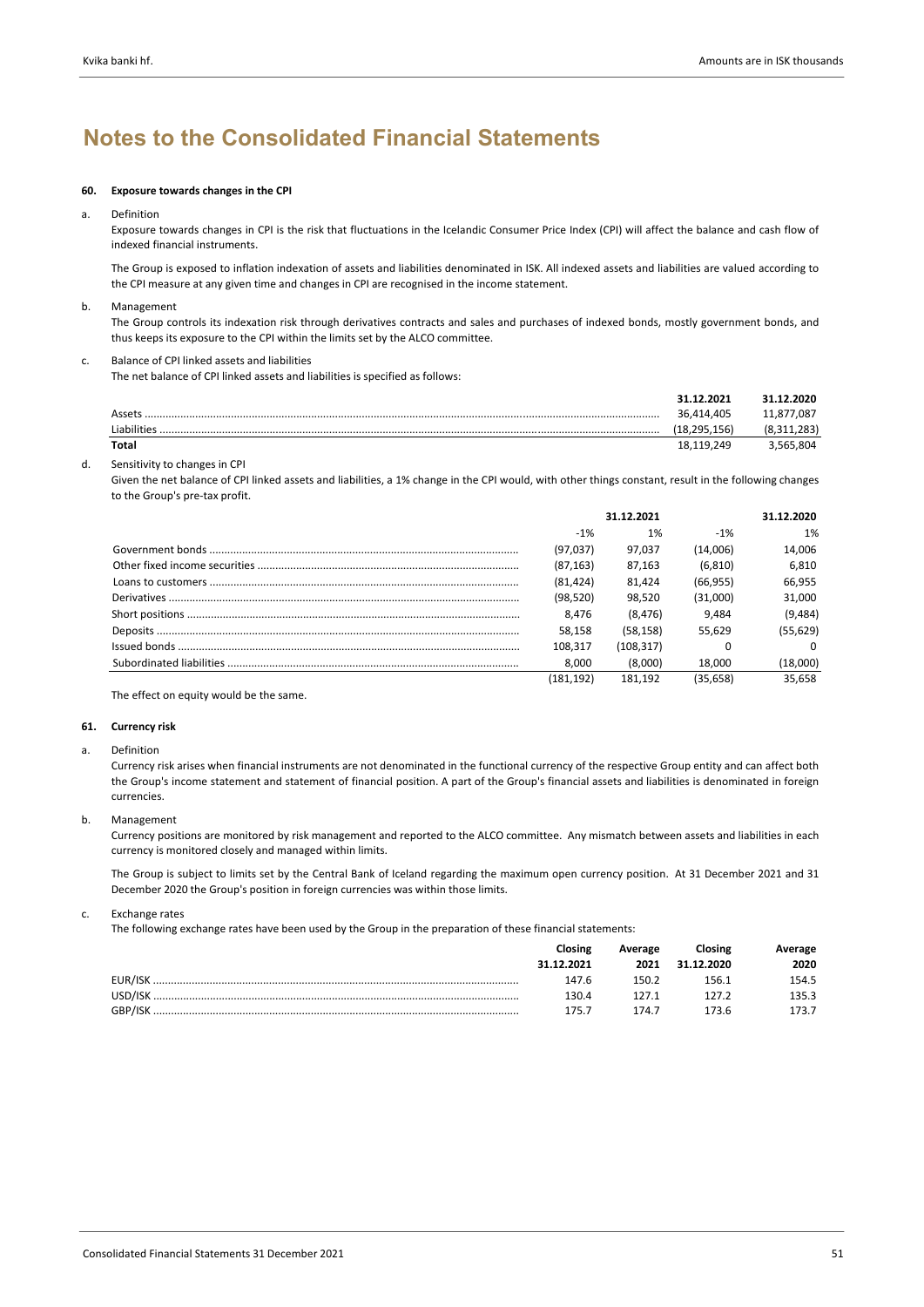### **60. Exposure towards changes in the CPI**

a. Definition

Exposure towards changes in CPI is the risk that fluctuations in the Icelandic Consumer Price Index (CPI) will affect the balance and cash flow of indexed financial instruments.

The Group is exposed to inflation indexation of assets and liabilities denominated in ISK. All indexed assets and liabilities are valued according to the CPI measure at any given time and changes in CPI are recognised in the income statement.

b. Management

The Group controls its indexation risk through derivatives contracts and sales and purchases of indexed bonds, mostly government bonds, and thus keeps its exposure to the CPI within the limits set by the ALCO committee.

### c. Balance of CPI linked assets and liabilities

The net balance of CPI linked assets and liabilities is specified as follows:

|                 | 31.12.2021   | 31.12.2020    |
|-----------------|--------------|---------------|
| Asset           | 36.414.405   | 11,877,087    |
| Liabilities<br> | (18.295.156) | 283<br>(8.31) |
| <b>Total</b>    | 18,119,249   | 3.565.804     |

d. Sensitivity to changes in CPI

Given the net balance of CPI linked assets and liabilities, a 1% change in the CPI would, with other things constant, result in the following changes to the Group's pre‐tax profit.

| 31.12.2021 |            |           | 31.12.2020 |  |
|------------|------------|-----------|------------|--|
| $-1%$      | 1%         | $-1%$     | 1%         |  |
| (97,037)   | 97.037     | (14,006)  | 14,006     |  |
| (87, 163)  | 87,163     | (6, 810)  | 6.810      |  |
| (81, 424)  | 81.424     | (66, 955) | 66.955     |  |
| (98, 520)  | 98.520     | (31,000)  | 31.000     |  |
| 8.476      | (8, 476)   | 9.484     | (9,484)    |  |
| 58.158     | (58, 158)  | 55.629    | (55, 629)  |  |
| 108.317    | (108, 317) |           |            |  |
| 8.000      | (8.000)    | 18.000    | (18,000)   |  |
| (181, 192) | 181.192    | (35, 658) | 35.658     |  |

The effect on equity would be the same.

# **61. Currency risk**

a. Definition

Currency risk arises when financial instruments are not denominated in the functional currency of the respective Group entity and can affect both the Group's income statement and statement of financial position. A part of the Group's financial assets and liabilities is denominated in foreign currencies.

b. Management

Currency positions are monitored by risk management and reported to the ALCO committee. Any mismatch between assets and liabilities in each currency is monitored closely and managed within limits.

The Group is subject to limits set by the Central Bank of Iceland regarding the maximum open currency position. At 31 December 2021 and 31 December 2020 the Group's position in foreign currencies was within those limits.

c. Exchange rates

The following exchange rates have been used by the Group in the preparation of these financial statements:

|         | Closing    | Average | Closing    | Average |
|---------|------------|---------|------------|---------|
|         | 31.12.2021 | 2021    | 31.12.2020 | 2020    |
| EUR/ISK | 147.6      | 50 Z    | 156.1      | 154.5   |
|         | 30.4       | 771     |            | 135.3   |
| GBP/ISK | '75.7      | 174.7   | '73.6      | 173.7   |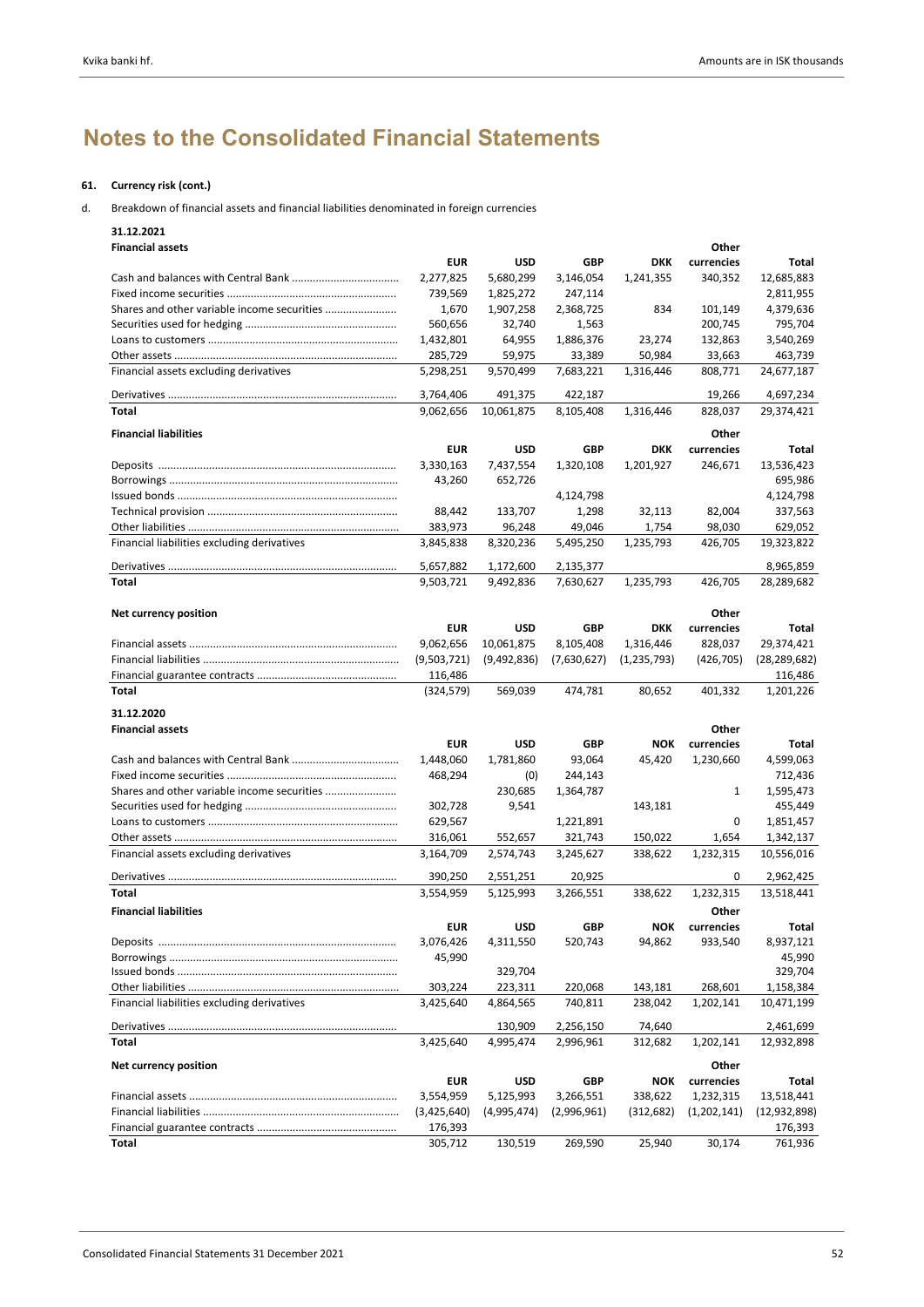# **61. Currency risk (cont.)**

d. Breakdown of financial assets and financial liabilities denominated in foreign currencies

**31.12.2021**

| <b>Financial assets</b>                     |             |                  |             |               | Other       |                           |
|---------------------------------------------|-------------|------------------|-------------|---------------|-------------|---------------------------|
|                                             | <b>EUR</b>  | <b>USD</b>       | <b>GBP</b>  | <b>DKK</b>    | currencies  | Total                     |
|                                             | 2,277,825   | 5,680,299        | 3,146,054   | 1,241,355     | 340,352     | 12,685,883                |
|                                             | 739,569     | 1,825,272        | 247,114     |               |             | 2,811,955                 |
|                                             | 1,670       | 1,907,258        | 2,368,725   | 834           | 101,149     | 4,379,636                 |
|                                             | 560,656     | 32,740           | 1,563       |               | 200,745     | 795,704                   |
|                                             | 1,432,801   | 64,955           | 1,886,376   | 23,274        | 132,863     | 3,540,269                 |
|                                             | 285,729     | 59,975           | 33,389      | 50,984        | 33,663      | 463,739                   |
| Financial assets excluding derivatives      | 5,298,251   | 9,570,499        | 7,683,221   | 1,316,446     | 808,771     | 24,677,187                |
|                                             | 3,764,406   | 491,375          | 422,187     |               | 19,266      | 4,697,234                 |
| Total                                       | 9,062,656   | 10,061,875       | 8,105,408   | 1,316,446     | 828,037     | 29,374,421                |
| <b>Financial liabilities</b>                |             |                  |             |               | Other       |                           |
|                                             | <b>EUR</b>  | <b>USD</b>       | <b>GBP</b>  | <b>DKK</b>    | currencies  | Total                     |
|                                             | 3,330,163   | 7,437,554        | 1,320,108   | 1,201,927     | 246,671     | 13,536,423                |
|                                             | 43,260      | 652,726          |             |               |             | 695,986                   |
|                                             |             |                  | 4,124,798   |               |             | 4,124,798                 |
|                                             | 88,442      | 133,707          | 1,298       | 32,113        | 82,004      | 337,563                   |
|                                             | 383,973     | 96,248           | 49,046      | 1,754         | 98,030      | 629,052                   |
| Financial liabilities excluding derivatives | 3,845,838   | 8,320,236        | 5,495,250   | 1,235,793     | 426,705     | 19,323,822                |
|                                             | 5,657,882   | 1,172,600        | 2,135,377   |               |             | 8,965,859                 |
| Total                                       | 9,503,721   | 9,492,836        | 7,630,627   | 1,235,793     | 426,705     | 28,289,682                |
|                                             |             |                  |             |               |             |                           |
| Net currency position                       |             |                  |             |               | Other       |                           |
|                                             | <b>EUR</b>  | <b>USD</b>       | GBP         | <b>DKK</b>    | currencies  | Total                     |
|                                             | 9,062,656   | 10,061,875       | 8,105,408   | 1,316,446     | 828,037     | 29,374,421                |
|                                             | (9,503,721) | (9,492,836)      | (7,630,627) | (1, 235, 793) | (426, 705)  | (28, 289, 682)            |
|                                             | 116,486     |                  |             |               |             | 116,486                   |
| Total                                       | (324, 579)  | 569,039          | 474,781     | 80,652        | 401,332     | 1,201,226                 |
|                                             |             |                  |             |               |             |                           |
| 31.12.2020                                  |             |                  |             |               |             |                           |
| <b>Financial assets</b>                     |             |                  |             |               | Other       |                           |
|                                             | <b>EUR</b>  | <b>USD</b>       | <b>GBP</b>  | <b>NOK</b>    | currencies  | Total                     |
|                                             | 1,448,060   | 1,781,860        | 93,064      | 45,420        | 1,230,660   | 4,599,063                 |
|                                             | 468,294     |                  | 244,143     |               |             | 712,436                   |
|                                             |             | (0)              |             |               | 1           |                           |
|                                             | 302,728     | 230,685<br>9,541 | 1,364,787   | 143,181       |             | 1,595,473<br>455,449      |
|                                             |             |                  |             |               | 0           |                           |
|                                             | 629,567     |                  | 1,221,891   |               |             | 1,851,457                 |
|                                             | 316,061     | 552,657          | 321,743     | 150,022       | 1,654       | 1,342,137                 |
| Financial assets excluding derivatives      | 3,164,709   | 2,574,743        | 3,245,627   | 338,622       | 1,232,315   | 10,556,016                |
|                                             | 390,250     | 2,551,251        | 20,925      |               | 0           | 2,962,425                 |
| Total                                       | 3,554,959   | 5,125,993        | 3,266,551   | 338,622       | 1,232,315   | 13,518,441                |
| <b>Financial liabilities</b>                |             |                  |             |               | Other       |                           |
|                                             | <b>EUR</b>  | <b>USD</b>       | GBP         | <b>NOK</b>    | currencies  | Total                     |
|                                             | 3,076,426   | 4,311,550        | 520,743     | 94,862        | 933,540     | 8,937,121                 |
|                                             | 45,990      |                  |             |               |             | 45,990                    |
|                                             |             | 329,704          |             |               |             | 329,704                   |
|                                             | 303,224     | 223,311          | 220,068     | 143,181       | 268,601     | 1,158,384                 |
| Financial liabilities excluding derivatives | 3,425,640   | 4,864,565        | 740,811     | 238,042       | 1,202,141   | 10,471,199                |
|                                             |             | 130,909          | 2,256,150   | 74,640        |             | 2,461,699                 |
| Total                                       | 3,425,640   | 4,995,474        | 2,996,961   | 312,682       | 1,202,141   | 12,932,898                |
| <b>Net currency position</b>                |             |                  |             |               | Other       |                           |
|                                             | <b>EUR</b>  | <b>USD</b>       | GBP         | <b>NOK</b>    | currencies  | Total                     |
|                                             | 3,554,959   | 5,125,993        | 3,266,551   | 338,622       | 1,232,315   | 13,518,441                |
|                                             | (3,425,640) | (4,995,474)      | (2,996,961) | (312, 682)    | (1,202,141) |                           |
|                                             | 176,393     |                  |             |               |             | (12, 932, 898)<br>176,393 |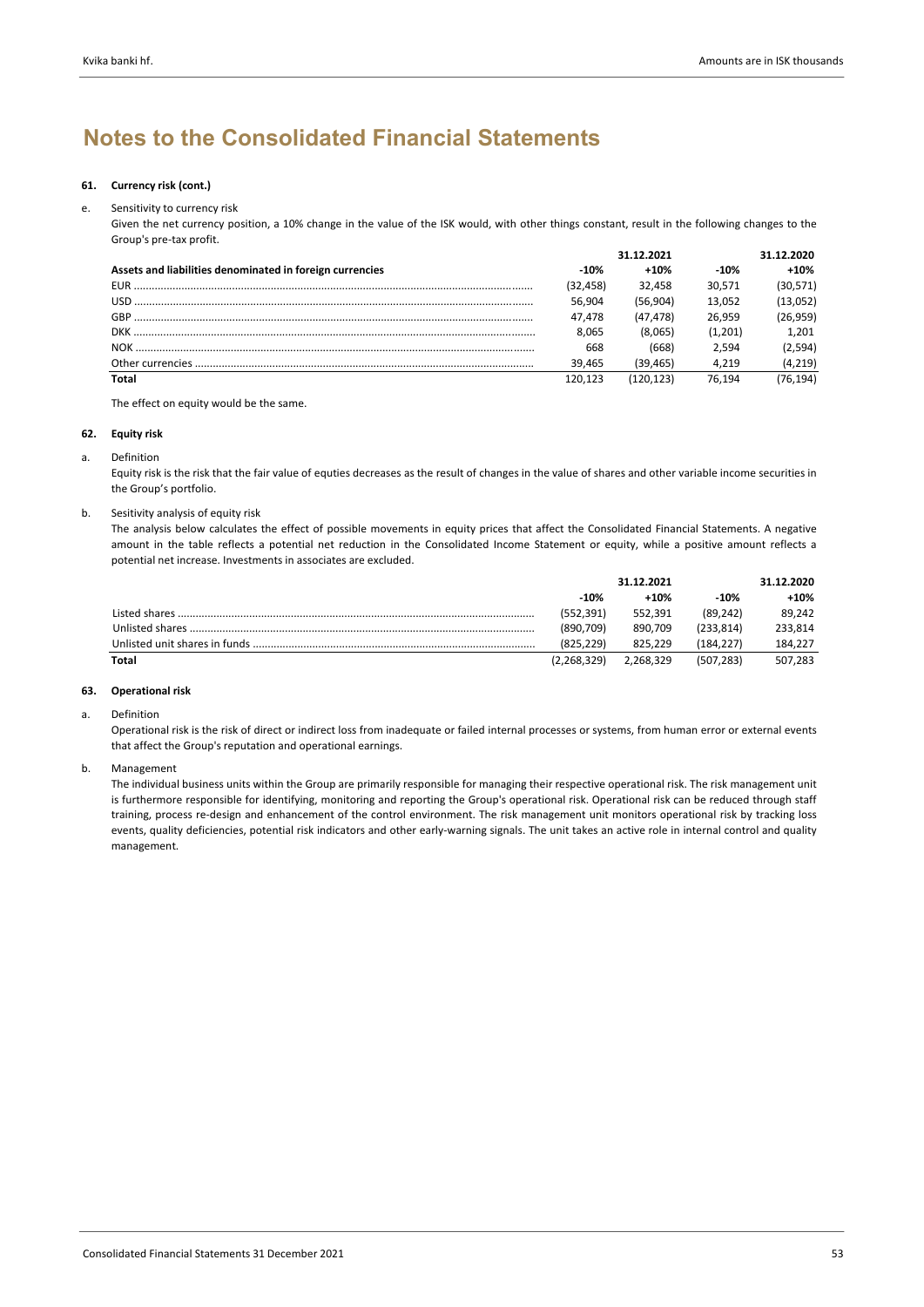# **61. Currency risk (cont.)**

# e. Sensitivity to currency risk

Given the net currency position, a 10% change in the value of the ISK would, with other things constant, result in the following changes to the Group's pre‐tax profit.

|                                                          |          | 31.12.2021 |         | 31.12.2020 |
|----------------------------------------------------------|----------|------------|---------|------------|
| Assets and liabilities denominated in foreign currencies | $-10%$   | $+10%$     | $-10%$  | $+10%$     |
|                                                          | (32.458) | 32.458     | 30.571  | (30, 571)  |
| USD.                                                     | 56.904   | (56.904)   | 13.052  | (13,052)   |
|                                                          | 47.478   | (47.478)   | 26.959  | (26, 959)  |
| <b>DKK</b>                                               | 8.065    | (8,065)    | (1,201) | 1.201      |
| NOK                                                      | 668      | (668)      | 2.594   | (2,594)    |
|                                                          | 39.465   | (39.465)   | 4.219   | (4, 219)   |
| Total                                                    | 120 123  | (120.123)  | 76.194  | 76.194)    |

The effect on equity would be the same.

# **62. Equity risk**

a. Definition

Equity risk is the risk that the fair value of equties decreases as the result of changes in the value of shares and other variable income securities in the Group's portfolio.

# b. Sesitivity analysis of equity risk

The analysis below calculates the effect of possible movements in equity prices that affect the Consolidated Financial Statements. A negative amount in the table reflects a potential net reduction in the Consolidated Income Statement or equity, while a positive amount reflects a potential net increase. Investments in associates are excluded.

|       |               | 31.12.2021 |           | 31.12.2020 |  |
|-------|---------------|------------|-----------|------------|--|
|       | $-10%$        | $+10%$     | $-10%$    | $+10%$     |  |
|       | (552.391)     | 552.391    | (89.242)  | 89.242     |  |
|       | (890.709)     | 890.709    | (233.814) | 233.814    |  |
|       | (825.229)     | 825.229    | (184.227) | 184.227    |  |
| Total | (2, 268, 329) | 2.268.329  | (507.283) | 507,283    |  |

### **63. Operational risk**

### a. Definition

Operational risk is the risk of direct or indirect loss from inadequate or failed internal processes or systems, from human error or external events that affect the Group's reputation and operational earnings.

b. Management

The individual business units within the Group are primarily responsible for managing their respective operational risk. The risk management unit is furthermore responsible for identifying, monitoring and reporting the Group's operational risk. Operational risk can be reduced through staff training, process re‐design and enhancement of the control environment. The risk management unit monitors operational risk by tracking loss events, quality deficiencies, potential risk indicators and other early-warning signals. The unit takes an active role in internal control and quality management.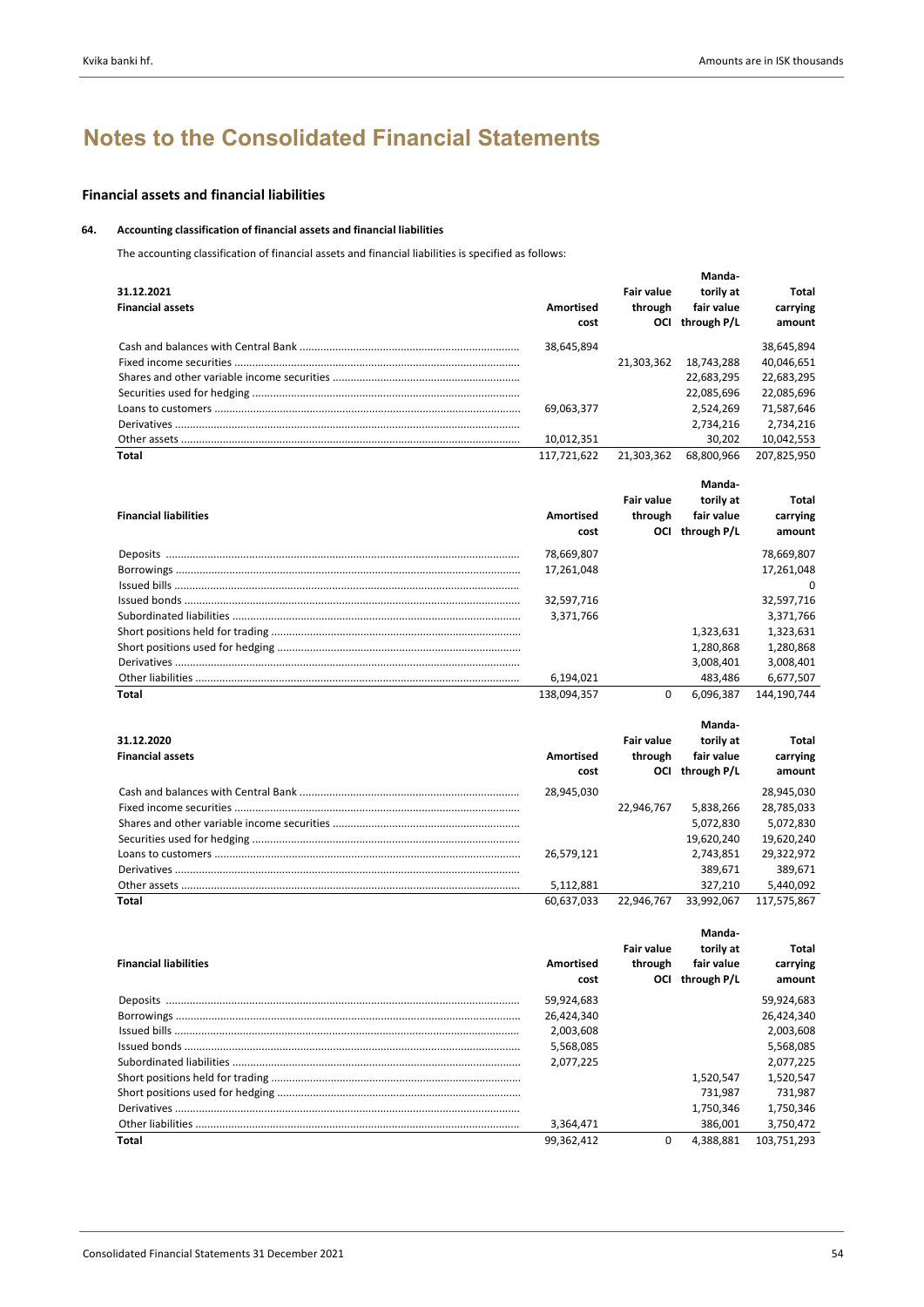# **Financial assets and financial liabilities**

# **64. Accounting classification of financial assets and financial liabilities**

The accounting classification of financial assets and financial liabilities is specified as follows:

| 31.12.2021<br><b>Financial assets</b> | Amortised<br>cost | <b>Fair value</b><br>through<br>OCI | Manda-<br>torily at<br>fair value<br>through P/L | Total<br>carrying<br>amount |
|---------------------------------------|-------------------|-------------------------------------|--------------------------------------------------|-----------------------------|
|                                       | 38,645,894        |                                     |                                                  | 38,645,894                  |
|                                       |                   | 21.303.362                          | 18.743.288                                       | 40,046,651                  |
|                                       |                   |                                     | 22.683.295                                       | 22,683,295                  |
|                                       |                   |                                     | 22.085.696                                       | 22,085,696                  |
|                                       | 69,063,377        |                                     | 2.524.269                                        | 71,587,646                  |
|                                       |                   |                                     | 2.734.216                                        | 2.734.216                   |
|                                       | 10.012.351        |                                     | 30.202                                           | 10,042,553                  |
| Total                                 | 117.721.622       | 21.303.362                          | 68.800.966                                       | 207.825.950                 |

|                              |             |                   | Manda-      |             |
|------------------------------|-------------|-------------------|-------------|-------------|
|                              |             | <b>Fair value</b> | torily at   | Total       |
| <b>Financial liabilities</b> | Amortised   | through           | fair value  | carrying    |
|                              | cost        | OCI               | through P/L | amount      |
|                              | 78,669,807  |                   |             | 78,669,807  |
|                              | 17.261.048  |                   |             | 17,261,048  |
|                              |             |                   |             | $\Omega$    |
|                              | 32,597,716  |                   |             | 32,597,716  |
|                              | 3.371.766   |                   |             | 3.371.766   |
|                              |             |                   | 1.323.631   | 1.323.631   |
|                              |             |                   | 1.280.868   | 1.280.868   |
|                              |             |                   | 3.008.401   | 3,008,401   |
|                              | 6,194,021   |                   | 483.486     | 6,677,507   |
| Total                        | 138.094.357 | $\Omega$          | 6,096,387   | 144.190.744 |

| 31.12.2020<br><b>Financial assets</b> | Amortised<br>cost | <b>Fair value</b><br>through<br>OCI | Manda-<br>torily at<br>fair value<br>through P/L | Total<br>carrying<br>amount |
|---------------------------------------|-------------------|-------------------------------------|--------------------------------------------------|-----------------------------|
|                                       | 28,945,030        |                                     |                                                  | 28,945,030                  |
|                                       |                   | 22.946.767                          | 5,838,266                                        | 28,785,033                  |
|                                       |                   |                                     | 5.072.830                                        | 5.072.830                   |
|                                       |                   |                                     | 19.620.240                                       | 19,620,240                  |
|                                       | 26.579.121        |                                     | 2.743.851                                        | 29.322.972                  |
|                                       |                   |                                     | 389.671                                          | 389.671                     |
|                                       | 5.112.881         |                                     | 327.210                                          | 5.440.092                   |
| Total                                 | 60.637.033        | 22.946.767                          | 33.992.067                                       | 117.575.867                 |

|            | <b>Fair value</b> | torily at      | Total                               |
|------------|-------------------|----------------|-------------------------------------|
|            |                   |                | carrying                            |
|            |                   |                | amount                              |
| 59,924,683 |                   |                | 59,924,683                          |
| 26,424,340 |                   |                | 26.424.340                          |
| 2.003.608  |                   |                | 2.003.608                           |
| 5.568.085  |                   |                | 5.568.085                           |
| 2.077.225  |                   |                | 2.077.225                           |
|            |                   | 1.520.547      | 1.520.547                           |
|            |                   | 731.987        | 731.987                             |
|            |                   | 1.750.346      | 1.750.346                           |
| 3.364.471  |                   | 386.001        | 3.750.472                           |
| 99.362.412 | $\Omega$          | 4.388.881      | 103.751.293                         |
|            | Amortised<br>cost | through<br>OCI | Manda-<br>fair value<br>through P/L |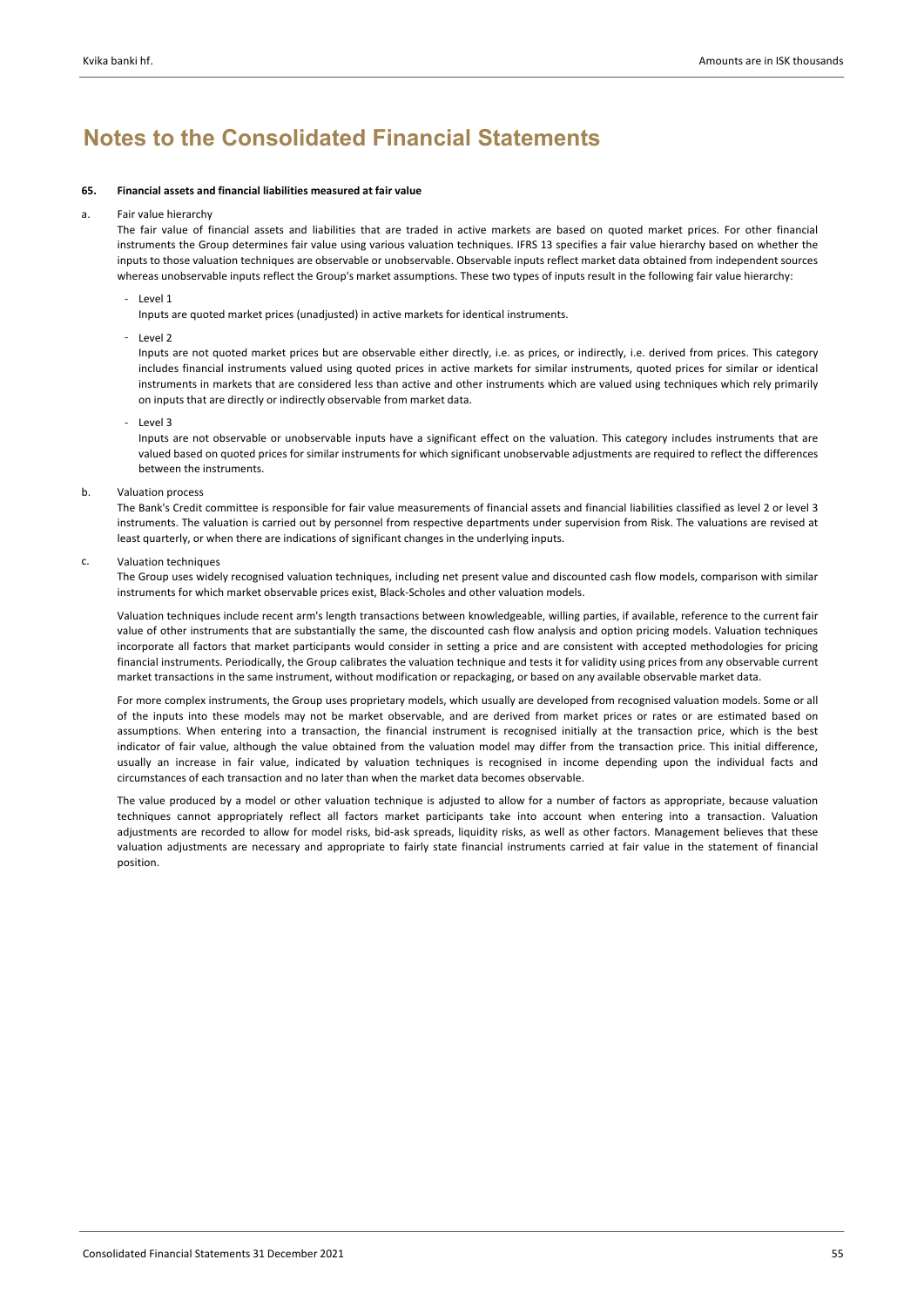### **65. Financial assets and financial liabilities measured at fair value**

#### a. Fair value hierarchy

The fair value of financial assets and liabilities that are traded in active markets are based on quoted market prices. For other financial instruments the Group determines fair value using various valuation techniques. IFRS 13 specifies a fair value hierarchy based on whether the inputs to those valuation techniques are observable or unobservable. Observable inputs reflect market data obtained from independent sources whereas unobservable inputs reflect the Group's market assumptions. These two types of inputs result in the following fair value hierarchy:

‐ Level 1

Inputs are quoted market prices (unadjusted) in active markets for identical instruments.

‐ Level 2

Inputs are not quoted market prices but are observable either directly, i.e. as prices, or indirectly, i.e. derived from prices. This category includes financial instruments valued using quoted prices in active markets for similar instruments, quoted prices for similar or identical instruments in markets that are considered less than active and other instruments which are valued using techniques which rely primarily on inputs that are directly or indirectly observable from market data.

‐ Level 3

Inputs are not observable or unobservable inputs have a significant effect on the valuation. This category includes instruments that are valued based on quoted prices for similar instruments for which significant unobservable adjustments are required to reflect the differences between the instruments.

b. Valuation process

> The Bank's Credit committee is responsible for fair value measurements of financial assets and financial liabilities classified as level 2 or level 3 instruments. The valuation is carried out by personnel from respective departments under supervision from Risk. The valuations are revised at least quarterly, or when there are indications of significant changes in the underlying inputs.

c. Valuation techniques

The Group uses widely recognised valuation techniques, including net present value and discounted cash flow models, comparison with similar instruments for which market observable prices exist, Black‐Scholes and other valuation models.

Valuation techniques include recent arm's length transactions between knowledgeable, willing parties, if available, reference to the current fair value of other instruments that are substantially the same, the discounted cash flow analysis and option pricing models. Valuation techniques incorporate all factors that market participants would consider in setting a price and are consistent with accepted methodologies for pricing financial instruments. Periodically, the Group calibrates the valuation technique and tests it for validity using prices from any observable current market transactions in the same instrument, without modification or repackaging, or based on any available observable market data.

For more complex instruments, the Group uses proprietary models, which usually are developed from recognised valuation models. Some or all of the inputs into these models may not be market observable, and are derived from market prices or rates or are estimated based on assumptions. When entering into a transaction, the financial instrument is recognised initially at the transaction price, which is the best indicator of fair value, although the value obtained from the valuation model may differ from the transaction price. This initial difference, usually an increase in fair value, indicated by valuation techniques is recognised in income depending upon the individual facts and circumstances of each transaction and no later than when the market data becomes observable.

The value produced by a model or other valuation technique is adjusted to allow for a number of factors as appropriate, because valuation techniques cannot appropriately reflect all factors market participants take into account when entering into a transaction. Valuation adjustments are recorded to allow for model risks, bid-ask spreads, liquidity risks, as well as other factors. Management believes that these valuation adjustments are necessary and appropriate to fairly state financial instruments carried at fair value in the statement of financial position.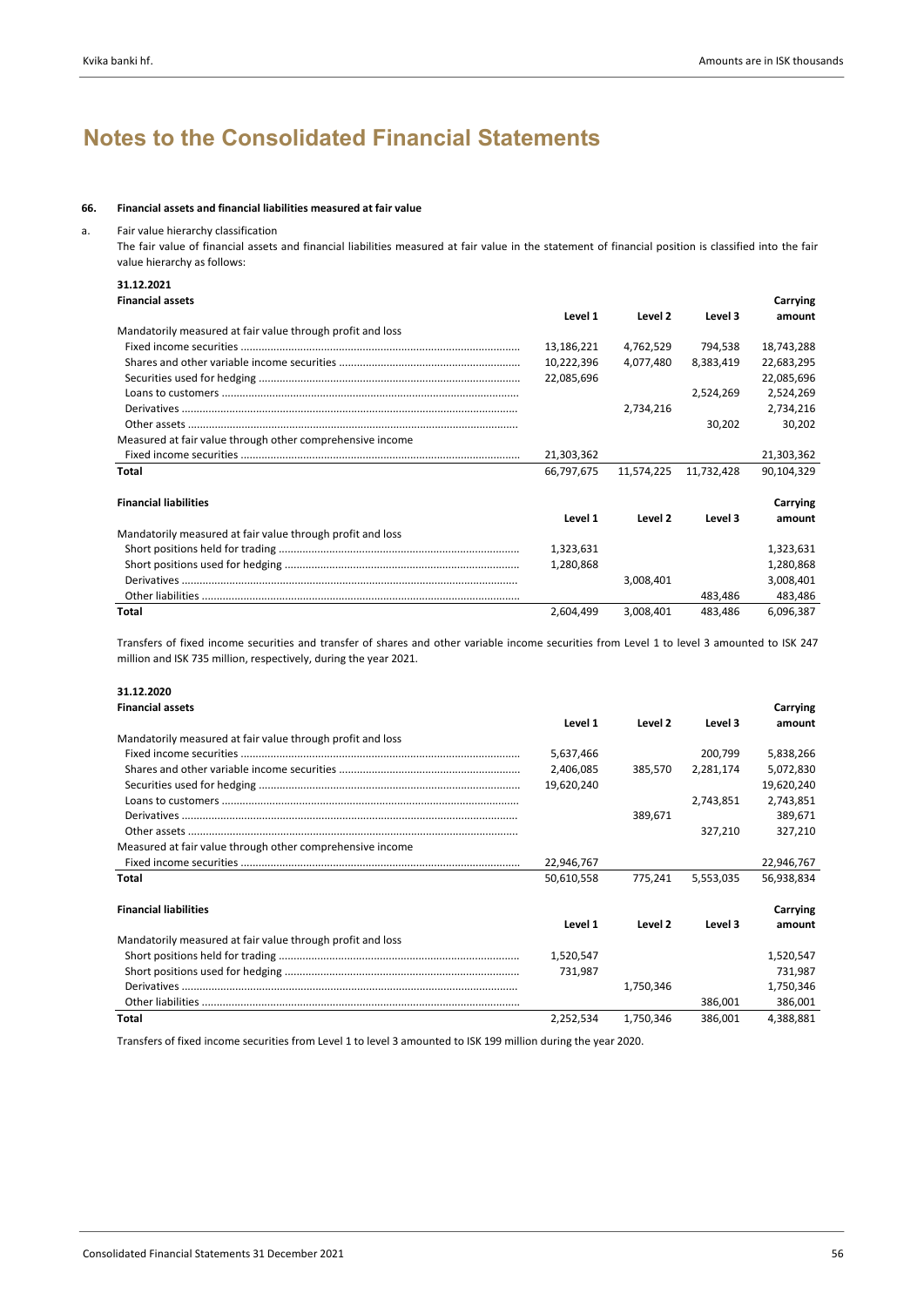# **66. Financial assets and financial liabilities measured at fair value**

#### a. Fair value hierarchy classification

The fair value of financial assets and financial liabilities measured at fair value in the statement of financial position is classified into the fair value hierarchy as follows:

| 31.12.2021              |          |
|-------------------------|----------|
| <b>Financial assets</b> | Carrying |

|                                                            | Level 1    | Level 2    | Level 3    | amount     |
|------------------------------------------------------------|------------|------------|------------|------------|
| Mandatorily measured at fair value through profit and loss |            |            |            |            |
|                                                            | 13,186,221 | 4,762,529  | 794.538    | 18,743,288 |
|                                                            | 10,222,396 | 4.077.480  | 8.383.419  | 22,683,295 |
|                                                            | 22,085,696 |            |            | 22,085,696 |
|                                                            |            |            | 2,524,269  | 2,524,269  |
|                                                            |            | 2,734,216  |            | 2,734,216  |
|                                                            |            |            | 30,202     | 30,202     |
| Measured at fair value through other comprehensive income  |            |            |            |            |
|                                                            | 21,303,362 |            |            | 21,303,362 |
| <b>Total</b>                                               | 66,797,675 | 11,574,225 | 11,732,428 | 90,104,329 |
| <b>Financial liabilities</b>                               |            |            |            | Carrying   |
|                                                            | Level 1    | Level 2    | Level 3    | amount     |
| Mandatorily measured at fair value through profit and loss |            |            |            |            |
|                                                            | 1,323,631  |            |            | 1,323,631  |
|                                                            | 1.280.868  |            |            | 1,280,868  |
|                                                            |            | 3,008,401  |            | 3,008,401  |
|                                                            |            |            | 483,486    | 483,486    |
| <b>Total</b>                                               | 2,604,499  | 3,008,401  | 483.486    | 6,096,387  |

Transfers of fixed income securities and transfer of shares and other variable income securities from Level 1 to level 3 amounted to ISK 247 million and ISK 735 million, respectively, during the year 2021.

# **31.12.2020**

| <b>Financial assets</b>                                    |            |           |           | Carrying   |
|------------------------------------------------------------|------------|-----------|-----------|------------|
|                                                            | Level 1    | Level 2   | Level 3   | amount     |
| Mandatorily measured at fair value through profit and loss |            |           |           |            |
|                                                            | 5,637,466  |           | 200,799   | 5,838,266  |
|                                                            | 2,406,085  | 385.570   | 2,281,174 | 5,072,830  |
|                                                            | 19,620,240 |           |           | 19,620,240 |
|                                                            |            |           | 2,743,851 | 2,743,851  |
|                                                            |            | 389,671   |           | 389,671    |
|                                                            |            |           | 327,210   | 327,210    |
| Measured at fair value through other comprehensive income  |            |           |           |            |
|                                                            | 22,946,767 |           |           | 22,946,767 |
| <b>Total</b>                                               | 50,610,558 | 775.241   | 5,553,035 | 56,938,834 |
| <b>Financial liabilities</b>                               |            |           |           | Carrying   |
|                                                            | Level 1    | Level 2   | Level 3   | amount     |
| Mandatorily measured at fair value through profit and loss |            |           |           |            |
|                                                            | 1,520,547  |           |           | 1,520,547  |
|                                                            | 731.987    |           |           | 731,987    |
|                                                            |            | 1,750,346 |           | 1,750,346  |
|                                                            |            |           | 386,001   | 386,001    |
| <b>Total</b>                                               | 2,252,534  | 1,750,346 | 386,001   | 4,388,881  |

Transfers of fixed income securities from Level 1 to level 3 amounted to ISK 199 million during the year 2020.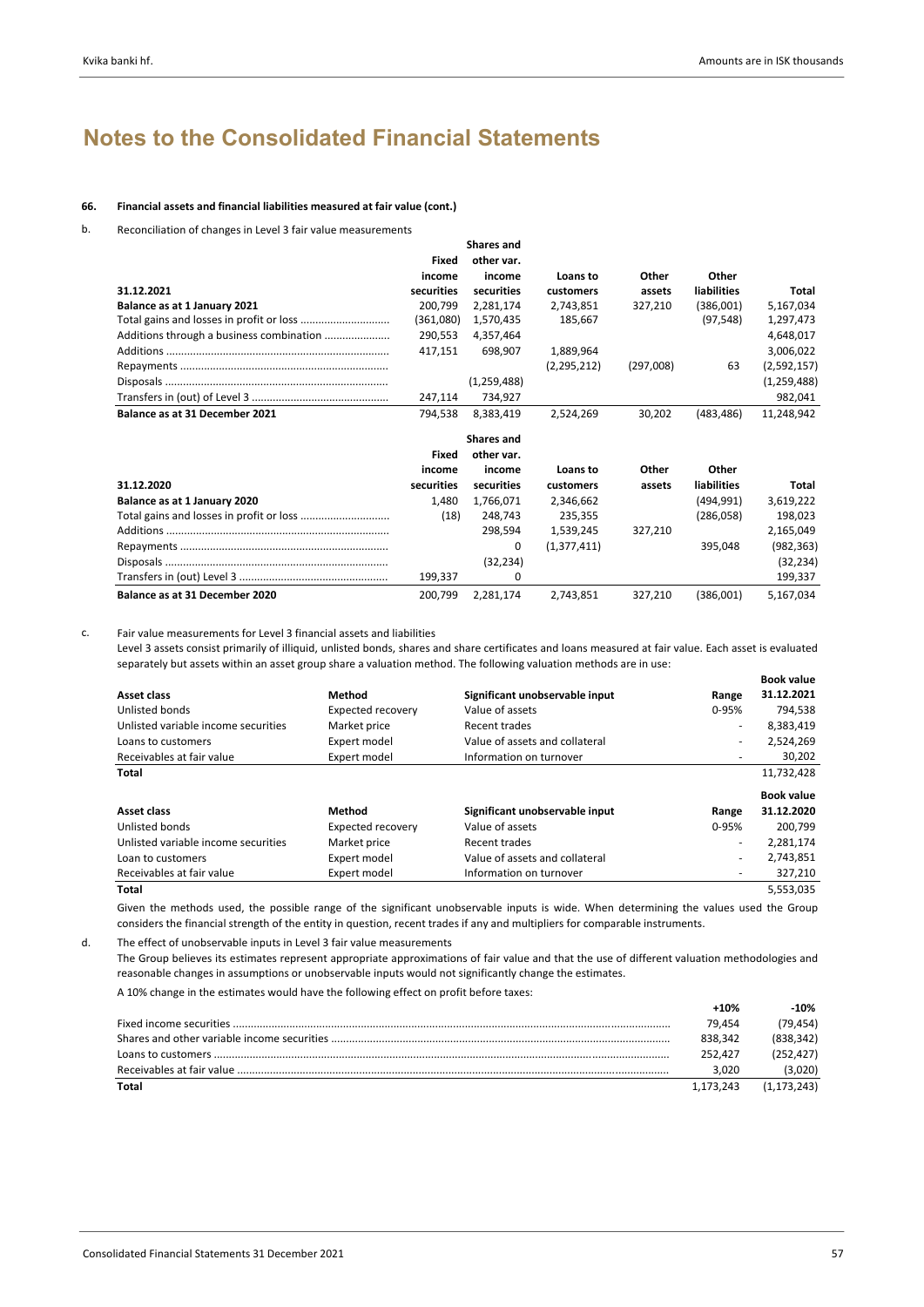# **66. Financial assets and financial liabilities measured at fair value (cont.)**

#### b. Reconciliation of changes in Level 3 fair value measurements

|                                |            | <b>Shares and</b> |               |           |                    |               |
|--------------------------------|------------|-------------------|---------------|-----------|--------------------|---------------|
|                                | Fixed      | other var.        |               |           |                    |               |
|                                | income     | income            | Loans to      | Other     | Other              |               |
| 31.12.2021                     | securities | securities        | customers     | assets    | liabilities        | <b>Total</b>  |
| Balance as at 1 January 2021   | 200,799    | 2,281,174         | 2,743,851     | 327,210   | (386,001)          | 5,167,034     |
|                                | (361.080)  | 1,570,435         | 185.667       |           | (97, 548)          | 1,297,473     |
|                                | 290,553    | 4,357,464         |               |           |                    | 4,648,017     |
|                                | 417,151    | 698,907           | 1,889,964     |           |                    | 3,006,022     |
|                                |            |                   | (2, 295, 212) | (297,008) | 63                 | (2,592,157)   |
|                                |            | (1,259,488)       |               |           |                    | (1, 259, 488) |
|                                | 247,114    | 734,927           |               |           |                    | 982,041       |
| Balance as at 31 December 2021 | 794.538    | 8,383,419         | 2,524,269     | 30,202    | (483, 486)         | 11,248,942    |
|                                |            | <b>Shares and</b> |               |           |                    |               |
|                                | Fixed      | other var.        |               |           |                    |               |
|                                | income     | income            | Loans to      | Other     | Other              |               |
| 31.12.2020                     | securities | securities        | customers     | assets    | <b>liabilities</b> | Total         |
| Balance as at 1 January 2020   | 1.480      | 1,766,071         | 2,346,662     |           | (494, 991)         | 3,619,222     |
|                                | (18)       | 248,743           | 235,355       |           | (286,058)          | 198,023       |
|                                |            | 298,594           | 1,539,245     | 327.210   |                    | 2,165,049     |
|                                |            | 0                 | (1,377,411)   |           | 395,048            | (982, 363)    |
|                                |            | (32, 234)         |               |           |                    | (32, 234)     |
|                                | 199,337    | 0                 |               |           |                    | 199,337       |
| Balance as at 31 December 2020 | 200,799    | 2.281.174         | 2,743,851     | 327.210   | (386,001)          | 5,167,034     |

c. Fair value measurements for Level 3 financial assets and liabilities

**Book value** Level 3 assets consist primarily of illiquid, unlisted bonds, shares and share certificates and loans measured at fair value. Each asset is evaluated separately but assets within an asset group share a valuation method. The following valuation methods are in use:

|                                     |                          |                                |                          | <b>BOOK VAIUE</b> |
|-------------------------------------|--------------------------|--------------------------------|--------------------------|-------------------|
| Asset class                         | Method                   | Significant unobservable input | Range                    | 31.12.2021        |
| Unlisted bonds                      | <b>Expected recovery</b> | Value of assets                | 0-95%                    | 794.538           |
| Unlisted variable income securities | Market price             | Recent trades                  | ٠                        | 8,383,419         |
| Loans to customers                  | Expert model             | Value of assets and collateral | ٠                        | 2,524,269         |
| Receivables at fair value           | Expert model             | Information on turnover        | $\overline{\phantom{a}}$ | 30,202            |
| Total                               |                          |                                |                          | 11,732,428        |
|                                     |                          |                                |                          | <b>Book value</b> |
| Asset class                         | Method                   | Significant unobservable input | Range                    | 31.12.2020        |
| Unlisted bonds                      | <b>Expected recovery</b> | Value of assets                | 0-95%                    | 200.799           |
| Unlisted variable income securities | Market price             | Recent trades                  | $\sim$                   | 2,281,174         |
| Loan to customers                   | Expert model             | Value of assets and collateral | ۰                        | 2,743,851         |
| Receivables at fair value           | Expert model             | Information on turnover        | $\sim$                   | 327,210           |
| Total                               |                          |                                |                          | 5,553,035         |

Given the methods used, the possible range of the significant unobservable inputs is wide. When determining the values used the Group considers the financial strength of the entity in question, recent trades if any and multipliers for comparable instruments.

d. The effect of unobservable inputs in Level 3 fair value measurements

The Group believes its estimates represent appropriate approximations of fair value and that the use of different valuation methodologies and reasonable changes in assumptions or unobservable inputs would not significantly change the estimates.

A 10% change in the estimates would have the following effect on profit before taxes:

|       | $+10%$    | $-10%$        |
|-------|-----------|---------------|
|       | 79.454    | 79.454)       |
|       | 838.342   | (838, 342)    |
|       | 252.427   | (252,427)     |
|       | 3.020     | (3,020)       |
| Total | 1.173.243 | (1, 173, 243) |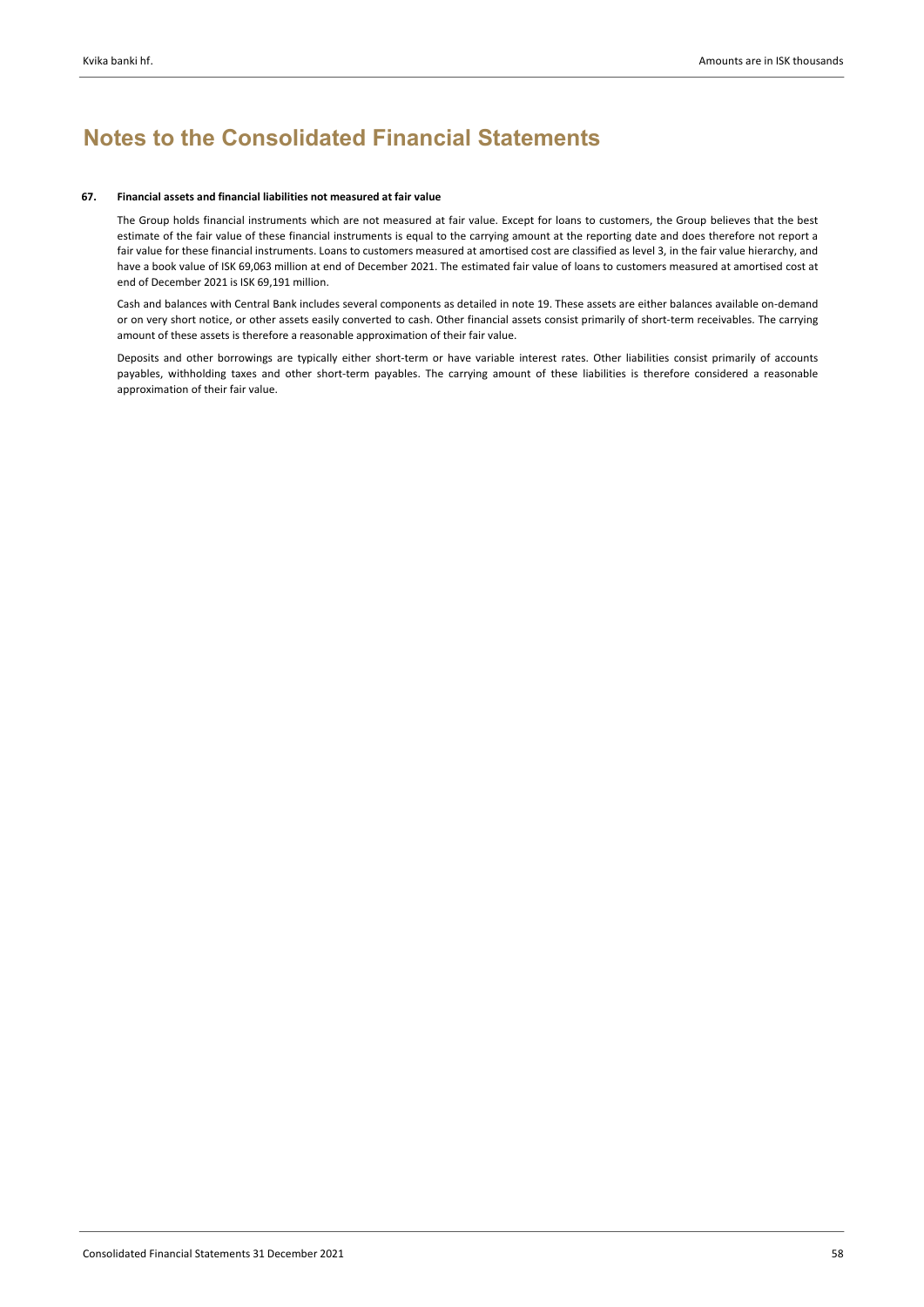# **67. Financial assets and financial liabilities not measured at fair value**

The Group holds financial instruments which are not measured at fair value. Except for loans to customers, the Group believes that the best estimate of the fair value of these financial instruments is equal to the carrying amount at the reporting date and does therefore not report a fair value for these financial instruments. Loans to customers measured at amortised cost are classified as level 3, in the fair value hierarchy, and have a book value of ISK 69,063 million at end of December 2021. The estimated fair value of loans to customers measured at amortised cost at end of December 2021 is ISK 69,191 million.

Cash and balances with Central Bank includes several components as detailed in note 19. These assets are either balances available on‐demand or on very short notice, or other assets easily converted to cash. Other financial assets consist primarily of short-term receivables. The carrying amount of these assets is therefore a reasonable approximation of their fair value.

Deposits and other borrowings are typically either short-term or have variable interest rates. Other liabilities consist primarily of accounts payables, withholding taxes and other short-term payables. The carrying amount of these liabilities is therefore considered a reasonable approximation of their fair value.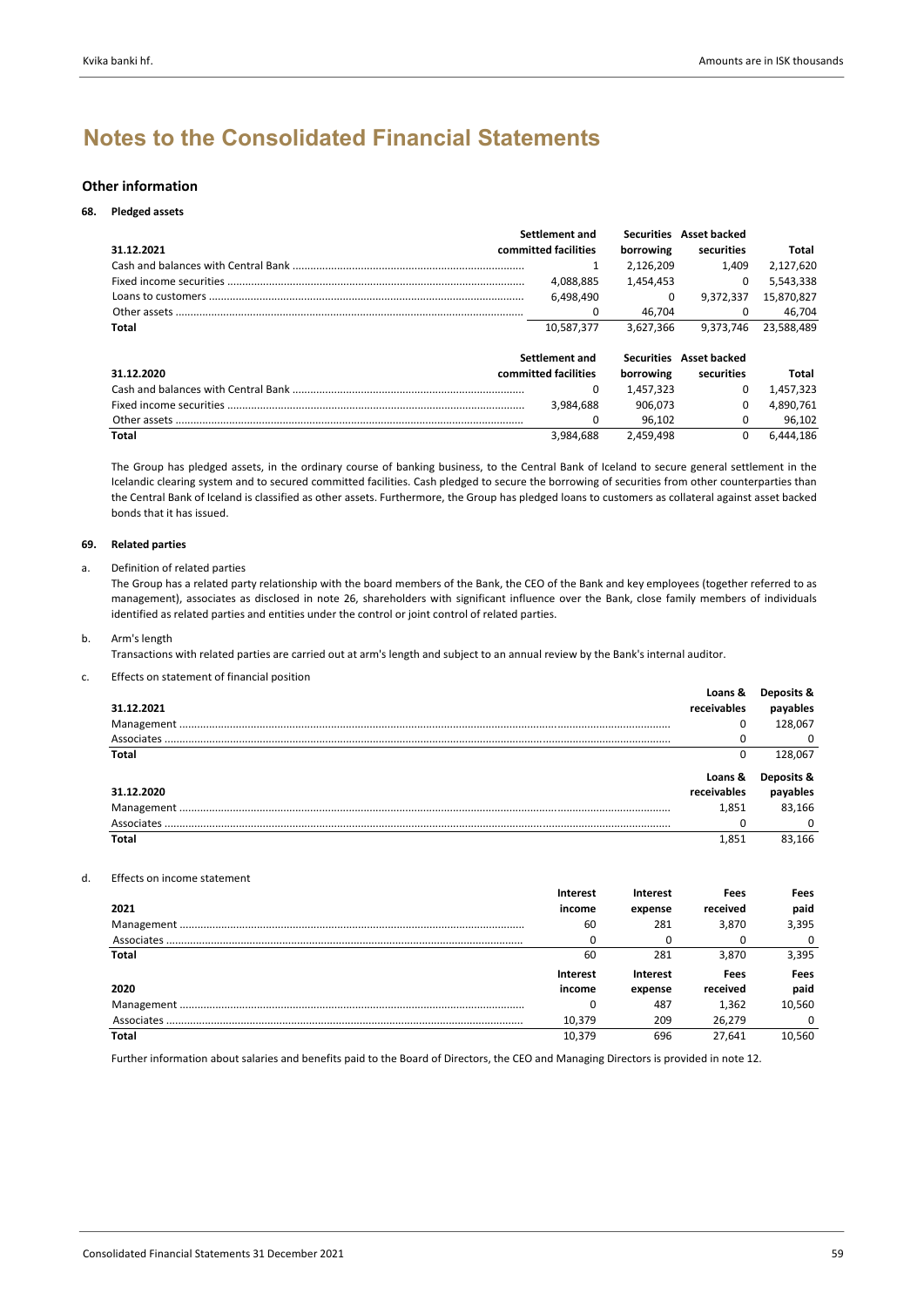# **Other information**

**68. Pledged assets**

|            | Settlement and       | Securities | <b>Asset backed</b>     |            |
|------------|----------------------|------------|-------------------------|------------|
| 31.12.2021 | committed facilities | borrowing  | securities              | Total      |
|            |                      | 2.126.209  | 1.409                   | 2.127.620  |
|            | 4,088,885            | 1,454,453  | 0                       | 5,543,338  |
|            | 6,498,490            | 0          | 9.372.337               | 15,870,827 |
|            | $\Omega$             | 46.704     | 0                       | 46,704     |
| Total      | 10,587,377           | 3.627.366  | 9.373.746               | 23,588,489 |
|            | Settlement and       |            | Securities Asset backed |            |
| 31.12.2020 | committed facilities | borrowing  | securities              | Total      |
|            | 0                    | 1,457,323  | 0                       | 1,457,323  |
|            | 3.984.688            | 906.073    | $\Omega$                | 4.890.761  |
|            | 0                    | 96.102     | 0                       | 96.102     |
| Total      | 3,984,688            | 2.459.498  | 0                       | 6.444.186  |

The Group has pledged assets, in the ordinary course of banking business, to the Central Bank of Iceland to secure general settlement in the Icelandic clearing system and to secured committed facilities. Cash pledged to secure the borrowing of securities from other counterparties than the Central Bank of Iceland is classified as other assets. Furthermore, the Group has pledged loans to customers as collateral against asset backed bonds that it has issued.

# **69. Related parties**

a. Definition of related parties

The Group has a related party relationship with the board members of the Bank, the CEO of the Bank and key employees (together referred to as management), associates as disclosed in note 26, shareholders with significant influence over the Bank, close family members of individuals identified as related parties and entities under the control or joint control of related parties.

b. Arm's length

Transactions with related parties are carried out at arm's length and subject to an annual review by the Bank's internal auditor.

# c. Effects on statement of financial position

|              | Loans &     | Deposits & |
|--------------|-------------|------------|
| 31.12.2021   | receivables | payables   |
| Management   |             | 128.067    |
| Associates   |             | $\Omega$   |
| <b>Total</b> |             | 128.067    |
|              |             |            |
|              | Loans &     | Deposits & |
| 31.12.2020   | receivables | payables   |
| Management   | 1.851       | 83,166     |
| Associates   |             | $\Omega$   |

# d. Effects on income statement

|              | <b>Interest</b> | Interest | Fees     | Fees     |
|--------------|-----------------|----------|----------|----------|
| 2021         | income          | expense  | received | paid     |
|              | 60              | 281      | 3.870    | 3,395    |
| Associates   |                 |          |          | $\Omega$ |
| <b>Total</b> | 60              | 281      | 3.870    | 3,395    |
|              |                 |          |          |          |
|              | Interest        | Interest | Fees     | Fees     |
| 2020         | income          | expense  | received | paid     |
|              |                 | 487      | 1.362    | 10,560   |
|              | 10.379          | 209      | 26.279   | $\Omega$ |

Further information about salaries and benefits paid to the Board of Directors, the CEO and Managing Directors is provided in note 12.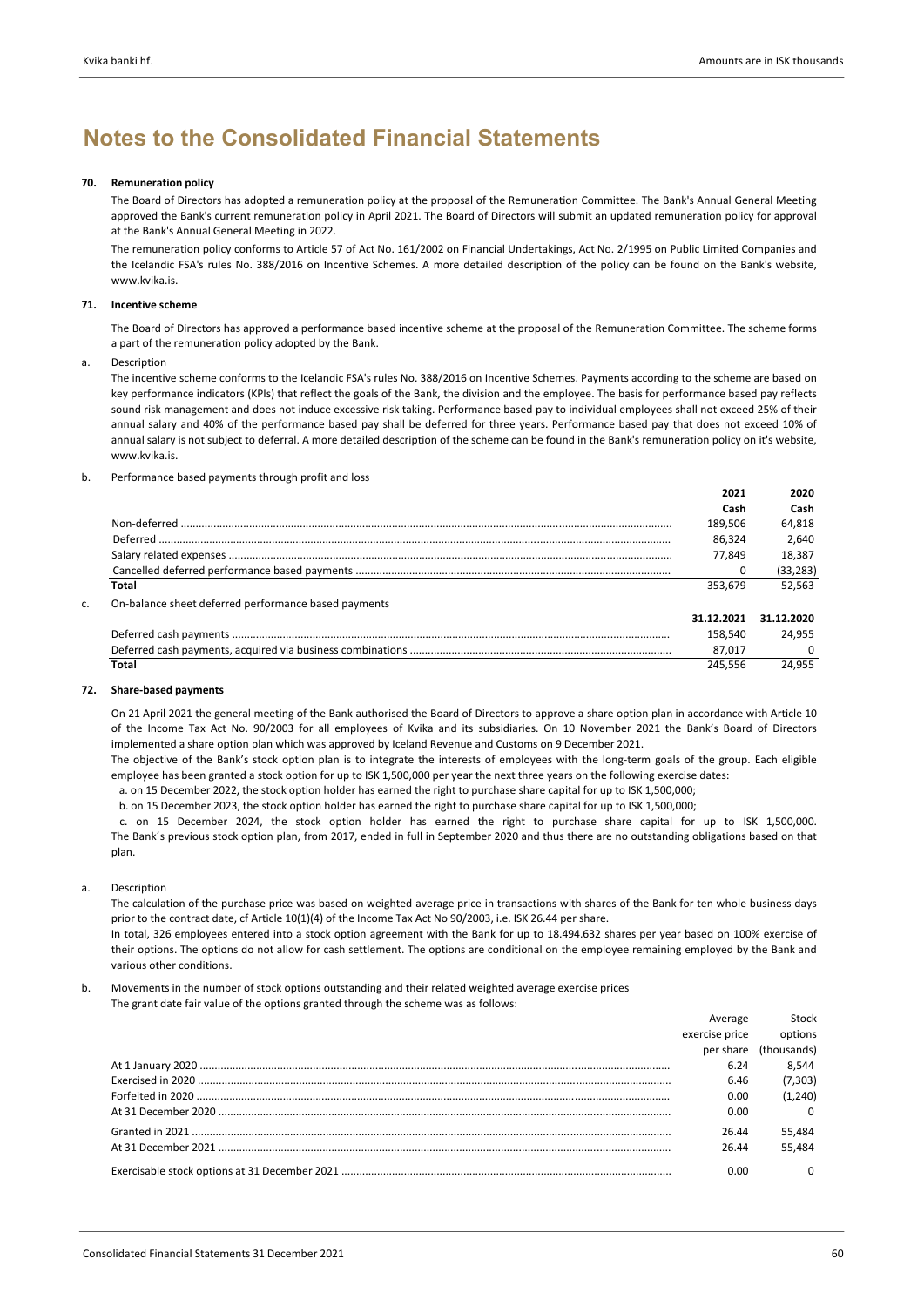### **70. Remuneration policy**

The Board of Directors has adopted a remuneration policy at the proposal of the Remuneration Committee. The Bank's Annual General Meeting approved the Bank's current remuneration policy in April 2021. The Board of Directors will submit an updated remuneration policy for approval at the Bank's Annual General Meeting in 2022.

The remuneration policy conforms to Article 57 of Act No. 161/2002 on Financial Undertakings, Act No. 2/1995 on Public Limited Companies and the Icelandic FSA's rules No. 388/2016 on Incentive Schemes. A more detailed description of the policy can be found on the Bank's website, www.kvika.is.

# **71. Incentive scheme**

The Board of Directors has approved a performance based incentive scheme at the proposal of the Remuneration Committee. The scheme forms a part of the remuneration policy adopted by the Bank.

a. Description

The incentive scheme conforms to the Icelandic FSA's rules No. 388/2016 on Incentive Schemes. Payments according to the scheme are based on key performance indicators (KPIs) that reflect the goals of the Bank, the division and the employee. The basis for performance based pay reflects sound risk management and does not induce excessive risk taking. Performance based pay to individual employees shall not exceed 25% of their annual salary and 40% of the performance based pay shall be deferred for three years. Performance based pay that does not exceed 10% of annual salary is not subject to deferral. A more detailed description of the scheme can be found in the Bank's remuneration policy on it's website, www.kvika.is.

#### b. Performance based payments through profit and loss

|    |                                                      | 2021       | 2020       |
|----|------------------------------------------------------|------------|------------|
|    |                                                      | Cash       | Cash       |
|    |                                                      | 189.506    | 64.818     |
|    |                                                      | 86.324     | 2.640      |
|    |                                                      | 77.849     | 18.387     |
|    |                                                      |            | (33, 283)  |
|    | Total                                                | 353.679    | 52.563     |
| c. | On-balance sheet deferred performance based payments |            |            |
|    |                                                      | 31.12.2021 | 31.12.2020 |
|    |                                                      | 158.540    | 24.955     |
|    |                                                      | 87.017     |            |
|    | Total                                                | 245.556    | 24.955     |

#### **72. Share‐based payments**

On 21 April 2021 the general meeting of the Bank authorised the Board of Directors to approve a share option plan in accordance with Article 10 of the Income Tax Act No. 90/2003 for all employees of Kvika and its subsidiaries. On 10 November 2021 the Bank's Board of Directors implemented a share option plan which was approved by Iceland Revenue and Customs on 9 December 2021.

The objective of the Bank's stock option plan is to integrate the interests of employees with the long-term goals of the group. Each eligible employee has been granted a stock option for up to ISK 1,500,000 per year the next three years on the following exercise dates:

a. on 15 December 2022, the stock option holder has earned the right to purchase share capital for up to ISK 1,500,000;

b. on 15 December 2023, the stock option holder has earned the right to purchase share capital for up to ISK 1,500,000;

c. on 15 December 2024, the stock option holder has earned the right to purchase share capital for up to ISK 1,500,000. The Bank´s previous stock option plan, from 2017, ended in full in September 2020 and thus there are no outstanding obligations based on that plan.

Description

The calculation of the purchase price was based on weighted average price in transactions with shares of the Bank for ten whole business days prior to the contract date, cf Article 10(1)(4) of the Income Tax Act No 90/2003, i.e. ISK 26.44 per share.

In total, 326 employees entered into a stock option agreement with the Bank for up to 18.494.632 shares per year based on 100% exercise of their options. The options do not allow for cash settlement. The options are conditional on the employee remaining employed by the Bank and various other conditions.

### b. Movements in the number of stock options outstanding and their related weighted average exercise prices

The grant date fair value of the options granted through the scheme was as follows:

| Average        | Stock       |
|----------------|-------------|
| exercise price | options     |
| per share      | (thousands) |
| 6.24           | 8.544       |
| 6.46           | (7, 303)    |
| 0.00           | (1,240)     |
| 0.00           |             |
| 26.44          | 55,484      |
| 26.44          | 55.484      |
| 0.00           |             |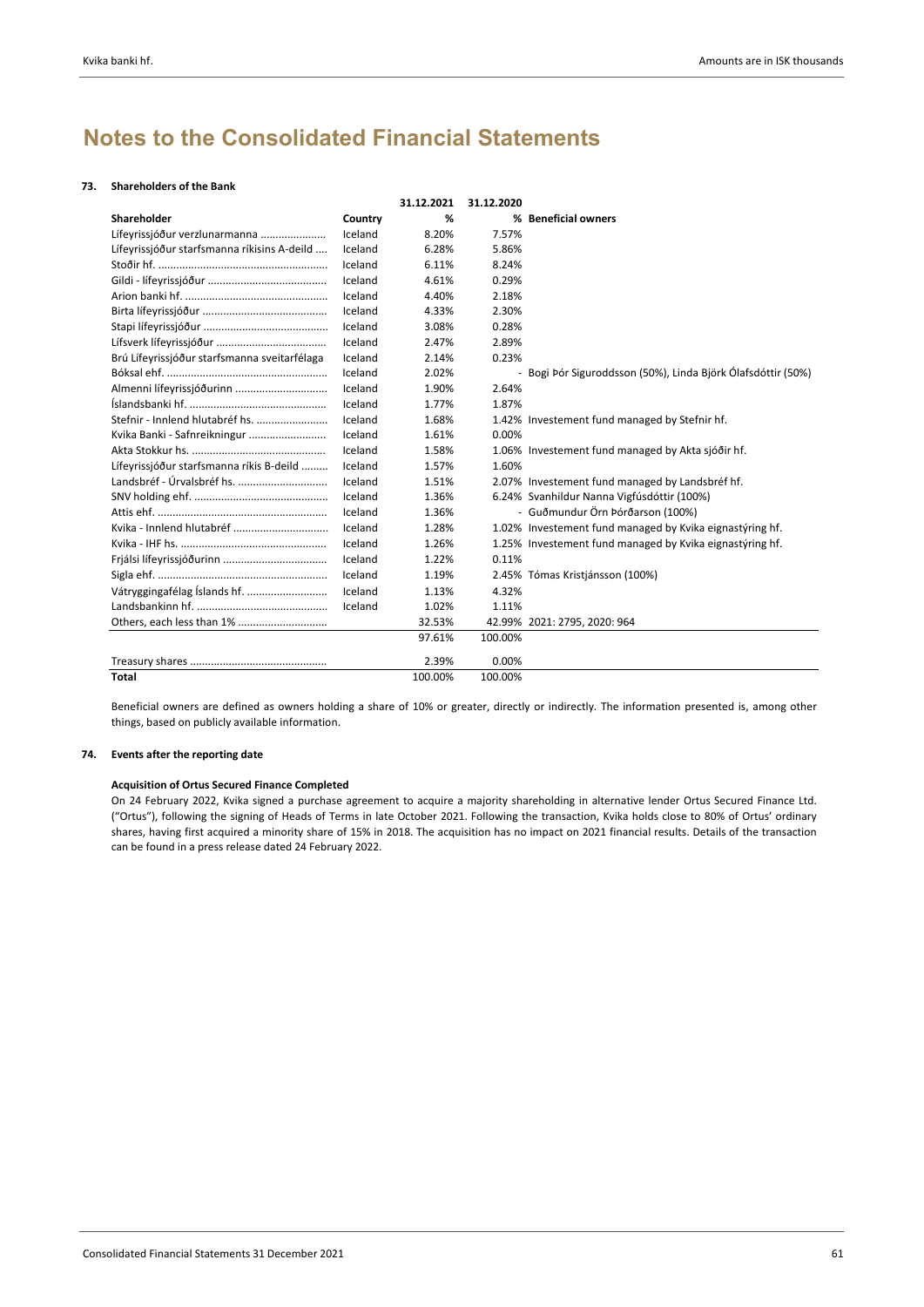# **73. Shareholders of the Bank**

|                                              |         | 31.12.2021 | 31.12.2020 |                                                              |
|----------------------------------------------|---------|------------|------------|--------------------------------------------------------------|
| Shareholder                                  | Country | %          |            | % Beneficial owners                                          |
| Lífeyrissjóður verzlunarmanna                | Iceland | 8.20%      | 7.57%      |                                                              |
| Lífeyrissjóður starfsmanna ríkisins A-deild  | Iceland | 6.28%      | 5.86%      |                                                              |
|                                              | Iceland | 6.11%      | 8.24%      |                                                              |
|                                              | Iceland | 4.61%      | 0.29%      |                                                              |
|                                              | Iceland | 4.40%      | 2.18%      |                                                              |
|                                              | Iceland | 4.33%      | 2.30%      |                                                              |
|                                              | Iceland | 3.08%      | 0.28%      |                                                              |
|                                              | Iceland | 2.47%      | 2.89%      |                                                              |
| Brú Lífeyrissjóður starfsmanna sveitarfélaga | Iceland | 2.14%      | 0.23%      |                                                              |
|                                              | Iceland | 2.02%      |            | - Bogi Þór Siguroddsson (50%), Linda Björk Ólafsdóttir (50%) |
| Almenni lífeyrissjóðurinn                    | Iceland | 1.90%      | 2.64%      |                                                              |
|                                              | Iceland | 1.77%      | 1.87%      |                                                              |
| Stefnir - Innlend hlutabréf hs.              | Iceland | 1.68%      |            | 1.42% Investement fund managed by Stefnir hf.                |
| Kvika Banki - Safnreikningur                 | Iceland | 1.61%      | 0.00%      |                                                              |
|                                              | Iceland | 1.58%      |            | 1.06% Investement fund managed by Akta sjóðir hf.            |
| Lífeyrissjóður starfsmanna ríkis B-deild     | Iceland | 1.57%      | 1.60%      |                                                              |
| Landsbréf - Úrvalsbréf hs.                   | Iceland | 1.51%      |            | 2.07% Investement fund managed by Landsbréf hf.              |
|                                              | Iceland | 1.36%      |            | 6.24% Svanhildur Nanna Vigfúsdóttir (100%)                   |
|                                              | Iceland | 1.36%      |            | - Guðmundur Örn Þórðarson (100%)                             |
| Kvika - Innlend hlutabréf                    | Iceland | 1.28%      |            | 1.02% Investement fund managed by Kvika eignastýring hf.     |
|                                              | Iceland | 1.26%      |            | 1.25% Investement fund managed by Kvika eignastýring hf.     |
|                                              | Iceland | 1.22%      | 0.11%      |                                                              |
|                                              | Iceland | 1.19%      |            | 2.45% Tómas Kristjánsson (100%)                              |
|                                              | Iceland | 1.13%      | 4.32%      |                                                              |
|                                              | Iceland | 1.02%      | 1.11%      |                                                              |
| Others, each less than 1%                    |         | 32.53%     |            | 42.99% 2021: 2795, 2020: 964                                 |
|                                              |         | 97.61%     | 100.00%    |                                                              |
|                                              |         | 2.39%      | 0.00%      |                                                              |
| Total                                        |         | 100.00%    | 100.00%    |                                                              |

Beneficial owners are defined as owners holding a share of 10% or greater, directly or indirectly. The information presented is, among other things, based on publicly available information.

# **74. Events after the reporting date**

## **Acquisition of Ortus Secured Finance Completed**

On 24 February 2022, Kvika signed a purchase agreement to acquire a majority shareholding in alternative lender Ortus Secured Finance Ltd. ("Ortus"), following the signing of Heads of Terms in late October 2021. Following the transaction, Kvika holds close to 80% of Ortus' ordinary shares, having first acquired a minority share of 15% in 2018. The acquisition has no impact on 2021 financial results. Details of the transaction can be found in a press release dated 24 February 2022.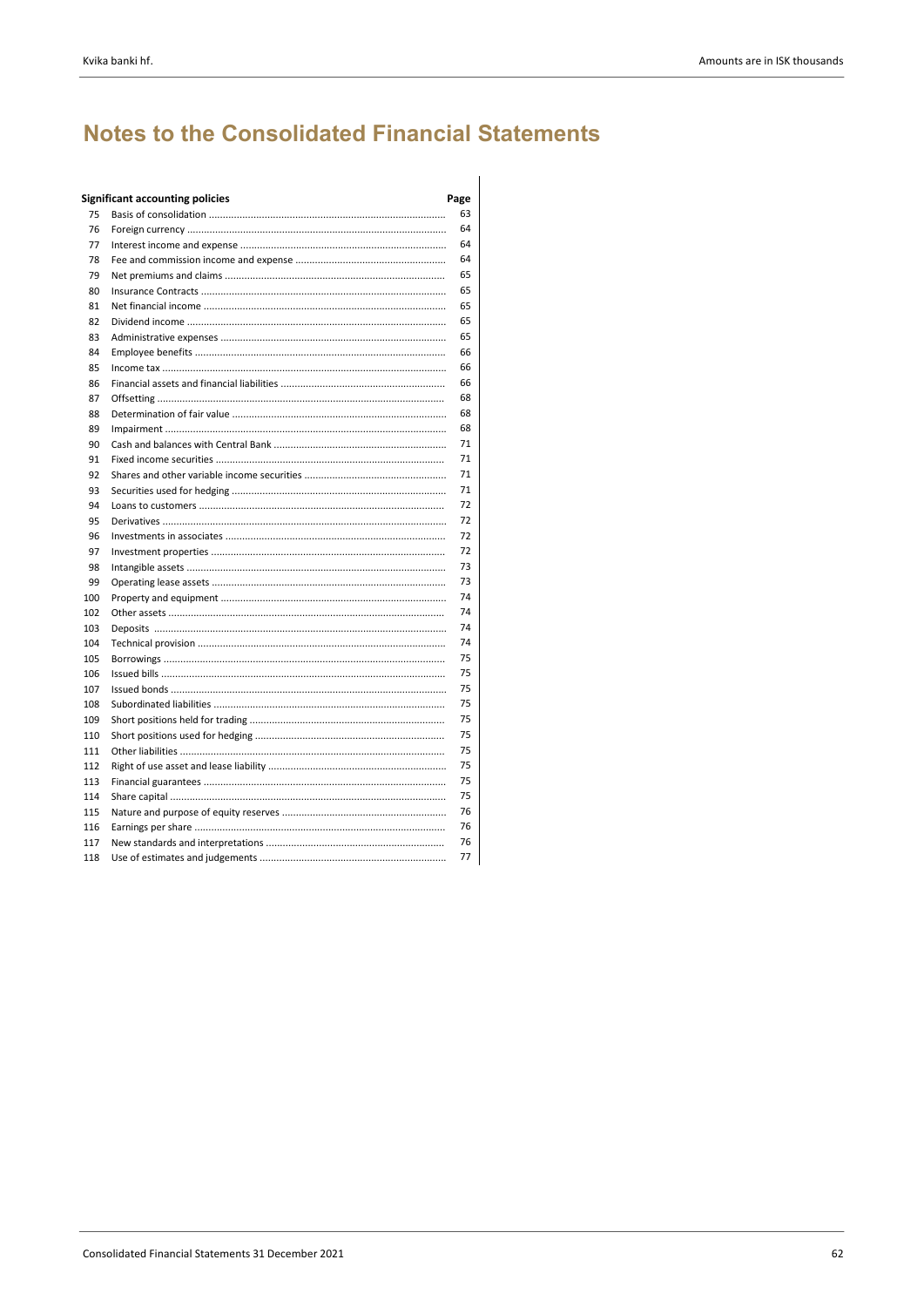|     | <b>Significant accounting policies</b> | Page |
|-----|----------------------------------------|------|
| 75  |                                        | 63   |
| 76  |                                        | 64   |
| 77  |                                        | 64   |
| 78  |                                        | 64   |
| 79  |                                        | 65   |
| 80  |                                        | 65   |
| 81  |                                        | 65   |
| 82  |                                        | 65   |
| 83  |                                        | 65   |
| 84  |                                        | 66   |
| 85  |                                        | 66   |
| 86  |                                        | 66   |
| 87  |                                        | 68   |
| 88  |                                        | 68   |
| 89  |                                        | 68   |
| 90  |                                        | 71   |
| 91  |                                        | 71   |
| 92  |                                        | 71   |
| 93  |                                        | 71   |
| 94  |                                        | 72   |
| 95  |                                        | 72   |
| 96  |                                        | 72   |
| 97  |                                        | 72   |
| 98  |                                        | 73   |
| 99  |                                        | 73   |
| 100 |                                        | 74   |
| 102 |                                        | 74   |
| 103 |                                        | 74   |
| 104 |                                        | 74   |
| 105 |                                        | 75   |
| 106 |                                        | 75   |
| 107 |                                        | 75   |
| 108 |                                        | 75   |
| 109 |                                        | 75   |
| 110 |                                        | 75   |
| 111 |                                        | 75   |
| 112 |                                        | 75   |
| 113 |                                        | 75   |
| 114 |                                        | 75   |
| 115 |                                        | 76   |
| 116 |                                        | 76   |
| 117 |                                        | 76   |
| 118 |                                        | 77   |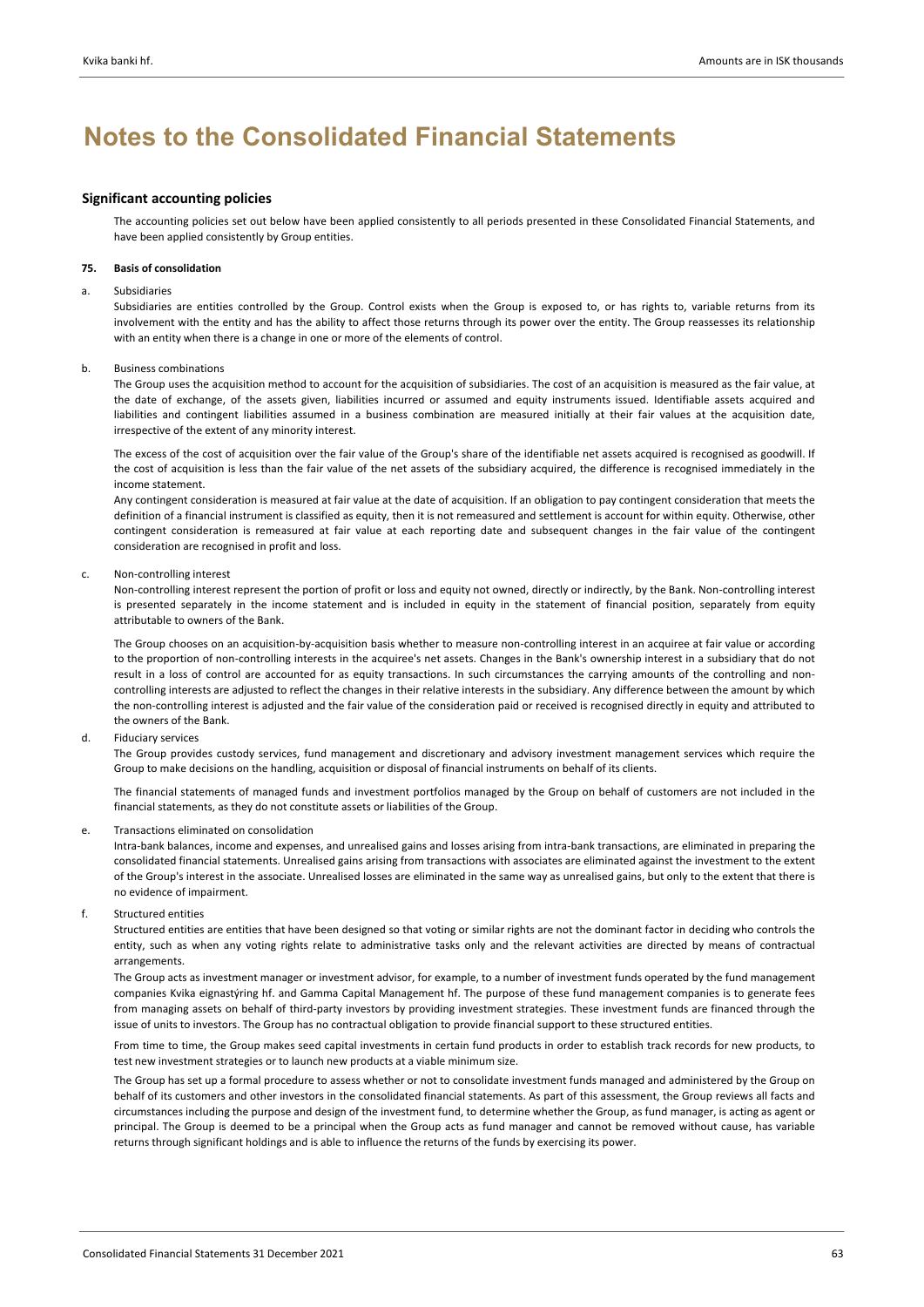# **Significant accounting policies**

The accounting policies set out below have been applied consistently to all periods presented in these Consolidated Financial Statements, and have been applied consistently by Group entities.

### **75. Basis of consolidation**

### a. Subsidiaries

Subsidiaries are entities controlled by the Group. Control exists when the Group is exposed to, or has rights to, variable returns from its involvement with the entity and has the ability to affect those returns through its power over the entity. The Group reassesses its relationship with an entity when there is a change in one or more of the elements of control.

### b. Business combinations

The Group uses the acquisition method to account for the acquisition of subsidiaries. The cost of an acquisition is measured as the fair value, at the date of exchange, of the assets given, liabilities incurred or assumed and equity instruments issued. Identifiable assets acquired and liabilities and contingent liabilities assumed in a business combination are measured initially at their fair values at the acquisition date, irrespective of the extent of any minority interest.

The excess of the cost of acquisition over the fair value of the Group's share of the identifiable net assets acquired is recognised as goodwill. If the cost of acquisition is less than the fair value of the net assets of the subsidiary acquired, the difference is recognised immediately in the income statement.

Any contingent consideration is measured at fair value at the date of acquisition. If an obligation to pay contingent consideration that meets the definition of a financial instrument is classified as equity, then it is not remeasured and settlement is account for within equity. Otherwise, other contingent consideration is remeasured at fair value at each reporting date and subsequent changes in the fair value of the contingent consideration are recognised in profit and loss.

# c. Non‐controlling interest

Non-controlling interest represent the portion of profit or loss and equity not owned, directly or indirectly, by the Bank. Non-controlling interest is presented separately in the income statement and is included in equity in the statement of financial position, separately from equity attributable to owners of the Bank.

The Group chooses on an acquisition-by-acquisition basis whether to measure non-controlling interest in an acquiree at fair value or according to the proportion of non‐controlling interests in the acquiree's net assets. Changes in the Bank's ownership interest in a subsidiary that do not result in a loss of control are accounted for as equity transactions. In such circumstances the carrying amounts of the controlling and noncontrolling interests are adjusted to reflect the changes in their relative interests in the subsidiary. Any difference between the amount by which the non‐controlling interest is adjusted and the fair value of the consideration paid or received is recognised directly in equity and attributed to the owners of the Bank.

### d. Fiduciary services

The Group provides custody services, fund management and discretionary and advisory investment management services which require the Group to make decisions on the handling, acquisition or disposal of financial instruments on behalf of its clients.

The financial statements of managed funds and investment portfolios managed by the Group on behalf of customers are not included in the financial statements, as they do not constitute assets or liabilities of the Group.

Transactions eliminated on consolidation

Intra‐bank balances, income and expenses, and unrealised gains and losses arising from intra‐bank transactions, are eliminated in preparing the consolidated financial statements. Unrealised gains arising from transactions with associates are eliminated against the investment to the extent of the Group's interest in the associate. Unrealised losses are eliminated in the same way as unrealised gains, but only to the extent that there is no evidence of impairment.

f. Structured entities

Structured entities are entities that have been designed so that voting or similar rights are not the dominant factor in deciding who controls the entity, such as when any voting rights relate to administrative tasks only and the relevant activities are directed by means of contractual arrangements.

The Group acts as investment manager or investment advisor, for example, to a number of investment funds operated by the fund management companies Kvika eignastýring hf. and Gamma Capital Management hf. The purpose of these fund management companies is to generate fees from managing assets on behalf of third‐party investors by providing investment strategies. These investment funds are financed through the issue of units to investors. The Group has no contractual obligation to provide financial support to these structured entities.

From time to time, the Group makes seed capital investments in certain fund products in order to establish track records for new products, to test new investment strategies or to launch new products at a viable minimum size.

The Group has set up a formal procedure to assess whether or not to consolidate investment funds managed and administered by the Group on behalf of its customers and other investors in the consolidated financial statements. As part of this assessment, the Group reviews all facts and circumstances including the purpose and design of the investment fund, to determine whether the Group, as fund manager, is acting as agent or principal. The Group is deemed to be a principal when the Group acts as fund manager and cannot be removed without cause, has variable returns through significant holdings and is able to influence the returns of the funds by exercising its power.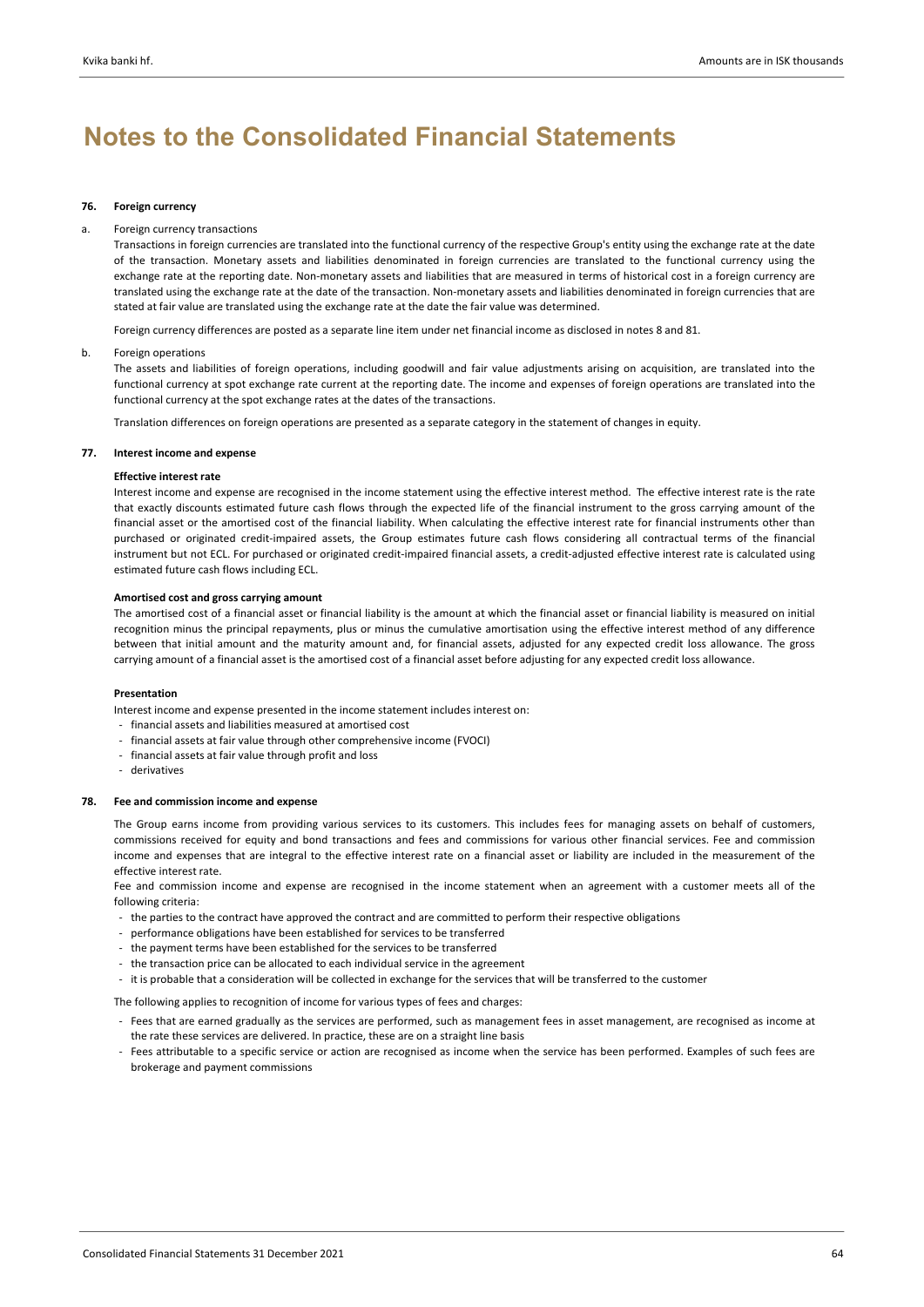### **76. Foreign currency**

### a. Foreign currency transactions

Transactions in foreign currencies are translated into the functional currency of the respective Group's entity using the exchange rate at the date of the transaction. Monetary assets and liabilities denominated in foreign currencies are translated to the functional currency using the exchange rate at the reporting date. Non-monetary assets and liabilities that are measured in terms of historical cost in a foreign currency are translated using the exchange rate at the date of the transaction. Non-monetary assets and liabilities denominated in foreign currencies that are stated at fair value are translated using the exchange rate at the date the fair value was determined.

Foreign currency differences are posted as a separate line item under net financial income as disclosed in notes 8 and 81.

### b. Foreign operations

The assets and liabilities of foreign operations, including goodwill and fair value adjustments arising on acquisition, are translated into the functional currency at spot exchange rate current at the reporting date. The income and expenses of foreign operations are translated into the functional currency at the spot exchange rates at the dates of the transactions.

Translation differences on foreign operations are presented as a separate category in the statement of changes in equity.

### **77. Interest income and expense**

### **Effective interest rate**

Interest income and expense are recognised in the income statement using the effective interest method. The effective interest rate is the rate that exactly discounts estimated future cash flows through the expected life of the financial instrument to the gross carrying amount of the financial asset or the amortised cost of the financial liability. When calculating the effective interest rate for financial instruments other than purchased or originated credit‐impaired assets, the Group estimates future cash flows considering all contractual terms of the financial instrument but not ECL. For purchased or originated credit-impaired financial assets, a credit-adjusted effective interest rate is calculated using estimated future cash flows including ECL.

#### **Amortised cost and gross carrying amount**

The amortised cost of a financial asset or financial liability is the amount at which the financial asset or financial liability is measured on initial recognition minus the principal repayments, plus or minus the cumulative amortisation using the effective interest method of any difference between that initial amount and the maturity amount and, for financial assets, adjusted for any expected credit loss allowance. The gross carrying amount of a financial asset is the amortised cost of a financial asset before adjusting for any expected credit loss allowance.

# **Presentation**

Interest income and expense presented in the income statement includes interest on:

- ‐ financial assets and liabilities measured at amortised cost
- ‐ financial assets at fair value through other comprehensive income (FVOCI)
- ‐ financial assets at fair value through profit and loss
- ‐ derivatives

#### **78. Fee and commission income and expense**

The Group earns income from providing various services to its customers. This includes fees for managing assets on behalf of customers, commissions received for equity and bond transactions and fees and commissions for various other financial services. Fee and commission income and expenses that are integral to the effective interest rate on a financial asset or liability are included in the measurement of the effective interest rate.

Fee and commission income and expense are recognised in the income statement when an agreement with a customer meets all of the following criteria:

- ‐ the parties to the contract have approved the contract and are committed to perform their respective obligations
- ‐ performance obligations have been established for services to be transferred
- ‐ the payment terms have been established for the services to be transferred
- ‐ the transaction price can be allocated to each individual service in the agreement
- ‐ it is probable that a consideration will be collected in exchange for the services that will be transferred to the customer

The following applies to recognition of income for various types of fees and charges:

- ‐ Fees that are earned gradually as the services are performed, such as management fees in asset management, are recognised as income at the rate these services are delivered. In practice, these are on a straight line basis
- ‐ Fees attributable to a specific service or action are recognised as income when the service has been performed. Examples of such fees are brokerage and payment commissions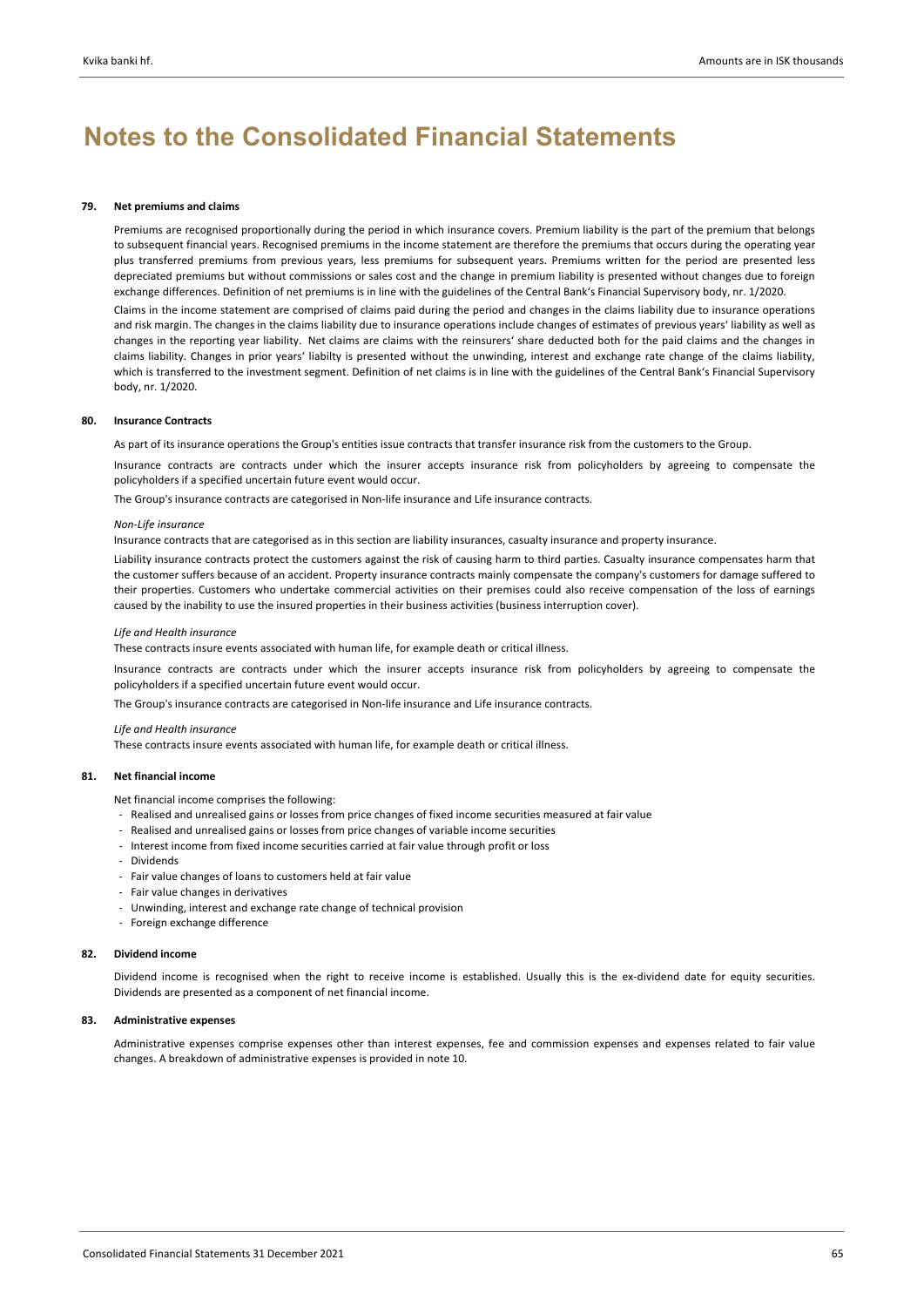#### **79. Net premiums and claims**

Premiums are recognised proportionally during the period in which insurance covers. Premium liability is the part of the premium that belongs to subsequent financial years. Recognised premiums in the income statement are therefore the premiums that occurs during the operating year plus transferred premiums from previous years, less premiums for subsequent years. Premiums written for the period are presented less depreciated premiums but without commissions or sales cost and the change in premium liability is presented without changes due to foreign exchange differences. Definition of net premiums is in line with the guidelines of the Central Bank's Financial Supervisory body, nr. 1/2020.

Claims in the income statement are comprised of claims paid during the period and changes in the claims liability due to insurance operations and risk margin. The changes in the claims liability due to insurance operations include changes of estimates of previous years' liability as well as changes in the reporting year liability. Net claims are claims with the reinsurers' share deducted both for the paid claims and the changes in claims liability. Changes in prior years' liabilty is presented without the unwinding, interest and exchange rate change of the claims liability, which is transferred to the investment segment. Definition of net claims is in line with the guidelines of the Central Bank's Financial Supervisory body, nr. 1/2020.

#### **80. Insurance Contracts**

As part of its insurance operations the Group's entities issue contracts that transfer insurance risk from the customers to the Group.

Insurance contracts are contracts under which the insurer accepts insurance risk from policyholders by agreeing to compensate the policyholders if a specified uncertain future event would occur.

The Group's insurance contracts are categorised in Non-life insurance and Life insurance contracts.

#### *Non‐Life insurance*

Insurance contracts that are categorised as in this section are liability insurances, casualty insurance and property insurance.

Liability insurance contracts protect the customers against the risk of causing harm to third parties. Casualty insurance compensates harm that the customer suffers because of an accident. Property insurance contracts mainly compensate the company's customers for damage suffered to their properties. Customers who undertake commercial activities on their premises could also receive compensation of the loss of earnings caused by the inability to use the insured properties in their business activities (business interruption cover).

#### *Life and Health insurance*

These contracts insure events associated with human life, for example death or critical illness.

Insurance contracts are contracts under which the insurer accepts insurance risk from policyholders by agreeing to compensate the policyholders if a specified uncertain future event would occur.

The Group's insurance contracts are categorised in Non‐life insurance and Life insurance contracts.

#### *Life and Health insurance*

These contracts insure events associated with human life, for example death or critical illness.

# **81. Net financial income**

Net financial income comprises the following:

- ‐ Realised and unrealised gains or losses from price changes of fixed income securities measured at fair value
- ‐ Realised and unrealised gains or losses from price changes of variable income securities
- ‐ Interest income from fixed income securities carried at fair value through profit or loss
- ‐ Dividends
- ‐ Fair value changes of loans to customers held at fair value
- ‐ Fair value changes in derivatives
- ‐ Unwinding, interest and exchange rate change of technical provision
- ‐ Foreign exchange difference

# **82. Dividend income**

Dividend income is recognised when the right to receive income is established. Usually this is the ex‐dividend date for equity securities. Dividends are presented as a component of net financial income.

### **83. Administrative expenses**

Administrative expenses comprise expenses other than interest expenses, fee and commission expenses and expenses related to fair value changes. A breakdown of administrative expenses is provided in note 10.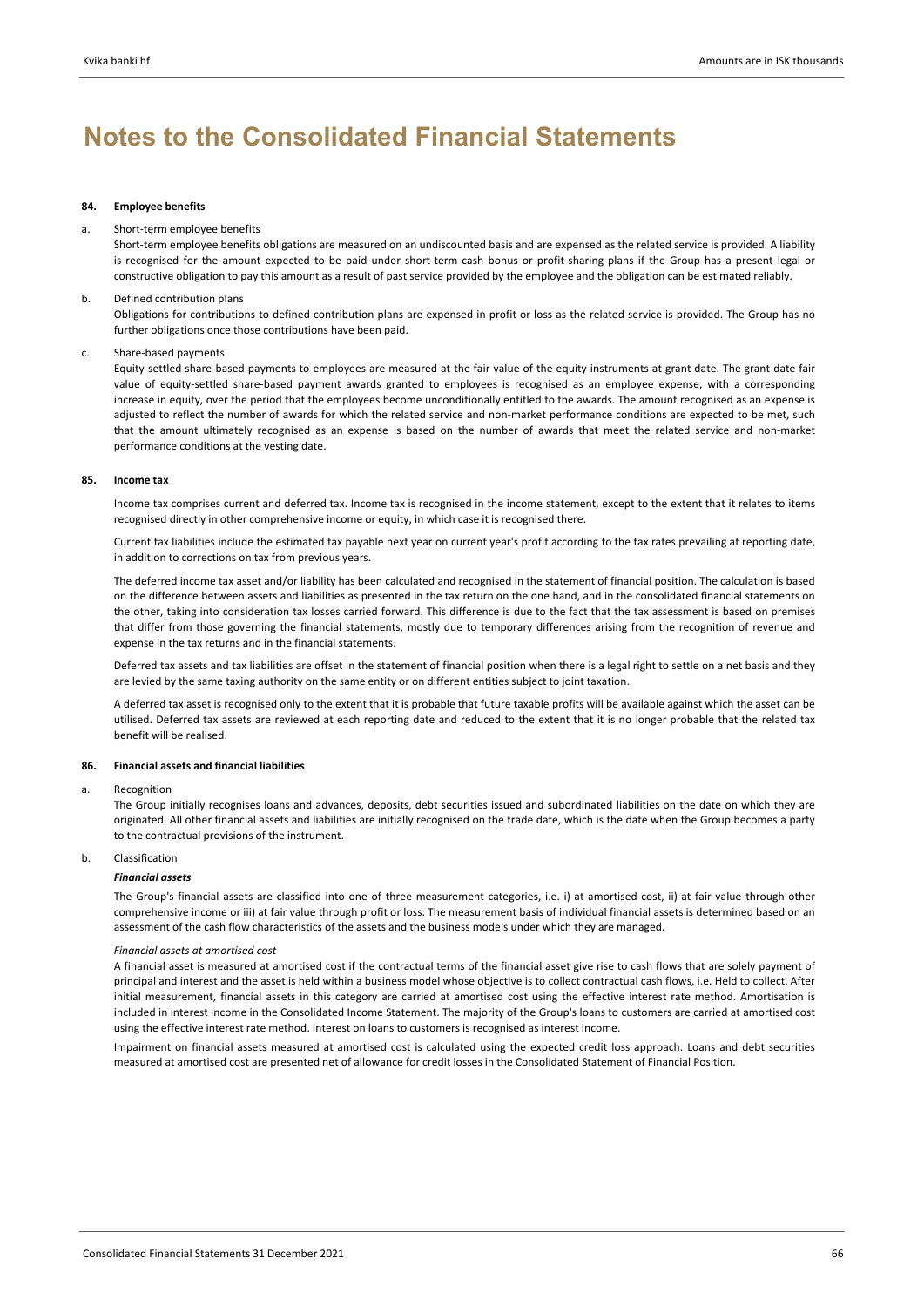### **84. Employee benefits**

### a. Short-term employee benefits

Short-term employee benefits obligations are measured on an undiscounted basis and are expensed as the related service is provided. A liability is recognised for the amount expected to be paid under short-term cash bonus or profit-sharing plans if the Group has a present legal or constructive obligation to pay this amount as a result of past service provided by the employee and the obligation can be estimated reliably.

# b. Defined contribution plans

Obligations for contributions to defined contribution plans are expensed in profit or loss as the related service is provided. The Group has no further obligations once those contributions have been paid.

#### c. Share‐based payments

Equity‐settled share‐based payments to employees are measured at the fair value of the equity instruments at grant date. The grant date fair value of equity-settled share-based payment awards granted to employees is recognised as an employee expense, with a corresponding increase in equity, over the period that the employees become unconditionally entitled to the awards. The amount recognised as an expense is adjusted to reflect the number of awards for which the related service and non-market performance conditions are expected to be met, such that the amount ultimately recognised as an expense is based on the number of awards that meet the related service and non‐market performance conditions at the vesting date.

#### **85. Income tax**

Income tax comprises current and deferred tax. Income tax is recognised in the income statement, except to the extent that it relates to items recognised directly in other comprehensive income or equity, in which case it is recognised there.

Current tax liabilities include the estimated tax payable next year on current year's profit according to the tax rates prevailing at reporting date, in addition to corrections on tax from previous years.

The deferred income tax asset and/or liability has been calculated and recognised in the statement of financial position. The calculation is based on the difference between assets and liabilities as presented in the tax return on the one hand, and in the consolidated financial statements on the other, taking into consideration tax losses carried forward. This difference is due to the fact that the tax assessment is based on premises that differ from those governing the financial statements, mostly due to temporary differences arising from the recognition of revenue and expense in the tax returns and in the financial statements.

Deferred tax assets and tax liabilities are offset in the statement of financial position when there is a legal right to settle on a net basis and they are levied by the same taxing authority on the same entity or on different entities subject to joint taxation.

A deferred tax asset is recognised only to the extent that it is probable that future taxable profits will be available against which the asset can be utilised. Deferred tax assets are reviewed at each reporting date and reduced to the extent that it is no longer probable that the related tax benefit will be realised.

#### **86. Financial assets and financial liabilities**

#### a. Recognition

The Group initially recognises loans and advances, deposits, debt securities issued and subordinated liabilities on the date on which they are originated. All other financial assets and liabilities are initially recognised on the trade date, which is the date when the Group becomes a party to the contractual provisions of the instrument.

# b. Classification

# *Financial assets*

The Group's financial assets are classified into one of three measurement categories, i.e. i) at amortised cost, ii) at fair value through other comprehensive income or iii) at fair value through profit or loss. The measurement basis of individual financial assets is determined based on an assessment of the cash flow characteristics of the assets and the business models under which they are managed.

#### *Financial assets at amortised cost*

A financial asset is measured at amortised cost if the contractual terms of the financial asset give rise to cash flows that are solely payment of principal and interest and the asset is held within a business model whose objective is to collect contractual cash flows, i.e. Held to collect. After initial measurement, financial assets in this category are carried at amortised cost using the effective interest rate method. Amortisation is included in interest income in the Consolidated Income Statement. The majority of the Group's loans to customers are carried at amortised cost using the effective interest rate method. Interest on loans to customers is recognised as interest income.

Impairment on financial assets measured at amortised cost is calculated using the expected credit loss approach. Loans and debt securities measured at amortised cost are presented net of allowance for credit losses in the Consolidated Statement of Financial Position.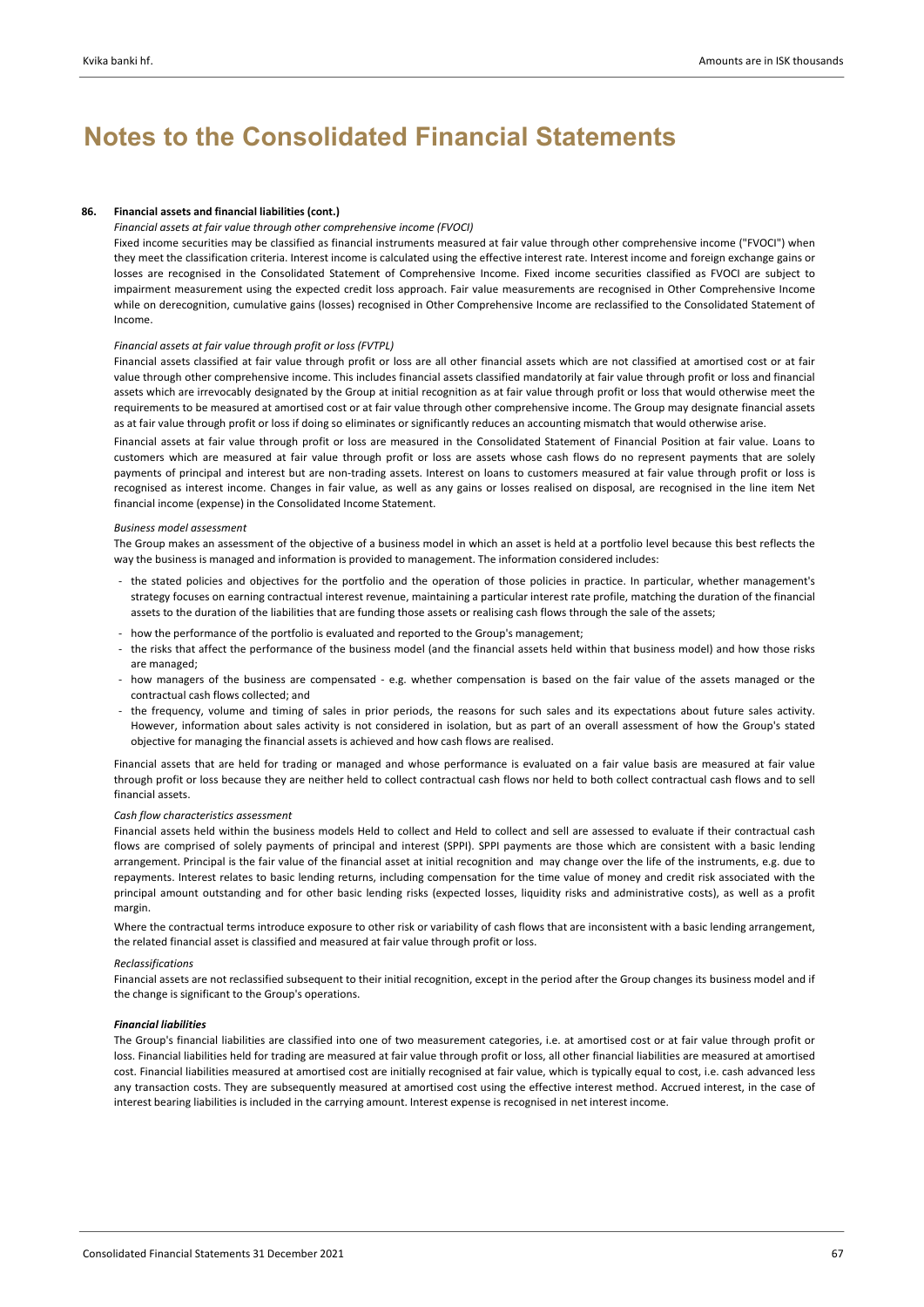# **86. Financial assets and financial liabilities (cont.)**

### *Financial assets at fair value through other comprehensive income (FVOCI)*

Fixed income securities may be classified as financial instruments measured at fair value through other comprehensive income ("FVOCI") when they meet the classification criteria. Interest income is calculated using the effective interest rate. Interest income and foreign exchange gains or losses are recognised in the Consolidated Statement of Comprehensive Income. Fixed income securities classified as FVOCI are subject to impairment measurement using the expected credit loss approach. Fair value measurements are recognised in Other Comprehensive Income while on derecognition, cumulative gains (losses) recognised in Other Comprehensive Income are reclassified to the Consolidated Statement of Income.

### *Financial assets at fair value through profit or loss (FVTPL)*

Financial assets classified at fair value through profit or loss are all other financial assets which are not classified at amortised cost or at fair value through other comprehensive income. This includes financial assets classified mandatorily at fair value through profit or loss and financial assets which are irrevocably designated by the Group at initial recognition as at fair value through profit or loss that would otherwise meet the requirements to be measured at amortised cost or at fair value through other comprehensive income. The Group may designate financial assets as at fair value through profit or loss if doing so eliminates or significantly reduces an accounting mismatch that would otherwise arise.

Financial assets at fair value through profit or loss are measured in the Consolidated Statement of Financial Position at fair value. Loans to customers which are measured at fair value through profit or loss are assets whose cash flows do no represent payments that are solely payments of principal and interest but are non-trading assets. Interest on loans to customers measured at fair value through profit or loss is recognised as interest income. Changes in fair value, as well as any gains or losses realised on disposal, are recognised in the line item Net financial income (expense) in the Consolidated Income Statement.

#### *Business model assessment*

The Group makes an assessment of the objective of a business model in which an asset is held at a portfolio level because this best reflects the way the business is managed and information is provided to management. The information considered includes:

- ‐ the stated policies and objectives for the portfolio and the operation of those policies in practice. In particular, whether management's strategy focuses on earning contractual interest revenue, maintaining a particular interest rate profile, matching the duration of the financial assets to the duration of the liabilities that are funding those assets or realising cash flows through the sale of the assets;
- ‐ how the performance of the portfolio is evaluated and reported to the Group's management;
- ‐ the risks that affect the performance of the business model (and the financial assets held within that business model) and how those risks are managed;
- ‐ how managers of the business are compensated - e.g. whether compensation is based on the fair value of the assets managed or the contractual cash flows collected; and
- ‐ the frequency, volume and timing of sales in prior periods, the reasons for such sales and its expectations about future sales activity. However, information about sales activity is not considered in isolation, but as part of an overall assessment of how the Group's stated objective for managing the financial assets is achieved and how cash flows are realised.

Financial assets that are held for trading or managed and whose performance is evaluated on a fair value basis are measured at fair value through profit or loss because they are neither held to collect contractual cash flows nor held to both collect contractual cash flows and to sell financial assets.

### *Cash flow characteristics assessment*

Financial assets held within the business models Held to collect and Held to collect and sell are assessed to evaluate if their contractual cash flows are comprised of solely payments of principal and interest (SPPI). SPPI payments are those which are consistent with a basic lending arrangement. Principal is the fair value of the financial asset at initial recognition and may change over the life of the instruments, e.g. due to repayments. Interest relates to basic lending returns, including compensation for the time value of money and credit risk associated with the principal amount outstanding and for other basic lending risks (expected losses, liquidity risks and administrative costs), as well as a profit margin.

Where the contractual terms introduce exposure to other risk or variability of cash flows that are inconsistent with a basic lending arrangement, the related financial asset is classified and measured at fair value through profit or loss.

### *Reclassifications*

Financial assets are not reclassified subsequent to their initial recognition, except in the period after the Group changes its business model and if the change is significant to the Group's operations.

### *Financial liabilities*

The Group's financial liabilities are classified into one of two measurement categories, i.e. at amortised cost or at fair value through profit or loss. Financial liabilities held for trading are measured at fair value through profit or loss, all other financial liabilities are measured at amortised cost. Financial liabilities measured at amortised cost are initially recognised at fair value, which is typically equal to cost, i.e. cash advanced less any transaction costs. They are subsequently measured at amortised cost using the effective interest method. Accrued interest, in the case of interest bearing liabilities is included in the carrying amount. Interest expense is recognised in net interest income.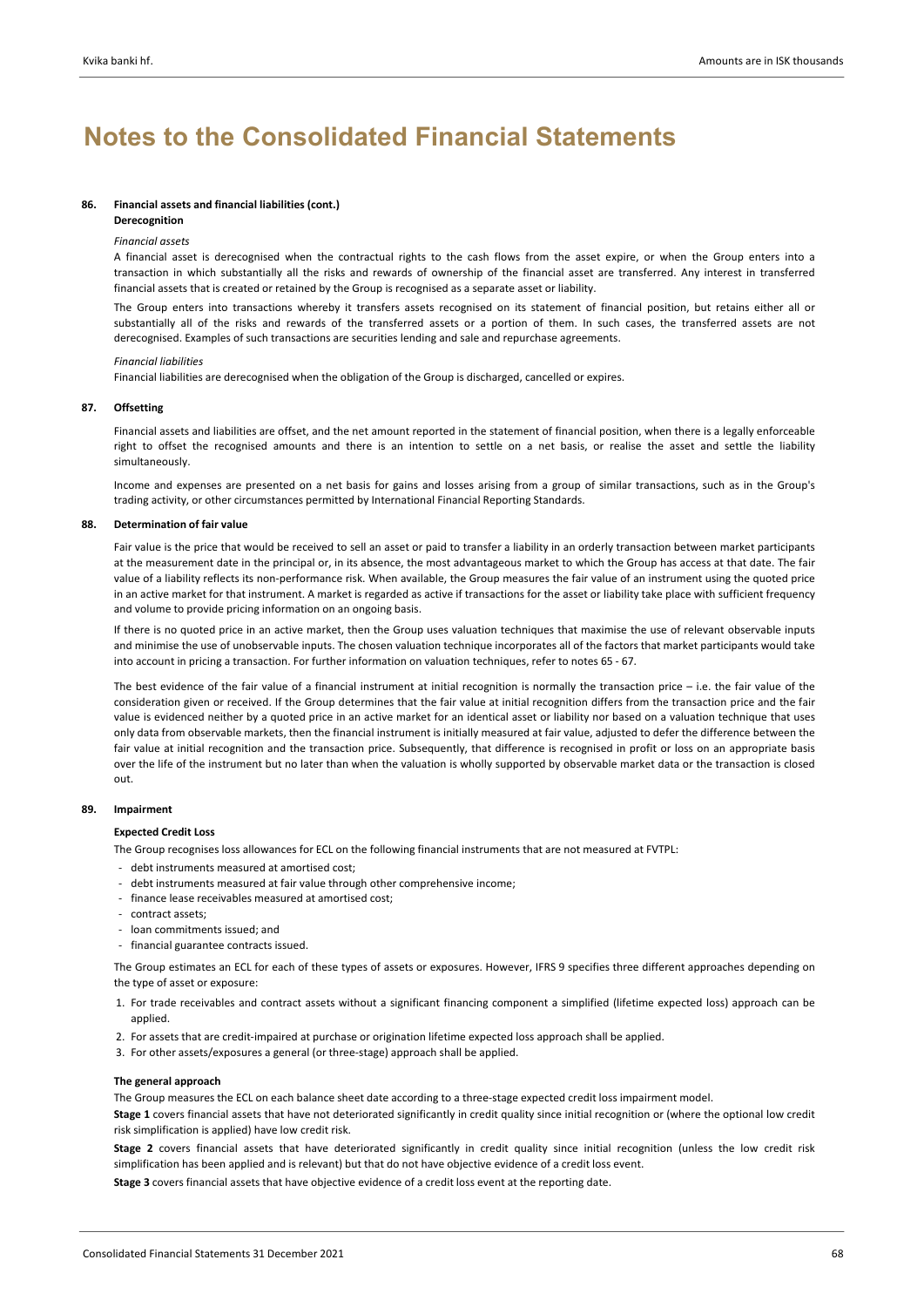# **86. Financial assets and financial liabilities (cont.)**

# **Derecognition**

#### *Financial assets*

A financial asset is derecognised when the contractual rights to the cash flows from the asset expire, or when the Group enters into a transaction in which substantially all the risks and rewards of ownership of the financial asset are transferred. Any interest in transferred financial assets that is created or retained by the Group is recognised as a separate asset or liability.

The Group enters into transactions whereby it transfers assets recognised on its statement of financial position, but retains either all or substantially all of the risks and rewards of the transferred assets or a portion of them. In such cases, the transferred assets are not derecognised. Examples of such transactions are securities lending and sale and repurchase agreements.

### *Financial liabilities*

Financial liabilities are derecognised when the obligation of the Group is discharged, cancelled or expires.

#### **87. Offsetting**

Financial assets and liabilities are offset, and the net amount reported in the statement of financial position, when there is a legally enforceable right to offset the recognised amounts and there is an intention to settle on a net basis, or realise the asset and settle the liability simultaneously.

Income and expenses are presented on a net basis for gains and losses arising from a group of similar transactions, such as in the Group's trading activity, or other circumstances permitted by International Financial Reporting Standards.

#### **88. Determination of fair value**

Fair value is the price that would be received to sell an asset or paid to transfer a liability in an orderly transaction between market participants at the measurement date in the principal or, in its absence, the most advantageous market to which the Group has access at that date. The fair value of a liability reflects its non-performance risk. When available, the Group measures the fair value of an instrument using the quoted price in an active market for that instrument. A market is regarded as active if transactions for the asset or liability take place with sufficient frequency and volume to provide pricing information on an ongoing basis.

If there is no quoted price in an active market, then the Group uses valuation techniques that maximise the use of relevant observable inputs and minimise the use of unobservable inputs. The chosen valuation technique incorporates all of the factors that market participants would take into account in pricing a transaction. For further information on valuation techniques, refer to notes 65 ‐ 67.

The best evidence of the fair value of a financial instrument at initial recognition is normally the transaction price – i.e. the fair value of the consideration given or received. If the Group determines that the fair value at initial recognition differs from the transaction price and the fair value is evidenced neither by a quoted price in an active market for an identical asset or liability nor based on a valuation technique that uses only data from observable markets, then the financial instrument is initially measured at fair value, adjusted to defer the difference between the fair value at initial recognition and the transaction price. Subsequently, that difference is recognised in profit or loss on an appropriate basis over the life of the instrument but no later than when the valuation is wholly supported by observable market data or the transaction is closed out.

#### **89. Impairment**

### **Expected Credit Loss**

The Group recognises loss allowances for ECL on the following financial instruments that are not measured at FVTPL:

- ‐ debt instruments measured at amortised cost;
- ‐ debt instruments measured at fair value through other comprehensive income;
- ‐ finance lease receivables measured at amortised cost;
- ‐ contract assets;
- ‐ loan commitments issued; and
- ‐ financial guarantee contracts issued.

The Group estimates an ECL for each of these types of assets or exposures. However, IFRS 9 specifies three different approaches depending on the type of asset or exposure:

- 1. For trade receivables and contract assets without a significant financing component a simplified (lifetime expected loss) approach can be applied.
- 2. For assets that are credit‐impaired at purchase or origination lifetime expected loss approach shall be applied.
- 3. For other assets/exposures a general (or three‐stage) approach shall be applied.

### **The general approach**

The Group measures the ECL on each balance sheet date according to a three-stage expected credit loss impairment model.

**Stage 1** covers financial assets that have not deteriorated significantly in credit quality since initial recognition or (where the optional low credit risk simplification is applied) have low credit risk.

Stage 2 covers financial assets that have deteriorated significantly in credit quality since initial recognition (unless the low credit risk simplification has been applied and is relevant) but that do not have objective evidence of a credit loss event.

**Stage 3** covers financial assets that have objective evidence of a credit loss event at the reporting date.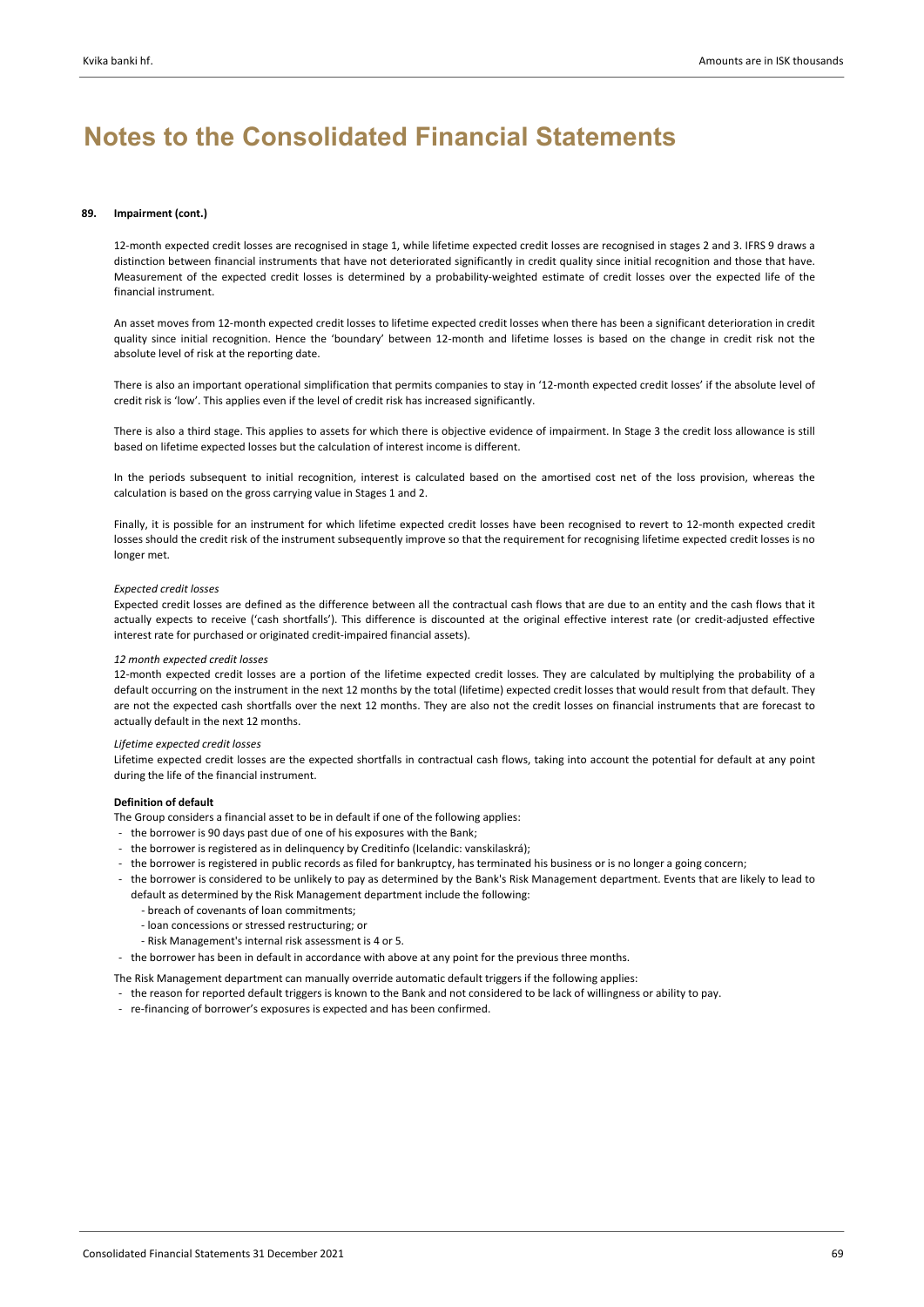### **89. Impairment (cont.)**

12‐month expected credit losses are recognised in stage 1, while lifetime expected credit losses are recognised in stages 2 and 3. IFRS 9 draws a distinction between financial instruments that have not deteriorated significantly in credit quality since initial recognition and those that have. Measurement of the expected credit losses is determined by a probability‐weighted estimate of credit losses over the expected life of the financial instrument.

An asset moves from 12‐month expected credit losses to lifetime expected credit losses when there has been a significant deterioration in credit quality since initial recognition. Hence the 'boundary' between 12-month and lifetime losses is based on the change in credit risk not the absolute level of risk at the reporting date.

There is also an important operational simplification that permits companies to stay in '12-month expected credit losses' if the absolute level of credit risk is 'low'. This applies even if the level of credit risk has increased significantly.

There is also a third stage. This applies to assets for which there is objective evidence of impairment. In Stage 3 the credit loss allowance is still based on lifetime expected losses but the calculation of interest income is different.

In the periods subsequent to initial recognition, interest is calculated based on the amortised cost net of the loss provision, whereas the calculation is based on the gross carrying value in Stages 1 and 2.

Finally, it is possible for an instrument for which lifetime expected credit losses have been recognised to revert to 12-month expected credit losses should the credit risk of the instrument subsequently improve so that the requirement for recognising lifetime expected credit losses is no longer met.

# *Expected credit losses*

Expected credit losses are defined as the difference between all the contractual cash flows that are due to an entity and the cash flows that it actually expects to receive ('cash shortfalls'). This difference is discounted at the original effective interest rate (or credit‐adjusted effective interest rate for purchased or originated credit-impaired financial assets).

### *12 month expected credit losses*

12-month expected credit losses are a portion of the lifetime expected credit losses. They are calculated by multiplying the probability of a default occurring on the instrument in the next 12 months by the total (lifetime) expected credit losses that would result from that default. They are not the expected cash shortfalls over the next 12 months. They are also not the credit losses on financial instruments that are forecast to actually default in the next 12 months.

#### *Lifetime expected credit losses*

Lifetime expected credit losses are the expected shortfalls in contractual cash flows, taking into account the potential for default at any point during the life of the financial instrument.

#### **Definition of default**

The Group considers a financial asset to be in default if one of the following applies:

- ‐ the borrower is 90 days past due of one of his exposures with the Bank;
- ‐ the borrower is registered as in delinquency by Creditinfo (Icelandic: vanskilaskrá);
- ‐ the borrower is registered in public records as filed for bankruptcy, has terminated his business or is no longer a going concern;
- ‐ the borrower is considered to be unlikely to pay as determined by the Bank's Risk Management department. Events that are likely to lead to default as determined by the Risk Management department include the following:
	- ‐ breach of covenants of loan commitments;
	- ‐ loan concessions or stressed restructuring; or
	- ‐ Risk Management's internal risk assessment is 4 or 5.
- ‐ the borrower has been in default in accordance with above at any point for the previous three months.

The Risk Management department can manually override automatic default triggers if the following applies:

- ‐ the reason for reported default triggers is known to the Bank and not considered to be lack of willingness or ability to pay.
- ‐ re‐financing of borrower's exposures is expected and has been confirmed.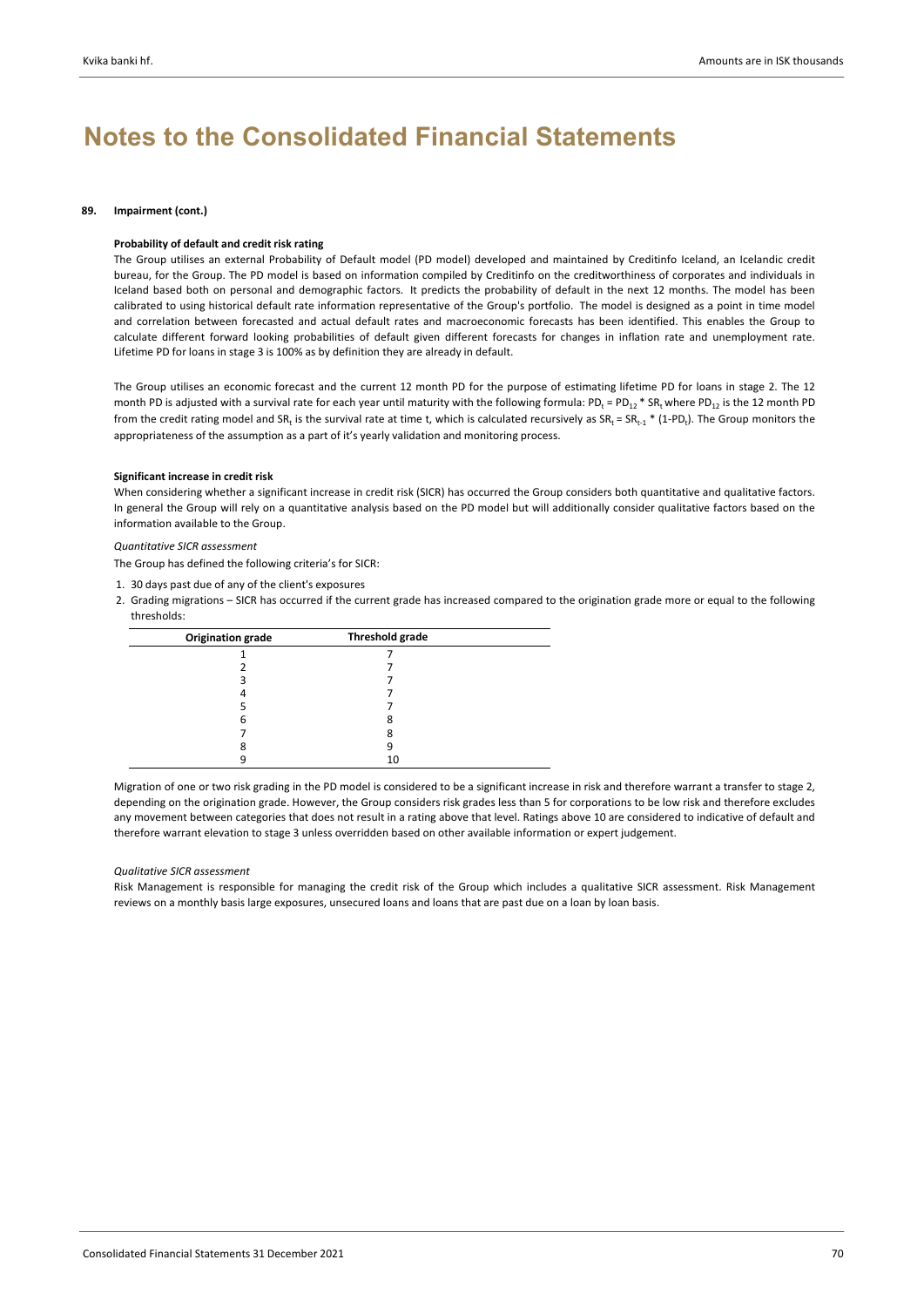### **89. Impairment (cont.)**

# **Probability of default and credit risk rating**

The Group utilises an external Probability of Default model (PD model) developed and maintained by Creditinfo Iceland, an Icelandic credit bureau, for the Group. The PD model is based on information compiled by Creditinfo on the creditworthiness of corporates and individuals in Iceland based both on personal and demographic factors. It predicts the probability of default in the next 12 months. The model has been calibrated to using historical default rate information representative of the Group's portfolio. The model is designed as a point in time model and correlation between forecasted and actual default rates and macroeconomic forecasts has been identified. This enables the Group to calculate different forward looking probabilities of default given different forecasts for changes in inflation rate and unemployment rate. Lifetime PD for loans in stage 3 is 100% as by definition they are already in default.

The Group utilises an economic forecast and the current 12 month PD for the purpose of estimating lifetime PD for loans in stage 2. The 12 month PD is adjusted with a survival rate for each year until maturity with the following formula:  $PD_t = PD_{12} * SR_t$  where  $PD_{12}$  is the 12 month PD from the credit rating model and SR<sub>t</sub> is the survival rate at time t, which is calculated recursively as SR<sub>t</sub> = SR<sub>t-1</sub> \* (1-PD<sub>t</sub>). The Group monitors the appropriateness of the assumption as a part of it's yearly validation and monitoring process.

# **Significant increase in credit risk**

When considering whether a significant increase in credit risk (SICR) has occurred the Group considers both quantitative and qualitative factors. In general the Group will rely on a quantitative analysis based on the PD model but will additionally consider qualitative factors based on the information available to the Group.

*Quantitative SICR assessment*

The Group has defined the following criteria's for SICR:

- 1. 30 days past due of any of the client's exposures
- 2. Grading migrations SICR has occurred if the current grade has increased compared to the origination grade more or equal to the following thresholds:

| <b>Origination grade</b> | Threshold grade |  |
|--------------------------|-----------------|--|
|                          |                 |  |
|                          |                 |  |
|                          |                 |  |
|                          |                 |  |
|                          |                 |  |
| ь                        |                 |  |
|                          |                 |  |
|                          |                 |  |
|                          | 10              |  |

Migration of one or two risk grading in the PD model is considered to be a significant increase in risk and therefore warrant a transfer to stage 2, depending on the origination grade. However, the Group considers risk grades less than 5 for corporations to be low risk and therefore excludes any movement between categories that does not result in a rating above that level. Ratings above 10 are considered to indicative of default and therefore warrant elevation to stage 3 unless overridden based on other available information or expert judgement.

### *Qualitative SICR assessment*

Risk Management is responsible for managing the credit risk of the Group which includes a qualitative SICR assessment. Risk Management reviews on a monthly basis large exposures, unsecured loans and loans that are past due on a loan by loan basis.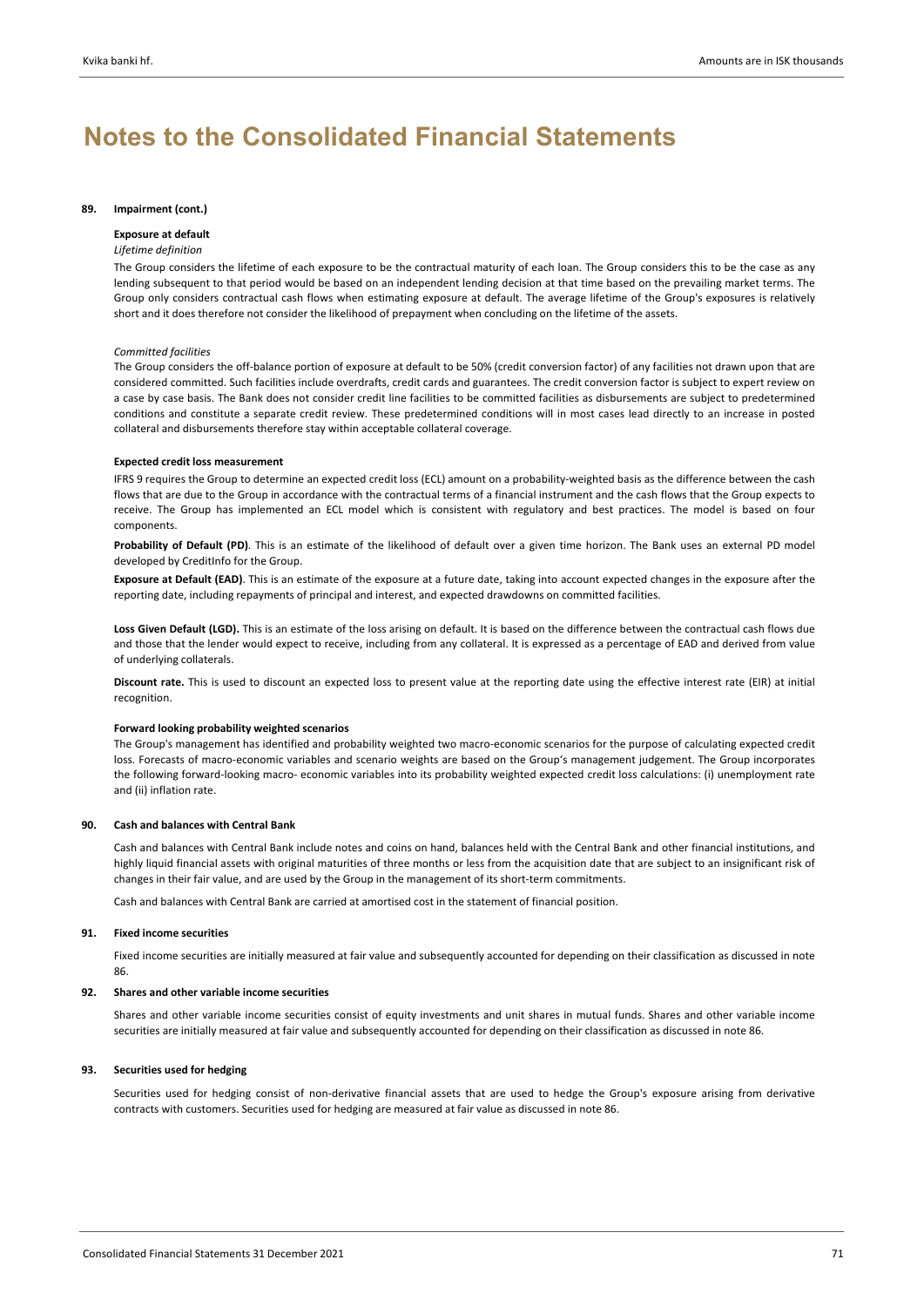## **89. Impairment (cont.)**

# **Exposure at default**

# *Lifetime definition*

The Group considers the lifetime of each exposure to be the contractual maturity of each loan. The Group considers this to be the case as any lending subsequent to that period would be based on an independent lending decision at that time based on the prevailing market terms. The Group only considers contractual cash flows when estimating exposure at default. The average lifetime of the Group's exposures is relatively short and it does therefore not consider the likelihood of prepayment when concluding on the lifetime of the assets.

### *Committed facilities*

The Group considers the off-balance portion of exposure at default to be 50% (credit conversion factor) of any facilities not drawn upon that are considered committed. Such facilities include overdrafts, credit cards and guarantees. The credit conversion factor is subject to expert review on a case by case basis. The Bank does not consider credit line facilities to be committed facilities as disbursements are subject to predetermined conditions and constitute a separate credit review. These predetermined conditions will in most cases lead directly to an increase in posted collateral and disbursements therefore stay within acceptable collateral coverage.

### **Expected credit loss measurement**

IFRS 9 requires the Group to determine an expected credit loss (ECL) amount on a probability-weighted basis as the difference between the cash flows that are due to the Group in accordance with the contractual terms of a financial instrument and the cash flows that the Group expects to receive. The Group has implemented an ECL model which is consistent with regulatory and best practices. The model is based on four components.

Probability of Default (PD). This is an estimate of the likelihood of default over a given time horizon. The Bank uses an external PD model developed by CreditInfo for the Group.

**Exposure at Default (EAD)**. This is an estimate of the exposure at a future date, taking into account expected changes in the exposure after the reporting date, including repayments of principal and interest, and expected drawdowns on committed facilities.

Loss Given Default (LGD). This is an estimate of the loss arising on default. It is based on the difference between the contractual cash flows due and those that the lender would expect to receive, including from any collateral. It is expressed as a percentage of EAD and derived from value of underlying collaterals.

**Discount rate.** This is used to discount an expected loss to present value at the reporting date using the effective interest rate (EIR) at initial recognition.

## **Forward looking probability weighted scenarios**

The Group's management has identified and probability weighted two macro‐economic scenarios for the purpose of calculating expected credit loss. Forecasts of macro‐economic variables and scenario weights are based on the Group's management judgement. The Group incorporates the following forward‐looking macro‐ economic variables into its probability weighted expected credit loss calculations: (i) unemployment rate and (ii) inflation rate.

# **90. Cash and balances with Central Bank**

Cash and balances with Central Bank include notes and coins on hand, balances held with the Central Bank and other financial institutions, and highly liquid financial assets with original maturities of three months or less from the acquisition date that are subject to an insignificant risk of changes in their fair value, and are used by the Group in the management of its short-term commitments.

Cash and balances with Central Bank are carried at amortised cost in the statement of financial position.

# **91. Fixed income securities**

Fixed income securities are initially measured at fair value and subsequently accounted for depending on their classification as discussed in note 86.

# **92. Shares and other variable income securities**

Shares and other variable income securities consist of equity investments and unit shares in mutual funds. Shares and other variable income securities are initially measured at fair value and subsequently accounted for depending on their classification as discussed in note 86.

### **93. Securities used for hedging**

Securities used for hedging consist of non-derivative financial assets that are used to hedge the Group's exposure arising from derivative contracts with customers. Securities used for hedging are measured at fair value as discussed in note 86.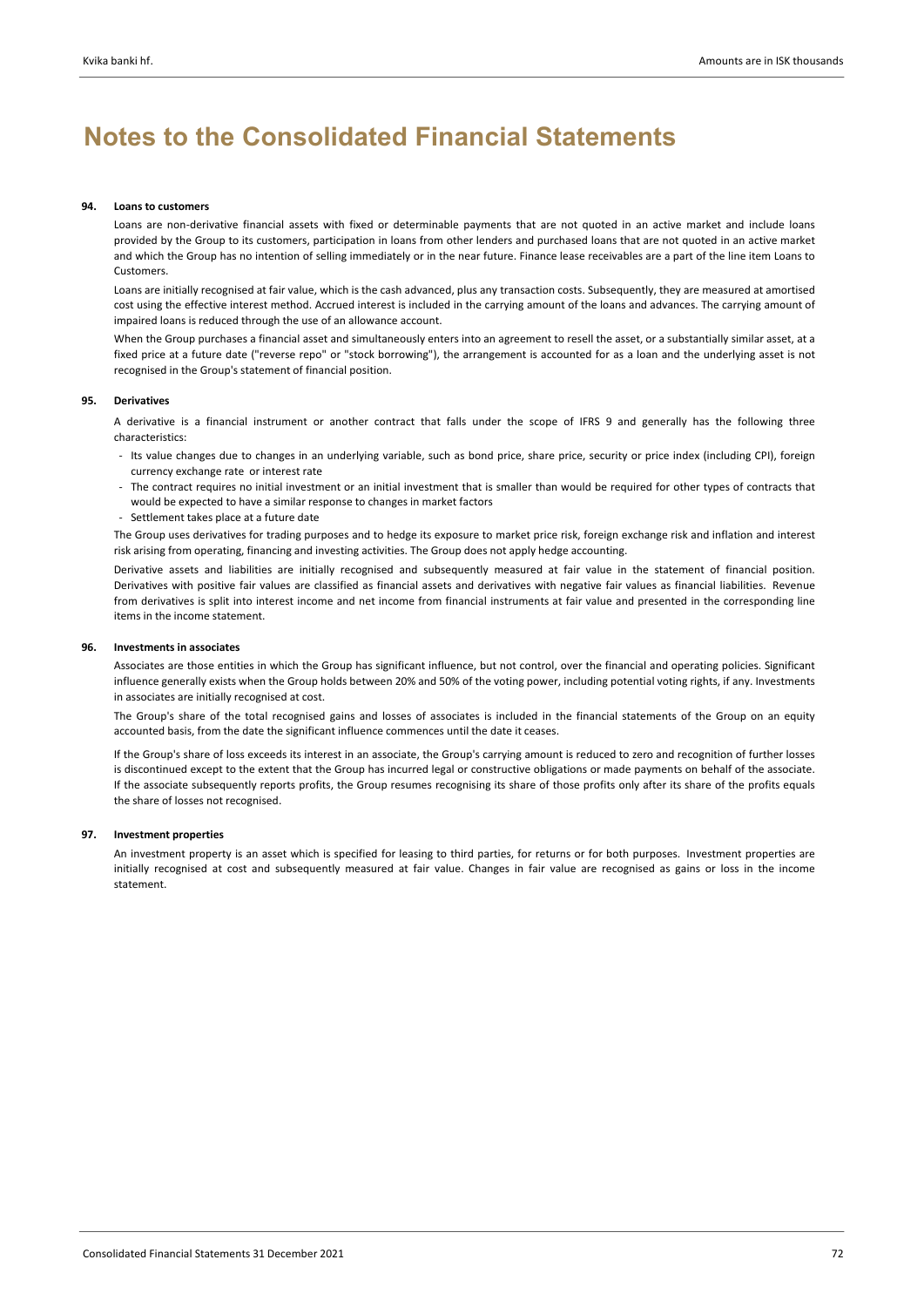# **94. Loans to customers**

Loans are non‐derivative financial assets with fixed or determinable payments that are not quoted in an active market and include loans provided by the Group to its customers, participation in loans from other lenders and purchased loans that are not quoted in an active market and which the Group has no intention of selling immediately or in the near future. Finance lease receivables are a part of the line item Loans to Customers.

Loans are initially recognised at fair value, which is the cash advanced, plus any transaction costs. Subsequently, they are measured at amortised cost using the effective interest method. Accrued interest is included in the carrying amount of the loans and advances. The carrying amount of impaired loans is reduced through the use of an allowance account.

When the Group purchases a financial asset and simultaneously enters into an agreement to resell the asset, or a substantially similar asset, at a fixed price at a future date ("reverse repo" or "stock borrowing"), the arrangement is accounted for as a loan and the underlying asset is not recognised in the Group's statement of financial position.

# **95. Derivatives**

A derivative is a financial instrument or another contract that falls under the scope of IFRS 9 and generally has the following three characteristics:

- ‐ Its value changes due to changes in an underlying variable, such as bond price, share price, security or price index (including CPI), foreign currency exchange rate or interest rate
- ‐ The contract requires no initial investment or an initial investment that is smaller than would be required for other types of contracts that would be expected to have a similar response to changes in market factors
- ‐ Settlement takes place at a future date

The Group uses derivatives for trading purposes and to hedge its exposure to market price risk, foreign exchange risk and inflation and interest risk arising from operating, financing and investing activities. The Group does not apply hedge accounting.

Derivative assets and liabilities are initially recognised and subsequently measured at fair value in the statement of financial position. Derivatives with positive fair values are classified as financial assets and derivatives with negative fair values as financial liabilities. Revenue from derivatives is split into interest income and net income from financial instruments at fair value and presented in the corresponding line items in the income statement.

# **96. Investments in associates**

Associates are those entities in which the Group has significant influence, but not control, over the financial and operating policies. Significant influence generally exists when the Group holds between 20% and 50% of the voting power, including potential voting rights, if any. Investments in associates are initially recognised at cost.

The Group's share of the total recognised gains and losses of associates is included in the financial statements of the Group on an equity accounted basis, from the date the significant influence commences until the date it ceases.

If the Group's share of loss exceeds its interest in an associate, the Group's carrying amount is reduced to zero and recognition of further losses is discontinued except to the extent that the Group has incurred legal or constructive obligations or made payments on behalf of the associate. If the associate subsequently reports profits, the Group resumes recognising its share of those profits only after its share of the profits equals the share of losses not recognised.

## **97. Investment properties**

An investment property is an asset which is specified for leasing to third parties, for returns or for both purposes. Investment properties are initially recognised at cost and subsequently measured at fair value. Changes in fair value are recognised as gains or loss in the income statement.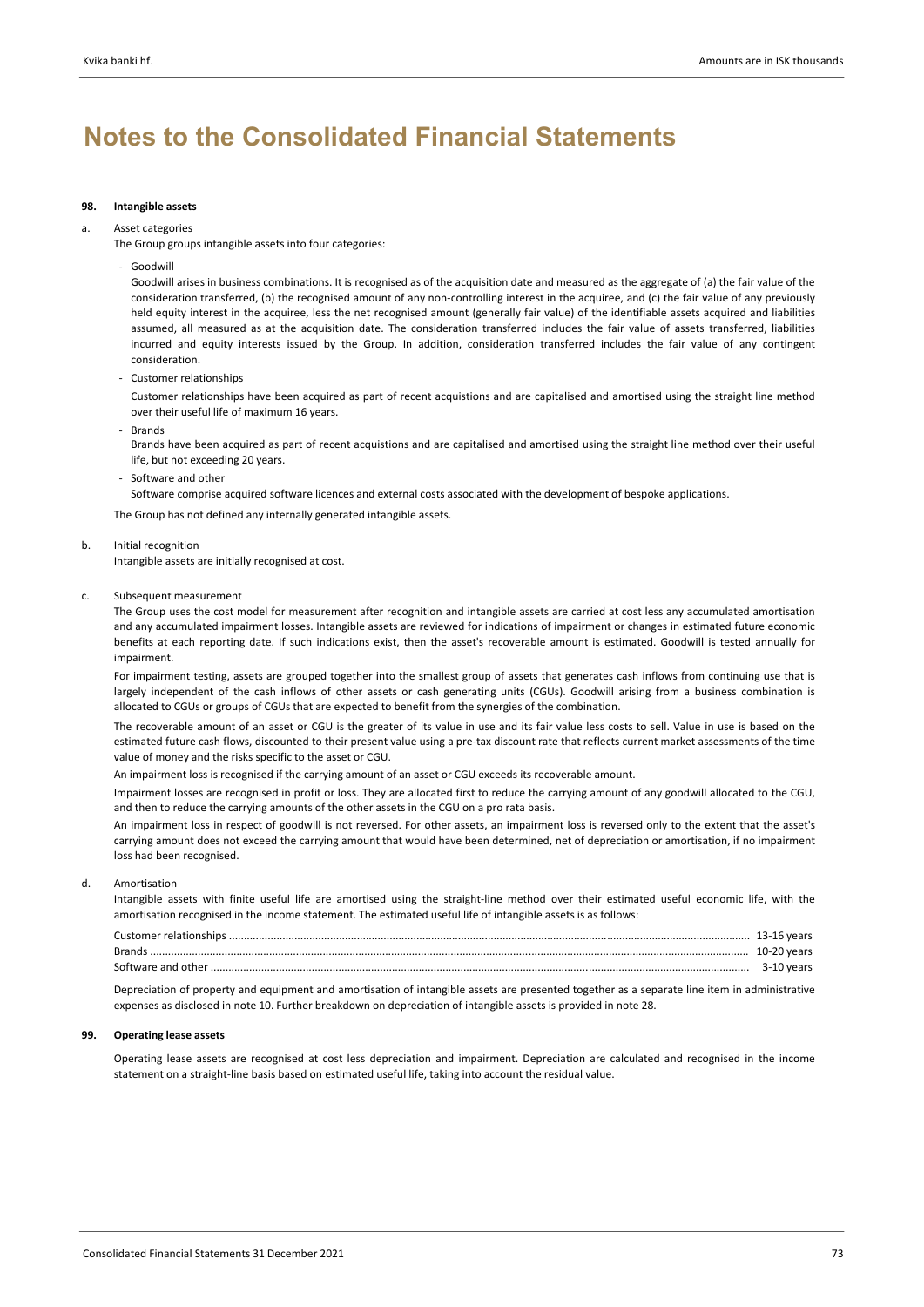# **98. Intangible assets**

#### a. Asset categories

The Group groups intangible assets into four categories:

‐ Goodwill

Goodwill arises in business combinations. It is recognised as of the acquisition date and measured as the aggregate of (a) the fair value of the consideration transferred, (b) the recognised amount of any non‐controlling interest in the acquiree, and (c) the fair value of any previously held equity interest in the acquiree, less the net recognised amount (generally fair value) of the identifiable assets acquired and liabilities assumed, all measured as at the acquisition date. The consideration transferred includes the fair value of assets transferred, liabilities incurred and equity interests issued by the Group. In addition, consideration transferred includes the fair value of any contingent consideration.

‐ Customer relationships

Customer relationships have been acquired as part of recent acquistions and are capitalised and amortised using the straight line method over their useful life of maximum 16 years.

‐ Brands

> Brands have been acquired as part of recent acquistions and are capitalised and amortised using the straight line method over their useful life, but not exceeding 20 years.

‐ Software and other

Software comprise acquired software licences and external costs associated with the development of bespoke applications.

The Group has not defined any internally generated intangible assets.

b. Initial recognition

Intangible assets are initially recognised at cost.

c. Subsequent measurement

> The Group uses the cost model for measurement after recognition and intangible assets are carried at cost less any accumulated amortisation and any accumulated impairment losses. Intangible assets are reviewed for indications of impairment or changes in estimated future economic benefits at each reporting date. If such indications exist, then the asset's recoverable amount is estimated. Goodwill is tested annually for impairment.

> For impairment testing, assets are grouped together into the smallest group of assets that generates cash inflows from continuing use that is largely independent of the cash inflows of other assets or cash generating units (CGUs). Goodwill arising from a business combination is allocated to CGUs or groups of CGUs that are expected to benefit from the synergies of the combination.

> The recoverable amount of an asset or CGU is the greater of its value in use and its fair value less costs to sell. Value in use is based on the estimated future cash flows, discounted to their present value using a pre‐tax discount rate that reflects current market assessments of the time value of money and the risks specific to the asset or CGU.

An impairment loss is recognised if the carrying amount of an asset or CGU exceeds its recoverable amount.

Impairment losses are recognised in profit or loss. They are allocated first to reduce the carrying amount of any goodwill allocated to the CGU, and then to reduce the carrying amounts of the other assets in the CGU on a pro rata basis.

An impairment loss in respect of goodwill is not reversed. For other assets, an impairment loss is reversed only to the extent that the asset's carrying amount does not exceed the carrying amount that would have been determined, net of depreciation or amortisation, if no impairment loss had been recognised.

d. Amortisation

> Intangible assets with finite useful life are amortised using the straight‐line method over their estimated useful economic life, with the amortisation recognised in the income statement. The estimated useful life of intangible assets is as follows:

| Customer relationships | 13-16 vears |
|------------------------|-------------|
| <b>Brands</b>          | 10-20 vears |
| Software and other     | 3-10 years  |
|                        |             |

Depreciation of property and equipment and amortisation of intangible assets are presented together as a separate line item in administrative expenses as disclosed in note 10. Further breakdown on depreciation of intangible assets is provided in note 28.

# **99. Operating lease assets**

Operating lease assets are recognised at cost less depreciation and impairment. Depreciation are calculated and recognised in the income statement on a straight‐line basis based on estimated useful life, taking into account the residual value.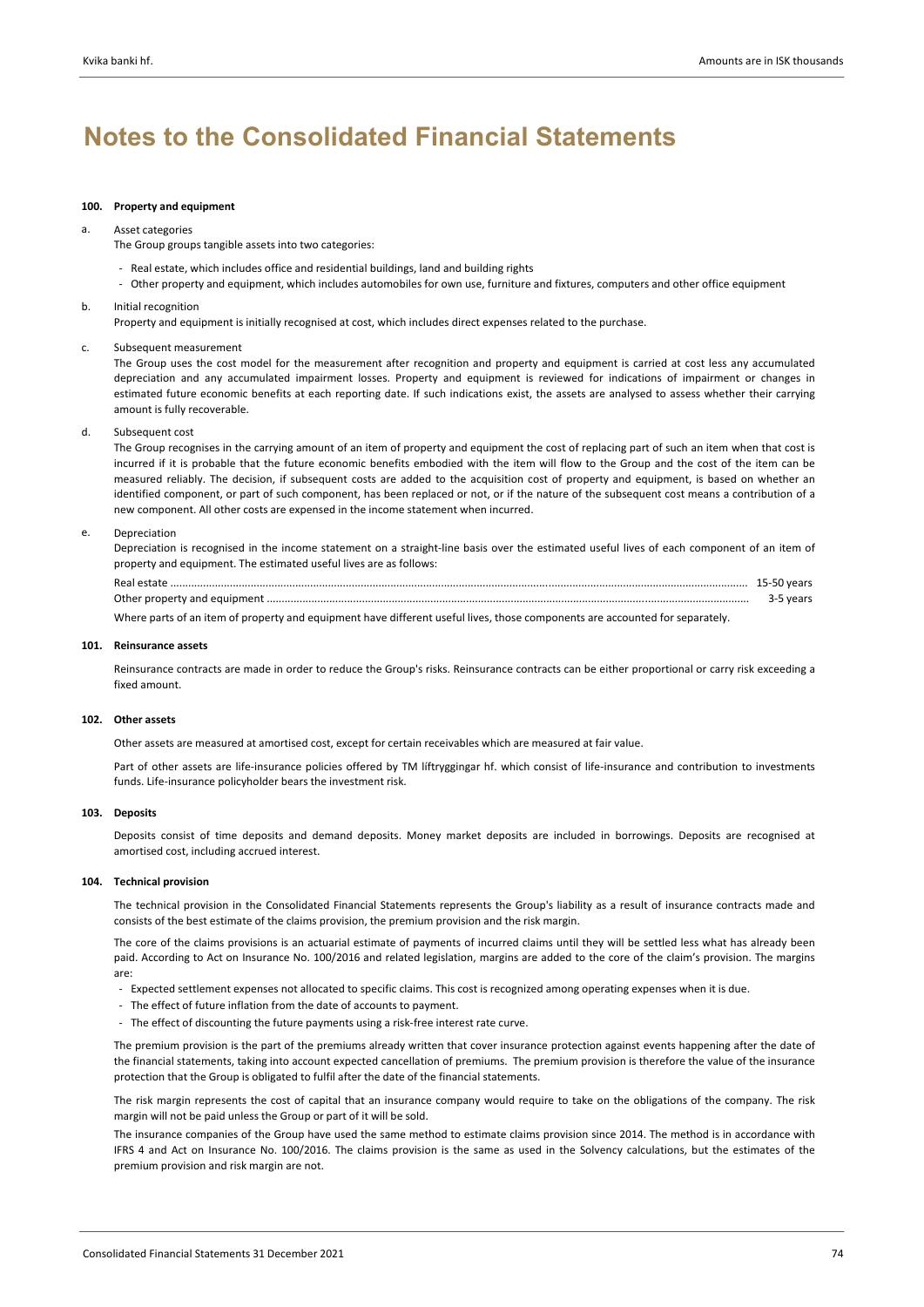### **100. Property and equipment**

#### a. Asset categories

The Group groups tangible assets into two categories:

- ‐ Real estate, which includes office and residential buildings, land and building rights
- ‐ Other property and equipment, which includes automobiles for own use, furniture and fixtures, computers and other office equipment

#### b. Initial recognition

Property and equipment is initially recognised at cost, which includes direct expenses related to the purchase.

#### c. Subsequent measurement

The Group uses the cost model for the measurement after recognition and property and equipment is carried at cost less any accumulated depreciation and any accumulated impairment losses. Property and equipment is reviewed for indications of impairment or changes in estimated future economic benefits at each reporting date. If such indications exist, the assets are analysed to assess whether their carrying amount is fully recoverable.

#### d. Subsequent cost

The Group recognises in the carrying amount of an item of property and equipment the cost of replacing part of such an item when that cost is incurred if it is probable that the future economic benefits embodied with the item will flow to the Group and the cost of the item can be measured reliably. The decision, if subsequent costs are added to the acquisition cost of property and equipment, is based on whether an identified component, or part of such component, has been replaced or not, or if the nature of the subsequent cost means a contribution of a new component. All other costs are expensed in the income statement when incurred.

#### e. Depreciation

Depreciation is recognised in the income statement on a straight-line basis over the estimated useful lives of each component of an item of property and equipment. The estimated useful lives are as follows:

|                                                                                                                              |  | 15-50 vears |
|------------------------------------------------------------------------------------------------------------------------------|--|-------------|
|                                                                                                                              |  | 3-5 years   |
| Where parts of an item of property and equipment have different useful lives, those components are accounted for separately. |  |             |

## **101. Reinsurance assets**

Reinsurance contracts are made in order to reduce the Group's risks. Reinsurance contracts can be either proportional or carry risk exceeding a fixed amount.

# **102. Other assets**

Other assets are measured at amortised cost, except for certain receivables which are measured at fair value.

Part of other assets are life-insurance policies offered by TM líftryggingar hf. which consist of life-insurance and contribution to investments funds. Life‐insurance policyholder bears the investment risk.

#### **103. Deposits**

Deposits consist of time deposits and demand deposits. Money market deposits are included in borrowings. Deposits are recognised at amortised cost, including accrued interest.

#### **104. Technical provision**

The technical provision in the Consolidated Financial Statements represents the Group's liability as a result of insurance contracts made and consists of the best estimate of the claims provision, the premium provision and the risk margin.

The core of the claims provisions is an actuarial estimate of payments of incurred claims until they will be settled less what has already been paid. According to Act on Insurance No. 100/2016 and related legislation, margins are added to the core of the claim's provision. The margins are:

- ‐ Expected settlement expenses not allocated to specific claims. This cost is recognized among operating expenses when it is due.
- ‐ The effect of future inflation from the date of accounts to payment.
- ‐ The effect of discounting the future payments using a risk‐free interest rate curve.

The premium provision is the part of the premiums already written that cover insurance protection against events happening after the date of the financial statements, taking into account expected cancellation of premiums. The premium provision is therefore the value of the insurance protection that the Group is obligated to fulfil after the date of the financial statements.

The risk margin represents the cost of capital that an insurance company would require to take on the obligations of the company. The risk margin will not be paid unless the Group or part of it will be sold.

The insurance companies of the Group have used the same method to estimate claims provision since 2014. The method is in accordance with IFRS 4 and Act on Insurance No. 100/2016. The claims provision is the same as used in the Solvency calculations, but the estimates of the premium provision and risk margin are not.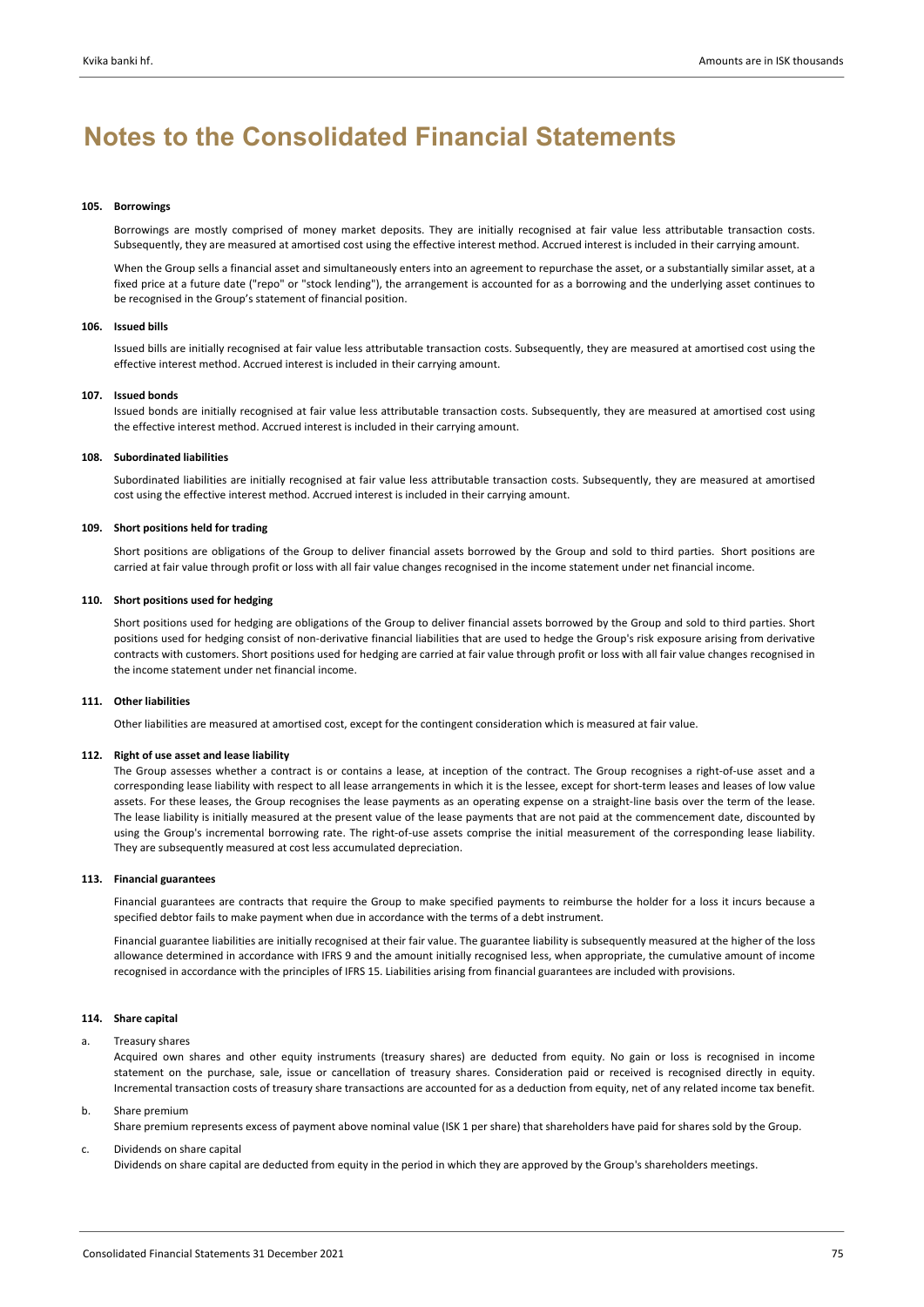### **105. Borrowings**

Borrowings are mostly comprised of money market deposits. They are initially recognised at fair value less attributable transaction costs. Subsequently, they are measured at amortised cost using the effective interest method. Accrued interest is included in their carrying amount.

When the Group sells a financial asset and simultaneously enters into an agreement to repurchase the asset, or a substantially similar asset, at a fixed price at a future date ("repo" or "stock lending"), the arrangement is accounted for as a borrowing and the underlying asset continues to be recognised in the Group's statement of financial position.

### **106. Issued bills**

Issued bills are initially recognised at fair value less attributable transaction costs. Subsequently, they are measured at amortised cost using the effective interest method. Accrued interest is included in their carrying amount.

#### **107. Issued bonds**

Issued bonds are initially recognised at fair value less attributable transaction costs. Subsequently, they are measured at amortised cost using the effective interest method. Accrued interest is included in their carrying amount.

#### **108. Subordinated liabilities**

Subordinated liabilities are initially recognised at fair value less attributable transaction costs. Subsequently, they are measured at amortised cost using the effective interest method. Accrued interest is included in their carrying amount.

### **109. Short positions held for trading**

Short positions are obligations of the Group to deliver financial assets borrowed by the Group and sold to third parties. Short positions are carried at fair value through profit or loss with all fair value changes recognised in the income statement under net financial income.

# **110. Short positions used for hedging**

Short positions used for hedging are obligations of the Group to deliver financial assets borrowed by the Group and sold to third parties. Short positions used for hedging consist of non‐derivative financial liabilities that are used to hedge the Group's risk exposure arising from derivative contracts with customers. Short positions used for hedging are carried at fair value through profit or loss with all fair value changes recognised in the income statement under net financial income.

## **111. Other liabilities**

Other liabilities are measured at amortised cost, except for the contingent consideration which is measured at fair value.

#### **112. Right of use asset and lease liability**

The Group assesses whether a contract is or contains a lease, at inception of the contract. The Group recognises a right‐of‐use asset and a corresponding lease liability with respect to all lease arrangements in which it is the lessee, except for short-term leases and leases of low value assets. For these leases, the Group recognises the lease payments as an operating expense on a straight-line basis over the term of the lease. The lease liability is initially measured at the present value of the lease payments that are not paid at the commencement date, discounted by using the Group's incremental borrowing rate. The right‐of‐use assets comprise the initial measurement of the corresponding lease liability. They are subsequently measured at cost less accumulated depreciation.

### **113. Financial guarantees**

Financial guarantees are contracts that require the Group to make specified payments to reimburse the holder for a loss it incurs because a specified debtor fails to make payment when due in accordance with the terms of a debt instrument.

Financial guarantee liabilities are initially recognised at their fair value. The guarantee liability is subsequently measured at the higher of the loss allowance determined in accordance with IFRS 9 and the amount initially recognised less, when appropriate, the cumulative amount of income recognised in accordance with the principles of IFRS 15. Liabilities arising from financial guarantees are included with provisions.

#### **114. Share capital**

# a. Treasury shares

Acquired own shares and other equity instruments (treasury shares) are deducted from equity. No gain or loss is recognised in income statement on the purchase, sale, issue or cancellation of treasury shares. Consideration paid or received is recognised directly in equity. Incremental transaction costs of treasury share transactions are accounted for as a deduction from equity, net of any related income tax benefit.

b. Share premium

Share premium represents excess of payment above nominal value (ISK 1 per share) that shareholders have paid for shares sold by the Group.

#### c. Dividends on share capital

Dividends on share capital are deducted from equity in the period in which they are approved by the Group's shareholders meetings.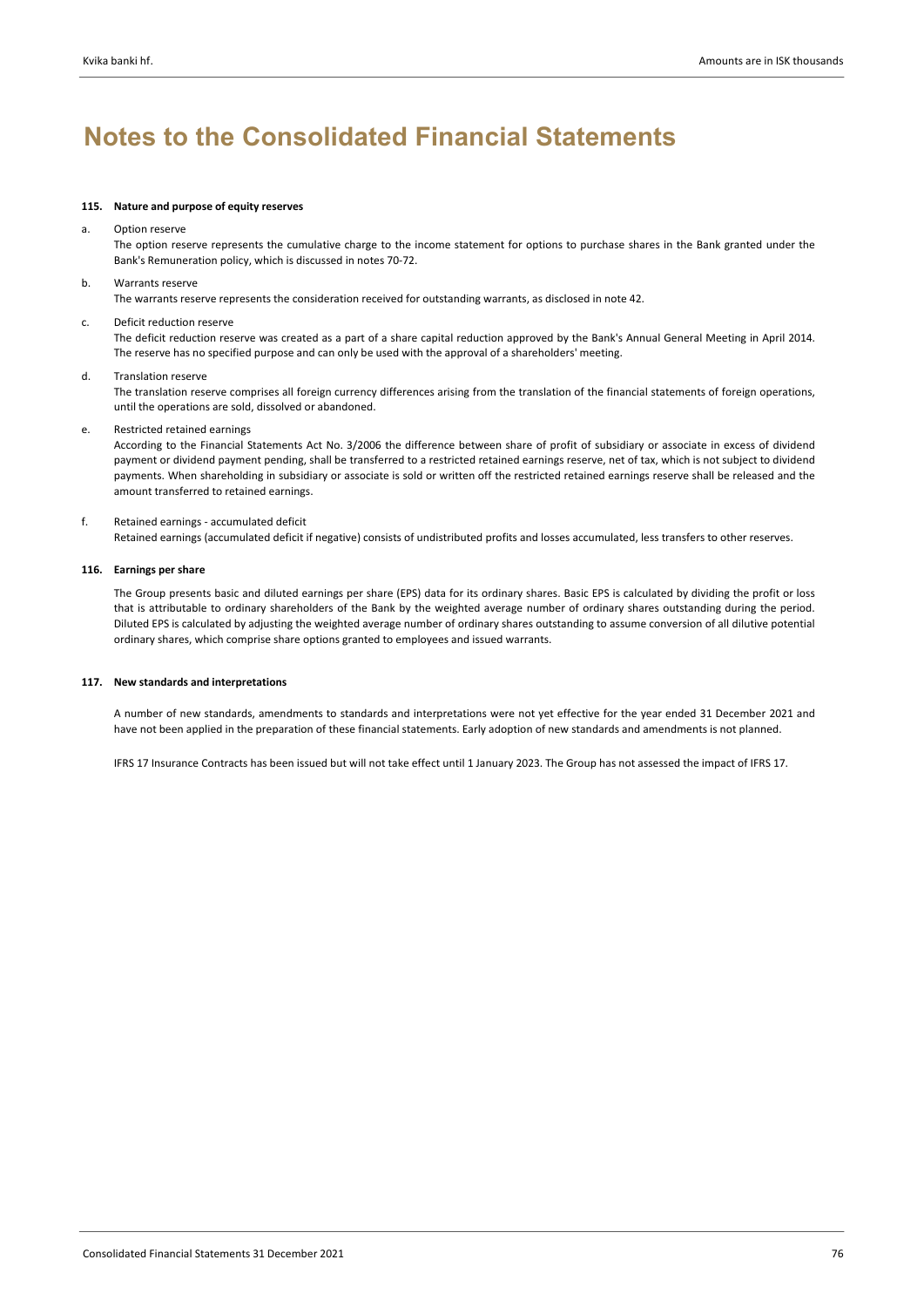# **115. Nature and purpose of equity reserves**

# a. Option reserve

The option reserve represents the cumulative charge to the income statement for options to purchase shares in the Bank granted under the Bank's Remuneration policy, which is discussed in notes 70‐72.

# b. Warrants reserve

The warrants reserve represents the consideration received for outstanding warrants, as disclosed in note 42.

## c. Deficit reduction reserve

The deficit reduction reserve was created as a part of a share capital reduction approved by the Bank's Annual General Meeting in April 2014. The reserve has no specified purpose and can only be used with the approval of a shareholders' meeting.

# d. Translation reserve

The translation reserve comprises all foreign currency differences arising from the translation of the financial statements of foreign operations, until the operations are sold, dissolved or abandoned.

# e. Restricted retained earnings

According to the Financial Statements Act No. 3/2006 the difference between share of profit of subsidiary or associate in excess of dividend payment or dividend payment pending, shall be transferred to a restricted retained earnings reserve, net of tax, which is not subject to dividend payments. When shareholding in subsidiary or associate is sold or written off the restricted retained earnings reserve shall be released and the amount transferred to retained earnings.

## f. Retained earnings ‐ accumulated deficit

Retained earnings (accumulated deficit if negative) consists of undistributed profits and losses accumulated, less transfers to other reserves.

## **116. Earnings per share**

The Group presents basic and diluted earnings per share (EPS) data for its ordinary shares. Basic EPS is calculated by dividing the profit or loss that is attributable to ordinary shareholders of the Bank by the weighted average number of ordinary shares outstanding during the period. Diluted EPS is calculated by adjusting the weighted average number of ordinary shares outstanding to assume conversion of all dilutive potential ordinary shares, which comprise share options granted to employees and issued warrants.

## **117. New standards and interpretations**

A number of new standards, amendments to standards and interpretations were not yet effective for the year ended 31 December 2021 and have not been applied in the preparation of these financial statements. Early adoption of new standards and amendments is not planned.

IFRS 17 Insurance Contracts has been issued but will not take effect until 1 January 2023. The Group has not assessed the impact of IFRS 17.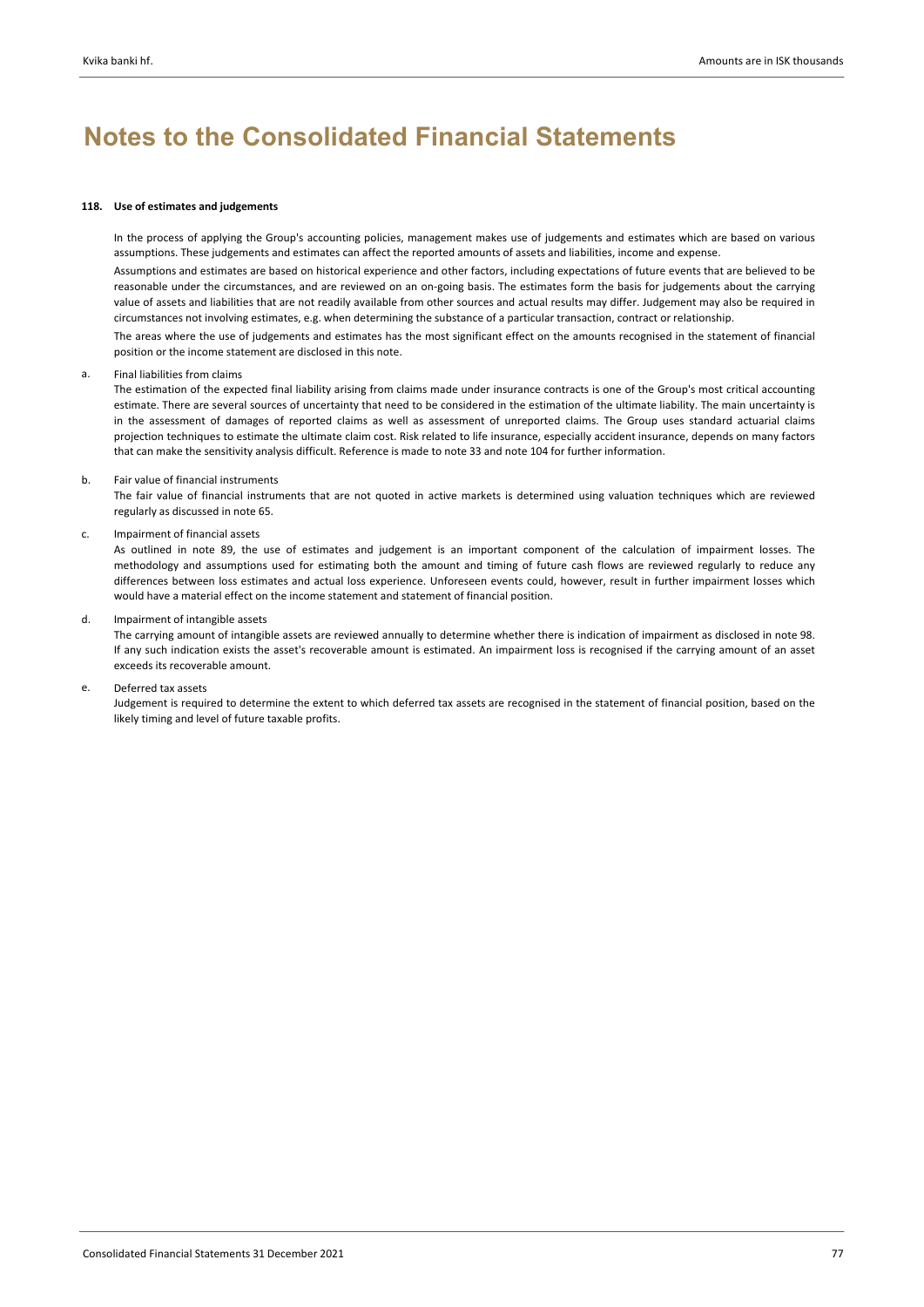# **118. Use of estimates and judgements**

In the process of applying the Group's accounting policies, management makes use of judgements and estimates which are based on various assumptions. These judgements and estimates can affect the reported amounts of assets and liabilities, income and expense.

Assumptions and estimates are based on historical experience and other factors, including expectations of future events that are believed to be reasonable under the circumstances, and are reviewed on an on-going basis. The estimates form the basis for judgements about the carrying value of assets and liabilities that are not readily available from other sources and actual results may differ. Judgement may also be required in circumstances not involving estimates, e.g. when determining the substance of a particular transaction, contract or relationship.

The areas where the use of judgements and estimates has the most significant effect on the amounts recognised in the statement of financial position or the income statement are disclosed in this note.

#### a. Final liabilities from claims

The estimation of the expected final liability arising from claims made under insurance contracts is one of the Group's most critical accounting estimate. There are several sources of uncertainty that need to be considered in the estimation of the ultimate liability. The main uncertainty is in the assessment of damages of reported claims as well as assessment of unreported claims. The Group uses standard actuarial claims projection techniques to estimate the ultimate claim cost. Risk related to life insurance, especially accident insurance, depends on many factors that can make the sensitivity analysis difficult. Reference is made to note 33 and note 104 for further information.

#### b. Fair value of financial instruments

The fair value of financial instruments that are not quoted in active markets is determined using valuation techniques which are reviewed regularly as discussed in note 65.

#### c. Impairment of financial assets

As outlined in note 89, the use of estimates and judgement is an important component of the calculation of impairment losses. The methodology and assumptions used for estimating both the amount and timing of future cash flows are reviewed regularly to reduce any differences between loss estimates and actual loss experience. Unforeseen events could, however, result in further impairment losses which would have a material effect on the income statement and statement of financial position.

#### d. Impairment of intangible assets

The carrying amount of intangible assets are reviewed annually to determine whether there is indication of impairment as disclosed in note 98. If any such indication exists the asset's recoverable amount is estimated. An impairment loss is recognised if the carrying amount of an asset exceeds its recoverable amount.

#### e. Deferred tax assets

Judgement is required to determine the extent to which deferred tax assets are recognised in the statement of financial position, based on the likely timing and level of future taxable profits.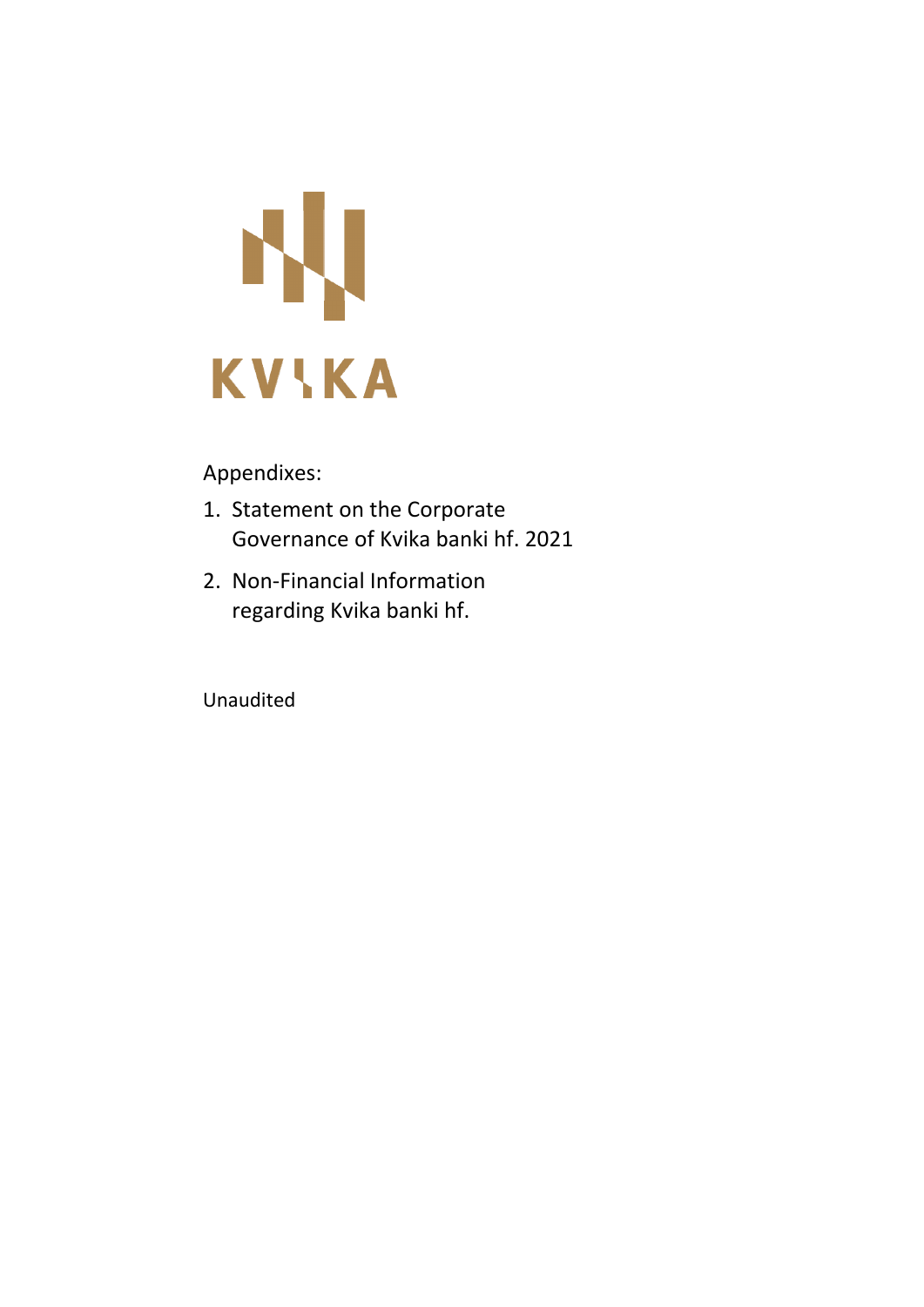

# Appendixes:

- 1. Statement on the Corporate Governance of Kvika banki hf. 2021
- 2. Non‐Financial Information regarding Kvika banki hf.

Unaudited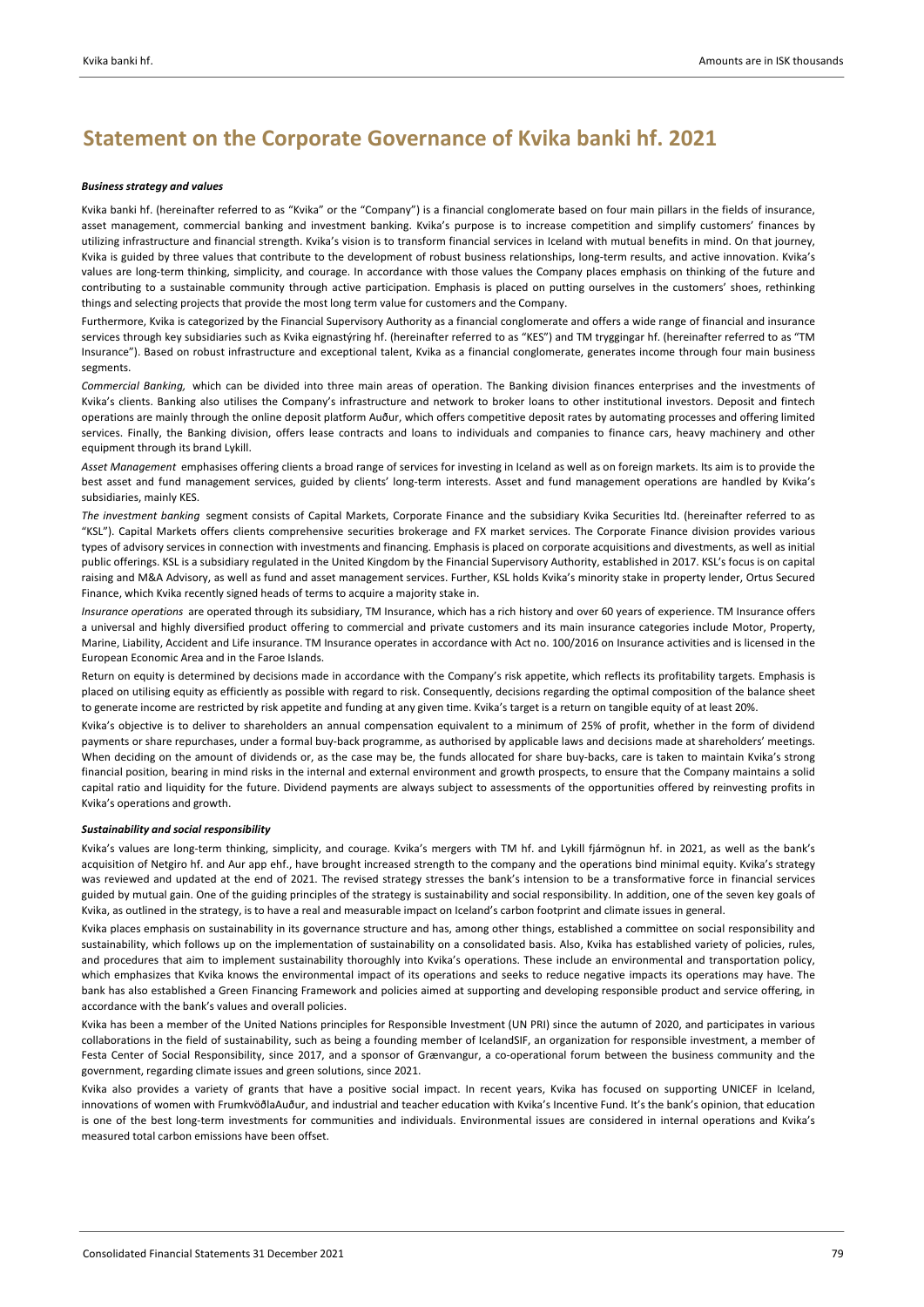### *Business strategy and values*

Kvika banki hf. (hereinafter referred to as "Kvika" or the "Company") is a financial conglomerate based on four main pillars in the fields of insurance, asset management, commercial banking and investment banking. Kvika's purpose is to increase competition and simplify customers' finances by utilizing infrastructure and financial strength. Kvika's vision is to transform financial services in Iceland with mutual benefits in mind. On that journey, Kvika is guided by three values that contribute to the development of robust business relationships, long-term results, and active innovation. Kvika's values are long‐term thinking, simplicity, and courage. In accordance with those values the Company places emphasis on thinking of the future and contributing to a sustainable community through active participation. Emphasis is placed on putting ourselves in the customers' shoes, rethinking things and selecting projects that provide the most long term value for customers and the Company.

Furthermore, Kvika is categorized by the Financial Supervisory Authority as a financial conglomerate and offers a wide range of financial and insurance services through key subsidiaries such as Kvika eignastýring hf. (hereinafter referred to as "KES") and TM tryggingar hf. (hereinafter referred to as "TM Insurance"). Based on robust infrastructure and exceptional talent, Kvika as a financial conglomerate, generates income through four main business segments.

*Commercial Banking,* which can be divided into three main areas of operation. The Banking division finances enterprises and the investments of Kvika's clients. Banking also utilises the Company's infrastructure and network to broker loans to other institutional investors. Deposit and fintech operations are mainly through the online deposit platform Auður, which offers competitive deposit rates by automating processes and offering limited services. Finally, the Banking division, offers lease contracts and loans to individuals and companies to finance cars, heavy machinery and other equipment through its brand Lykill.

*Asset Management* emphasises offering clients a broad range of services for investing in Iceland as well as on foreign markets. Its aim is to provide the best asset and fund management services, guided by clients' long-term interests. Asset and fund management operations are handled by Kvika's subsidiaries, mainly KES.

*The investment banking* segment consists of Capital Markets, Corporate Finance and the subsidiary Kvika Securities ltd. (hereinafter referred to as "KSL"). Capital Markets offers clients comprehensive securities brokerage and FX market services. The Corporate Finance division provides various types of advisory services in connection with investments and financing. Emphasis is placed on corporate acquisitions and divestments, as well as initial public offerings. KSL is a subsidiary regulated in the United Kingdom by the Financial Supervisory Authority, established in 2017. KSL's focus is on capital raising and M&A Advisory, as well as fund and asset management services. Further, KSL holds Kvika's minority stake in property lender, Ortus Secured Finance, which Kvika recently signed heads of terms to acquire a majority stake in.

*Insurance operations* are operated through its subsidiary, TM Insurance, which has a rich history and over 60 years of experience. TM Insurance offers a universal and highly diversified product offering to commercial and private customers and its main insurance categories include Motor, Property, Marine, Liability, Accident and Life insurance. TM Insurance operates in accordance with Act no. 100/2016 on Insurance activities and is licensed in the European Economic Area and in the Faroe Islands.

Return on equity is determined by decisions made in accordance with the Company's risk appetite, which reflects its profitability targets. Emphasis is placed on utilising equity as efficiently as possible with regard to risk. Consequently, decisions regarding the optimal composition of the balance sheet to generate income are restricted by risk appetite and funding at any given time. Kvika's target is a return on tangible equity of at least 20%.

Kvika's objective is to deliver to shareholders an annual compensation equivalent to a minimum of 25% of profit, whether in the form of dividend payments or share repurchases, under a formal buy‐back programme, as authorised by applicable laws and decisions made at shareholders' meetings. When deciding on the amount of dividends or, as the case may be, the funds allocated for share buy-backs, care is taken to maintain Kvika's strong financial position, bearing in mind risks in the internal and external environment and growth prospects, to ensure that the Company maintains a solid capital ratio and liquidity for the future. Dividend payments are always subject to assessments of the opportunities offered by reinvesting profits in Kvika's operations and growth.

#### *Sustainability and social responsibility*

Kvika's values are long‐term thinking, simplicity, and courage. Kvika's mergers with TM hf. and Lykill fjármögnun hf. in 2021, as well as the bank's acquisition of Netgiro hf. and Aur app ehf., have brought increased strength to the company and the operations bind minimal equity. Kvika's strategy was reviewed and updated at the end of 2021. The revised strategy stresses the bank's intension to be a transformative force in financial services guided by mutual gain. One of the guiding principles of the strategy is sustainability and social responsibility. In addition, one of the seven key goals of Kvika, as outlined in the strategy, is to have a real and measurable impact on Iceland's carbon footprint and climate issues in general.

Kvika places emphasis on sustainability in its governance structure and has, among other things, established a committee on social responsibility and sustainability, which follows up on the implementation of sustainability on a consolidated basis. Also, Kvika has established variety of policies, rules, and procedures that aim to implement sustainability thoroughly into Kvika's operations. These include an environmental and transportation policy, which emphasizes that Kvika knows the environmental impact of its operations and seeks to reduce negative impacts its operations may have. The bank has also established a Green Financing Framework and policies aimed at supporting and developing responsible product and service offering, in accordance with the bank's values and overall policies.

Kvika has been a member of the United Nations principles for Responsible Investment (UN PRI) since the autumn of 2020, and participates in various collaborations in the field of sustainability, such as being a founding member of IcelandSIF, an organization for responsible investment, a member of Festa Center of Social Responsibility, since 2017, and a sponsor of Grænvangur, a co-operational forum between the business community and the government, regarding climate issues and green solutions, since 2021.

Kvika also provides a variety of grants that have a positive social impact. In recent years, Kvika has focused on supporting UNICEF in Iceland, innovations of women with FrumkvöðlaAuður, and industrial and teacher education with Kvika's Incentive Fund. It's the bank's opinion, that education is one of the best long‐term investments for communities and individuals. Environmental issues are considered in internal operations and Kvika's measured total carbon emissions have been offset.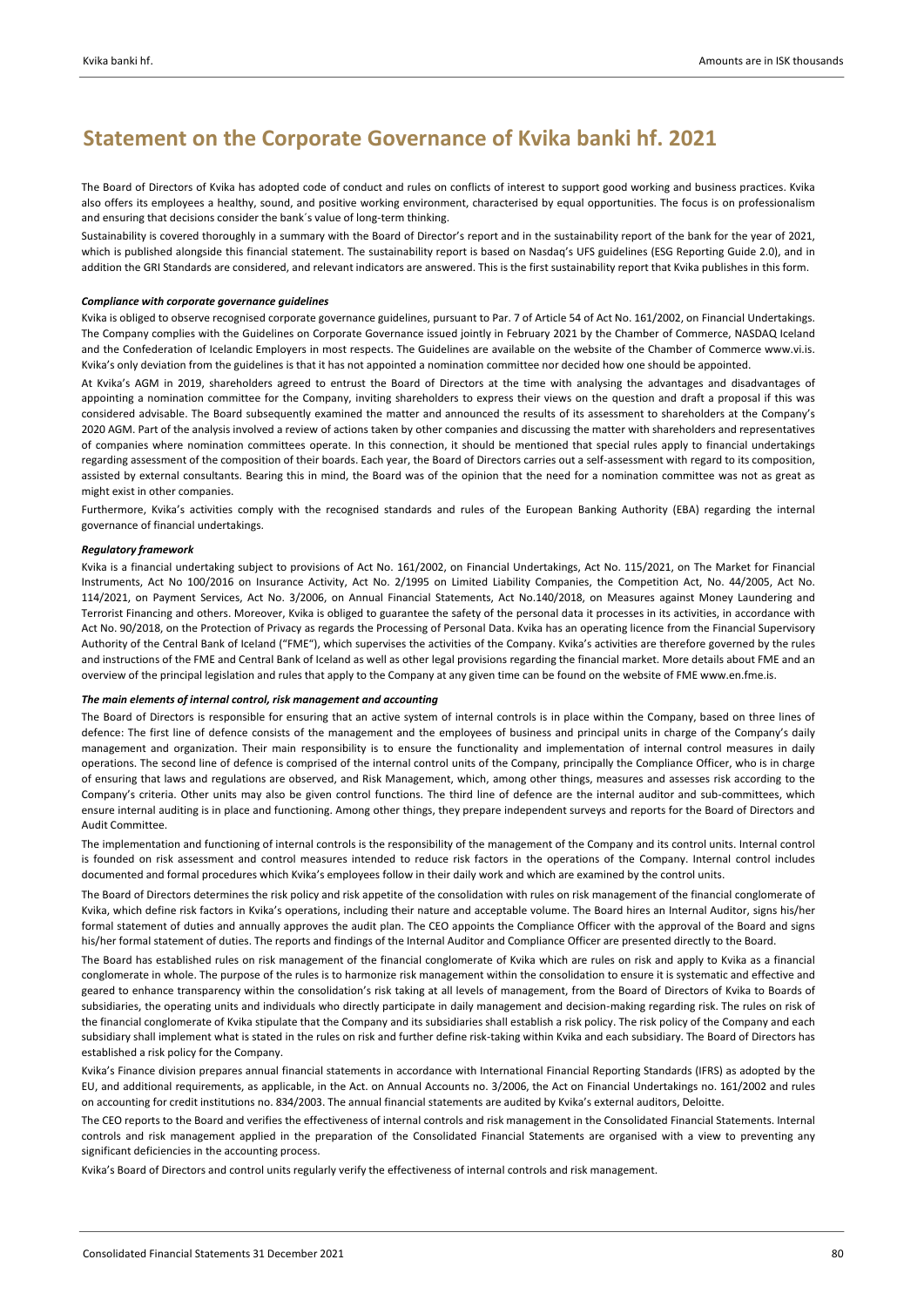The Board of Directors of Kvika has adopted code of conduct and rules on conflicts of interest to support good working and business practices. Kvika also offers its employees a healthy, sound, and positive working environment, characterised by equal opportunities. The focus is on professionalism and ensuring that decisions consider the bank's value of long-term thinking.

Sustainability is covered thoroughly in a summary with the Board of Director's report and in the sustainability report of the bank for the year of 2021, which is published alongside this financial statement. The sustainability report is based on Nasdaq's UFS guidelines (ESG Reporting Guide 2.0), and in addition the GRI Standards are considered, and relevant indicators are answered. This is the first sustainability report that Kvika publishes in this form.

### *Compliance with corporate governance guidelines*

Kvika is obliged to observe recognised corporate governance guidelines, pursuant to Par. 7 of Article 54 of Act No. 161/2002, on Financial Undertakings. The Company complies with the Guidelines on Corporate Governance issued jointly in February 2021 by the Chamber of Commerce, NASDAQ Iceland and the Confederation of Icelandic Employers in most respects. The Guidelines are available on the website of the Chamber of Commerce www.vi.is. Kvika's only deviation from the guidelines is that it has not appointed a nomination committee nor decided how one should be appointed.

At Kvika's AGM in 2019, shareholders agreed to entrust the Board of Directors at the time with analysing the advantages and disadvantages of appointing a nomination committee for the Company, inviting shareholders to express their views on the question and draft a proposal if this was considered advisable. The Board subsequently examined the matter and announced the results of its assessment to shareholders at the Company's 2020 AGM. Part of the analysis involved a review of actions taken by other companies and discussing the matter with shareholders and representatives of companies where nomination committees operate. In this connection, it should be mentioned that special rules apply to financial undertakings regarding assessment of the composition of their boards. Each year, the Board of Directors carries out a self‐assessment with regard to its composition, assisted by external consultants. Bearing this in mind, the Board was of the opinion that the need for a nomination committee was not as great as might exist in other companies.

Furthermore, Kvika's activities comply with the recognised standards and rules of the European Banking Authority (EBA) regarding the internal governance of financial undertakings.

## *Regulatory framework*

Kvika is a financial undertaking subject to provisions of Act No. 161/2002, on Financial Undertakings, Act No. 115/2021, on The Market for Financial Instruments, Act No 100/2016 on Insurance Activity, Act No. 2/1995 on Limited Liability Companies, the Competition Act, No. 44/2005, Act No. 114/2021, on Payment Services, Act No. 3/2006, on Annual Financial Statements, Act No.140/2018, on Measures against Money Laundering and Terrorist Financing and others. Moreover, Kvika is obliged to guarantee the safety of the personal data it processes in its activities, in accordance with Act No. 90/2018, on the Protection of Privacy as regards the Processing of Personal Data. Kvika has an operating licence from the Financial Supervisory Authority of the Central Bank of Iceland ("FME"), which supervises the activities of the Company. Kvika's activities are therefore governed by the rules and instructions of the FME and Central Bank of Iceland as well as other legal provisions regarding the financial market. More details about FME and an overview of the principal legislation and rules that apply to the Company at any given time can be found on the website of FME www.en.fme.is.

#### *The main elements of internal control, risk management and accounting*

The Board of Directors is responsible for ensuring that an active system of internal controls is in place within the Company, based on three lines of defence: The first line of defence consists of the management and the employees of business and principal units in charge of the Company's daily management and organization. Their main responsibility is to ensure the functionality and implementation of internal control measures in daily operations. The second line of defence is comprised of the internal control units of the Company, principally the Compliance Officer, who is in charge of ensuring that laws and regulations are observed, and Risk Management, which, among other things, measures and assesses risk according to the Company's criteria. Other units may also be given control functions. The third line of defence are the internal auditor and sub‐committees, which ensure internal auditing is in place and functioning. Among other things, they prepare independent surveys and reports for the Board of Directors and Audit Committee.

The implementation and functioning of internal controls is the responsibility of the management of the Company and its control units. Internal control is founded on risk assessment and control measures intended to reduce risk factors in the operations of the Company. Internal control includes documented and formal procedures which Kvika's employees follow in their daily work and which are examined by the control units.

The Board of Directors determines the risk policy and risk appetite of the consolidation with rules on risk management of the financial conglomerate of Kvika, which define risk factors in Kvika's operations, including their nature and acceptable volume. The Board hires an Internal Auditor, signs his/her formal statement of duties and annually approves the audit plan. The CEO appoints the Compliance Officer with the approval of the Board and signs his/her formal statement of duties. The reports and findings of the Internal Auditor and Compliance Officer are presented directly to the Board.

The Board has established rules on risk management of the financial conglomerate of Kvika which are rules on risk and apply to Kvika as a financial conglomerate in whole. The purpose of the rules is to harmonize risk management within the consolidation to ensure it is systematic and effective and geared to enhance transparency within the consolidation's risk taking at all levels of management, from the Board of Directors of Kvika to Boards of subsidiaries, the operating units and individuals who directly participate in daily management and decision-making regarding risk. The rules on risk of the financial conglomerate of Kvika stipulate that the Company and its subsidiaries shall establish a risk policy. The risk policy of the Company and each subsidiary shall implement what is stated in the rules on risk and further define risk-taking within Kvika and each subsidiary. The Board of Directors has established a risk policy for the Company.

Kvika's Finance division prepares annual financial statements in accordance with International Financial Reporting Standards (IFRS) as adopted by the EU, and additional requirements, as applicable, in the Act. on Annual Accounts no. 3/2006, the Act on Financial Undertakings no. 161/2002 and rules on accounting for credit institutions no. 834/2003. The annual financial statements are audited by Kvika's external auditors, Deloitte.

The CEO reports to the Board and verifies the effectiveness of internal controls and risk management in the Consolidated Financial Statements. Internal controls and risk management applied in the preparation of the Consolidated Financial Statements are organised with a view to preventing any significant deficiencies in the accounting process.

Kvika's Board of Directors and control units regularly verify the effectiveness of internal controls and risk management.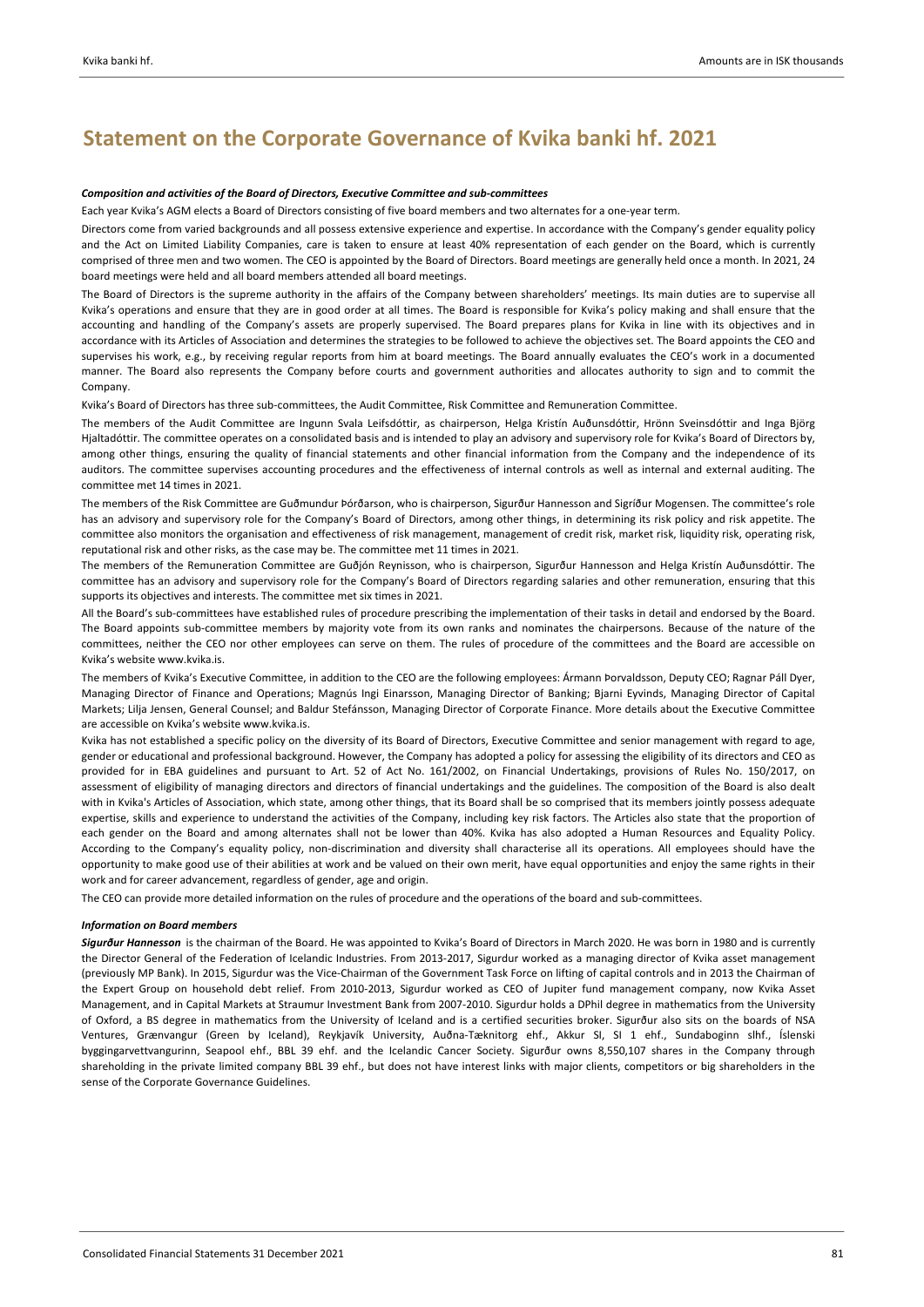### *Composition and activities of the Board of Directors, Executive Committee and sub‐committees*

Each year Kvika's AGM elects a Board of Directors consisting of five board members and two alternates for a one‐year term.

Directors come from varied backgrounds and all possess extensive experience and expertise. In accordance with the Company's gender equality policy and the Act on Limited Liability Companies, care is taken to ensure at least 40% representation of each gender on the Board, which is currently comprised of three men and two women. The CEO is appointed by the Board of Directors. Board meetings are generally held once a month. In 2021, 24 board meetings were held and all board members attended all board meetings.

The Board of Directors is the supreme authority in the affairs of the Company between shareholders' meetings. Its main duties are to supervise all Kvika's operations and ensure that they are in good order at all times. The Board is responsible for Kvika's policy making and shall ensure that the accounting and handling of the Company's assets are properly supervised. The Board prepares plans for Kvika in line with its objectives and in accordance with its Articles of Association and determines the strategies to be followed to achieve the objectives set. The Board appoints the CEO and supervises his work, e.g., by receiving regular reports from him at board meetings. The Board annually evaluates the CEO's work in a documented manner. The Board also represents the Company before courts and government authorities and allocates authority to sign and to commit the Company.

Kvika's Board of Directors has three sub‐committees, the Audit Committee, Risk Committee and Remuneration Committee.

The members of the Audit Committee are Ingunn Svala Leifsdóttir, as chairperson, Helga Kristín Auðunsdóttir, Hrönn Sveinsdóttir and Inga Björg Hjaltadóttir. The committee operates on a consolidated basis and is intended to play an advisory and supervisory role for Kvika's Board of Directors by, among other things, ensuring the quality of financial statements and other financial information from the Company and the independence of its auditors. The committee supervises accounting procedures and the effectiveness of internal controls as well as internal and external auditing. The committee met 14 times in 2021.

The members of the Risk Committee are Guðmundur Þórðarson, who is chairperson, Sigurður Hannesson and Sigríður Mogensen. The committee's role has an advisory and supervisory role for the Company's Board of Directors, among other things, in determining its risk policy and risk appetite. The committee also monitors the organisation and effectiveness of risk management, management of credit risk, market risk, liquidity risk, operating risk, reputational risk and other risks, as the case may be. The committee met 11 times in 2021.

The members of the Remuneration Committee are Guðjón Reynisson, who is chairperson, Sigurður Hannesson and Helga Kristín Auðunsdóttir. The committee has an advisory and supervisory role for the Company's Board of Directors regarding salaries and other remuneration, ensuring that this supports its objectives and interests. The committee met six times in 2021.

All the Board's sub‐committees have established rules of procedure prescribing the implementation of their tasks in detail and endorsed by the Board. The Board appoints sub‐committee members by majority vote from its own ranks and nominates the chairpersons. Because of the nature of the committees, neither the CEO nor other employees can serve on them. The rules of procedure of the committees and the Board are accessible on Kvika's website www.kvika.is.

The members of Kvika's Executive Committee, in addition to the CEO are the following employees: Ármann Þorvaldsson, Deputy CEO; Ragnar Páll Dyer, Managing Director of Finance and Operations; Magnús Ingi Einarsson, Managing Director of Banking; Bjarni Eyvinds, Managing Director of Capital Markets; Lilja Jensen, General Counsel; and Baldur Stefánsson, Managing Director of Corporate Finance. More details about the Executive Committee are accessible on Kvika's website www.kvika.is.

Kvika has not established a specific policy on the diversity of its Board of Directors, Executive Committee and senior management with regard to age, gender or educational and professional background. However, the Company has adopted a policy for assessing the eligibility of its directors and CEO as provided for in EBA guidelines and pursuant to Art. 52 of Act No. 161/2002, on Financial Undertakings, provisions of Rules No. 150/2017, on assessment of eligibility of managing directors and directors of financial undertakings and the guidelines. The composition of the Board is also dealt with in Kvika's Articles of Association, which state, among other things, that its Board shall be so comprised that its members jointly possess adequate expertise, skills and experience to understand the activities of the Company, including key risk factors. The Articles also state that the proportion of each gender on the Board and among alternates shall not be lower than 40%. Kvika has also adopted a Human Resources and Equality Policy. According to the Company's equality policy, non‐discrimination and diversity shall characterise all its operations. All employees should have the opportunity to make good use of their abilities at work and be valued on their own merit, have equal opportunities and enjoy the same rights in their work and for career advancement, regardless of gender, age and origin.

The CEO can provide more detailed information on the rules of procedure and the operations of the board and sub‐committees.

### *Information on Board members*

*Sigurður Hannesson* is the chairman of the Board. He was appointed to Kvika's Board of Directors in March 2020. He was born in 1980 and is currently the Director General of the Federation of Icelandic Industries. From 2013‐2017, Sigurdur worked as a managing director of Kvika asset management (previously MP Bank). In 2015, Sigurdur was the Vice‐Chairman of the Government Task Force on lifting of capital controls and in 2013 the Chairman of the Expert Group on household debt relief. From 2010‐2013, Sigurdur worked as CEO of Jupiter fund management company, now Kvika Asset Management, and in Capital Markets at Straumur Investment Bank from 2007‐2010. Sigurdur holds a DPhil degree in mathematics from the University of Oxford, a BS degree in mathematics from the University of Iceland and is a certified securities broker. Sigurður also sits on the boards of NSA Ventures, Grænvangur (Green by Iceland), Reykjavík University, Auðna‐Tæknitorg ehf., Akkur SI, SI 1 ehf., Sundaboginn slhf., Íslenski byggingarvettvangurinn, Seapool ehf., BBL 39 ehf. and the Icelandic Cancer Society. Sigurður owns 8,550,107 shares in the Company through shareholding in the private limited company BBL 39 ehf., but does not have interest links with major clients, competitors or big shareholders in the sense of the Corporate Governance Guidelines.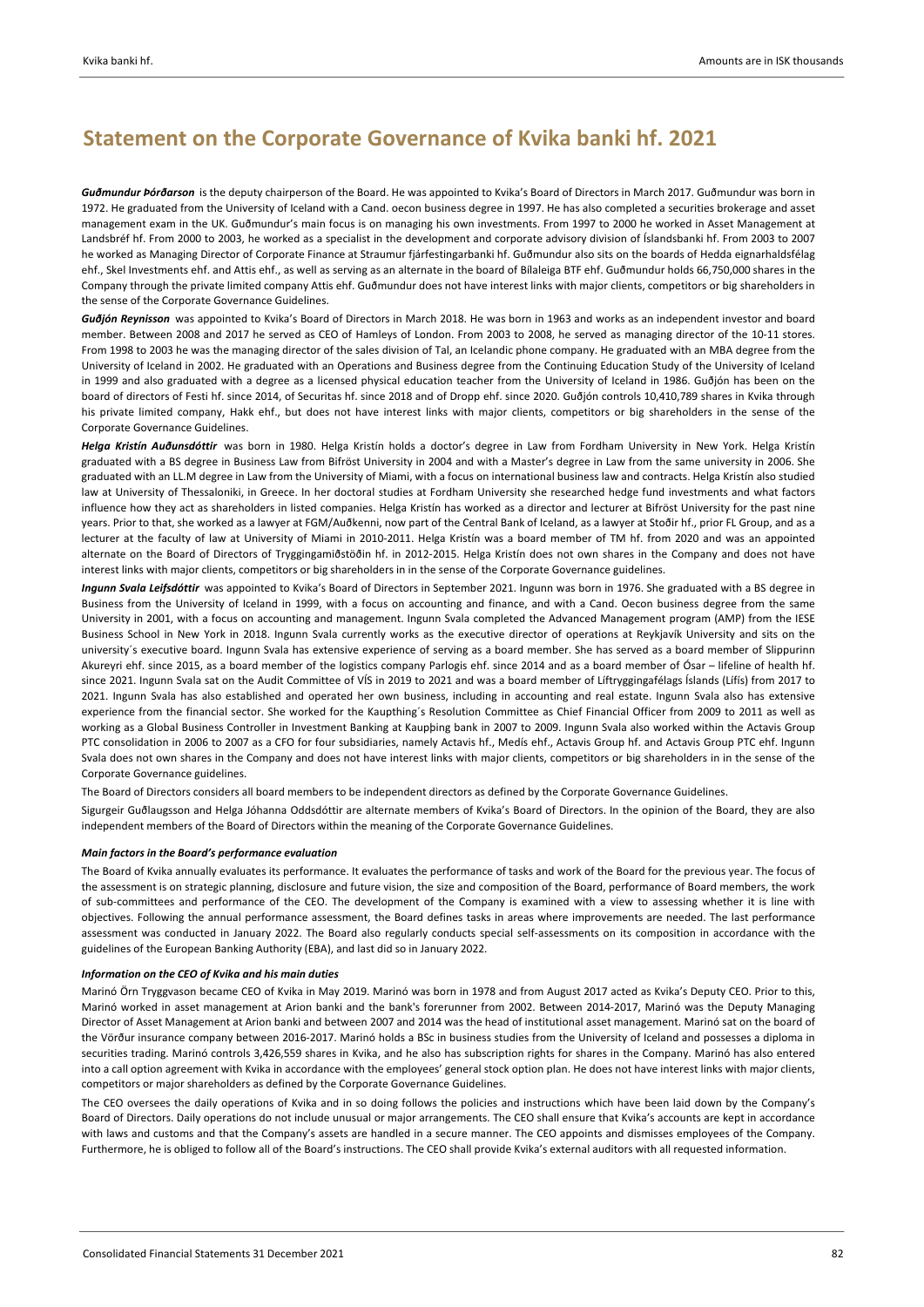*Guðmundur Þórðarson* is the deputy chairperson of the Board. He was appointed to Kvika's Board of Directors in March 2017. Guðmundur was born in 1972. He graduated from the University of Iceland with a Cand. oecon business degree in 1997. He has also completed a securities brokerage and asset management exam in the UK. Guðmundur's main focus is on managing his own investments. From 1997 to 2000 he worked in Asset Management at Landsbréf hf. From 2000 to 2003, he worked as a specialist in the development and corporate advisory division of Íslandsbanki hf. From 2003 to 2007 he worked as Managing Director of Corporate Finance at Straumur fjárfestingarbanki hf. Guðmundur also sits on the boards of Hedda eignarhaldsfélag ehf., Skel Investments ehf. and Attis ehf., as well as serving as an alternate in the board of Bílaleiga BTF ehf. Guðmundur holds 66,750,000 shares in the Company through the private limited company Attis ehf. Guðmundur does not have interest links with major clients, competitors or big shareholders in the sense of the Corporate Governance Guidelines.

*Guðjón Reynisson* was appointed to Kvika's Board of Directors in March 2018. He was born in 1963 and works as an independent investor and board member. Between 2008 and 2017 he served as CEO of Hamleys of London. From 2003 to 2008, he served as managing director of the 10‐11 stores. From 1998 to 2003 he was the managing director of the sales division of Tal, an Icelandic phone company. He graduated with an MBA degree from the University of Iceland in 2002. He graduated with an Operations and Business degree from the Continuing Education Study of the University of Iceland in 1999 and also graduated with a degree as a licensed physical education teacher from the University of Iceland in 1986. Guðjón has been on the board of directors of Festi hf. since 2014, of Securitas hf. since 2018 and of Dropp ehf. since 2020. Guðjón controls 10,410,789 shares in Kvika through his private limited company, Hakk ehf., but does not have interest links with major clients, competitors or big shareholders in the sense of the Corporate Governance Guidelines.

*Helga Kristín Auðunsdóttir* was born in 1980. Helga Kristín holds a doctor's degree in Law from Fordham University in New York. Helga Kristín graduated with a BS degree in Business Law from Bifröst University in 2004 and with a Master's degree in Law from the same university in 2006. She graduated with an LL.M degree in Law from the University of Miami, with a focus on international business law and contracts. Helga Kristín also studied law at University of Thessaloniki, in Greece. In her doctoral studies at Fordham University she researched hedge fund investments and what factors influence how they act as shareholders in listed companies. Helga Kristín has worked as a director and lecturer at Bifröst University for the past nine years. Prior to that, she worked as a lawyer at FGM/Auðkenni, now part of the Central Bank of Iceland, as a lawyer at Stoðir hf., prior FL Group, and as a lecturer at the faculty of law at University of Miami in 2010-2011. Helga Kristín was a board member of TM hf. from 2020 and was an appointed alternate on the Board of Directors of Tryggingamiðstöðin hf. in 2012‐2015. Helga Kristín does not own shares in the Company and does not have interest links with major clients, competitors or big shareholders in in the sense of the Corporate Governance guidelines.

*Ingunn Svala Leifsdóttir* was appointed to Kvika's Board of Directors in September 2021. Ingunn was born in 1976. She graduated with a BS degree in Business from the University of Iceland in 1999, with a focus on accounting and finance, and with a Cand. Oecon business degree from the same University in 2001, with a focus on accounting and management. Ingunn Svala completed the Advanced Management program (AMP) from the IESE Business School in New York in 2018. Ingunn Svala currently works as the executive director of operations at Reykjavík University and sits on the university´s executive board. Ingunn Svala has extensive experience of serving as a board member. She has served as a board member of Slippurinn Akureyri ehf. since 2015, as a board member of the logistics company Parlogis ehf. since 2014 and as a board member of Ósar – lifeline of health hf. since 2021. Ingunn Svala sat on the Audit Committee of VÍS in 2019 to 2021 and was a board member of Líftryggingafélags Íslands (Lífís) from 2017 to 2021. Ingunn Svala has also established and operated her own business, including in accounting and real estate. Ingunn Svala also has extensive experience from the financial sector. She worked for the Kaupthing´s Resolution Committee as Chief Financial Officer from 2009 to 2011 as well as working as a Global Business Controller in Investment Banking at Kaupþing bank in 2007 to 2009. Ingunn Svala also worked within the Actavis Group PTC consolidation in 2006 to 2007 as a CFO for four subsidiaries, namely Actavis hf., Medís ehf., Actavis Group hf. and Actavis Group PTC ehf. Ingunn Svala does not own shares in the Company and does not have interest links with major clients, competitors or big shareholders in in the sense of the Corporate Governance guidelines.

The Board of Directors considers all board members to be independent directors as defined by the Corporate Governance Guidelines.

Sigurgeir Guðlaugsson and Helga Jóhanna Oddsdóttir are alternate members of Kvika's Board of Directors. In the opinion of the Board, they are also independent members of the Board of Directors within the meaning of the Corporate Governance Guidelines.

### *Main factors in the Board's performance evaluation*

The Board of Kvika annually evaluates its performance. It evaluates the performance of tasks and work of the Board for the previous year. The focus of the assessment is on strategic planning, disclosure and future vision, the size and composition of the Board, performance of Board members, the work of sub-committees and performance of the CEO. The development of the Company is examined with a view to assessing whether it is line with objectives. Following the annual performance assessment, the Board defines tasks in areas where improvements are needed. The last performance assessment was conducted in January 2022. The Board also regularly conducts special self‐assessments on its composition in accordance with the guidelines of the European Banking Authority (EBA), and last did so in January 2022.

# *Information on the CEO of Kvika and his main duties*

Marinó Örn Tryggvason became CEO of Kvika in May 2019. Marinó was born in 1978 and from August 2017 acted as Kvika's Deputy CEO. Prior to this, Marinó worked in asset management at Arion banki and the bank's forerunner from 2002. Between 2014‐2017, Marinó was the Deputy Managing Director of Asset Management at Arion banki and between 2007 and 2014 was the head of institutional asset management. Marinó sat on the board of the Vörður insurance company between 2016‐2017. Marinó holds a BSc in business studies from the University of Iceland and possesses a diploma in securities trading. Marinó controls 3,426,559 shares in Kvika, and he also has subscription rights for shares in the Company. Marinó has also entered into a call option agreement with Kvika in accordance with the employees' general stock option plan. He does not have interest links with major clients, competitors or major shareholders as defined by the Corporate Governance Guidelines.

The CEO oversees the daily operations of Kvika and in so doing follows the policies and instructions which have been laid down by the Company's Board of Directors. Daily operations do not include unusual or major arrangements. The CEO shall ensure that Kvika's accounts are kept in accordance with laws and customs and that the Company's assets are handled in a secure manner. The CEO appoints and dismisses employees of the Company. Furthermore, he is obliged to follow all of the Board's instructions. The CEO shall provide Kvika's external auditors with all requested information.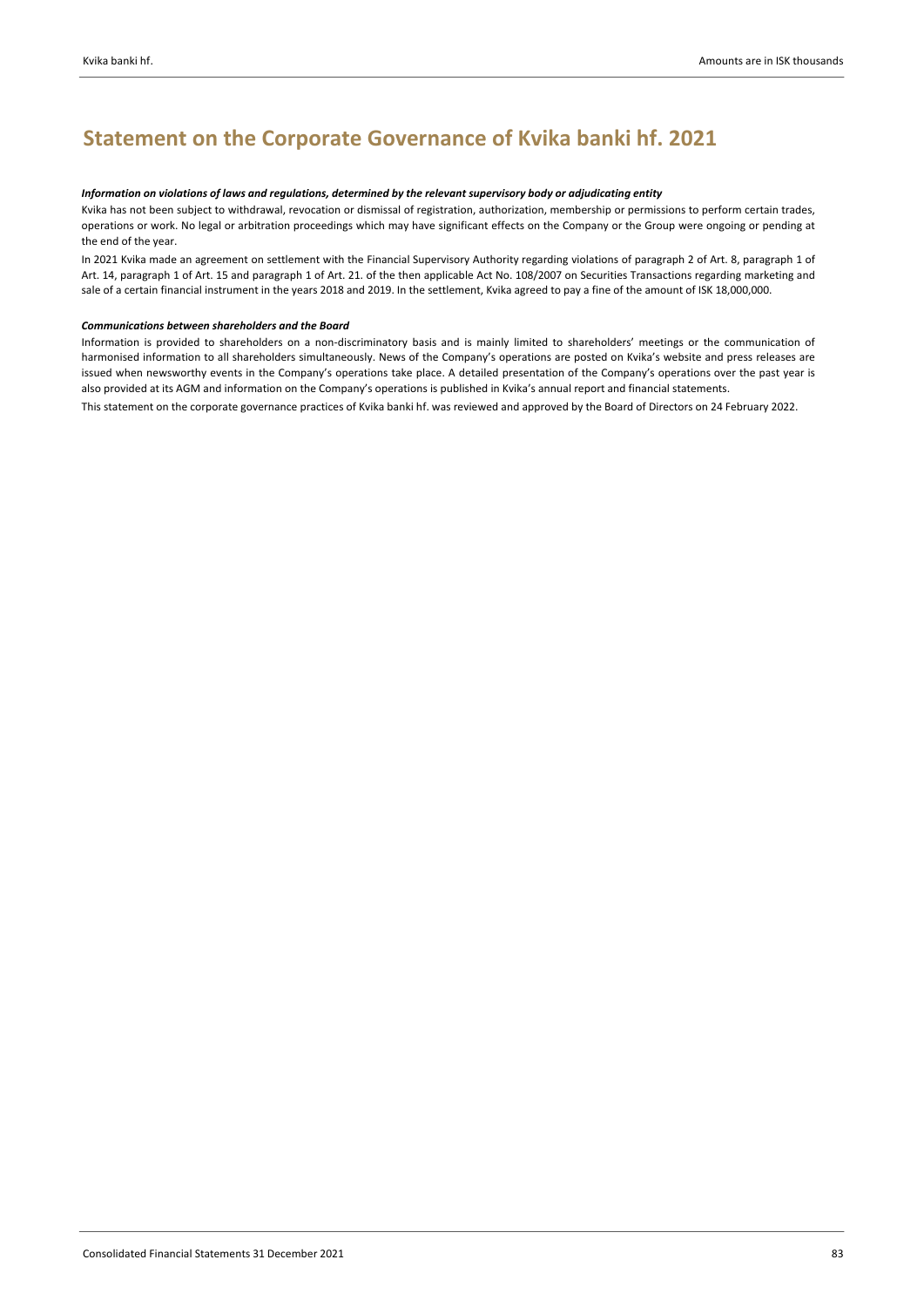# Information on violations of laws and regulations, determined by the relevant supervisory body or adjudicating entity

Kvika has not been subject to withdrawal, revocation or dismissal of registration, authorization, membership or permissions to perform certain trades, operations or work. No legal or arbitration proceedings which may have significant effects on the Company or the Group were ongoing or pending at the end of the year.

In 2021 Kvika made an agreement on settlement with the Financial Supervisory Authority regarding violations of paragraph 2 of Art. 8, paragraph 1 of Art. 14, paragraph 1 of Art. 15 and paragraph 1 of Art. 21. of the then applicable Act No. 108/2007 on Securities Transactions regarding marketing and sale of a certain financial instrument in the years 2018 and 2019. In the settlement, Kvika agreed to pay a fine of the amount of ISK 18,000,000.

## *Communications between shareholders and the Board*

Information is provided to shareholders on a non-discriminatory basis and is mainly limited to shareholders' meetings or the communication of harmonised information to all shareholders simultaneously. News of the Company's operations are posted on Kvika's website and press releases are issued when newsworthy events in the Company's operations take place. A detailed presentation of the Company's operations over the past year is also provided at its AGM and information on the Company's operations is published in Kvika's annual report and financial statements.

This statement on the corporate governance practices of Kvika banki hf. was reviewed and approved by the Board of Directors on 24 February 2022.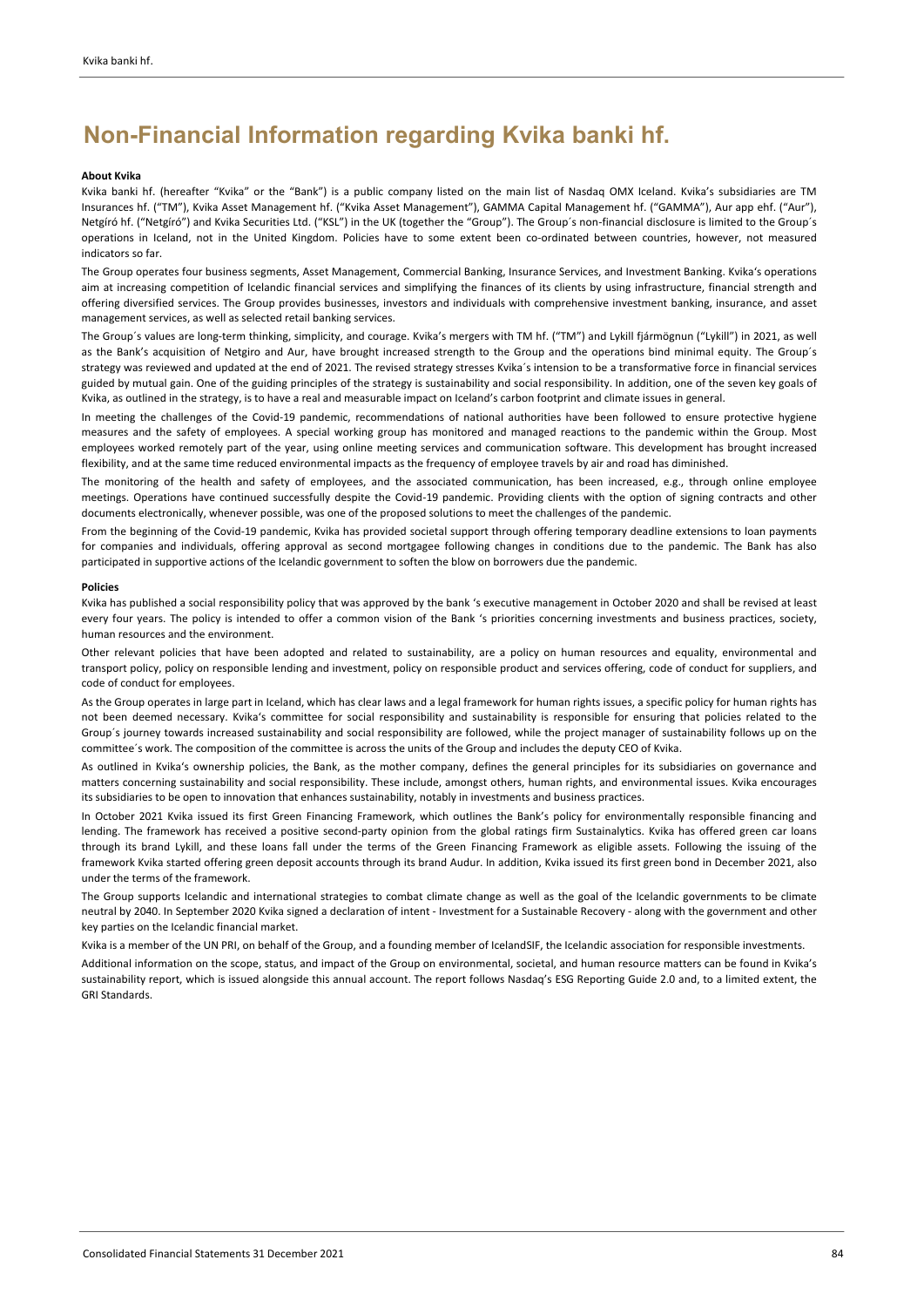# **Non-Financial Information regarding Kvika banki hf.**

### **About Kvika**

Kvika banki hf. (hereafter "Kvika" or the "Bank") is a public company listed on the main list of Nasdaq OMX Iceland. Kvika's subsidiaries are TM Insurances hf. ("TM"), Kvika Asset Management hf. ("Kvika Asset Management"), GAMMA Capital Management hf. ("GAMMA"), Aur app ehf. ("Aur"), Netgíró hf. ("Netgíró") and Kvika Securities Ltd. ("KSL") in the UK (together the "Group"). The Group´s non‐financial disclosure is limited to the Group´s operations in Iceland, not in the United Kingdom. Policies have to some extent been co-ordinated between countries, however, not measured indicators so far.

The Group operates four business segments, Asset Management, Commercial Banking, Insurance Services, and Investment Banking. Kvika's operations aim at increasing competition of Icelandic financial services and simplifying the finances of its clients by using infrastructure, financial strength and offering diversified services. The Group provides businesses, investors and individuals with comprehensive investment banking, insurance, and asset management services, as well as selected retail banking services.

The Group´s values are long‐term thinking, simplicity, and courage. Kvika's mergers with TM hf. ("TM") and Lykill fjármögnun ("Lykill") in 2021, as well as the Bank's acquisition of Netgiro and Aur, have brought increased strength to the Group and the operations bind minimal equity. The Group's strategy was reviewed and updated at the end of 2021. The revised strategy stresses Kvika´s intension to be a transformative force in financial services guided by mutual gain. One of the guiding principles of the strategy is sustainability and social responsibility. In addition, one of the seven key goals of Kvika, as outlined in the strategy, is to have a real and measurable impact on Iceland's carbon footprint and climate issues in general.

In meeting the challenges of the Covid‐19 pandemic, recommendations of national authorities have been followed to ensure protective hygiene measures and the safety of employees. A special working group has monitored and managed reactions to the pandemic within the Group. Most employees worked remotely part of the year, using online meeting services and communication software. This development has brought increased flexibility, and at the same time reduced environmental impacts as the frequency of employee travels by air and road has diminished.

The monitoring of the health and safety of employees, and the associated communication, has been increased, e.g., through online employee meetings. Operations have continued successfully despite the Covid‐19 pandemic. Providing clients with the option of signing contracts and other documents electronically, whenever possible, was one of the proposed solutions to meet the challenges of the pandemic.

From the beginning of the Covid‐19 pandemic, Kvika has provided societal support through offering temporary deadline extensions to loan payments for companies and individuals, offering approval as second mortgagee following changes in conditions due to the pandemic. The Bank has also participated in supportive actions of the Icelandic government to soften the blow on borrowers due the pandemic.

### **Policies**

Kvika has published a social responsibility policy that was approved by the bank 's executive management in October 2020 and shall be revised at least every four years. The policy is intended to offer a common vision of the Bank 's priorities concerning investments and business practices, society, human resources and the environment.

Other relevant policies that have been adopted and related to sustainability, are a policy on human resources and equality, environmental and transport policy, policy on responsible lending and investment, policy on responsible product and services offering, code of conduct for suppliers, and code of conduct for employees.

As the Group operates in large part in Iceland, which has clear laws and a legal framework for human rights issues, a specific policy for human rights has not been deemed necessary. Kvika's committee for social responsibility and sustainability is responsible for ensuring that policies related to the Group´s journey towards increased sustainability and social responsibility are followed, while the project manager of sustainability follows up on the committee´s work. The composition of the committee is across the units of the Group and includes the deputy CEO of Kvika.

As outlined in Kvika's ownership policies, the Bank, as the mother company, defines the general principles for its subsidiaries on governance and matters concerning sustainability and social responsibility. These include, amongst others, human rights, and environmental issues. Kvika encourages its subsidiaries to be open to innovation that enhances sustainability, notably in investments and business practices.

In October 2021 Kvika issued its first Green Financing Framework, which outlines the Bank's policy for environmentally responsible financing and lending. The framework has received a positive second‐party opinion from the global ratings firm Sustainalytics. Kvika has offered green car loans through its brand Lykill, and these loans fall under the terms of the Green Financing Framework as eligible assets. Following the issuing of the framework Kvika started offering green deposit accounts through its brand Audur. In addition, Kvika issued its first green bond in December 2021, also under the terms of the framework.

The Group supports Icelandic and international strategies to combat climate change as well as the goal of the Icelandic governments to be climate neutral by 2040. In September 2020 Kvika signed a declaration of intent - Investment for a Sustainable Recovery - along with the government and other key parties on the Icelandic financial market.

Kvika is a member of the UN PRI, on behalf of the Group, and a founding member of IcelandSIF, the Icelandic association for responsible investments.

Additional information on the scope, status, and impact of the Group on environmental, societal, and human resource matters can be found in Kvika's sustainability report, which is issued alongside this annual account. The report follows Nasdaq's ESG Reporting Guide 2.0 and, to a limited extent, the GRI Standards.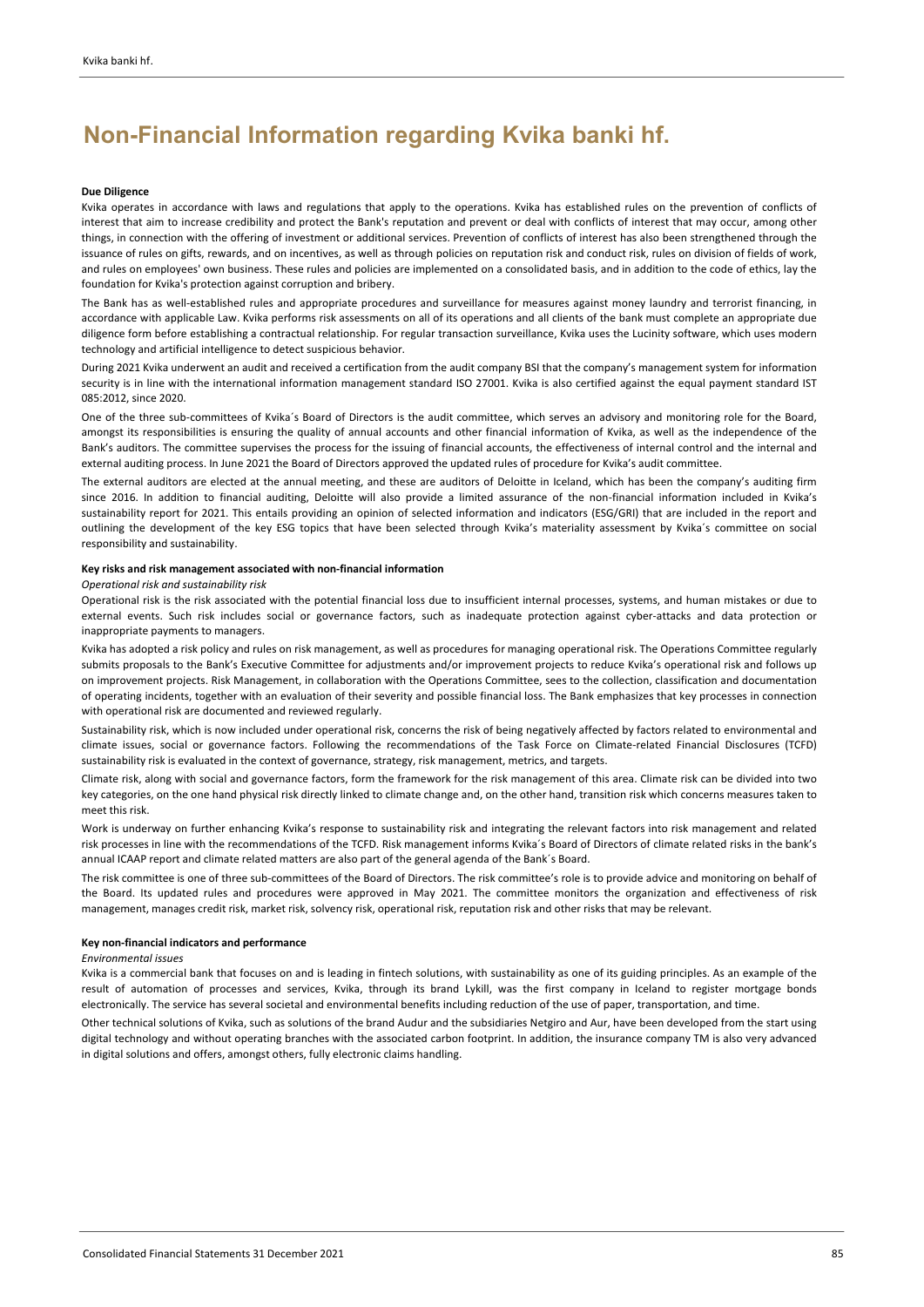# **Non-Financial Information regarding Kvika banki hf.**

## **Due Diligence**

Kvika operates in accordance with laws and regulations that apply to the operations. Kvika has established rules on the prevention of conflicts of interest that aim to increase credibility and protect the Bank's reputation and prevent or deal with conflicts of interest that may occur, among other things, in connection with the offering of investment or additional services. Prevention of conflicts of interest has also been strengthened through the issuance of rules on gifts, rewards, and on incentives, as well as through policies on reputation risk and conduct risk, rules on division of fields of work, and rules on employees' own business. These rules and policies are implemented on a consolidated basis, and in addition to the code of ethics, lay the foundation for Kvika's protection against corruption and bribery.

The Bank has as well‐established rules and appropriate procedures and surveillance for measures against money laundry and terrorist financing, in accordance with applicable Law. Kvika performs risk assessments on all of its operations and all clients of the bank must complete an appropriate due diligence form before establishing a contractual relationship. For regular transaction surveillance, Kvika uses the Lucinity software, which uses modern technology and artificial intelligence to detect suspicious behavior.

During 2021 Kvika underwent an audit and received a certification from the audit company BSI that the company's management system for information security is in line with the international information management standard ISO 27001. Kvika is also certified against the equal payment standard IST 085:2012, since 2020.

One of the three sub‐committees of Kvika´s Board of Directors is the audit committee, which serves an advisory and monitoring role for the Board, amongst its responsibilities is ensuring the quality of annual accounts and other financial information of Kvika, as well as the independence of the Bank's auditors. The committee supervises the process for the issuing of financial accounts, the effectiveness of internal control and the internal and external auditing process. In June 2021 the Board of Directors approved the updated rules of procedure for Kvika's audit committee.

The external auditors are elected at the annual meeting, and these are auditors of Deloitte in Iceland, which has been the company's auditing firm since 2016. In addition to financial auditing. Deloitte will also provide a limited assurance of the non-financial information included in Kvika's sustainability report for 2021. This entails providing an opinion of selected information and indicators (ESG/GRI) that are included in the report and outlining the development of the key ESG topics that have been selected through Kvika's materiality assessment by Kvika´s committee on social responsibility and sustainability.

## **Key risks and risk management associated with non‐financial information**

#### *Operational risk and sustainability risk*

Operational risk is the risk associated with the potential financial loss due to insufficient internal processes, systems, and human mistakes or due to external events. Such risk includes social or governance factors, such as inadequate protection against cyber‐attacks and data protection or inappropriate payments to managers.

Kvika has adopted a risk policy and rules on risk management, as well as procedures for managing operational risk. The Operations Committee regularly submits proposals to the Bank's Executive Committee for adjustments and/or improvement projects to reduce Kvika's operational risk and follows up on improvement projects. Risk Management, in collaboration with the Operations Committee, sees to the collection, classification and documentation of operating incidents, together with an evaluation of their severity and possible financial loss. The Bank emphasizes that key processes in connection with operational risk are documented and reviewed regularly.

Sustainability risk, which is now included under operational risk, concerns the risk of being negatively affected by factors related to environmental and climate issues, social or governance factors. Following the recommendations of the Task Force on Climate‐related Financial Disclosures (TCFD) sustainability risk is evaluated in the context of governance, strategy, risk management, metrics, and targets.

Climate risk, along with social and governance factors, form the framework for the risk management of this area. Climate risk can be divided into two key categories, on the one hand physical risk directly linked to climate change and, on the other hand, transition risk which concerns measures taken to meet this risk.

Work is underway on further enhancing Kvika's response to sustainability risk and integrating the relevant factors into risk management and related risk processes in line with the recommendations of the TCFD. Risk management informs Kvika´s Board of Directors of climate related risks in the bank's annual ICAAP report and climate related matters are also part of the general agenda of the Bank´s Board.

The risk committee is one of three sub‐committees of the Board of Directors. The risk committee's role is to provide advice and monitoring on behalf of the Board. Its updated rules and procedures were approved in May 2021. The committee monitors the organization and effectiveness of risk management, manages credit risk, market risk, solvency risk, operational risk, reputation risk and other risks that may be relevant.

# **Key non‐financial indicators and performance**

### *Environmental issues*

Kvika is a commercial bank that focuses on and is leading in fintech solutions, with sustainability as one of its guiding principles. As an example of the result of automation of processes and services, Kvika, through its brand Lykill, was the first company in Iceland to register mortgage bonds electronically. The service has several societal and environmental benefits including reduction of the use of paper, transportation, and time.

Other technical solutions of Kvika, such as solutions of the brand Audur and the subsidiaries Netgiro and Aur, have been developed from the start using digital technology and without operating branches with the associated carbon footprint. In addition, the insurance company TM is also very advanced in digital solutions and offers, amongst others, fully electronic claims handling.